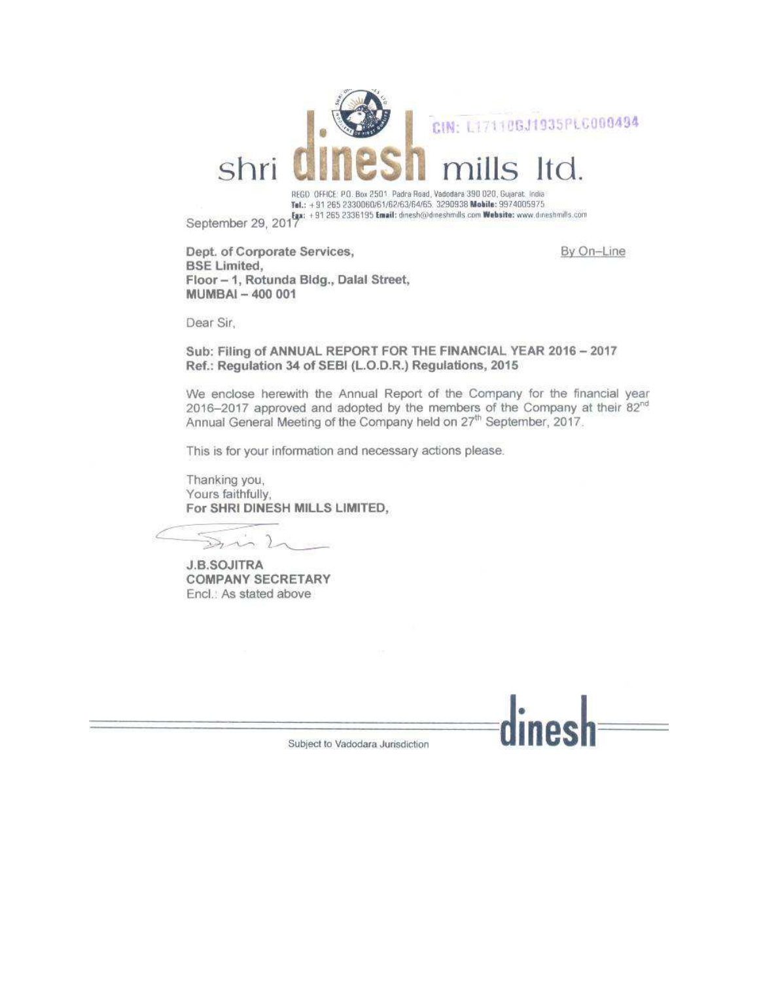

Tel.: +91 265 2330060/61/62/63/64/65, 3290938 Mobile: 9974005975 September 29, 2017 [11 265 2336195 Email: dinesh@dineshmills.com Website: www.dineshmills.com

By On-Line

Dept. of Corporate Services, **BSE Limited.** Floor - 1, Rotunda Bldg., Dalal Street, MUMBAI - 400 001

Dear Sir,

Sub: Filing of ANNUAL REPORT FOR THE FINANCIAL YEAR 2016 - 2017 Ref.: Regulation 34 of SEBI (L.O.D.R.) Regulations, 2015

We enclose herewith the Annual Report of the Company for the financial year 2016-2017 approved and adopted by the members of the Company at their 82<sup>nd</sup> Annual General Meeting of the Company held on 27<sup>th</sup> September, 2017.

This is for your information and necessary actions please.

Thanking you, Yours faithfully. For SHRI DINESH MILLS LIMITED,

J.  $\sum_{\lambda}$ 

**J.B.SOJITRA COMPANY SECRETARY** Encl.: As stated above



Subject to Vadodara Jurisdiction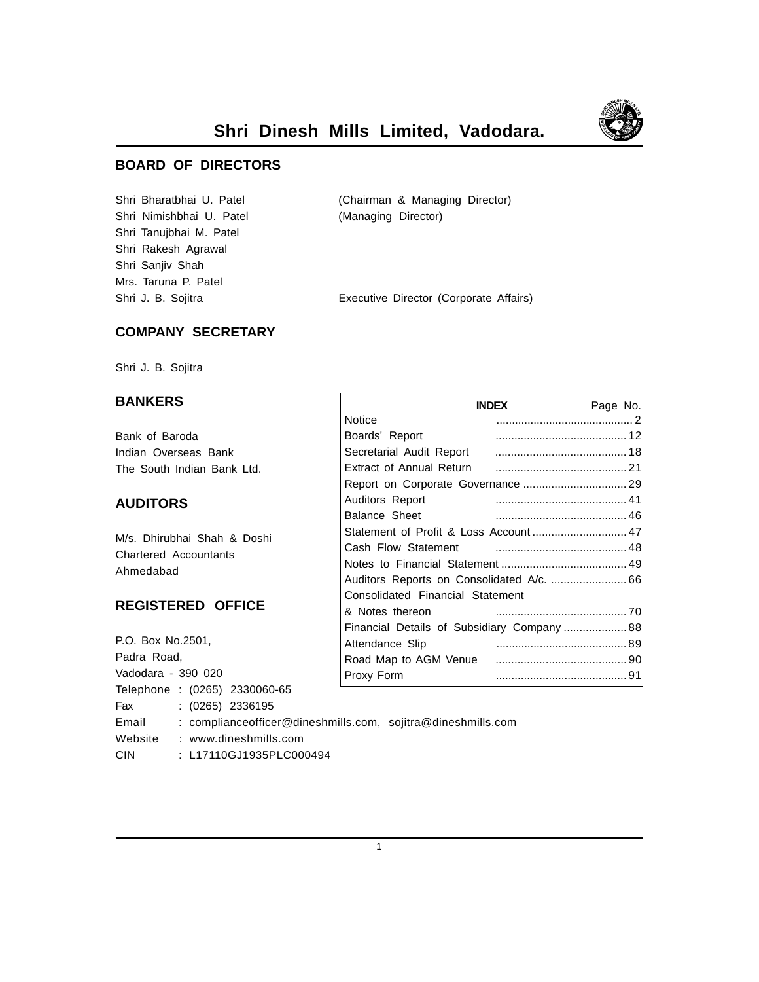

**Shri Dinesh Mills Limited, Vadodara.**

## **BOARD OF DIRECTORS**

Shri Nimishbhai U. Patel (Managing Director) Shri Tanujbhai M. Patel Shri Rakesh Agrawal Shri Sanjiv Shah Mrs. Taruna P. Patel

Shri Bharatbhai U. Patel (Chairman & Managing Director)

Shri J. B. Sojitra **Executive Director (Corporate Affairs**)

## **COMPANY SECRETARY**

Shri J. B. Sojitra

## **BANKERS**

Bank of Baroda Indian Overseas Bank The South Indian Bank Ltd.

## **AUDITORS**

M/s. Dhirubhai Shah & Doshi Chartered Accountants Ahmedabad

## **REGISTERED OFFICE**

P.O. Box No.2501, Padra Road, Vadodara - 390 020 Telephone : (0265) 2330060-65 Fax : (0265) 2336195 Email : complianceofficer@dineshmills.com, sojitra@dineshmills.com Website : www.dineshmills.com CIN : L17110GJ1935PLC000494

|                                            | <b>INDEX</b> | Page No. |  |
|--------------------------------------------|--------------|----------|--|
| Notice                                     |              |          |  |
| Boards' Report                             |              |          |  |
| Secretarial Audit Report                   |              |          |  |
|                                            |              |          |  |
|                                            |              |          |  |
| <b>Auditors Report</b>                     |              |          |  |
| <b>Balance Sheet</b>                       |              |          |  |
|                                            |              |          |  |
| Cash Flow Statement                        |              |          |  |
|                                            |              |          |  |
| Auditors Reports on Consolidated A/c.  66  |              |          |  |
| Consolidated Financial Statement           |              |          |  |
| & Notes thereon                            |              |          |  |
| Financial Details of Subsidiary Company 88 |              |          |  |
| Attendance Slip                            |              |          |  |
| Road Map to AGM Venue                      |              |          |  |
| Proxy Form                                 |              |          |  |

1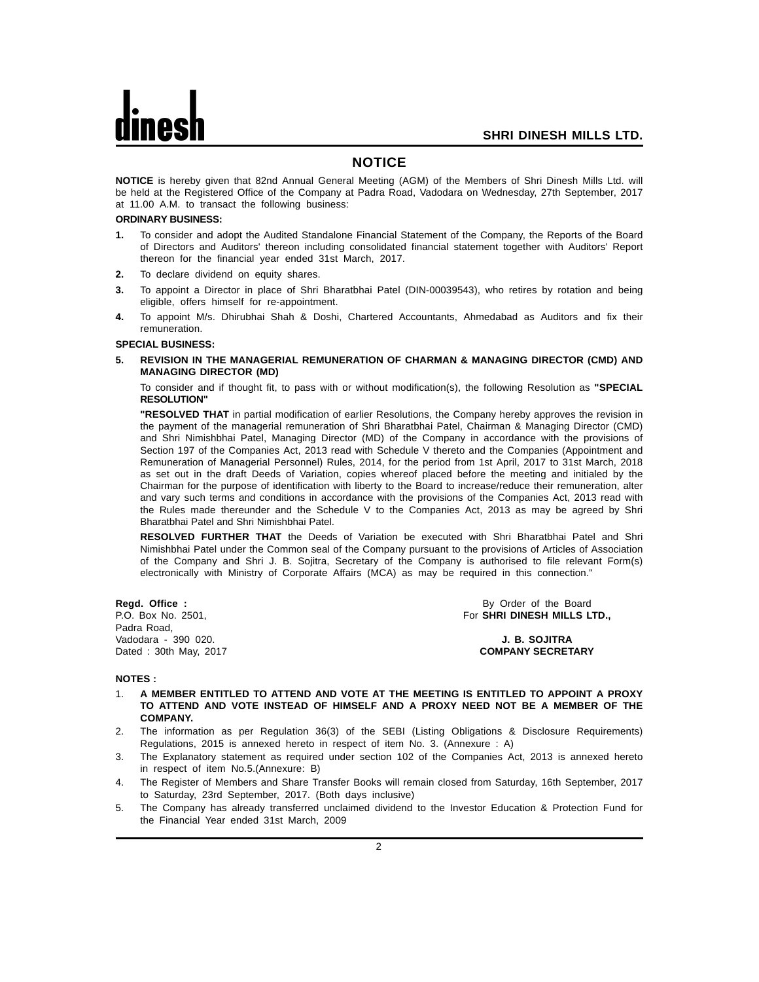#### **NOTICE**

**NOTICE** is hereby given that 82nd Annual General Meeting (AGM) of the Members of Shri Dinesh Mills Ltd. will be held at the Registered Office of the Company at Padra Road, Vadodara on Wednesday, 27th September, 2017 at 11.00 A.M. to transact the following business:

#### **ORDINARY BUSINESS:**

- **1.** To consider and adopt the Audited Standalone Financial Statement of the Company, the Reports of the Board of Directors and Auditors' thereon including consolidated financial statement together with Auditors' Report thereon for the financial year ended 31st March, 2017.
- **2.** To declare dividend on equity shares.
- **3.** To appoint a Director in place of Shri Bharatbhai Patel (DIN-00039543), who retires by rotation and being eligible, offers himself for re-appointment.
- **4.** To appoint M/s. Dhirubhai Shah & Doshi, Chartered Accountants, Ahmedabad as Auditors and fix their remuneration.

#### **SPECIAL BUSINESS:**

**5. REVISION IN THE MANAGERIAL REMUNERATION OF CHARMAN & MANAGING DIRECTOR (CMD) AND MANAGING DIRECTOR (MD)**

To consider and if thought fit, to pass with or without modification(s), the following Resolution as **"SPECIAL RESOLUTION"**

**"RESOLVED THAT** in partial modification of earlier Resolutions, the Company hereby approves the revision in the payment of the managerial remuneration of Shri Bharatbhai Patel, Chairman & Managing Director (CMD) and Shri Nimishbhai Patel, Managing Director (MD) of the Company in accordance with the provisions of Section 197 of the Companies Act, 2013 read with Schedule V thereto and the Companies (Appointment and Remuneration of Managerial Personnel) Rules, 2014, for the period from 1st April, 2017 to 31st March, 2018 as set out in the draft Deeds of Variation, copies whereof placed before the meeting and initialed by the Chairman for the purpose of identification with liberty to the Board to increase/reduce their remuneration, alter and vary such terms and conditions in accordance with the provisions of the Companies Act, 2013 read with the Rules made thereunder and the Schedule V to the Companies Act, 2013 as may be agreed by Shri Bharatbhai Patel and Shri Nimishbhai Patel.

**RESOLVED FURTHER THAT** the Deeds of Variation be executed with Shri Bharatbhai Patel and Shri Nimishbhai Patel under the Common seal of the Company pursuant to the provisions of Articles of Association of the Company and Shri J. B. Sojitra, Secretary of the Company is authorised to file relevant Form(s) electronically with Ministry of Corporate Affairs (MCA) as may be required in this connection."

Padra Road, Vadodara - 390 020. **J. B. SOJITRA**

**Regd. Office :** By Order of the Board<br>
P.O. Box No. 2501, **By Order of the Board**<br> **P.O. Box No. 2501, By Order of the Board** For SHRI DINESH MILLS LTD.,

Dated : 30th May, 2017 **COMPANY SECRETARY**

#### **NOTES :**

- 1. **A MEMBER ENTITLED TO ATTEND AND VOTE AT THE MEETING IS ENTITLED TO APPOINT A PROXY TO ATTEND AND VOTE INSTEAD OF HIMSELF AND A PROXY NEED NOT BE A MEMBER OF THE COMPANY.**
- 2. The information as per Regulation 36(3) of the SEBI (Listing Obligations & Disclosure Requirements) Regulations, 2015 is annexed hereto in respect of item No. 3. (Annexure : A)
- 3. The Explanatory statement as required under section 102 of the Companies Act, 2013 is annexed hereto in respect of item No.5.(Annexure: B)
- 4. The Register of Members and Share Transfer Books will remain closed from Saturday, 16th September, 2017 to Saturday, 23rd September, 2017. (Both days inclusive)
- 5. The Company has already transferred unclaimed dividend to the Investor Education & Protection Fund for the Financial Year ended 31st March, 2009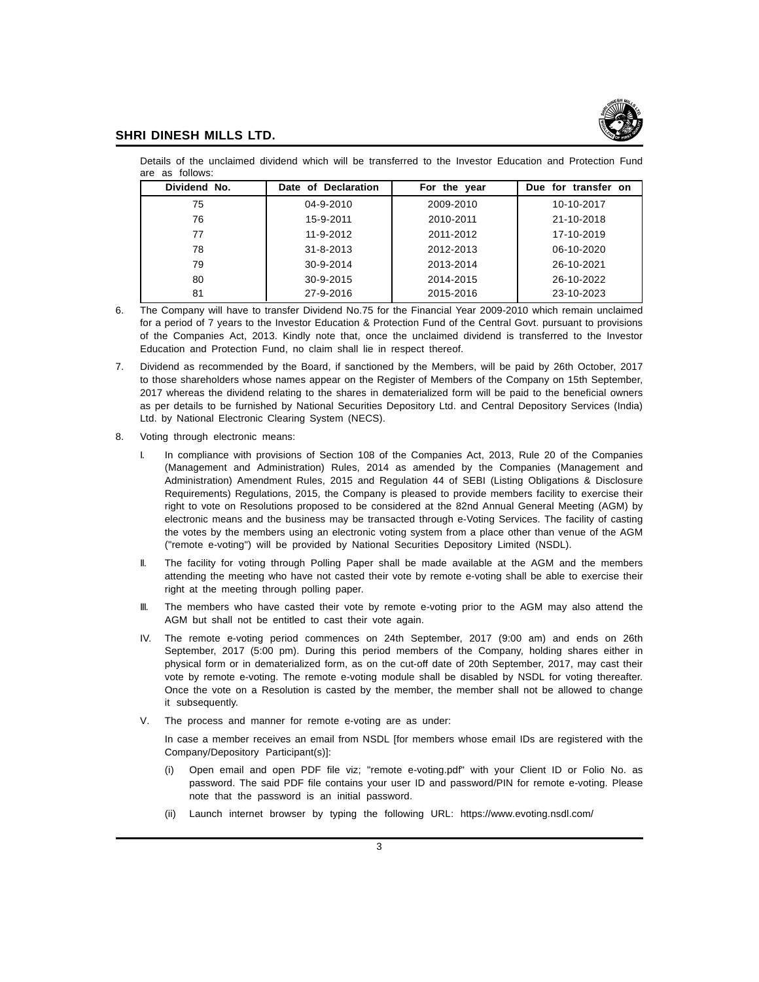

Details of the unclaimed dividend which will be transferred to the Investor Education and Protection Fund are as follows:

| Dividend No. | Date of Declaration | For the year | Due for transfer on |
|--------------|---------------------|--------------|---------------------|
| 75           | 04-9-2010           | 2009-2010    | 10-10-2017          |
| 76           | 15-9-2011           | 2010-2011    | 21-10-2018          |
| 77           | 11-9-2012           | 2011-2012    | 17-10-2019          |
| 78           | $31 - 8 - 2013$     | 2012-2013    | 06-10-2020          |
| 79           | 30-9-2014           | 2013-2014    | 26-10-2021          |
| 80           | 30-9-2015           | 2014-2015    | 26-10-2022          |
| 81           | 27-9-2016           | 2015-2016    | 23-10-2023          |

6. The Company will have to transfer Dividend No.75 for the Financial Year 2009-2010 which remain unclaimed for a period of 7 years to the Investor Education & Protection Fund of the Central Govt. pursuant to provisions of the Companies Act, 2013. Kindly note that, once the unclaimed dividend is transferred to the Investor Education and Protection Fund, no claim shall lie in respect thereof.

- 7. Dividend as recommended by the Board, if sanctioned by the Members, will be paid by 26th October, 2017 to those shareholders whose names appear on the Register of Members of the Company on 15th September, 2017 whereas the dividend relating to the shares in dematerialized form will be paid to the beneficial owners as per details to be furnished by National Securities Depository Ltd. and Central Depository Services (India) Ltd. by National Electronic Clearing System (NECS).
- 8. Voting through electronic means:
	- I. In compliance with provisions of Section 108 of the Companies Act, 2013, Rule 20 of the Companies (Management and Administration) Rules, 2014 as amended by the Companies (Management and Administration) Amendment Rules, 2015 and Regulation 44 of SEBI (Listing Obligations & Disclosure Requirements) Regulations, 2015, the Company is pleased to provide members facility to exercise their right to vote on Resolutions proposed to be considered at the 82nd Annual General Meeting (AGM) by electronic means and the business may be transacted through e-Voting Services. The facility of casting the votes by the members using an electronic voting system from a place other than venue of the AGM ("remote e-voting") will be provided by National Securities Depository Limited (NSDL).
	- II. The facility for voting through Polling Paper shall be made available at the AGM and the members attending the meeting who have not casted their vote by remote e-voting shall be able to exercise their right at the meeting through polling paper.
	- III. The members who have casted their vote by remote e-voting prior to the AGM may also attend the AGM but shall not be entitled to cast their vote again.
	- IV. The remote e-voting period commences on 24th September, 2017 (9:00 am) and ends on 26th September, 2017 (5:00 pm). During this period members of the Company, holding shares either in physical form or in dematerialized form, as on the cut-off date of 20th September, 2017, may cast their vote by remote e-voting. The remote e-voting module shall be disabled by NSDL for voting thereafter. Once the vote on a Resolution is casted by the member, the member shall not be allowed to change it subsequently.
	- V. The process and manner for remote e-voting are as under:

In case a member receives an email from NSDL [for members whose email IDs are registered with the Company/Depository Participant(s)]:

- (i) Open email and open PDF file viz; "remote e-voting.pdf" with your Client ID or Folio No. as password. The said PDF file contains your user ID and password/PIN for remote e-voting. Please note that the password is an initial password.
- (ii) Launch internet browser by typing the following URL: https://www.evoting.nsdl.com/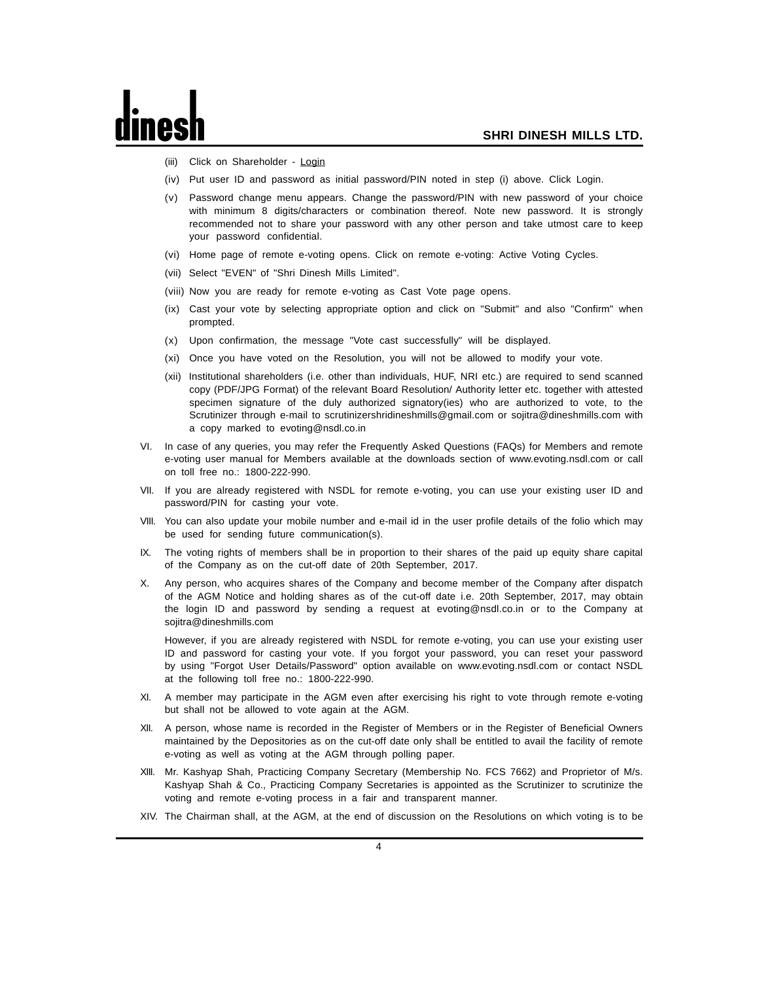- (iii) Click on Shareholder Login
- (iv) Put user ID and password as initial password/PIN noted in step (i) above. Click Login.
- (v) Password change menu appears. Change the password/PIN with new password of your choice with minimum 8 digits/characters or combination thereof. Note new password. It is strongly recommended not to share your password with any other person and take utmost care to keep your password confidential.
- (vi) Home page of remote e-voting opens. Click on remote e-voting: Active Voting Cycles.
- (vii) Select "EVEN" of "Shri Dinesh Mills Limited".
- (viii) Now you are ready for remote e-voting as Cast Vote page opens.
- (ix) Cast your vote by selecting appropriate option and click on "Submit" and also "Confirm" when prompted.
- (x) Upon confirmation, the message "Vote cast successfully" will be displayed.
- (xi) Once you have voted on the Resolution, you will not be allowed to modify your vote.
- (xii) Institutional shareholders (i.e. other than individuals, HUF, NRI etc.) are required to send scanned copy (PDF/JPG Format) of the relevant Board Resolution/ Authority letter etc. together with attested specimen signature of the duly authorized signatory(ies) who are authorized to vote, to the Scrutinizer through e-mail to scrutinizershridineshmills@gmail.com or sojitra@dineshmills.com with a copy marked to evoting@nsdl.co.in
- VI. In case of any queries, you may refer the Frequently Asked Questions (FAQs) for Members and remote e-voting user manual for Members available at the downloads section of www.evoting.nsdl.com or call on toll free no.: 1800-222-990.
- VII. If you are already registered with NSDL for remote e-voting, you can use your existing user ID and password/PIN for casting your vote.
- VIII. You can also update your mobile number and e-mail id in the user profile details of the folio which may be used for sending future communication(s).
- IX. The voting rights of members shall be in proportion to their shares of the paid up equity share capital of the Company as on the cut-off date of 20th September, 2017.
- X. Any person, who acquires shares of the Company and become member of the Company after dispatch of the AGM Notice and holding shares as of the cut-off date i.e. 20th September, 2017, may obtain the login ID and password by sending a request at evoting@nsdl.co.in or to the Company at sojitra@dineshmills.com

However, if you are already registered with NSDL for remote e-voting, you can use your existing user ID and password for casting your vote. If you forgot your password, you can reset your password by using "Forgot User Details/Password" option available on www.evoting.nsdl.com or contact NSDL at the following toll free no.: 1800-222-990.

- XI. A member may participate in the AGM even after exercising his right to vote through remote e-voting but shall not be allowed to vote again at the AGM.
- XII. A person, whose name is recorded in the Register of Members or in the Register of Beneficial Owners maintained by the Depositories as on the cut-off date only shall be entitled to avail the facility of remote e-voting as well as voting at the AGM through polling paper.
- XIII. Mr. Kashyap Shah, Practicing Company Secretary (Membership No. FCS 7662) and Proprietor of M/s. Kashyap Shah & Co., Practicing Company Secretaries is appointed as the Scrutinizer to scrutinize the voting and remote e-voting process in a fair and transparent manner.
- XIV. The Chairman shall, at the AGM, at the end of discussion on the Resolutions on which voting is to be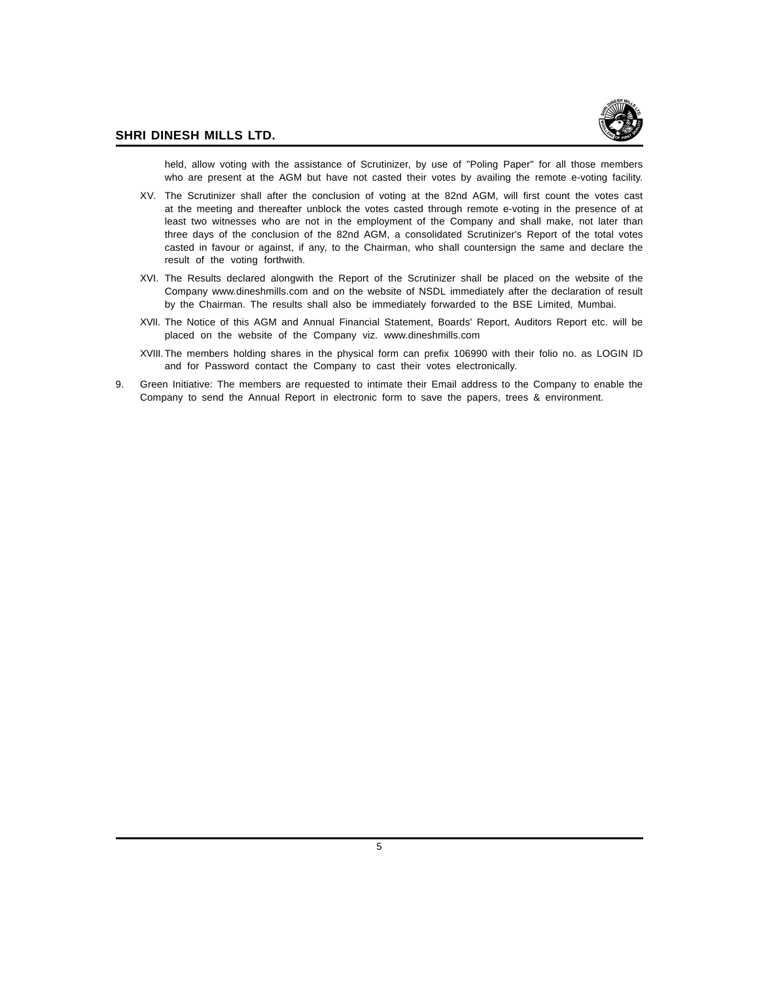

held, allow voting with the assistance of Scrutinizer, by use of "Poling Paper" for all those members who are present at the AGM but have not casted their votes by availing the remote e-voting facility.

- XV. The Scrutinizer shall after the conclusion of voting at the 82nd AGM, will first count the votes cast at the meeting and thereafter unblock the votes casted through remote e-voting in the presence of at least two witnesses who are not in the employment of the Company and shall make, not later than three days of the conclusion of the 82nd AGM, a consolidated Scrutinizer's Report of the total votes casted in favour or against, if any, to the Chairman, who shall countersign the same and declare the result of the voting forthwith.
- XVI. The Results declared alongwith the Report of the Scrutinizer shall be placed on the website of the Company www.dineshmills.com and on the website of NSDL immediately after the declaration of result by the Chairman. The results shall also be immediately forwarded to the BSE Limited, Mumbai.
- XVII. The Notice of this AGM and Annual Financial Statement, Boards' Report, Auditors Report etc. will be placed on the website of the Company viz. www.dineshmills.com
- XVIII.The members holding shares in the physical form can prefix 106990 with their folio no. as LOGIN ID and for Password contact the Company to cast their votes electronically.
- 9. Green Initiative: The members are requested to intimate their Email address to the Company to enable the Company to send the Annual Report in electronic form to save the papers, trees & environment.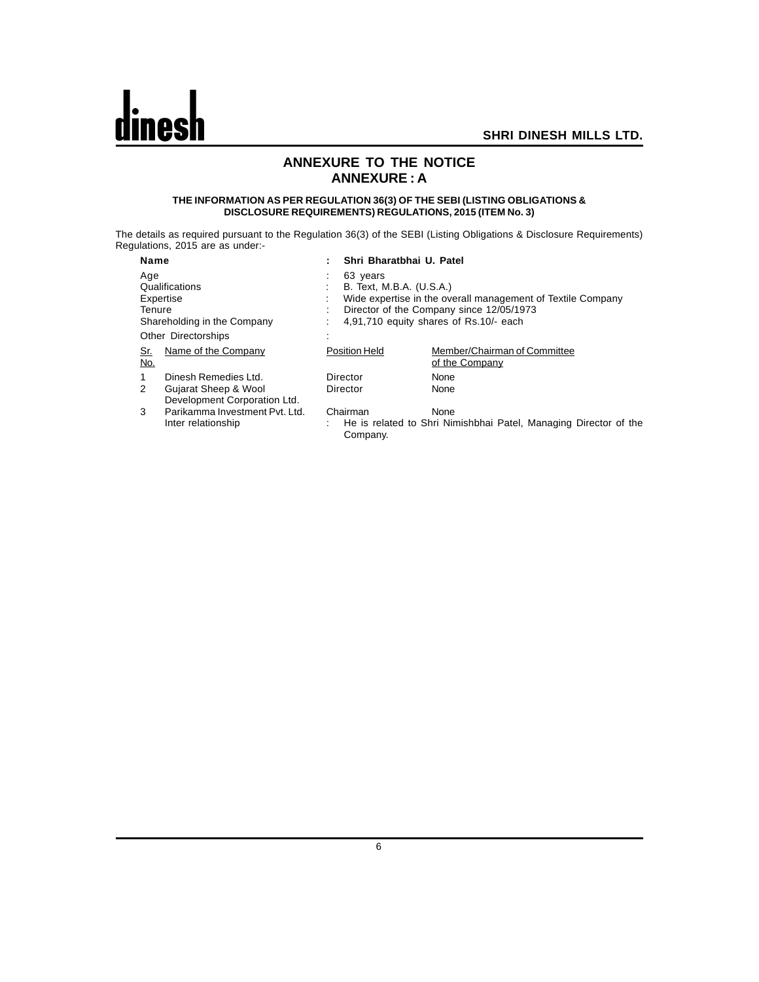

#### **ANNEXURE TO THE NOTICE ANNEXURE : A**

#### **THE INFORMATION AS PER REGULATION 36(3) OF THE SEBI (LISTING OBLIGATIONS & DISCLOSURE REQUIREMENTS) REGULATIONS, 2015 (ITEM No. 3)**

The details as required pursuant to the Regulation 36(3) of the SEBI (Listing Obligations & Disclosure Requirements) Regulations, 2015 are as under:-

| <b>Name</b>                                                                 |                                                      | ٠                                                                                                                                                                                                   | Shri Bharatbhai U. Patel |                                                                          |  |
|-----------------------------------------------------------------------------|------------------------------------------------------|-----------------------------------------------------------------------------------------------------------------------------------------------------------------------------------------------------|--------------------------|--------------------------------------------------------------------------|--|
| Age<br>Qualifications<br>Expertise<br>Tenure<br>Shareholding in the Company |                                                      | 63 years<br>B. Text, M.B.A. (U.S.A.)<br>Wide expertise in the overall management of Textile Company<br>٠<br>Director of the Company since 12/05/1973<br>٠<br>4,91,710 equity shares of Rs.10/- each |                          |                                                                          |  |
|                                                                             | <b>Other Directorships</b>                           |                                                                                                                                                                                                     |                          |                                                                          |  |
| <u>Sr.</u><br><u>No.</u>                                                    | Name of the Company                                  |                                                                                                                                                                                                     | Position Held            | Member/Chairman of Committee<br>of the Company                           |  |
|                                                                             | Dinesh Remedies Ltd.                                 |                                                                                                                                                                                                     | Director                 | None                                                                     |  |
| 2                                                                           | Gujarat Sheep & Wool<br>Development Corporation Ltd. |                                                                                                                                                                                                     | Director                 | None                                                                     |  |
| 3                                                                           | Parikamma Investment Pyt. Ltd.<br>Inter relationship |                                                                                                                                                                                                     | Chairman<br>Company.     | None<br>He is related to Shri Nimishbhai Patel, Managing Director of the |  |

6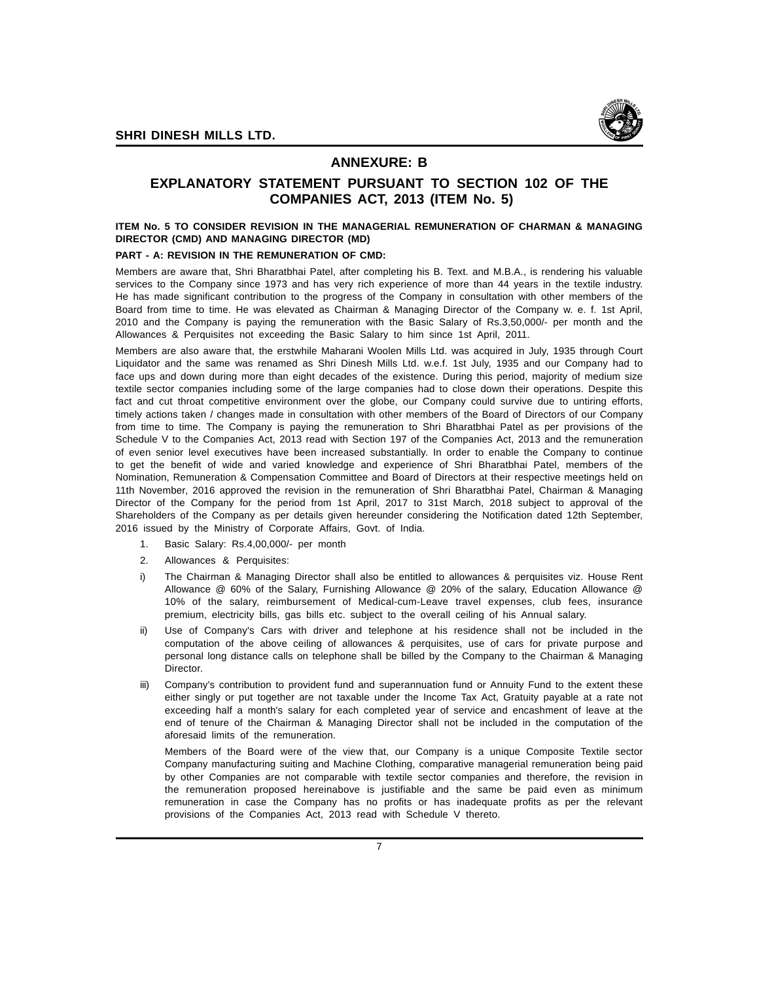

#### **ANNEXURE: B**

#### **EXPLANATORY STATEMENT PURSUANT TO SECTION 102 OF THE COMPANIES ACT, 2013 (ITEM No. 5)**

#### **ITEM No. 5 TO CONSIDER REVISION IN THE MANAGERIAL REMUNERATION OF CHARMAN & MANAGING DIRECTOR (CMD) AND MANAGING DIRECTOR (MD)**

#### **PART - A: REVISION IN THE REMUNERATION OF CMD:**

Members are aware that, Shri Bharatbhai Patel, after completing his B. Text. and M.B.A., is rendering his valuable services to the Company since 1973 and has very rich experience of more than 44 years in the textile industry. He has made significant contribution to the progress of the Company in consultation with other members of the Board from time to time. He was elevated as Chairman & Managing Director of the Company w. e. f. 1st April, 2010 and the Company is paying the remuneration with the Basic Salary of Rs.3,50,000/- per month and the Allowances & Perquisites not exceeding the Basic Salary to him since 1st April, 2011.

Members are also aware that, the erstwhile Maharani Woolen Mills Ltd. was acquired in July, 1935 through Court Liquidator and the same was renamed as Shri Dinesh Mills Ltd. w.e.f. 1st July, 1935 and our Company had to face ups and down during more than eight decades of the existence. During this period, majority of medium size textile sector companies including some of the large companies had to close down their operations. Despite this fact and cut throat competitive environment over the globe, our Company could survive due to untiring efforts, timely actions taken / changes made in consultation with other members of the Board of Directors of our Company from time to time. The Company is paying the remuneration to Shri Bharatbhai Patel as per provisions of the Schedule V to the Companies Act, 2013 read with Section 197 of the Companies Act, 2013 and the remuneration of even senior level executives have been increased substantially. In order to enable the Company to continue to get the benefit of wide and varied knowledge and experience of Shri Bharatbhai Patel, members of the Nomination, Remuneration & Compensation Committee and Board of Directors at their respective meetings held on 11th November, 2016 approved the revision in the remuneration of Shri Bharatbhai Patel, Chairman & Managing Director of the Company for the period from 1st April, 2017 to 31st March, 2018 subject to approval of the Shareholders of the Company as per details given hereunder considering the Notification dated 12th September, 2016 issued by the Ministry of Corporate Affairs, Govt. of India.

- 1. Basic Salary: Rs.4,00,000/- per month
- 2. Allowances & Perquisites:
- i) The Chairman & Managing Director shall also be entitled to allowances & perquisites viz. House Rent Allowance @ 60% of the Salary, Furnishing Allowance @ 20% of the salary, Education Allowance @ 10% of the salary, reimbursement of Medical-cum-Leave travel expenses, club fees, insurance premium, electricity bills, gas bills etc. subject to the overall ceiling of his Annual salary.
- ii) Use of Company's Cars with driver and telephone at his residence shall not be included in the computation of the above ceiling of allowances & perquisites, use of cars for private purpose and personal long distance calls on telephone shall be billed by the Company to the Chairman & Managing Director.
- iii) Company's contribution to provident fund and superannuation fund or Annuity Fund to the extent these either singly or put together are not taxable under the Income Tax Act, Gratuity payable at a rate not exceeding half a month's salary for each completed year of service and encashment of leave at the end of tenure of the Chairman & Managing Director shall not be included in the computation of the aforesaid limits of the remuneration.

Members of the Board were of the view that, our Company is a unique Composite Textile sector Company manufacturing suiting and Machine Clothing, comparative managerial remuneration being paid by other Companies are not comparable with textile sector companies and therefore, the revision in the remuneration proposed hereinabove is justifiable and the same be paid even as minimum remuneration in case the Company has no profits or has inadequate profits as per the relevant provisions of the Companies Act, 2013 read with Schedule V thereto.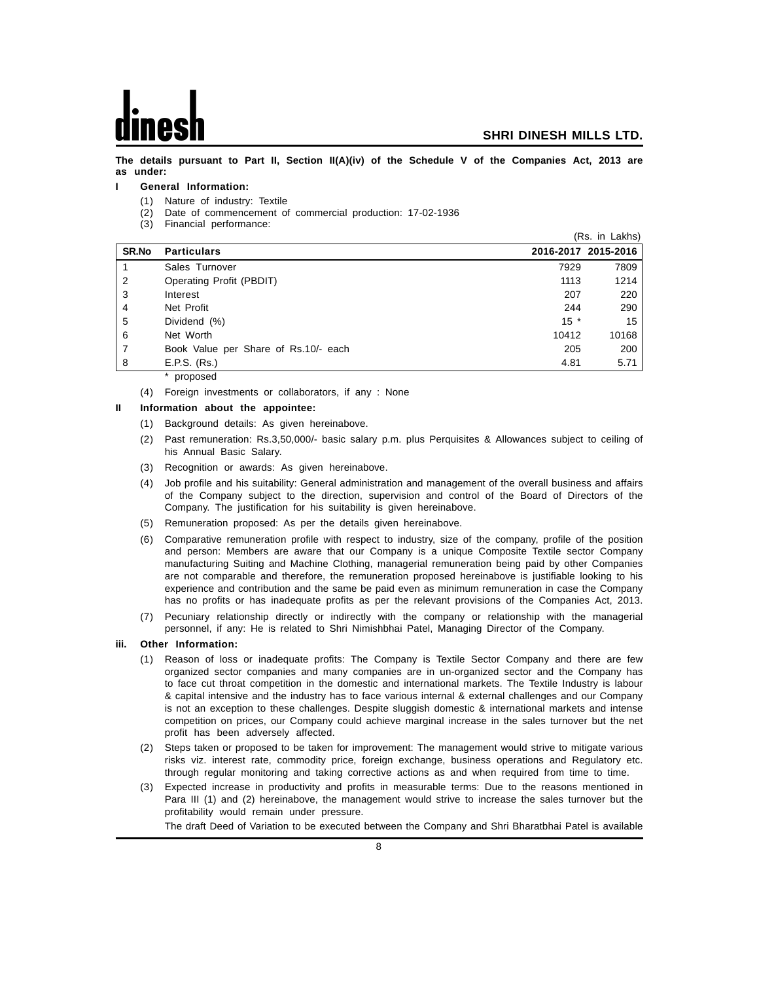**The details pursuant to Part II, Section II(A)(iv) of the Schedule V of the Companies Act, 2013 are as under:**

#### **I General Information:**

- (1) Nature of industry: Textile
- (2) Date of commencement of commercial production: 17-02-1936
- (3) Financial performance:

|              |                                      |       | (Rs. in Lakhs)      |
|--------------|--------------------------------------|-------|---------------------|
| <b>SR.No</b> | <b>Particulars</b>                   |       | 2016-2017 2015-2016 |
|              | Sales Turnover                       | 7929  | 7809                |
| 2            | Operating Profit (PBDIT)             | 1113  | 1214                |
| 3            | Interest                             | 207   | 220                 |
| 4            | Net Profit                           | 244   | 290                 |
| 5            | Dividend (%)                         | $15*$ | 15                  |
| 6            | Net Worth                            | 10412 | 10168               |
| 7            | Book Value per Share of Rs.10/- each | 205   | 200                 |
| 8            | E.P.S. (Rs.)                         | 4.81  | 5.71                |
|              | proposed                             |       |                     |

(4) Foreign investments or collaborators, if any : None

#### **II Information about the appointee:**

- (1) Background details: As given hereinabove.
- (2) Past remuneration: Rs.3,50,000/- basic salary p.m. plus Perquisites & Allowances subject to ceiling of his Annual Basic Salary.
- (3) Recognition or awards: As given hereinabove.
- (4) Job profile and his suitability: General administration and management of the overall business and affairs of the Company subject to the direction, supervision and control of the Board of Directors of the Company. The justification for his suitability is given hereinabove.
- (5) Remuneration proposed: As per the details given hereinabove.
- (6) Comparative remuneration profile with respect to industry, size of the company, profile of the position and person: Members are aware that our Company is a unique Composite Textile sector Company manufacturing Suiting and Machine Clothing, managerial remuneration being paid by other Companies are not comparable and therefore, the remuneration proposed hereinabove is justifiable looking to his experience and contribution and the same be paid even as minimum remuneration in case the Company has no profits or has inadequate profits as per the relevant provisions of the Companies Act, 2013.
- (7) Pecuniary relationship directly or indirectly with the company or relationship with the managerial personnel, if any: He is related to Shri Nimishbhai Patel, Managing Director of the Company.

#### **iii. Other Information:**

- (1) Reason of loss or inadequate profits: The Company is Textile Sector Company and there are few organized sector companies and many companies are in un-organized sector and the Company has to face cut throat competition in the domestic and international markets. The Textile Industry is labour & capital intensive and the industry has to face various internal & external challenges and our Company is not an exception to these challenges. Despite sluggish domestic & international markets and intense competition on prices, our Company could achieve marginal increase in the sales turnover but the net profit has been adversely affected.
- (2) Steps taken or proposed to be taken for improvement: The management would strive to mitigate various risks viz. interest rate, commodity price, foreign exchange, business operations and Regulatory etc. through regular monitoring and taking corrective actions as and when required from time to time.
- (3) Expected increase in productivity and profits in measurable terms: Due to the reasons mentioned in Para III (1) and (2) hereinabove, the management would strive to increase the sales turnover but the profitability would remain under pressure.

The draft Deed of Variation to be executed between the Company and Shri Bharatbhai Patel is available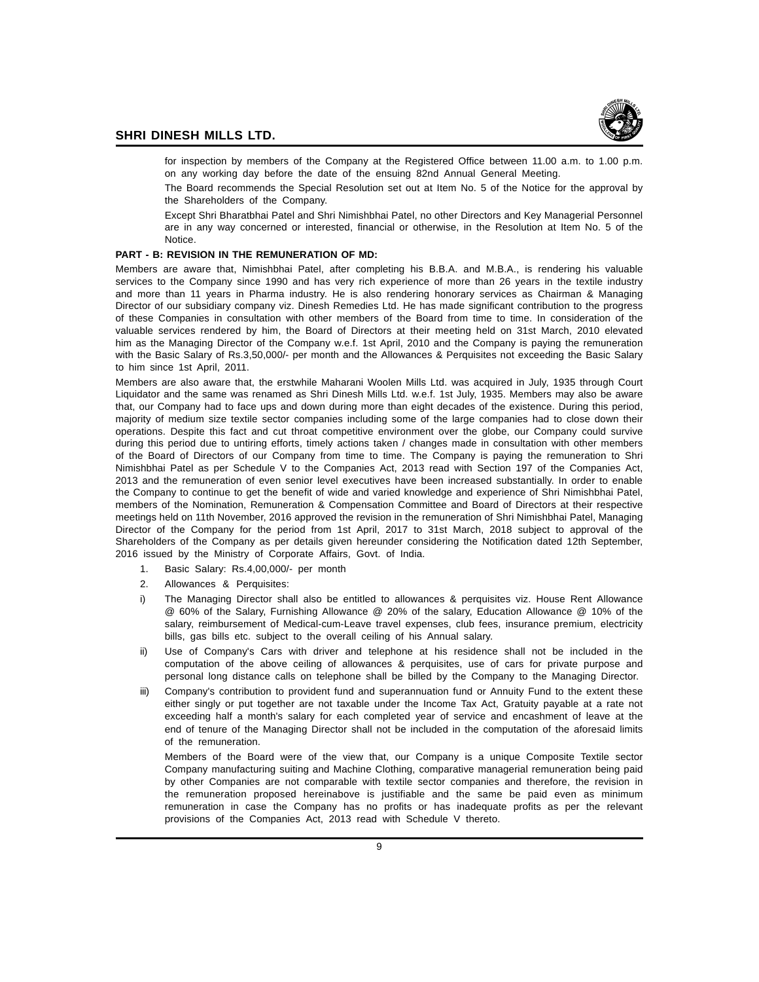

for inspection by members of the Company at the Registered Office between 11.00 a.m. to 1.00 p.m. on any working day before the date of the ensuing 82nd Annual General Meeting.

The Board recommends the Special Resolution set out at Item No. 5 of the Notice for the approval by the Shareholders of the Company.

Except Shri Bharatbhai Patel and Shri Nimishbhai Patel, no other Directors and Key Managerial Personnel are in any way concerned or interested, financial or otherwise, in the Resolution at Item No. 5 of the Notice.

#### **PART - B: REVISION IN THE REMUNERATION OF MD:**

Members are aware that, Nimishbhai Patel, after completing his B.B.A. and M.B.A., is rendering his valuable services to the Company since 1990 and has very rich experience of more than 26 years in the textile industry and more than 11 years in Pharma industry. He is also rendering honorary services as Chairman & Managing Director of our subsidiary company viz. Dinesh Remedies Ltd. He has made significant contribution to the progress of these Companies in consultation with other members of the Board from time to time. In consideration of the valuable services rendered by him, the Board of Directors at their meeting held on 31st March, 2010 elevated him as the Managing Director of the Company w.e.f. 1st April, 2010 and the Company is paying the remuneration with the Basic Salary of Rs.3,50,000/- per month and the Allowances & Perquisites not exceeding the Basic Salary to him since 1st April, 2011.

Members are also aware that, the erstwhile Maharani Woolen Mills Ltd. was acquired in July, 1935 through Court Liquidator and the same was renamed as Shri Dinesh Mills Ltd. w.e.f. 1st July, 1935. Members may also be aware that, our Company had to face ups and down during more than eight decades of the existence. During this period, majority of medium size textile sector companies including some of the large companies had to close down their operations. Despite this fact and cut throat competitive environment over the globe, our Company could survive during this period due to untiring efforts, timely actions taken / changes made in consultation with other members of the Board of Directors of our Company from time to time. The Company is paying the remuneration to Shri Nimishbhai Patel as per Schedule V to the Companies Act, 2013 read with Section 197 of the Companies Act, 2013 and the remuneration of even senior level executives have been increased substantially. In order to enable the Company to continue to get the benefit of wide and varied knowledge and experience of Shri Nimishbhai Patel, members of the Nomination, Remuneration & Compensation Committee and Board of Directors at their respective meetings held on 11th November, 2016 approved the revision in the remuneration of Shri Nimishbhai Patel, Managing Director of the Company for the period from 1st April, 2017 to 31st March, 2018 subject to approval of the Shareholders of the Company as per details given hereunder considering the Notification dated 12th September, 2016 issued by the Ministry of Corporate Affairs, Govt. of India.

- 1. Basic Salary: Rs.4,00,000/- per month
- 2. Allowances & Perquisites:
- i) The Managing Director shall also be entitled to allowances & perquisites viz. House Rent Allowance @ 60% of the Salary, Furnishing Allowance @ 20% of the salary, Education Allowance @ 10% of the salary, reimbursement of Medical-cum-Leave travel expenses, club fees, insurance premium, electricity bills, gas bills etc. subject to the overall ceiling of his Annual salary.
- Use of Company's Cars with driver and telephone at his residence shall not be included in the computation of the above ceiling of allowances & perquisites, use of cars for private purpose and personal long distance calls on telephone shall be billed by the Company to the Managing Director.
- iii) Company's contribution to provident fund and superannuation fund or Annuity Fund to the extent these either singly or put together are not taxable under the Income Tax Act, Gratuity payable at a rate not exceeding half a month's salary for each completed year of service and encashment of leave at the end of tenure of the Managing Director shall not be included in the computation of the aforesaid limits of the remuneration.

Members of the Board were of the view that, our Company is a unique Composite Textile sector Company manufacturing suiting and Machine Clothing, comparative managerial remuneration being paid by other Companies are not comparable with textile sector companies and therefore, the revision in the remuneration proposed hereinabove is justifiable and the same be paid even as minimum remuneration in case the Company has no profits or has inadequate profits as per the relevant provisions of the Companies Act, 2013 read with Schedule V thereto.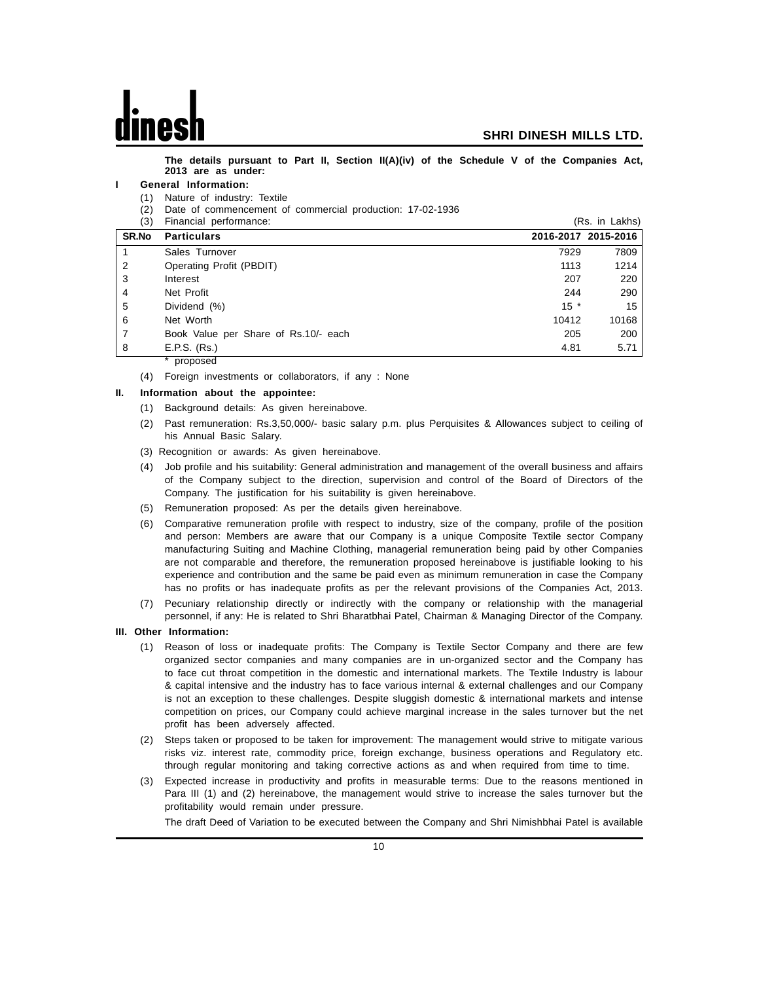**The details pursuant to Part II, Section II(A)(iv) of the Schedule V of the Companies Act, 2013 are as under:**

#### **I General Information:**

- (1) Nature of industry: Textile
- (2) Date of commencement of commercial production: 17-02-1936

| (3)   | Financial performance:               |       | (Rs. in Lakhs)      |
|-------|--------------------------------------|-------|---------------------|
| SR.No | <b>Particulars</b>                   |       | 2016-2017 2015-2016 |
|       | Sales Turnover                       | 7929  | 7809                |
| 2     | Operating Profit (PBDIT)             | 1113  | 1214                |
| 3     | Interest                             | 207   | 220                 |
| 4     | Net Profit                           | 244   | 290                 |
| 5     | Dividend (%)                         | $15*$ | 15                  |
| 6     | Net Worth                            | 10412 | 10168               |
|       | Book Value per Share of Rs.10/- each | 205   | 200                 |
| 8     | E.P.S. (Rs.)                         | 4.81  | 5.71                |
|       | proposed                             |       |                     |

(4) Foreign investments or collaborators, if any : None

#### **II. Information about the appointee:**

- (1) Background details: As given hereinabove.
- (2) Past remuneration: Rs.3,50,000/- basic salary p.m. plus Perquisites & Allowances subject to ceiling of his Annual Basic Salary.
- (3) Recognition or awards: As given hereinabove.
- (4) Job profile and his suitability: General administration and management of the overall business and affairs of the Company subject to the direction, supervision and control of the Board of Directors of the Company. The justification for his suitability is given hereinabove.
- (5) Remuneration proposed: As per the details given hereinabove.
- (6) Comparative remuneration profile with respect to industry, size of the company, profile of the position and person: Members are aware that our Company is a unique Composite Textile sector Company manufacturing Suiting and Machine Clothing, managerial remuneration being paid by other Companies are not comparable and therefore, the remuneration proposed hereinabove is justifiable looking to his experience and contribution and the same be paid even as minimum remuneration in case the Company has no profits or has inadequate profits as per the relevant provisions of the Companies Act, 2013.
- (7) Pecuniary relationship directly or indirectly with the company or relationship with the managerial personnel, if any: He is related to Shri Bharatbhai Patel, Chairman & Managing Director of the Company.

#### **III. Other Information:**

- (1) Reason of loss or inadequate profits: The Company is Textile Sector Company and there are few organized sector companies and many companies are in un-organized sector and the Company has to face cut throat competition in the domestic and international markets. The Textile Industry is labour & capital intensive and the industry has to face various internal & external challenges and our Company is not an exception to these challenges. Despite sluggish domestic & international markets and intense competition on prices, our Company could achieve marginal increase in the sales turnover but the net profit has been adversely affected.
- (2) Steps taken or proposed to be taken for improvement: The management would strive to mitigate various risks viz. interest rate, commodity price, foreign exchange, business operations and Regulatory etc. through regular monitoring and taking corrective actions as and when required from time to time.
- (3) Expected increase in productivity and profits in measurable terms: Due to the reasons mentioned in Para III (1) and (2) hereinabove, the management would strive to increase the sales turnover but the profitability would remain under pressure.

The draft Deed of Variation to be executed between the Company and Shri Nimishbhai Patel is available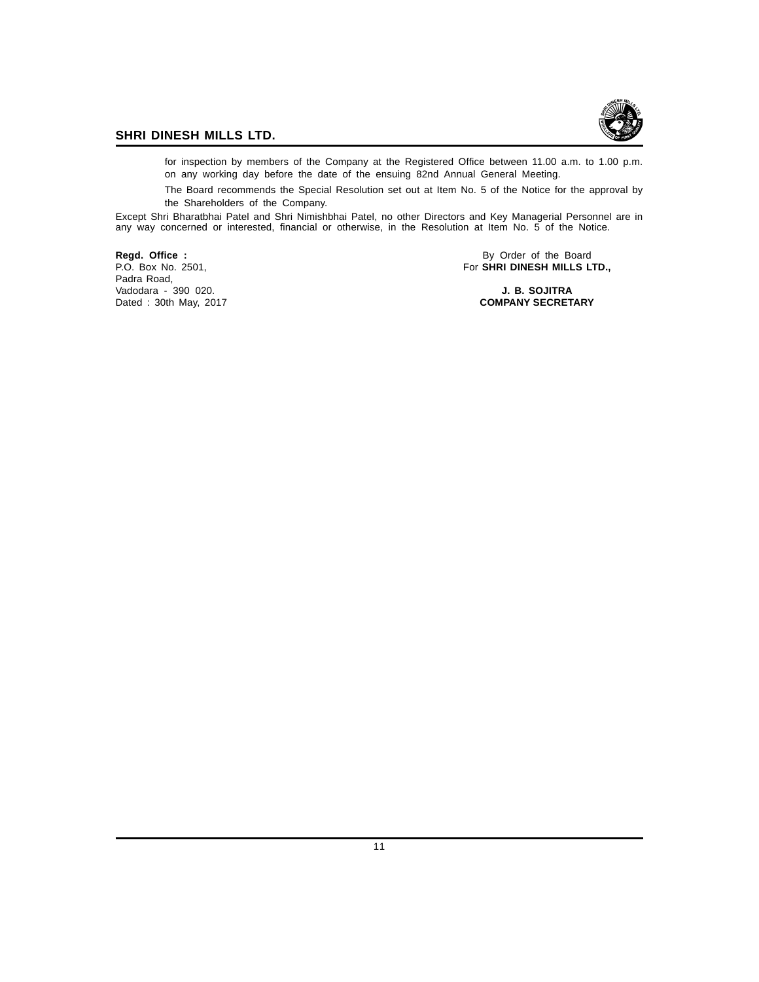

for inspection by members of the Company at the Registered Office between 11.00 a.m. to 1.00 p.m. on any working day before the date of the ensuing 82nd Annual General Meeting.

The Board recommends the Special Resolution set out at Item No. 5 of the Notice for the approval by the Shareholders of the Company.

Except Shri Bharatbhai Patel and Shri Nimishbhai Patel, no other Directors and Key Managerial Personnel are in any way concerned or interested, financial or otherwise, in the Resolution at Item No. 5 of the Notice.

Padra Road, Vadodara - 390 020. **J. B. SOJITRA** Dated : 30th May, 2017

**Regd. Office :** By Order of the Board<br>
P.O. Box No. 2501, **By Order of the Board**<br> **P.O. Box No. 2501, By Order of the Board** For **SHRI DINESH MILLS LTD.,**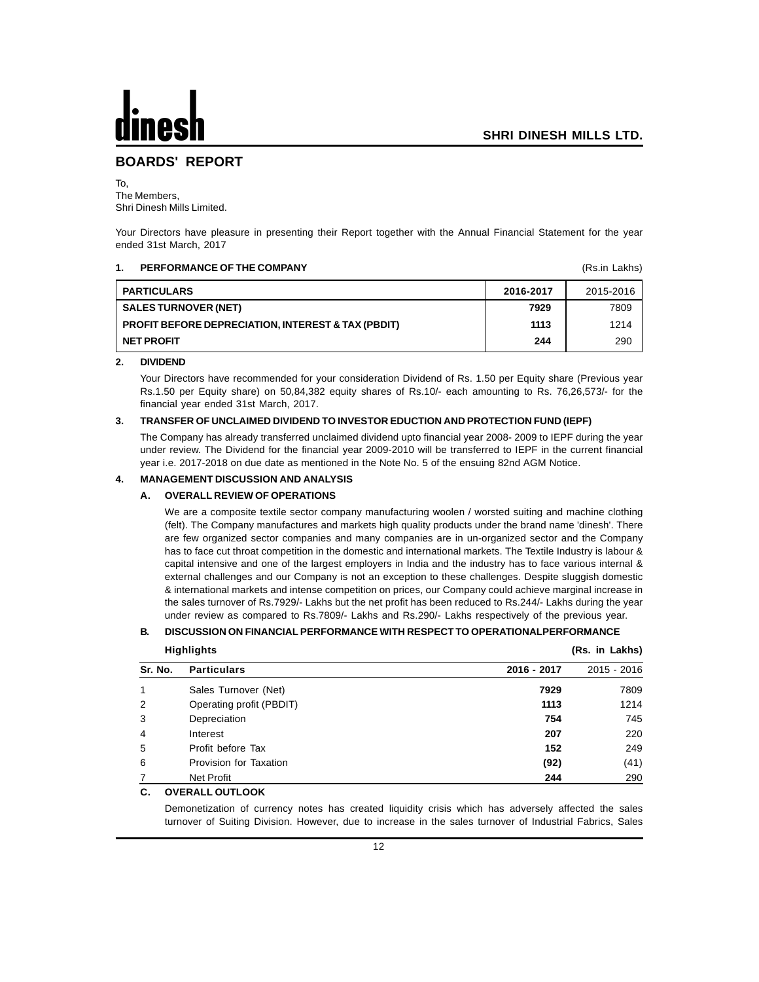## **BOARDS' REPORT**

To, The Members, Shri Dinesh Mills Limited.

Your Directors have pleasure in presenting their Report together with the Annual Financial Statement for the year ended 31st March, 2017

#### **1. PERFORMANCE OF THE COMPANY 1. PERFORMANCE OF THE COMPANY**

| <b>PARTICULARS</b>                                            | 2016-2017 | 2015-2016 |
|---------------------------------------------------------------|-----------|-----------|
| <b>SALES TURNOVER (NET)</b>                                   | 7929      | 7809      |
| <b>PROFIT BEFORE DEPRECIATION, INTEREST &amp; TAX (PBDIT)</b> | 1113      | 1214      |
| <b>NET PROFIT</b>                                             | 244       | 290       |

#### **2. DIVIDEND**

Your Directors have recommended for your consideration Dividend of Rs. 1.50 per Equity share (Previous year Rs.1.50 per Equity share) on 50,84,382 equity shares of Rs.10/- each amounting to Rs. 76,26,573/- for the financial year ended 31st March, 2017.

#### **3. TRANSFER OF UNCLAIMED DIVIDEND TO INVESTOR EDUCTION AND PROTECTION FUND (IEPF)**

The Company has already transferred unclaimed dividend upto financial year 2008- 2009 to IEPF during the year under review. The Dividend for the financial year 2009-2010 will be transferred to IEPF in the current financial year i.e. 2017-2018 on due date as mentioned in the Note No. 5 of the ensuing 82nd AGM Notice.

#### **4. MANAGEMENT DISCUSSION AND ANALYSIS**

#### **A. OVERALL REVIEW OF OPERATIONS**

We are a composite textile sector company manufacturing woolen / worsted suiting and machine clothing (felt). The Company manufactures and markets high quality products under the brand name 'dinesh'. There are few organized sector companies and many companies are in un-organized sector and the Company has to face cut throat competition in the domestic and international markets. The Textile Industry is labour & capital intensive and one of the largest employers in India and the industry has to face various internal & external challenges and our Company is not an exception to these challenges. Despite sluggish domestic & international markets and intense competition on prices, our Company could achieve marginal increase in the sales turnover of Rs.7929/- Lakhs but the net profit has been reduced to Rs.244/- Lakhs during the year under review as compared to Rs.7809/- Lakhs and Rs.290/- Lakhs respectively of the previous year.

#### **B. DISCUSSION ON FINANCIAL PERFORMANCE WITH RESPECT TO OPERATIONALPERFORMANCE**

| <b>Highlights</b> |                          |             | (Rs. in Lakhs) |
|-------------------|--------------------------|-------------|----------------|
| Sr. No.           | <b>Particulars</b>       | 2016 - 2017 | 2015 - 2016    |
| 1                 | Sales Turnover (Net)     | 7929        | 7809           |
| 2                 | Operating profit (PBDIT) | 1113        | 1214           |
| 3                 | Depreciation             | 754         | 745            |
| $\overline{4}$    | Interest                 | 207         | 220            |
| 5                 | Profit before Tax        | 152         | 249            |
| 6                 | Provision for Taxation   | (92)        | (41)           |
|                   | Net Profit               | 244         | 290            |

#### **C. OVERALL OUTLOOK**

Demonetization of currency notes has created liquidity crisis which has adversely affected the sales turnover of Suiting Division. However, due to increase in the sales turnover of Industrial Fabrics, Sales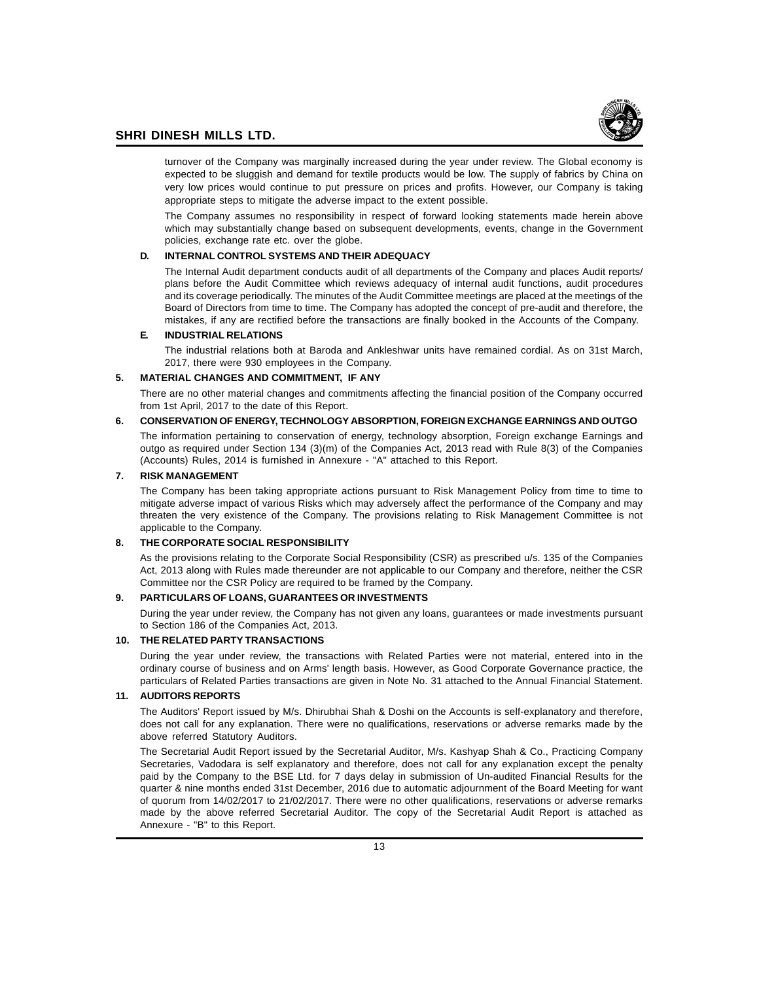

turnover of the Company was marginally increased during the year under review. The Global economy is expected to be sluggish and demand for textile products would be low. The supply of fabrics by China on very low prices would continue to put pressure on prices and profits. However, our Company is taking appropriate steps to mitigate the adverse impact to the extent possible.

The Company assumes no responsibility in respect of forward looking statements made herein above which may substantially change based on subsequent developments, events, change in the Government policies, exchange rate etc. over the globe.

#### **D. INTERNAL CONTROL SYSTEMS AND THEIR ADEQUACY**

The Internal Audit department conducts audit of all departments of the Company and places Audit reports/ plans before the Audit Committee which reviews adequacy of internal audit functions, audit procedures and its coverage periodically. The minutes of the Audit Committee meetings are placed at the meetings of the Board of Directors from time to time. The Company has adopted the concept of pre-audit and therefore, the mistakes, if any are rectified before the transactions are finally booked in the Accounts of the Company.

#### **E. INDUSTRIAL RELATIONS**

The industrial relations both at Baroda and Ankleshwar units have remained cordial. As on 31st March, 2017, there were 930 employees in the Company.

#### **5. MATERIAL CHANGES AND COMMITMENT, IF ANY**

There are no other material changes and commitments affecting the financial position of the Company occurred from 1st April, 2017 to the date of this Report.

#### **6. CONSERVATION OF ENERGY, TECHNOLOGY ABSORPTION, FOREIGN EXCHANGE EARNINGS AND OUTGO**

The information pertaining to conservation of energy, technology absorption, Foreign exchange Earnings and outgo as required under Section 134 (3)(m) of the Companies Act, 2013 read with Rule 8(3) of the Companies (Accounts) Rules, 2014 is furnished in Annexure - "A" attached to this Report.

#### **7. RISK MANAGEMENT**

The Company has been taking appropriate actions pursuant to Risk Management Policy from time to time to mitigate adverse impact of various Risks which may adversely affect the performance of the Company and may threaten the very existence of the Company. The provisions relating to Risk Management Committee is not applicable to the Company.

#### **8. THE CORPORATE SOCIAL RESPONSIBILITY**

As the provisions relating to the Corporate Social Responsibility (CSR) as prescribed u/s. 135 of the Companies Act, 2013 along with Rules made thereunder are not applicable to our Company and therefore, neither the CSR Committee nor the CSR Policy are required to be framed by the Company.

#### **9. PARTICULARS OF LOANS, GUARANTEES OR INVESTMENTS**

During the year under review, the Company has not given any loans, guarantees or made investments pursuant to Section 186 of the Companies Act, 2013.

#### **10. THE RELATED PARTY TRANSACTIONS**

During the year under review, the transactions with Related Parties were not material, entered into in the ordinary course of business and on Arms' length basis. However, as Good Corporate Governance practice, the particulars of Related Parties transactions are given in Note No. 31 attached to the Annual Financial Statement.

#### **11. AUDITORS REPORTS**

The Auditors' Report issued by M/s. Dhirubhai Shah & Doshi on the Accounts is self-explanatory and therefore, does not call for any explanation. There were no qualifications, reservations or adverse remarks made by the above referred Statutory Auditors.

The Secretarial Audit Report issued by the Secretarial Auditor, M/s. Kashyap Shah & Co., Practicing Company Secretaries, Vadodara is self explanatory and therefore, does not call for any explanation except the penalty paid by the Company to the BSE Ltd. for 7 days delay in submission of Un-audited Financial Results for the quarter & nine months ended 31st December, 2016 due to automatic adjournment of the Board Meeting for want of quorum from 14/02/2017 to 21/02/2017. There were no other qualifications, reservations or adverse remarks made by the above referred Secretarial Auditor. The copy of the Secretarial Audit Report is attached as Annexure - "B" to this Report.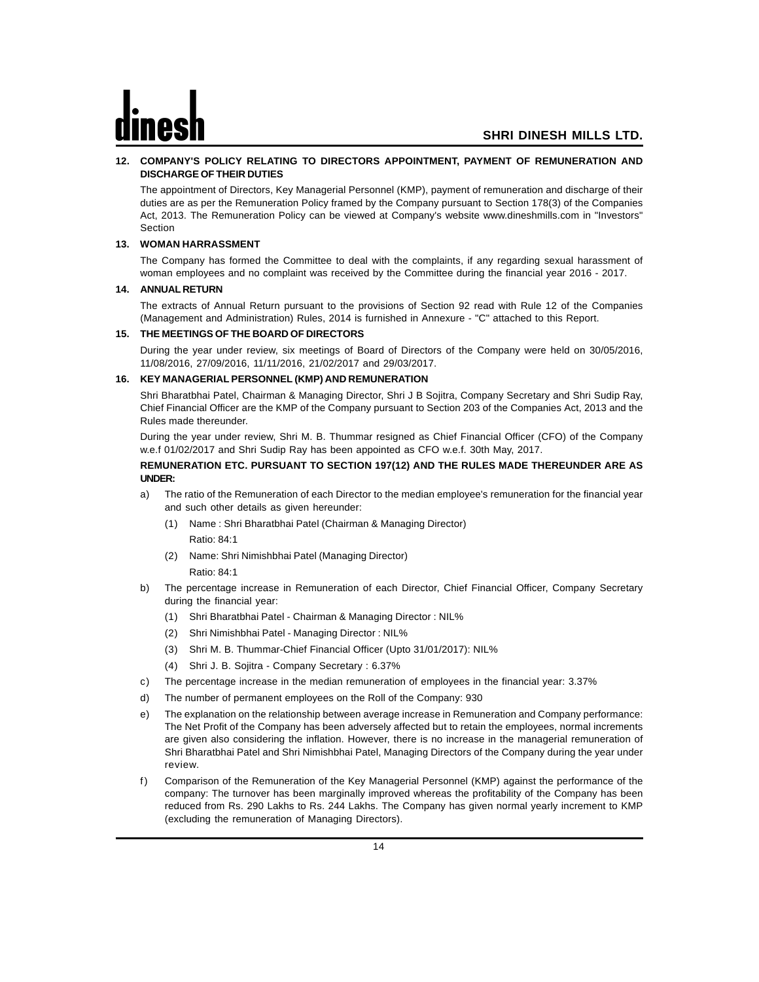#### **12. COMPANY'S POLICY RELATING TO DIRECTORS APPOINTMENT, PAYMENT OF REMUNERATION AND DISCHARGE OF THEIR DUTIES**

The appointment of Directors, Key Managerial Personnel (KMP), payment of remuneration and discharge of their duties are as per the Remuneration Policy framed by the Company pursuant to Section 178(3) of the Companies Act, 2013. The Remuneration Policy can be viewed at Company's website www.dineshmills.com in "Investors" Section

#### **13. WOMAN HARRASSMENT**

The Company has formed the Committee to deal with the complaints, if any regarding sexual harassment of woman employees and no complaint was received by the Committee during the financial year 2016 - 2017.

#### **14. ANNUAL RETURN**

The extracts of Annual Return pursuant to the provisions of Section 92 read with Rule 12 of the Companies (Management and Administration) Rules, 2014 is furnished in Annexure - "C" attached to this Report.

#### **15. THE MEETINGS OF THE BOARD OF DIRECTORS**

During the year under review, six meetings of Board of Directors of the Company were held on 30/05/2016, 11/08/2016, 27/09/2016, 11/11/2016, 21/02/2017 and 29/03/2017.

#### **16. KEY MANAGERIAL PERSONNEL (KMP) AND REMUNERATION**

Shri Bharatbhai Patel, Chairman & Managing Director, Shri J B Sojitra, Company Secretary and Shri Sudip Ray, Chief Financial Officer are the KMP of the Company pursuant to Section 203 of the Companies Act, 2013 and the Rules made thereunder.

During the year under review, Shri M. B. Thummar resigned as Chief Financial Officer (CFO) of the Company w.e.f 01/02/2017 and Shri Sudip Ray has been appointed as CFO w.e.f. 30th May, 2017.

#### **REMUNERATION ETC. PURSUANT TO SECTION 197(12) AND THE RULES MADE THEREUNDER ARE AS UNDER:**

- a) The ratio of the Remuneration of each Director to the median employee's remuneration for the financial year and such other details as given hereunder:
	- (1) Name : Shri Bharatbhai Patel (Chairman & Managing Director) Ratio: 84:1
	- (2) Name: Shri Nimishbhai Patel (Managing Director)

Ratio: 84:1

- b) The percentage increase in Remuneration of each Director, Chief Financial Officer, Company Secretary during the financial year:
	- (1) Shri Bharatbhai Patel Chairman & Managing Director : NIL%
	- (2) Shri Nimishbhai Patel Managing Director : NIL%
	- (3) Shri M. B. Thummar-Chief Financial Officer (Upto 31/01/2017): NIL%
	- (4) Shri J. B. Sojitra Company Secretary : 6.37%
- c) The percentage increase in the median remuneration of employees in the financial year: 3.37%
- d) The number of permanent employees on the Roll of the Company: 930
- e) The explanation on the relationship between average increase in Remuneration and Company performance: The Net Profit of the Company has been adversely affected but to retain the employees, normal increments are given also considering the inflation. However, there is no increase in the managerial remuneration of Shri Bharatbhai Patel and Shri Nimishbhai Patel, Managing Directors of the Company during the year under review.
- f) Comparison of the Remuneration of the Key Managerial Personnel (KMP) against the performance of the company: The turnover has been marginally improved whereas the profitability of the Company has been reduced from Rs. 290 Lakhs to Rs. 244 Lakhs. The Company has given normal yearly increment to KMP (excluding the remuneration of Managing Directors).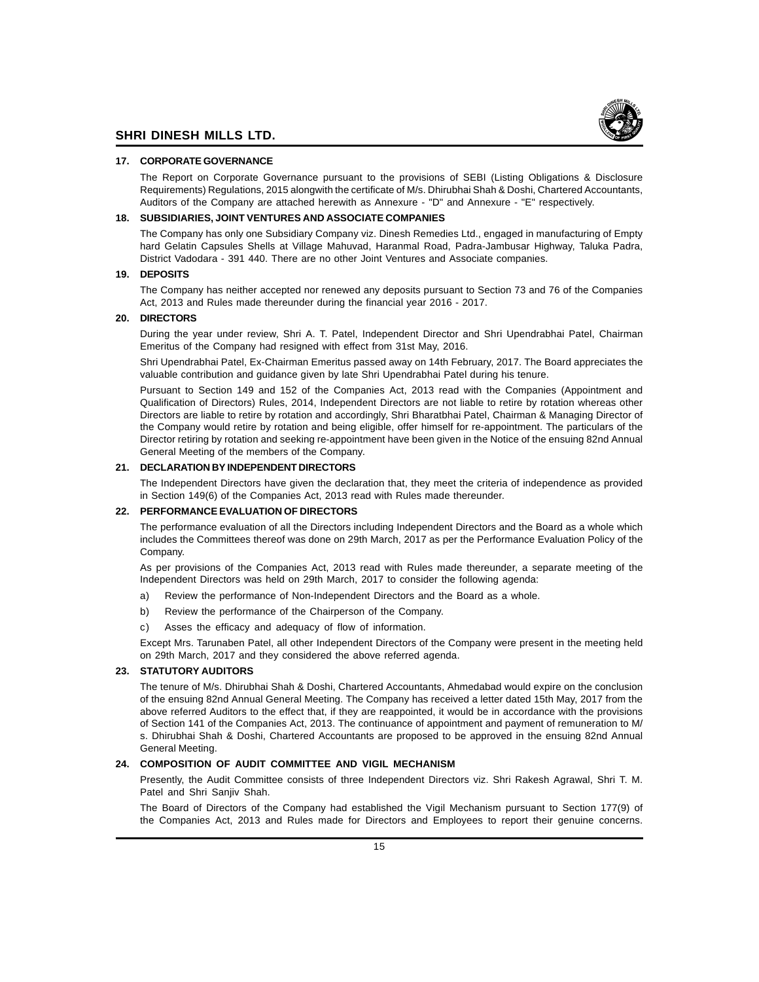

#### **17. CORPORATE GOVERNANCE**

The Report on Corporate Governance pursuant to the provisions of SEBI (Listing Obligations & Disclosure Requirements) Regulations, 2015 alongwith the certificate of M/s. Dhirubhai Shah & Doshi, Chartered Accountants, Auditors of the Company are attached herewith as Annexure - "D" and Annexure - "E" respectively.

#### **18. SUBSIDIARIES, JOINT VENTURES AND ASSOCIATE COMPANIES**

The Company has only one Subsidiary Company viz. Dinesh Remedies Ltd., engaged in manufacturing of Empty hard Gelatin Capsules Shells at Village Mahuvad, Haranmal Road, Padra-Jambusar Highway, Taluka Padra, District Vadodara - 391 440. There are no other Joint Ventures and Associate companies.

#### **19. DEPOSITS**

The Company has neither accepted nor renewed any deposits pursuant to Section 73 and 76 of the Companies Act, 2013 and Rules made thereunder during the financial year 2016 - 2017.

#### **20. DIRECTORS**

During the year under review, Shri A. T. Patel, Independent Director and Shri Upendrabhai Patel, Chairman Emeritus of the Company had resigned with effect from 31st May, 2016.

Shri Upendrabhai Patel, Ex-Chairman Emeritus passed away on 14th February, 2017. The Board appreciates the valuable contribution and guidance given by late Shri Upendrabhai Patel during his tenure.

Pursuant to Section 149 and 152 of the Companies Act, 2013 read with the Companies (Appointment and Qualification of Directors) Rules, 2014, Independent Directors are not liable to retire by rotation whereas other Directors are liable to retire by rotation and accordingly, Shri Bharatbhai Patel, Chairman & Managing Director of the Company would retire by rotation and being eligible, offer himself for re-appointment. The particulars of the Director retiring by rotation and seeking re-appointment have been given in the Notice of the ensuing 82nd Annual General Meeting of the members of the Company.

#### **21. DECLARATION BY INDEPENDENT DIRECTORS**

The Independent Directors have given the declaration that, they meet the criteria of independence as provided in Section 149(6) of the Companies Act, 2013 read with Rules made thereunder.

#### **22. PERFORMANCE EVALUATION OF DIRECTORS**

The performance evaluation of all the Directors including Independent Directors and the Board as a whole which includes the Committees thereof was done on 29th March, 2017 as per the Performance Evaluation Policy of the Company.

As per provisions of the Companies Act, 2013 read with Rules made thereunder, a separate meeting of the Independent Directors was held on 29th March, 2017 to consider the following agenda:

- a) Review the performance of Non-Independent Directors and the Board as a whole.
- b) Review the performance of the Chairperson of the Company.
- c) Asses the efficacy and adequacy of flow of information.

Except Mrs. Tarunaben Patel, all other Independent Directors of the Company were present in the meeting held on 29th March, 2017 and they considered the above referred agenda.

#### **23. STATUTORY AUDITORS**

The tenure of M/s. Dhirubhai Shah & Doshi, Chartered Accountants, Ahmedabad would expire on the conclusion of the ensuing 82nd Annual General Meeting. The Company has received a letter dated 15th May, 2017 from the above referred Auditors to the effect that, if they are reappointed, it would be in accordance with the provisions of Section 141 of the Companies Act, 2013. The continuance of appointment and payment of remuneration to M/ s. Dhirubhai Shah & Doshi, Chartered Accountants are proposed to be approved in the ensuing 82nd Annual General Meeting.

#### **24. COMPOSITION OF AUDIT COMMITTEE AND VIGIL MECHANISM**

Presently, the Audit Committee consists of three Independent Directors viz. Shri Rakesh Agrawal, Shri T. M. Patel and Shri Sanjiv Shah.

The Board of Directors of the Company had established the Vigil Mechanism pursuant to Section 177(9) of the Companies Act, 2013 and Rules made for Directors and Employees to report their genuine concerns.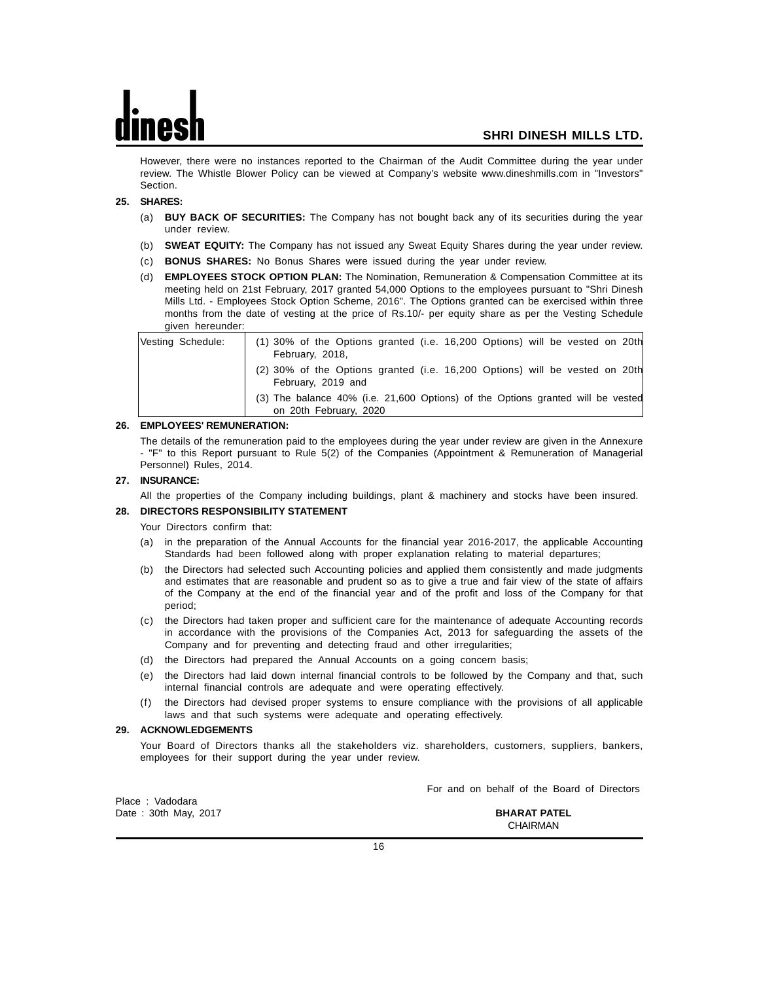However, there were no instances reported to the Chairman of the Audit Committee during the year under review. The Whistle Blower Policy can be viewed at Company's website www.dineshmills.com in "Investors" Section.

#### **25. SHARES:**

- (a) **BUY BACK OF SECURITIES:** The Company has not bought back any of its securities during the year under review.
- (b) **SWEAT EQUITY:** The Company has not issued any Sweat Equity Shares during the year under review.
- (c) **BONUS SHARES:** No Bonus Shares were issued during the year under review.
- (d) **EMPLOYEES STOCK OPTION PLAN:** The Nomination, Remuneration & Compensation Committee at its meeting held on 21st February, 2017 granted 54,000 Options to the employees pursuant to "Shri Dinesh Mills Ltd. - Employees Stock Option Scheme, 2016". The Options granted can be exercised within three months from the date of vesting at the price of Rs.10/- per equity share as per the Vesting Schedule given hereunder:

| Vesting Schedule: | (1) 30% of the Options granted (i.e. 16,200 Options) will be vested on 20th<br>February, 2018,            |
|-------------------|-----------------------------------------------------------------------------------------------------------|
|                   | (2) 30% of the Options granted (i.e. 16,200 Options) will be vested on 20th<br>February, 2019 and         |
|                   | (3) The balance 40% (i.e. 21,600 Options) of the Options granted will be vested<br>on 20th February, 2020 |

#### **26. EMPLOYEES' REMUNERATION:**

The details of the remuneration paid to the employees during the year under review are given in the Annexure - "F" to this Report pursuant to Rule 5(2) of the Companies (Appointment & Remuneration of Managerial Personnel) Rules, 2014.

#### **27. INSURANCE:**

All the properties of the Company including buildings, plant & machinery and stocks have been insured.

#### **28. DIRECTORS RESPONSIBILITY STATEMENT**

Your Directors confirm that:

- (a) in the preparation of the Annual Accounts for the financial year 2016-2017, the applicable Accounting Standards had been followed along with proper explanation relating to material departures;
- (b) the Directors had selected such Accounting policies and applied them consistently and made judgments and estimates that are reasonable and prudent so as to give a true and fair view of the state of affairs of the Company at the end of the financial year and of the profit and loss of the Company for that period;
- (c) the Directors had taken proper and sufficient care for the maintenance of adequate Accounting records in accordance with the provisions of the Companies Act, 2013 for safeguarding the assets of the Company and for preventing and detecting fraud and other irregularities;
- (d) the Directors had prepared the Annual Accounts on a going concern basis;
- (e) the Directors had laid down internal financial controls to be followed by the Company and that, such internal financial controls are adequate and were operating effectively.
- the Directors had devised proper systems to ensure compliance with the provisions of all applicable laws and that such systems were adequate and operating effectively.

#### **29. ACKNOWLEDGEMENTS**

Your Board of Directors thanks all the stakeholders viz. shareholders, customers, suppliers, bankers, employees for their support during the year under review.

Place : Vadodara Date : 30th May, 2017 **BHARAT PATEL**

For and on behalf of the Board of Directors

CHAIRMAN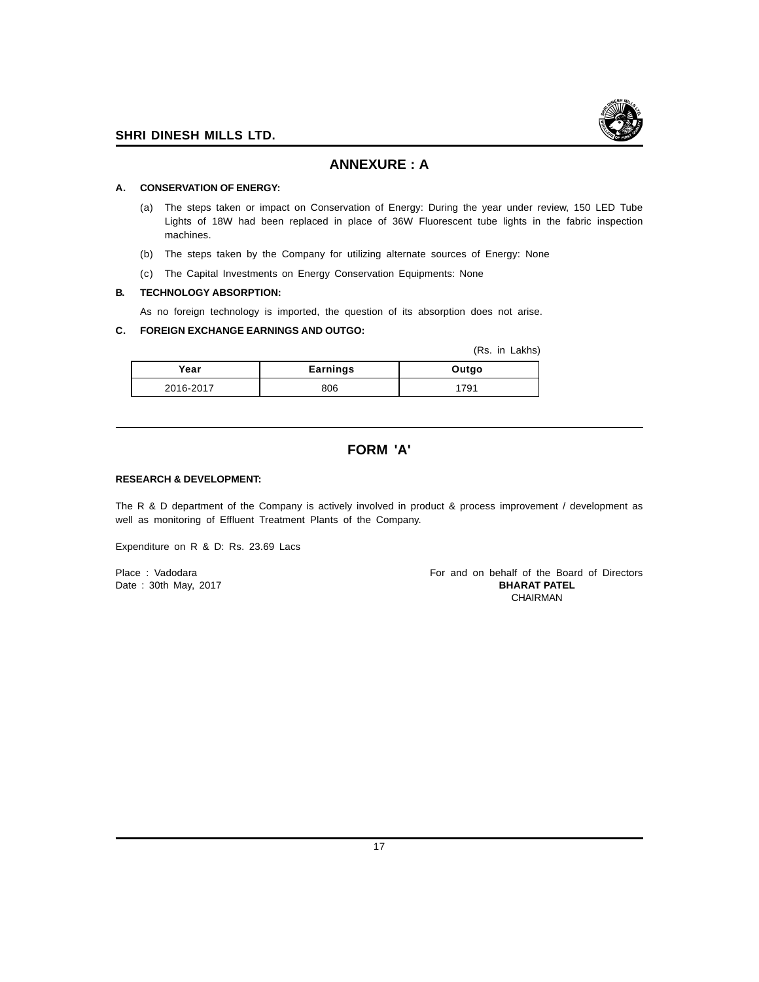

## **ANNEXURE : A**

#### **A. CONSERVATION OF ENERGY:**

- (a) The steps taken or impact on Conservation of Energy: During the year under review, 150 LED Tube Lights of 18W had been replaced in place of 36W Fluorescent tube lights in the fabric inspection machines.
- (b) The steps taken by the Company for utilizing alternate sources of Energy: None
- (c) The Capital Investments on Energy Conservation Equipments: None

#### **B. TECHNOLOGY ABSORPTION:**

As no foreign technology is imported, the question of its absorption does not arise.

#### **C. FOREIGN EXCHANGE EARNINGS AND OUTGO:**

(Rs. in Lakhs)

| Year      | <b>Earnings</b> | Outgo |
|-----------|-----------------|-------|
| 2016-2017 | 806             | 79۰   |

## **FORM 'A'**

#### **RESEARCH & DEVELOPMENT:**

The R & D department of the Company is actively involved in product & process improvement / development as well as monitoring of Effluent Treatment Plants of the Company.

Expenditure on R & D: Rs. 23.69 Lacs

Date : 30th May, 2017

Place : Vadodara For and on behalf of the Board of Directors<br>
Date : 30th May, 2017 CHAIRMAN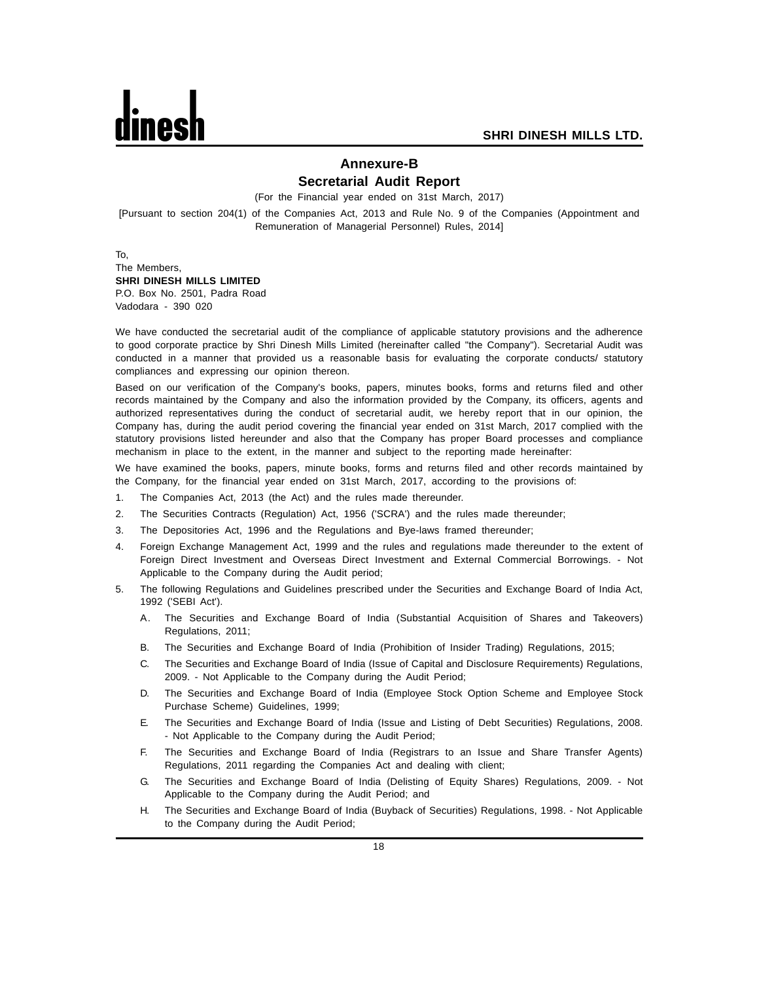## **Annexure-B Secretarial Audit Report**

(For the Financial year ended on 31st March, 2017)

[Pursuant to section 204(1) of the Companies Act, 2013 and Rule No. 9 of the Companies (Appointment and Remuneration of Managerial Personnel) Rules, 2014]

To, The Members, **SHRI DINESH MILLS LIMITED** P.O. Box No. 2501, Padra Road Vadodara - 390 020

We have conducted the secretarial audit of the compliance of applicable statutory provisions and the adherence to good corporate practice by Shri Dinesh Mills Limited (hereinafter called "the Company"). Secretarial Audit was conducted in a manner that provided us a reasonable basis for evaluating the corporate conducts/ statutory compliances and expressing our opinion thereon.

Based on our verification of the Company's books, papers, minutes books, forms and returns filed and other records maintained by the Company and also the information provided by the Company, its officers, agents and authorized representatives during the conduct of secretarial audit, we hereby report that in our opinion, the Company has, during the audit period covering the financial year ended on 31st March, 2017 complied with the statutory provisions listed hereunder and also that the Company has proper Board processes and compliance mechanism in place to the extent, in the manner and subject to the reporting made hereinafter:

We have examined the books, papers, minute books, forms and returns filed and other records maintained by the Company, for the financial year ended on 31st March, 2017, according to the provisions of:

- 1. The Companies Act, 2013 (the Act) and the rules made thereunder.
- 2. The Securities Contracts (Regulation) Act, 1956 ('SCRA') and the rules made thereunder;
- 3. The Depositories Act, 1996 and the Regulations and Bye-laws framed thereunder;
- 4. Foreign Exchange Management Act, 1999 and the rules and regulations made thereunder to the extent of Foreign Direct Investment and Overseas Direct Investment and External Commercial Borrowings. - Not Applicable to the Company during the Audit period;
- 5. The following Regulations and Guidelines prescribed under the Securities and Exchange Board of India Act, 1992 ('SEBI Act').
	- A. The Securities and Exchange Board of India (Substantial Acquisition of Shares and Takeovers) Regulations, 2011;
	- B. The Securities and Exchange Board of India (Prohibition of Insider Trading) Regulations, 2015;
	- C. The Securities and Exchange Board of India (Issue of Capital and Disclosure Requirements) Regulations, 2009. - Not Applicable to the Company during the Audit Period;
	- D. The Securities and Exchange Board of India (Employee Stock Option Scheme and Employee Stock Purchase Scheme) Guidelines, 1999;
	- E. The Securities and Exchange Board of India (Issue and Listing of Debt Securities) Regulations, 2008. - Not Applicable to the Company during the Audit Period;
	- F. The Securities and Exchange Board of India (Registrars to an Issue and Share Transfer Agents) Regulations, 2011 regarding the Companies Act and dealing with client;
	- G. The Securities and Exchange Board of India (Delisting of Equity Shares) Regulations, 2009. Not Applicable to the Company during the Audit Period; and
	- H. The Securities and Exchange Board of India (Buyback of Securities) Regulations, 1998. Not Applicable to the Company during the Audit Period;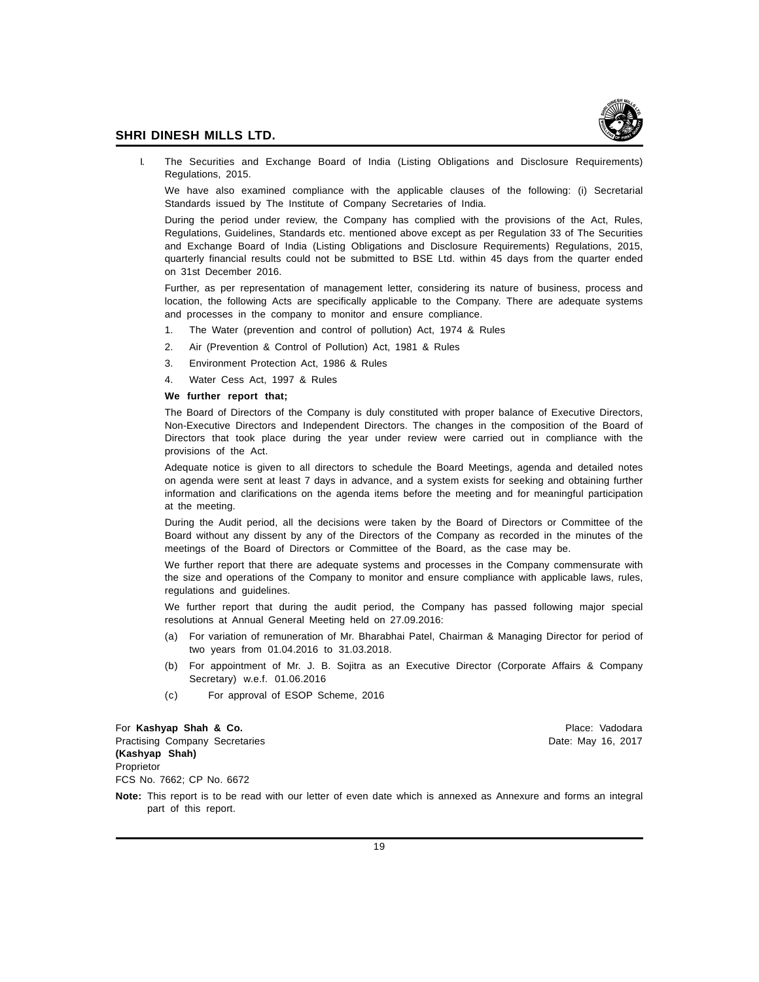

I. The Securities and Exchange Board of India (Listing Obligations and Disclosure Requirements) Regulations, 2015.

We have also examined compliance with the applicable clauses of the following: (i) Secretarial Standards issued by The Institute of Company Secretaries of India.

During the period under review, the Company has complied with the provisions of the Act, Rules, Regulations, Guidelines, Standards etc. mentioned above except as per Regulation 33 of The Securities and Exchange Board of India (Listing Obligations and Disclosure Requirements) Regulations, 2015, quarterly financial results could not be submitted to BSE Ltd. within 45 days from the quarter ended on 31st December 2016.

Further, as per representation of management letter, considering its nature of business, process and location, the following Acts are specifically applicable to the Company. There are adequate systems and processes in the company to monitor and ensure compliance.

- 1. The Water (prevention and control of pollution) Act, 1974 & Rules
- 2. Air (Prevention & Control of Pollution) Act, 1981 & Rules
- 3. Environment Protection Act, 1986 & Rules
- 4. Water Cess Act, 1997 & Rules

#### **We further report that;**

The Board of Directors of the Company is duly constituted with proper balance of Executive Directors, Non-Executive Directors and Independent Directors. The changes in the composition of the Board of Directors that took place during the year under review were carried out in compliance with the provisions of the Act.

Adequate notice is given to all directors to schedule the Board Meetings, agenda and detailed notes on agenda were sent at least 7 days in advance, and a system exists for seeking and obtaining further information and clarifications on the agenda items before the meeting and for meaningful participation at the meeting.

During the Audit period, all the decisions were taken by the Board of Directors or Committee of the Board without any dissent by any of the Directors of the Company as recorded in the minutes of the meetings of the Board of Directors or Committee of the Board, as the case may be.

We further report that there are adequate systems and processes in the Company commensurate with the size and operations of the Company to monitor and ensure compliance with applicable laws, rules, regulations and guidelines.

We further report that during the audit period, the Company has passed following major special resolutions at Annual General Meeting held on 27.09.2016:

- (a) For variation of remuneration of Mr. Bharabhai Patel, Chairman & Managing Director for period of two years from 01.04.2016 to 31.03.2018.
- (b) For appointment of Mr. J. B. Sojitra as an Executive Director (Corporate Affairs & Company Secretary) w.e.f. 01.06.2016
- (c) For approval of ESOP Scheme, 2016

For Kashyap Shah & Co. **Place: Vadodara** Place: Vadodara Place: Vadodara Place: Vadodara Place: Vadodara Place: Vadodara Place: Vadodara Place: Vadodara Place: Vadodara Place: Vadodara Place: Vadodara Place: Vadodara Place Practising Company Secretaries **Date:** May 16, 2017 **(Kashyap Shah)** Proprietor FCS No. 7662; CP No. 6672

**Note:** This report is to be read with our letter of even date which is annexed as Annexure and forms an integral part of this report.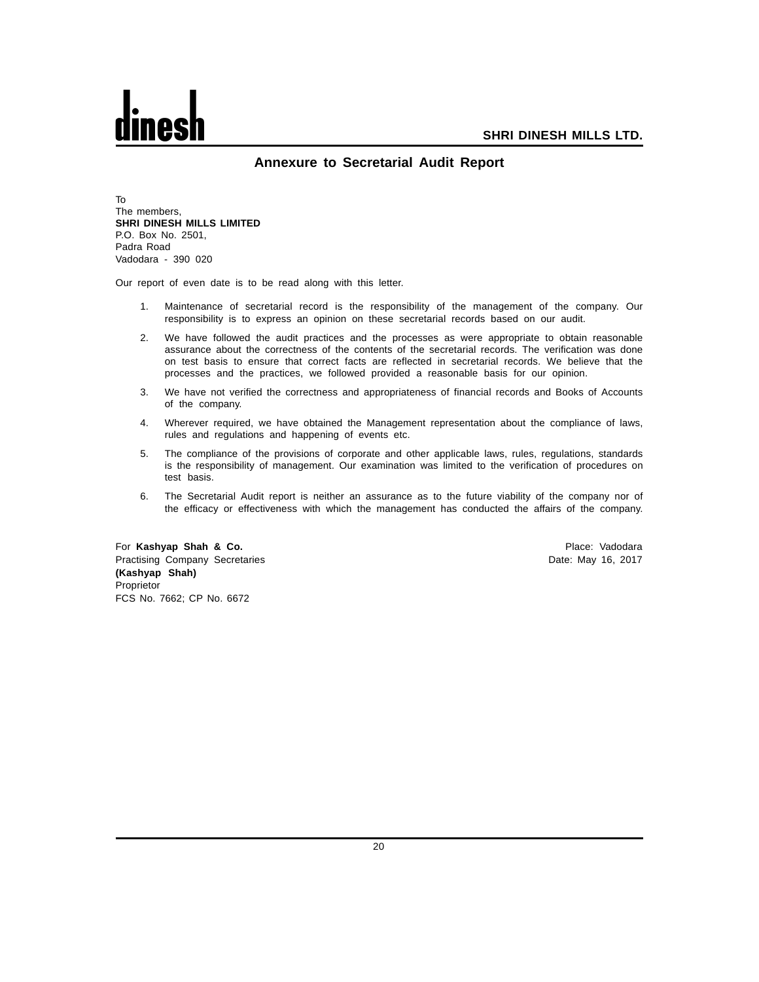

#### **Annexure to Secretarial Audit Report**

To The members, **SHRI DINESH MILLS LIMITED** P.O. Box No. 2501, Padra Road Vadodara - 390 020

Our report of even date is to be read along with this letter.

- 1. Maintenance of secretarial record is the responsibility of the management of the company. Our responsibility is to express an opinion on these secretarial records based on our audit.
- 2. We have followed the audit practices and the processes as were appropriate to obtain reasonable assurance about the correctness of the contents of the secretarial records. The verification was done on test basis to ensure that correct facts are reflected in secretarial records. We believe that the processes and the practices, we followed provided a reasonable basis for our opinion.
- 3. We have not verified the correctness and appropriateness of financial records and Books of Accounts of the company.
- 4. Wherever required, we have obtained the Management representation about the compliance of laws, rules and regulations and happening of events etc.
- 5. The compliance of the provisions of corporate and other applicable laws, rules, regulations, standards is the responsibility of management. Our examination was limited to the verification of procedures on test basis.
- 6. The Secretarial Audit report is neither an assurance as to the future viability of the company nor of the efficacy or effectiveness with which the management has conducted the affairs of the company.

For Kashyap Shah & Co. **Place: Vadodara** Place: Vadodara Place: Vadodara Place: Vadodara Place: Vadodara Place: Vadodara Place: Vadodara Place: Vadodara Place: Vadodara Place: Vadodara Place: Vadodara Place: Vadodara Place Practising Company Secretaries **Date: May 16, 2017** Character Company Secretaries **Date: May 16, 2017 (Kashyap Shah)** Proprietor FCS No. 7662; CP No. 6672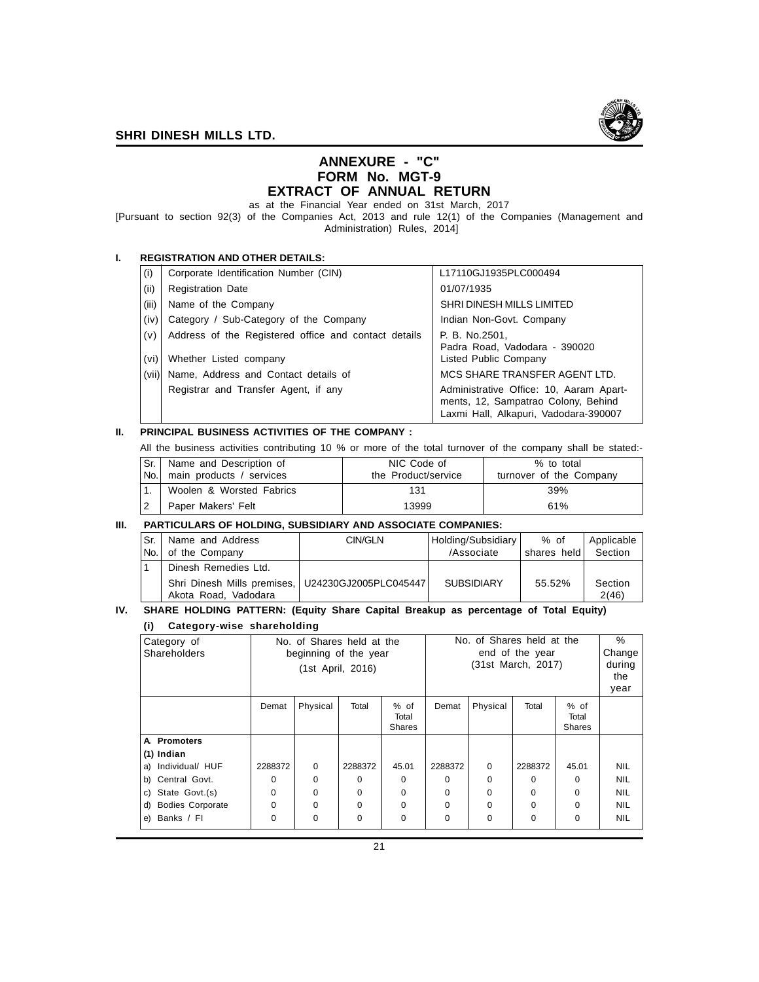

#### **ANNEXURE - "C" FORM No. MGT-9 EXTRACT OF ANNUAL RETURN**

as at the Financial Year ended on 31st March, 2017

[Pursuant to section 92(3) of the Companies Act, 2013 and rule 12(1) of the Companies (Management and Administration) Rules, 2014]

#### **I. REGISTRATION AND OTHER DETAILS:**

| (i)   | Corporate Identification Number (CIN)                | L17110GJ1935PLC000494                                                                                                   |
|-------|------------------------------------------------------|-------------------------------------------------------------------------------------------------------------------------|
| (i)   | <b>Registration Date</b>                             | 01/07/1935                                                                                                              |
| (iii) | Name of the Company                                  | SHRI DINESH MILLS LIMITED                                                                                               |
| (iv)  | Category / Sub-Category of the Company               | Indian Non-Govt. Company                                                                                                |
| (v)   | Address of the Registered office and contact details | P. B. No.2501.<br>Padra Road, Vadodara - 390020                                                                         |
| (vi)  | Whether Listed company                               | Listed Public Company                                                                                                   |
| (vii) | Name, Address and Contact details of                 | MCS SHARE TRANSFER AGENT LTD.                                                                                           |
|       | Registrar and Transfer Agent, if any                 | Administrative Office: 10, Aaram Apart-<br>ments, 12, Sampatrao Colony, Behind<br>Laxmi Hall, Alkapuri, Vadodara-390007 |

#### **II. PRINCIPAL BUSINESS ACTIVITIES OF THE COMPANY :**

All the business activities contributing 10 % or more of the total turnover of the company shall be stated:-

| Sr. | Name and Description of  | NIC Code of         | % to total              |
|-----|--------------------------|---------------------|-------------------------|
| No. | main products / services | the Product/service | turnover of the Company |
|     | Woolen & Worsted Fabrics | 131                 | 39%                     |
|     | Paper Makers' Felt       | 13999               | 61%                     |

#### **III. PARTICULARS OF HOLDING, SUBSIDIARY AND ASSOCIATE COMPANIES:**

| Sr.<br>No. | Name and Address<br>of the Company                                        | CIN/GLN | Holding/Subsidiary<br>/Associate | % of<br>shares held | Applicable<br>Section |
|------------|---------------------------------------------------------------------------|---------|----------------------------------|---------------------|-----------------------|
|            |                                                                           |         |                                  |                     |                       |
|            | Dinesh Remedies Ltd.                                                      |         |                                  |                     |                       |
|            | Shri Dinesh Mills premises, U24230GJ2005PLC045447<br>Akota Road, Vadodara |         | <b>SUBSIDIARY</b>                | 55.52%              | Section<br>2(46)      |

#### **IV. SHARE HOLDING PATTERN: (Equity Share Capital Breakup as percentage of Total Equity)**

#### **(i) Category-wise shareholding**

| Category of<br>Shareholders   |                   | No. of Shares held at the<br>beginning of the year |          |                                  | No. of Shares held at the<br>end of the year |          |          |                                | %<br>Change |
|-------------------------------|-------------------|----------------------------------------------------|----------|----------------------------------|----------------------------------------------|----------|----------|--------------------------------|-------------|
|                               | (1st April, 2016) |                                                    |          | (31st March, 2017)               |                                              |          |          | during<br>the<br>year          |             |
|                               | Demat             | Physical                                           | Total    | $%$ of<br>Total<br><b>Shares</b> | Demat                                        | Physical | Total    | % of<br>Total<br><b>Shares</b> |             |
| A Promoters                   |                   |                                                    |          |                                  |                                              |          |          |                                |             |
| $(1)$ Indian                  |                   |                                                    |          |                                  |                                              |          |          |                                |             |
| Individual/ HUF<br>a)         | 2288372           | $\Omega$                                           | 2288372  | 45.01                            | 2288372                                      | $\Omega$ | 2288372  | 45.01                          | <b>NIL</b>  |
| Central Govt.<br>b)           | O                 | $\Omega$                                           | $\Omega$ | $\Omega$                         | U                                            | 0        | 0        | 0                              | <b>NIL</b>  |
| State Govt.(s)<br>C)          | $\Omega$          | 0                                                  | $\Omega$ | $\Omega$                         | $\Omega$                                     | 0        | 0        | 0                              | <b>NIL</b>  |
| <b>Bodies Corporate</b><br>d) | $\Omega$          | $\Omega$                                           | $\Omega$ | $\Omega$                         | $\Omega$                                     | $\Omega$ | $\Omega$ | 0                              | <b>NIL</b>  |
| Banks / Fl<br>e)              | $\Omega$          | 0                                                  | $\Omega$ | $\Omega$                         | $\Omega$                                     | 0        | 0        | 0                              | <b>NIL</b>  |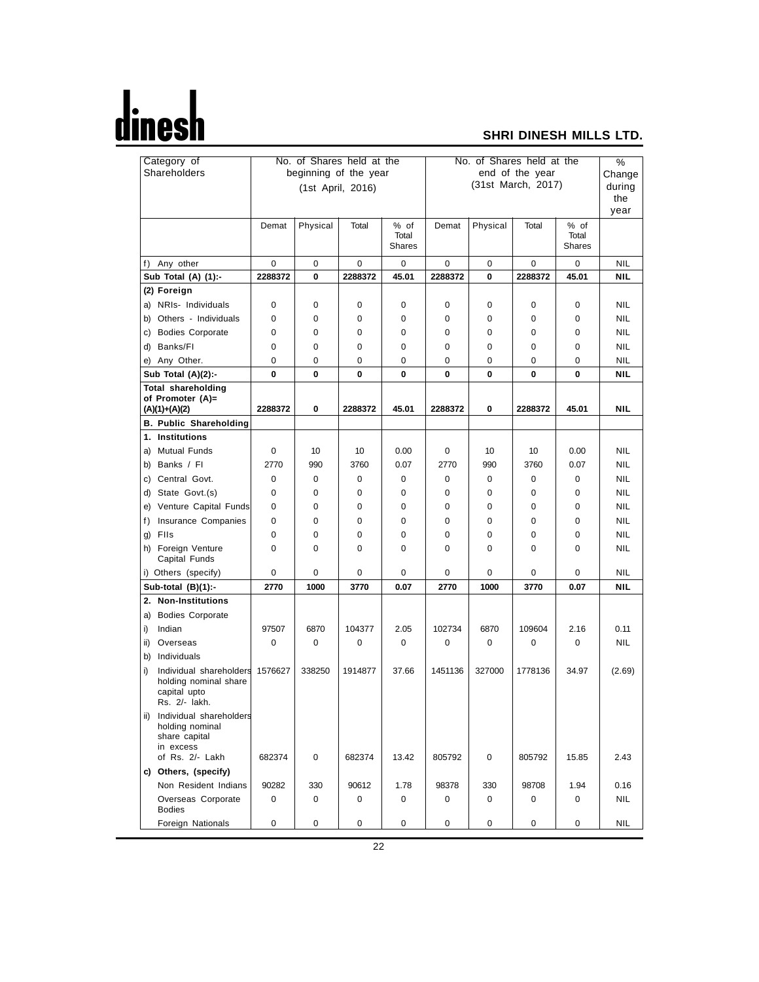# <u>dinesh</u>

## **SHRI DINESH MILLS LTD.**

| Category of |                                            | No. of Shares held at the |             |                       |               | No. of Shares held at the |          |                    |               | $\overline{\frac{9}{6}}$ |
|-------------|--------------------------------------------|---------------------------|-------------|-----------------------|---------------|---------------------------|----------|--------------------|---------------|--------------------------|
|             | Shareholders                               |                           |             | beginning of the year |               |                           |          | end of the year    |               | Change                   |
|             |                                            |                           |             | (1st April, 2016)     |               |                           |          | (31st March, 2017) |               | during                   |
|             |                                            |                           |             |                       |               |                           |          |                    |               | the                      |
|             |                                            |                           |             |                       |               |                           |          |                    |               | year                     |
|             |                                            | Demat                     | Physical    | Total                 | % of          | Demat                     | Physical | Total              | % of          |                          |
|             |                                            |                           |             |                       | Total         |                           |          |                    | Total         |                          |
|             |                                            |                           |             |                       | <b>Shares</b> |                           |          |                    | <b>Shares</b> |                          |
|             | f) Any other                               | 0                         | 0           | 0                     | 0             | 0                         | 0        | 0                  | 0             | NIL                      |
|             | Sub Total (A) (1):-                        | 2288372                   | 0           | 2288372               | 45.01         | 2288372                   | 0        | 2288372            | 45.01         | <b>NIL</b>               |
|             | (2) Foreign                                |                           |             |                       |               |                           |          |                    |               |                          |
|             | a) NRIs- Individuals                       | 0                         | $\mathbf 0$ | 0                     | 0             | 0                         | 0        | 0                  | 0             | <b>NIL</b>               |
| b)          | Others - Individuals                       | 0                         | 0           | 0                     | 0             | 0                         | 0        | 0                  | 0             | NIL                      |
|             | c) Bodies Corporate                        | 0                         | 0           | 0                     | 0             | 0                         | 0        | 0                  | 0             | <b>NIL</b>               |
|             | d) Banks/Fl                                | 0                         | 0           | 0                     | 0             | 0                         | 0        | 0                  | 0             | NIL                      |
|             | e) Any Other.                              | 0                         | 0           | 0                     | 0             | 0                         | 0        | 0                  | 0             | <b>NIL</b>               |
|             | Sub Total (A)(2):-                         | 0                         | 0           | 0                     | 0             | 0                         | 0        | 0                  | 0             | NIL                      |
|             | <b>Total shareholding</b>                  |                           |             |                       |               |                           |          |                    |               |                          |
|             | of Promoter (A)=                           |                           |             |                       |               |                           |          |                    |               |                          |
|             | $(A)(1)+(A)(2)$                            | 2288372                   | 0           | 2288372               | 45.01         | 2288372                   | 0        | 2288372            | 45.01         | <b>NIL</b>               |
|             | <b>B. Public Shareholding</b>              |                           |             |                       |               |                           |          |                    |               |                          |
|             | 1. Institutions                            |                           |             |                       |               |                           |          |                    |               |                          |
| a)          | <b>Mutual Funds</b>                        | 0                         | 10          | 10                    | 0.00          | 0                         | 10       | 10                 | 0.00          | NIL                      |
|             | b) Banks / Fl                              | 2770                      | 990         | 3760                  | 0.07          | 2770                      | 990      | 3760               | 0.07          | <b>NIL</b>               |
|             | c) Central Govt.                           | 0                         | 0           | 0                     | 0             | 0                         | 0        | 0                  | 0             | NIL                      |
|             | d) State Govt.(s)                          | 0                         | 0           | 0                     | 0             | 0                         | 0        | 0                  | 0             | <b>NIL</b>               |
|             | e) Venture Capital Funds                   | 0                         | 0           | 0                     | 0             | 0                         | 0        | 0                  | 0             | NIL                      |
| f)          | Insurance Companies                        | 0                         | 0           | 0                     | 0             | 0                         | 0        | 0                  | 0             | <b>NIL</b>               |
|             | g) Flls                                    | 0                         | 0           | 0                     | 0             | 0                         | 0        | 0                  | 0             | NIL                      |
|             | h) Foreign Venture                         | 0                         | 0           | 0                     | 0             | 0                         | 0        | 0                  | 0             | NIL                      |
|             | Capital Funds                              |                           |             |                       |               |                           |          |                    |               |                          |
|             | i) Others (specify)                        | 0                         | 0           | 0                     | 0             | 0                         | 0        | 0                  | 0             | NIL                      |
|             | Sub-total (B)(1):-                         | 2770                      | 1000        | 3770                  | 0.07          | 2770                      | 1000     | 3770               | 0.07          | <b>NIL</b>               |
|             | 2. Non-Institutions                        |                           |             |                       |               |                           |          |                    |               |                          |
| a)          | <b>Bodies Corporate</b>                    |                           |             |                       |               |                           |          |                    |               |                          |
| i)          | Indian                                     | 97507                     | 6870        | 104377                | 2.05          | 102734                    | 6870     | 109604             | 2.16          | 0.11                     |
| ii)         | Overseas                                   | 0                         | 0           | 0                     | 0             | 0                         | 0        | 0                  | 0             | <b>NIL</b>               |
| b)          | Individuals                                |                           |             |                       |               |                           |          |                    |               |                          |
| i)          | Individual shareholders                    | 1576627                   | 338250      | 1914877               | 37.66         | 1451136                   | 327000   | 1778136            | 34.97         | (2.69)                   |
|             | holding nominal share                      |                           |             |                       |               |                           |          |                    |               |                          |
|             | capital upto                               |                           |             |                       |               |                           |          |                    |               |                          |
|             | Rs. 2/- lakh.                              |                           |             |                       |               |                           |          |                    |               |                          |
| ii)         | Individual shareholders<br>holding nominal |                           |             |                       |               |                           |          |                    |               |                          |
|             | share capital                              |                           |             |                       |               |                           |          |                    |               |                          |
|             | in excess                                  |                           |             |                       |               |                           |          |                    |               |                          |
|             | of Rs. 2/- Lakh                            | 682374                    | 0           | 682374                | 13.42         | 805792                    | 0        | 805792             | 15.85         | 2.43                     |
|             | c) Others, (specify)                       |                           |             |                       |               |                           |          |                    |               |                          |
|             | Non Resident Indians                       | 90282                     | 330         | 90612                 | 1.78          | 98378                     | 330      | 98708              | 1.94          | 0.16                     |
|             | Overseas Corporate<br><b>Bodies</b>        | 0                         | 0           | 0                     | 0             | 0                         | 0        | 0                  | 0             | NIL                      |
|             | Foreign Nationals                          | 0                         | 0           | 0                     | 0             | 0                         | 0        | 0                  | 0             | <b>NIL</b>               |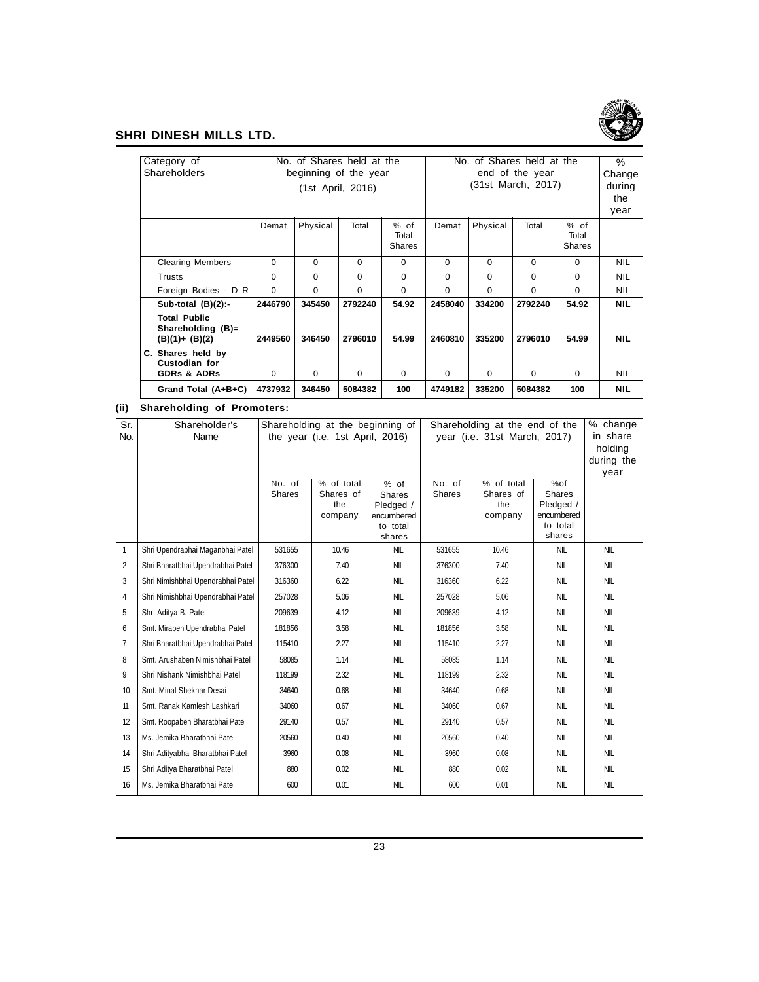

| Category of                                                  |          | No. of Shares held at the<br>No. of Shares held at the |                   |                                  |          |          | $\%$               |                                |            |
|--------------------------------------------------------------|----------|--------------------------------------------------------|-------------------|----------------------------------|----------|----------|--------------------|--------------------------------|------------|
| Shareholders                                                 |          | beginning of the year                                  |                   |                                  |          |          | end of the year    |                                | Change     |
|                                                              |          |                                                        | (1st April, 2016) |                                  |          |          | (31st March, 2017) |                                | during     |
|                                                              |          |                                                        |                   |                                  |          |          |                    |                                | the        |
|                                                              |          |                                                        |                   |                                  |          |          |                    |                                |            |
|                                                              | Demat    | Physical                                               | Total             | $%$ of<br>Total<br><b>Shares</b> | Demat    | Physical | Total              | % of<br>Total<br><b>Shares</b> |            |
| <b>Clearing Members</b>                                      | $\Omega$ | 0                                                      | $\Omega$          | 0                                | 0        | 0        | $\Omega$           | 0                              | <b>NIL</b> |
| Trusts                                                       | $\Omega$ | 0                                                      | 0                 | 0                                | $\Omega$ | 0        | $\Omega$           | 0                              | <b>NIL</b> |
| Foreign Bodies - D R                                         | $\Omega$ | $\Omega$                                               | $\Omega$          | 0                                | $\Omega$ | $\Omega$ | $\Omega$           | 0                              | <b>NIL</b> |
| Sub-total $(B)(2)$ :-                                        | 2446790  | 345450                                                 | 2792240           | 54.92                            | 2458040  | 334200   | 2792240            | 54.92                          | <b>NIL</b> |
| <b>Total Public</b><br>Shareholding (B)=<br>(B)(1)+ (B)(2)   | 2449560  | 346450                                                 | 2796010           | 54.99                            | 2460810  | 335200   | 2796010            | 54.99                          | <b>NIL</b> |
| C. Shares held by<br>Custodian for<br><b>GDRs &amp; ADRs</b> | $\Omega$ | $\Omega$                                               | $\Omega$          | $\Omega$                         | 0        | $\Omega$ | $\Omega$           | 0                              | <b>NIL</b> |
| Grand Total (A+B+C)                                          | 4737932  | 346450                                                 | 5084382           | 100                              | 4749182  | 335200   | 5084382            | 100                            | <b>NIL</b> |

#### **(ii) Shareholding of Promoters:**

| Sr.          | Shareholder's                     |        | Shareholding at the beginning of |                  |               | Shareholding at the end of the |            | % change   |
|--------------|-----------------------------------|--------|----------------------------------|------------------|---------------|--------------------------------|------------|------------|
| No.          | Name                              |        | the year (i.e. 1st April, 2016)  |                  |               | year (i.e. 31st March, 2017)   |            | in share   |
|              |                                   |        |                                  |                  |               |                                |            | holding    |
|              |                                   |        |                                  |                  |               |                                |            | during the |
|              |                                   | No. of | % of total                       |                  | No. of        | % of total                     | %of        | year       |
|              |                                   | Shares | Shares of                        | $%$ of<br>Shares | <b>Shares</b> | Shares of                      | Shares     |            |
|              |                                   |        | the                              | Pledged /        |               | the                            | Pledged /  |            |
|              |                                   |        | company                          | encumbered       |               | company                        | encumbered |            |
|              |                                   |        |                                  | to total         |               |                                | to total   |            |
|              |                                   |        |                                  | shares           |               |                                | shares     |            |
| $\mathbf{1}$ | Shri Upendrabhai Maganbhai Patel  | 531655 | 10.46                            | <b>NIL</b>       | 531655        | 10.46                          | <b>NIL</b> | <b>NIL</b> |
| 2            | Shri Bharatbhai Upendrabhai Patel | 376300 | 7.40                             | <b>NIL</b>       | 376300        | 7.40                           | <b>NIL</b> | <b>NIL</b> |
| 3            | Shri Nimishbhai Upendrabhai Patel | 316360 | 6.22                             | <b>NIL</b>       | 316360        | 6.22                           | <b>NIL</b> | <b>NIL</b> |
| 4            | Shri Nimishbhai Upendrabhai Patel | 257028 | 5.06                             | <b>NIL</b>       | 257028        | 5.06                           | <b>NIL</b> | <b>NIL</b> |
| 5            | Shri Aditya B. Patel              | 209639 | 4.12                             | <b>NIL</b>       | 209639        | 4.12                           | <b>NIL</b> | <b>NIL</b> |
| 6            | Smt. Miraben Upendrabhai Patel    | 181856 | 3.58                             | <b>NIL</b>       | 181856        | 3.58                           | <b>NIL</b> | <b>NIL</b> |
| 7            | Shri Bharatbhai Upendrabhai Patel | 115410 | 2.27                             | <b>NIL</b>       | 115410        | 2.27                           | <b>NIL</b> | <b>NIL</b> |
| 8            | Smt. Arushaben Nimishbhai Patel   | 58085  | 1.14                             | <b>NIL</b>       | 58085         | 1.14                           | <b>NIL</b> | <b>NIL</b> |
| 9            | Shri Nishank Nimishbhai Patel     | 118199 | 2.32                             | <b>NIL</b>       | 118199        | 2.32                           | <b>NIL</b> | <b>NIL</b> |
| 10           | Smt. Minal Shekhar Desai          | 34640  | 0.68                             | <b>NIL</b>       | 34640         | 0.68                           | <b>NIL</b> | <b>NIL</b> |
| 11           | Smt. Ranak Kamlesh Lashkari       | 34060  | 0.67                             | <b>NIL</b>       | 34060         | 0.67                           | <b>NIL</b> | <b>NIL</b> |
| 12           | Smt. Roopaben Bharatbhai Patel    | 29140  | 0.57                             | <b>NIL</b>       | 29140         | 0.57                           | <b>NIL</b> | <b>NIL</b> |
| 13           | Ms. Jemika Bharatbhai Patel       | 20560  | 0.40                             | <b>NIL</b>       | 20560         | 0.40                           | <b>NIL</b> | <b>NIL</b> |
| 14           | Shri Adityabhai Bharatbhai Patel  | 3960   | 0.08                             | <b>NIL</b>       | 3960          | 0.08                           | <b>NIL</b> | <b>NIL</b> |
| 15           | Shri Aditya Bharatbhai Patel      | 880    | 0.02                             | <b>NIL</b>       | 880           | 0.02                           | <b>NIL</b> | <b>NIL</b> |
| 16           | Ms. Jemika Bharatbhai Patel       | 600    | 0.01                             | <b>NIL</b>       | 600           | 0.01                           | <b>NIL</b> | <b>NIL</b> |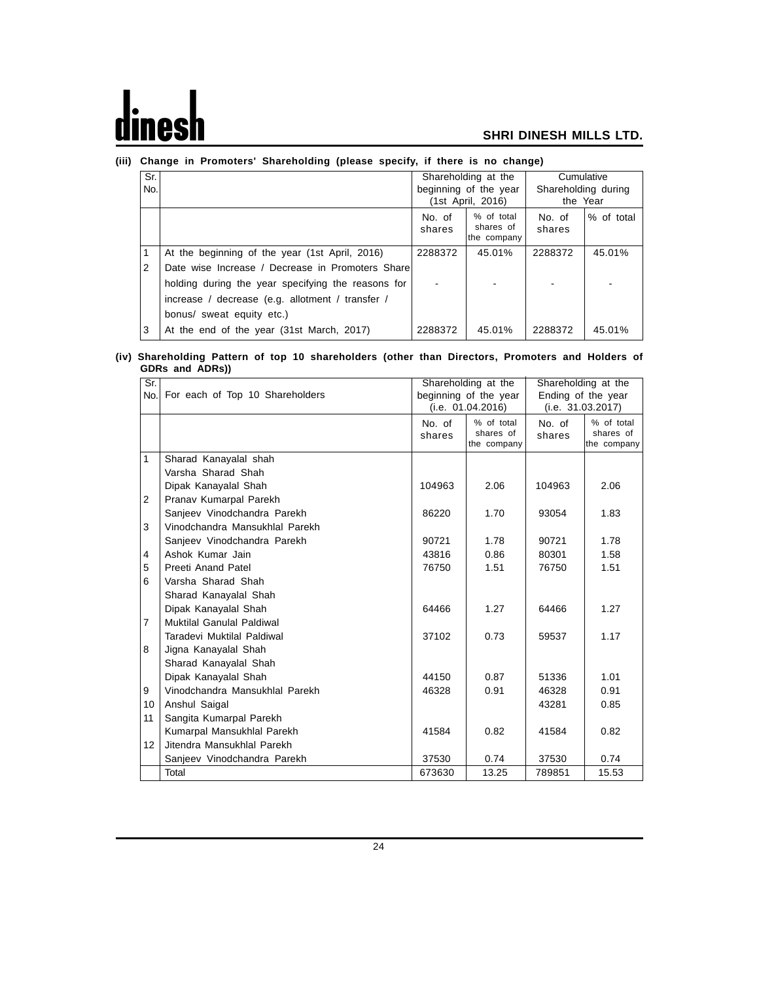# $\mathbf d$ nesl

#### **SHRI DINESH MILLS LTD.**

| Sr. |                                                    |                  | Shareholding at the                    | Cumulative                      |            |
|-----|----------------------------------------------------|------------------|----------------------------------------|---------------------------------|------------|
| No. |                                                    |                  | beginning of the year                  | Shareholding during<br>the Year |            |
|     |                                                    |                  | (1st April, 2016)                      |                                 |            |
|     |                                                    | No. of<br>shares | % of total<br>shares of<br>the company | No. of<br>shares                | % of total |
|     | At the beginning of the year (1st April, 2016)     | 2288372          | 45.01%                                 | 2288372                         | 45.01%     |
| 2   | Date wise Increase / Decrease in Promoters Share   |                  |                                        |                                 |            |
|     | holding during the year specifying the reasons for |                  |                                        |                                 |            |
|     | increase / decrease (e.g. allotment / transfer /   |                  |                                        |                                 |            |
|     | bonus/ sweat equity etc.)                          |                  |                                        |                                 |            |
| 3   | At the end of the year (31st March, 2017)          | 2288372          | 45.01%                                 | 2288372                         | 45.01%     |

#### **(iii) Change in Promoters' Shareholding (please specify, if there is no change)**

#### **(iv) Shareholding Pattern of top 10 shareholders (other than Directors, Promoters and Holders of GDRs and ADRs))**

| Sr.            |                                 | Shareholding at the<br>beginning of the year |                                        | Shareholding at the<br>Ending of the year |                                        |
|----------------|---------------------------------|----------------------------------------------|----------------------------------------|-------------------------------------------|----------------------------------------|
| No.            | For each of Top 10 Shareholders |                                              | (i.e. 01.04.2016)                      |                                           | (i.e. 31.03.2017)                      |
|                |                                 | No. of<br>shares                             | % of total<br>shares of<br>the company | No. of<br>shares                          | % of total<br>shares of<br>the company |
| 1              | Sharad Kanayalal shah           |                                              |                                        |                                           |                                        |
|                | Varsha Sharad Shah              |                                              |                                        |                                           |                                        |
|                | Dipak Kanayalal Shah            | 104963                                       | 2.06                                   | 104963                                    | 2.06                                   |
| $\overline{2}$ | Pranav Kumarpal Parekh          |                                              |                                        |                                           |                                        |
|                | Sanjeev Vinodchandra Parekh     | 86220                                        | 1.70                                   | 93054                                     | 1.83                                   |
| 3              | Vinodchandra Mansukhlal Parekh  |                                              |                                        |                                           |                                        |
|                | Sanjeev Vinodchandra Parekh     | 90721                                        | 1.78                                   | 90721                                     | 1.78                                   |
| $\overline{4}$ | Ashok Kumar Jain                | 43816                                        | 0.86                                   | 80301                                     | 1.58                                   |
| 5              | Preeti Anand Patel              | 76750                                        | 1.51                                   | 76750                                     | 1.51                                   |
| 6              | Varsha Sharad Shah              |                                              |                                        |                                           |                                        |
|                | Sharad Kanayalal Shah           |                                              |                                        |                                           |                                        |
|                | Dipak Kanayalal Shah            | 64466                                        | 1.27                                   | 64466                                     | 1.27                                   |
| 7              | Muktilal Ganulal Paldiwal       |                                              |                                        |                                           |                                        |
|                | Taradevi Muktilal Paldiwal      | 37102                                        | 0.73                                   | 59537                                     | 1.17                                   |
| 8              | Jigna Kanayalal Shah            |                                              |                                        |                                           |                                        |
|                | Sharad Kanayalal Shah           |                                              |                                        |                                           |                                        |
|                | Dipak Kanayalal Shah            | 44150                                        | 0.87                                   | 51336                                     | 1.01                                   |
| 9              | Vinodchandra Mansukhlal Parekh  | 46328                                        | 0.91                                   | 46328                                     | 0.91                                   |
| 10             | Anshul Saigal                   |                                              |                                        | 43281                                     | 0.85                                   |
| 11             | Sangita Kumarpal Parekh         |                                              |                                        |                                           |                                        |
|                | Kumarpal Mansukhlal Parekh      | 41584                                        | 0.82                                   | 41584                                     | 0.82                                   |
| 12             | Jitendra Mansukhlal Parekh      |                                              |                                        |                                           |                                        |
|                | Sanjeev Vinodchandra Parekh     | 37530                                        | 0.74                                   | 37530                                     | 0.74                                   |
|                | Total                           | 673630                                       | 13.25                                  | 789851                                    | 15.53                                  |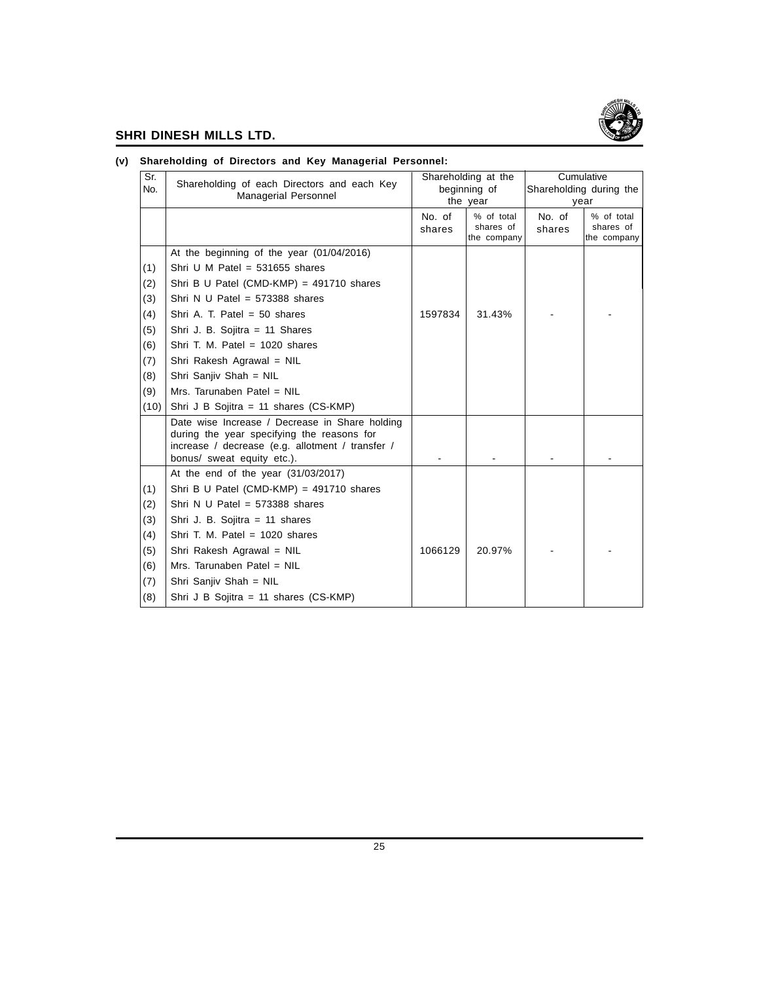

| Sr.  |                                                                                                | Shareholding at the |                          | Cumulative |                          |  |
|------|------------------------------------------------------------------------------------------------|---------------------|--------------------------|------------|--------------------------|--|
| No.  | Shareholding of each Directors and each Key                                                    |                     | beginning of             |            | Shareholding during the  |  |
|      | Managerial Personnel                                                                           |                     | the year                 | year       |                          |  |
|      |                                                                                                | No. of              | % of total               | No. of     | % of total               |  |
|      |                                                                                                | shares              | shares of<br>the company | shares     | shares of<br>the company |  |
|      | At the beginning of the year (01/04/2016)                                                      |                     |                          |            |                          |  |
| (1)  | Shri U M Patel = $531655$ shares                                                               |                     |                          |            |                          |  |
| (2)  | Shri B U Patel (CMD-KMP) = $491710$ shares                                                     |                     |                          |            |                          |  |
| (3)  | Shri N U Patel = $573388$ shares                                                               |                     |                          |            |                          |  |
| (4)  | Shri A. T. Patel = $50$ shares                                                                 | 1597834             | 31.43%                   |            |                          |  |
| (5)  | Shri J. B. Sojitra = 11 Shares                                                                 |                     |                          |            |                          |  |
| (6)  | Shri T. M. Patel = $1020$ shares                                                               |                     |                          |            |                          |  |
| (7)  | Shri Rakesh Agrawal = NIL                                                                      |                     |                          |            |                          |  |
| (8)  | Shri Sanjiv Shah = NIL                                                                         |                     |                          |            |                          |  |
| (9)  | Mrs. Tarunaben Patel = NIL                                                                     |                     |                          |            |                          |  |
| (10) | Shri J B Sojitra = 11 shares $(CS-KMP)$                                                        |                     |                          |            |                          |  |
|      | Date wise Increase / Decrease in Share holding                                                 |                     |                          |            |                          |  |
|      | during the year specifying the reasons for<br>increase / decrease (e.g. allotment / transfer / |                     |                          |            |                          |  |
|      | bonus/ sweat equity etc.).                                                                     |                     |                          |            |                          |  |
|      | At the end of the year $(31/03/2017)$                                                          |                     |                          |            |                          |  |
| (1)  | Shri B U Patel (CMD-KMP) = $491710$ shares                                                     |                     |                          |            |                          |  |
| (2)  | Shri N U Patel = $573388$ shares                                                               |                     |                          |            |                          |  |
| (3)  | Shri J. B. Sojitra = 11 shares                                                                 |                     |                          |            |                          |  |
| (4)  | Shri T. M. Patel = $1020$ shares                                                               |                     |                          |            |                          |  |
| (5)  | Shri Rakesh Agrawal = NIL                                                                      | 1066129             | 20.97%                   |            |                          |  |
| (6)  | Mrs. Tarunaben Patel = NIL                                                                     |                     |                          |            |                          |  |
| (7)  | Shri Sanjiv Shah = NIL                                                                         |                     |                          |            |                          |  |
| (8)  | Shri J B Sojitra = 11 shares (CS-KMP)                                                          |                     |                          |            |                          |  |

#### **(v) Shareholding of Directors and Key Managerial Personnel:**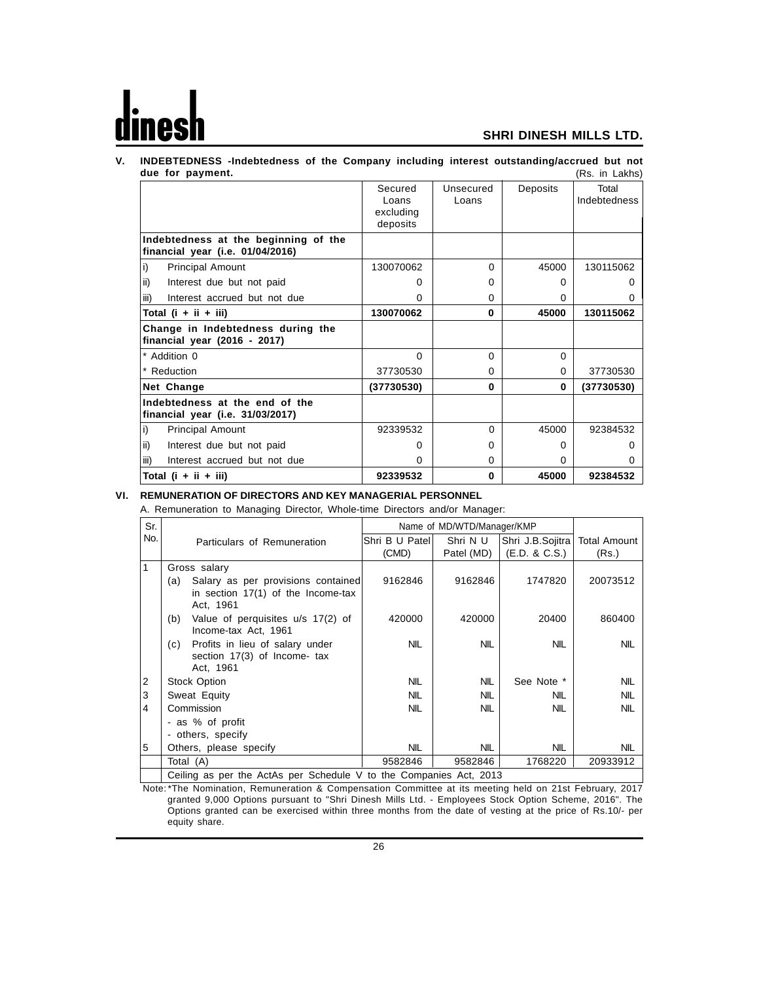#### **V. INDEBTEDNESS -Indebtedness of the Company including interest outstanding/accrued but not due for payment.** (Rs. in Lakhs)

|                                                                          | Secured<br>Loans<br>excluding<br>deposits | Unsecured<br>Loans | Deposits     | Total<br><b>Indebtedness</b> |
|--------------------------------------------------------------------------|-------------------------------------------|--------------------|--------------|------------------------------|
| Indebtedness at the beginning of the<br>financial year (i.e. 01/04/2016) |                                           |                    |              |                              |
| i)<br><b>Principal Amount</b>                                            | 130070062                                 | $\Omega$           | 45000        | 130115062                    |
| ii)<br>Interest due but not paid                                         | o                                         | 0                  | O            |                              |
| Interest accrued but not due<br>iii)                                     | ი                                         | 0                  | 0            | 0                            |
| Total $(i + ii + iii)$                                                   | 130070062                                 | 0                  | 45000        | 130115062                    |
| Change in Indebtedness during the<br>financial year (2016 - 2017)        |                                           |                    |              |                              |
| * Addition 0                                                             | $\Omega$                                  | $\Omega$           | $\Omega$     |                              |
| * Reduction                                                              | 37730530                                  | 0                  | $\Omega$     | 37730530                     |
| Net Change                                                               | (37730530)                                | 0                  | $\bf{0}$     | (37730530)                   |
| Indebtedness at the end of the<br>financial year (i.e. 31/03/2017)       |                                           |                    |              |                              |
| i)<br><b>Principal Amount</b>                                            | 92339532                                  | $\Omega$           | 45000        | 92384532                     |
| ii)<br>Interest due but not paid                                         | n                                         | 0                  | <sup>0</sup> |                              |
| Interest accrued but not due<br>iii)                                     | n                                         | 0                  | <sup>0</sup> |                              |
| Total $(i + ii + iii)$                                                   | 92339532                                  | 0                  | 45000        | 92384532                     |

#### **VI. REMUNERATION OF DIRECTORS AND KEY MANAGERIAL PERSONNEL**

A. Remuneration to Managing Director, Whole-time Directors and/or Manager:

| Sr. |                   |                                                                                         |                | Name of MD/WTD/Manager/KMP |                  |                     |
|-----|-------------------|-----------------------------------------------------------------------------------------|----------------|----------------------------|------------------|---------------------|
| No. |                   | Particulars of Remuneration                                                             | Shri B U Patel | Shri N U                   | Shri J.B.Sojitra | <b>Total Amount</b> |
|     |                   |                                                                                         | (CMD)          | Patel (MD)                 | (E.D. 8 C.S.)    | (Rs.)               |
| 1   |                   | Gross salary                                                                            |                |                            |                  |                     |
|     | (a)               | Salary as per provisions contained<br>in section $17(1)$ of the Income-tax<br>Act, 1961 | 9162846        | 9162846                    | 1747820          | 20073512            |
|     | (b)               | Value of perquisites u/s 17(2) of<br>Income-tax Act, 1961                               | 420000         | 420000                     | 20400            | 860400              |
|     | (c).              | Profits in lieu of salary under<br>section 17(3) of Income- tax<br>Act, 1961            | <b>NIL</b>     | <b>NIL</b>                 | <b>NIL</b>       | <b>NIL</b>          |
| 2   |                   | Stock Option                                                                            | <b>NIL</b>     | <b>NIL</b>                 | See Note *       | <b>NIL</b>          |
| 3   |                   | Sweat Equity                                                                            | <b>NIL</b>     | <b>NIL</b>                 | <b>NIL</b>       | <b>NIL</b>          |
| 4   |                   | Commission                                                                              | <b>NIL</b>     | <b>NIL</b>                 | <b>NIL</b>       | <b>NIL</b>          |
|     |                   | - as % of profit                                                                        |                |                            |                  |                     |
|     | - others, specify |                                                                                         |                |                            |                  |                     |
| 5   |                   | Others, please specify                                                                  | <b>NIL</b>     | <b>NIL</b>                 | NIL              | <b>NIL</b>          |
|     |                   | Total (A)                                                                               | 9582846        | 9582846                    | 1768220          | 20933912            |
|     |                   | Ceiling as per the ActAs per Schedule V to the Companies Act, 2013                      |                |                            |                  |                     |

the ActAs per Schedule V to the Companies Act,

Note: \*The Nomination, Remuneration & Compensation Committee at its meeting held on 21st February, 2017 granted 9,000 Options pursuant to "Shri Dinesh Mills Ltd. - Employees Stock Option Scheme, 2016". The Options granted can be exercised within three months from the date of vesting at the price of Rs.10/- per equity share.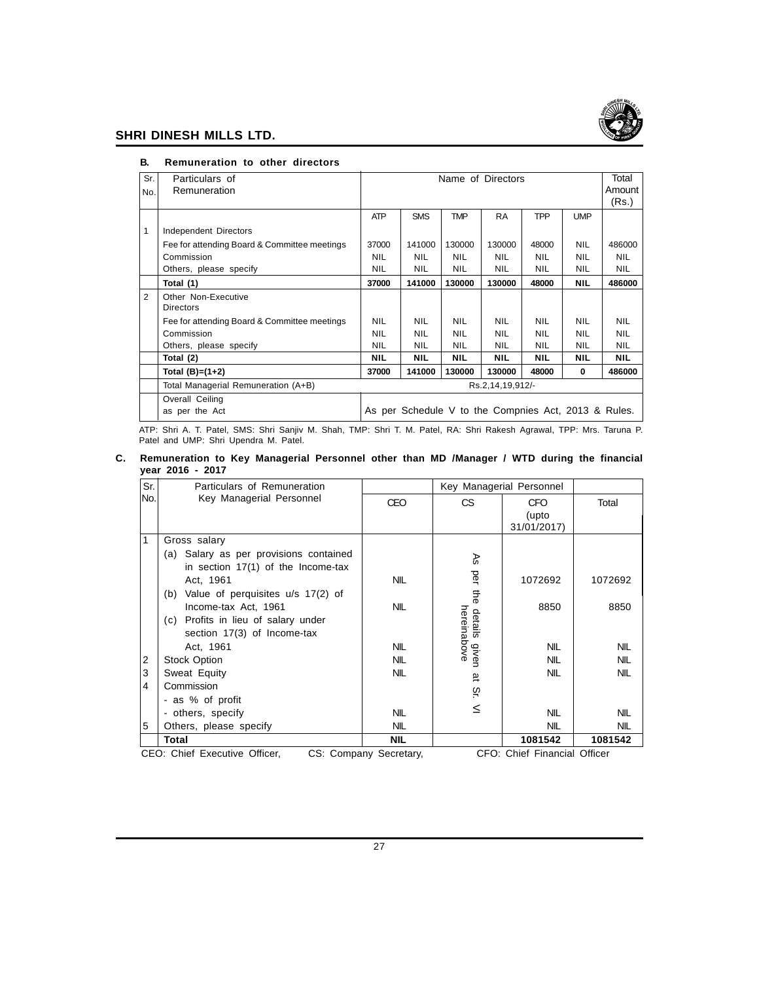

|                | RGMUNICIQUON LO OUIGI QNGCLOIS                          |            |                                                      |                   |            |            |            |            |
|----------------|---------------------------------------------------------|------------|------------------------------------------------------|-------------------|------------|------------|------------|------------|
| Sr.            | Particulars of                                          |            |                                                      | Name of Directors |            |            |            | Total      |
| No.            | Remuneration                                            |            |                                                      |                   |            |            |            | Amount     |
|                |                                                         |            |                                                      |                   |            |            |            | (Rs.)      |
|                |                                                         | <b>ATP</b> | <b>SMS</b>                                           | <b>TMP</b>        | <b>RA</b>  | <b>TPP</b> | <b>UMP</b> |            |
| $\mathbf{1}$   | Independent Directors                                   |            |                                                      |                   |            |            |            |            |
|                | Fee for attending Board & Committee meetings            | 37000      | 141000                                               | 130000            | 130000     | 48000      | <b>NIL</b> | 486000     |
|                | Commission                                              | <b>NIL</b> | <b>NIL</b>                                           | <b>NIL</b>        | <b>NIL</b> | <b>NIL</b> | <b>NIL</b> | <b>NIL</b> |
|                | Others, please specify                                  | <b>NIL</b> | <b>NIL</b>                                           | <b>NIL</b>        | <b>NIL</b> | <b>NIL</b> | <b>NIL</b> | <b>NIL</b> |
|                | Total (1)                                               | 37000      | 141000                                               | 130000            | 130000     | 48000      | <b>NIL</b> | 486000     |
| $\overline{2}$ | Other Non-Executive                                     |            |                                                      |                   |            |            |            |            |
|                | <b>Directors</b>                                        |            |                                                      |                   |            |            |            |            |
|                | Fee for attending Board & Committee meetings            | <b>NIL</b> | <b>NIL</b>                                           | <b>NIL</b>        | <b>NIL</b> | <b>NIL</b> | <b>NIL</b> | <b>NIL</b> |
|                | Commission                                              | <b>NIL</b> | <b>NIL</b>                                           | <b>NIL</b>        | <b>NIL</b> | <b>NIL</b> | <b>NIL</b> | <b>NIL</b> |
|                | Others, please specify                                  | <b>NIL</b> | <b>NIL</b>                                           | <b>NIL</b>        | <b>NIL</b> | <b>NIL</b> | <b>NIL</b> | <b>NIL</b> |
|                | Total (2)                                               | <b>NIL</b> | <b>NIL</b>                                           | <b>NIL</b>        | <b>NIL</b> | <b>NIL</b> | <b>NIL</b> | <b>NIL</b> |
|                | Total $(B)=(1+2)$                                       | 37000      | 141000                                               | 130000            | 130000     | 48000      | $\bf{0}$   | 486000     |
|                | Total Managerial Remuneration (A+B)<br>Rs.2,14,19,912/- |            |                                                      |                   |            |            |            |            |
|                | Overall Ceiling                                         |            |                                                      |                   |            |            |            |            |
|                | as per the Act                                          |            | As per Schedule V to the Compnies Act, 2013 & Rules. |                   |            |            |            |            |

#### **B. Remuneration to other directors**

ATP: Shri A. T. Patel, SMS: Shri Sanjiv M. Shah, TMP: Shri T. M. Patel, RA: Shri Rakesh Agrawal, TPP: Mrs. Taruna P. Patel and UMP: Shri Upendra M. Patel.

#### **C. Remuneration to Key Managerial Personnel other than MD /Manager / WTD during the financial year 2016 - 2017**

| Sr. | Particulars of Remuneration              |                        |                        | Key Managerial Personnel           |            |
|-----|------------------------------------------|------------------------|------------------------|------------------------------------|------------|
| No. | Key Managerial Personnel                 | CEO                    | СS                     | <b>CFO</b><br>(upto<br>31/01/2017) | Total      |
| 1   | Gross salary                             |                        |                        |                                    |            |
|     | (a) Salary as per provisions contained   |                        | Æ                      |                                    |            |
|     | in section $17(1)$ of the Income-tax     |                        |                        |                                    |            |
|     | Act, 1961                                | <b>NIL</b>             | per                    | 1072692                            | 1072692    |
|     | Value of perquisites u/s 17(2) of<br>(b) |                        | ₽                      |                                    |            |
|     | Income-tax Act, 1961                     | <b>NIL</b>             |                        | 8850                               | 8850       |
|     | (c) Profits in lieu of salary under      |                        | hereinabove<br>details |                                    |            |
|     | section 17(3) of Income-tax              |                        |                        |                                    |            |
|     | Act, 1961                                | <b>NIL</b>             | given                  | <b>NIL</b>                         | <b>NIL</b> |
| 2   | <b>Stock Option</b>                      | <b>NIL</b>             |                        | <b>NIL</b>                         | <b>NIL</b> |
| 3   | Sweat Equity                             | <b>NIL</b>             | लैं                    | <b>NIL</b>                         | <b>NIL</b> |
| 4   | Commission                               |                        | öς.                    |                                    |            |
|     | - as % of profit                         |                        |                        |                                    |            |
|     | - others, specify                        | <b>NIL</b>             | $\leq$                 | <b>NIL</b>                         | <b>NIL</b> |
| 5   | Others, please specify                   | <b>NIL</b>             |                        | <b>NIL</b>                         | <b>NIL</b> |
|     | Total                                    | <b>NIL</b>             |                        | 1081542                            | 1081542    |
|     | CEO: Chief Executive Officer,            | CS: Company Secretary, |                        | CFO: Chief Financial Officer       |            |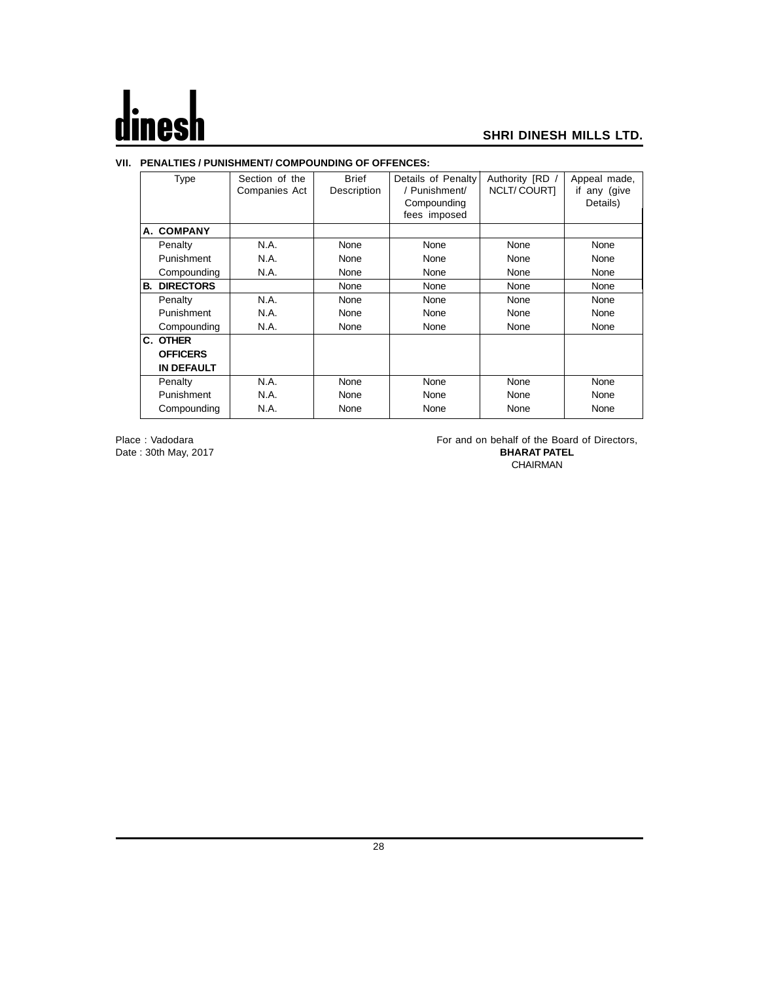## $\mathbf d$ les

#### **SHRI DINESH MILLS LTD.**

#### **VII. PENALTIES / PUNISHMENT/ COMPOUNDING OF OFFENCES:**

|    | Type              | Section of the | <b>Brief</b> | Details of Penalty | Authority [RD /    | Appeal made,    |
|----|-------------------|----------------|--------------|--------------------|--------------------|-----------------|
|    |                   | Companies Act  | Description  | / Punishment/      | <b>NCLT/COURTI</b> | any (give<br>if |
|    |                   |                |              | Compounding        |                    | Details)        |
|    |                   |                |              | fees imposed       |                    |                 |
|    |                   |                |              |                    |                    |                 |
|    | A. COMPANY        |                |              |                    |                    |                 |
|    | Penalty           | N.A.           | None         | None               | None               | None            |
|    | Punishment        | N.A.           | None         | None               | None               | None            |
|    | Compounding       | N.A.           | None         | None               | None               | None            |
| В. | <b>DIRECTORS</b>  |                | None         | None               | None               | None            |
|    | Penalty           | N.A.           | None         | None               | None               | None            |
|    | Punishment        | N.A.           | None         | None               | None               | None            |
|    | Compounding       | N.A.           | None         | None               | None               | None            |
|    | C. OTHER          |                |              |                    |                    |                 |
|    | <b>OFFICERS</b>   |                |              |                    |                    |                 |
|    | <b>IN DEFAULT</b> |                |              |                    |                    |                 |
|    | Penalty           | N.A.           | None         | None               | None               | None            |
|    | Punishment        | N.A.           | None         | None               | None               | None            |
|    | Compounding       | N.A.           | None         | None               | None               | None            |
|    |                   |                |              |                    |                    |                 |

Date: 30th May, 2017

Place : Vadodara For and on behalf of the Board of Directors, Date : 30th May, 2017 CHAIRMAN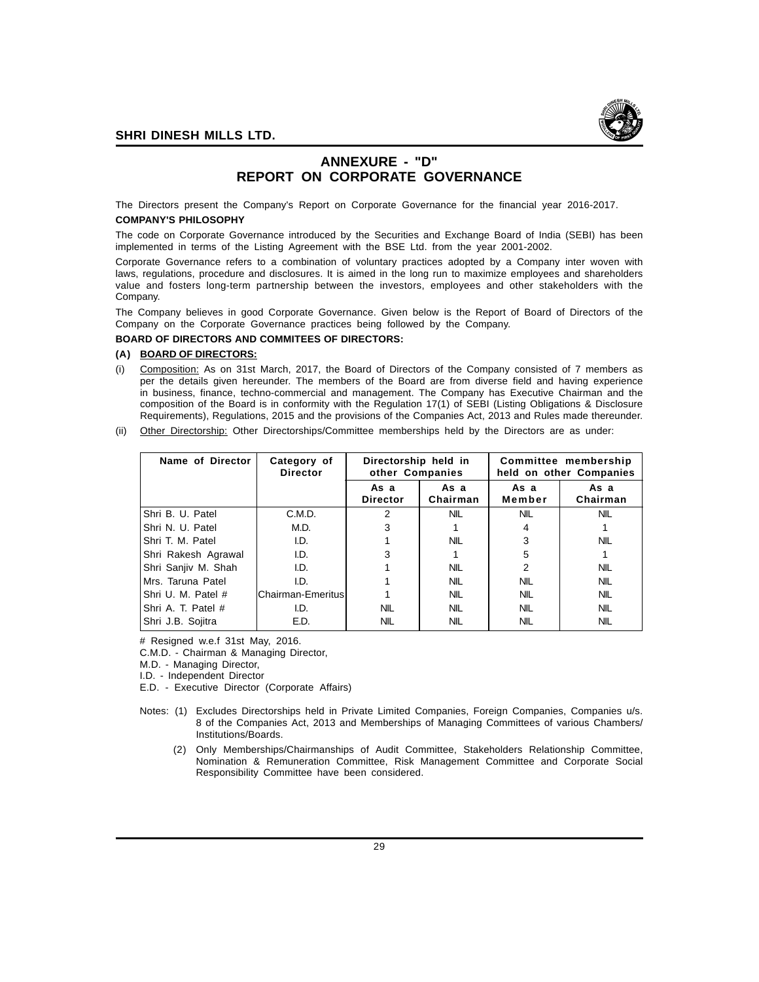

## **ANNEXURE - "D" REPORT ON CORPORATE GOVERNANCE**

The Directors present the Company's Report on Corporate Governance for the financial year 2016-2017. **COMPANY'S PHILOSOPHY**

The code on Corporate Governance introduced by the Securities and Exchange Board of India (SEBI) has been implemented in terms of the Listing Agreement with the BSE Ltd. from the year 2001-2002.

Corporate Governance refers to a combination of voluntary practices adopted by a Company inter woven with laws, regulations, procedure and disclosures. It is aimed in the long run to maximize employees and shareholders value and fosters long-term partnership between the investors, employees and other stakeholders with the Company.

The Company believes in good Corporate Governance. Given below is the Report of Board of Directors of the Company on the Corporate Governance practices being followed by the Company.

#### **BOARD OF DIRECTORS AND COMMITEES OF DIRECTORS:**

#### **(A) BOARD OF DIRECTORS:**

- (i) Composition: As on 31st March, 2017, the Board of Directors of the Company consisted of 7 members as per the details given hereunder. The members of the Board are from diverse field and having experience in business, finance, techno-commercial and management. The Company has Executive Chairman and the composition of the Board is in conformity with the Regulation 17(1) of SEBI (Listing Obligations & Disclosure Requirements), Regulations, 2015 and the provisions of the Companies Act, 2013 and Rules made thereunder.
- (ii) Other Directorship: Other Directorships/Committee memberships held by the Directors are as under:

| Name of Director    | Category of<br><b>Director</b> | Directorship held in<br>other Companies |                  | Committee membership<br>held on other Companies |                  |
|---------------------|--------------------------------|-----------------------------------------|------------------|-------------------------------------------------|------------------|
|                     |                                | As a<br><b>Director</b>                 | As a<br>Chairman | As a<br>Member                                  | As a<br>Chairman |
| IShri B. U. Patel   | C.M.D.                         | 2                                       | <b>NIL</b>       | <b>NIL</b>                                      | <b>NIL</b>       |
| IShri N. U. Patel   | M.D.                           | 3                                       |                  | 4                                               |                  |
| IShri T. M. Patel   | I.D.                           |                                         | <b>NIL</b>       |                                                 | <b>NIL</b>       |
| Shri Rakesh Agrawal | I.D.                           | 3                                       |                  | 5                                               |                  |
| Shri Sanjiv M. Shah | I.D.                           |                                         | <b>NIL</b>       | 2                                               | <b>NIL</b>       |
| IMrs. Taruna Patel  | I.D.                           |                                         | <b>NIL</b>       | <b>NIL</b>                                      | <b>NIL</b>       |
| IShri U. M. Patel # | lChairman-Emeritusl            |                                         | <b>NIL</b>       | <b>NIL</b>                                      | <b>NIL</b>       |
| IShri A. T. Patel # | I.D.                           | <b>NIL</b>                              | <b>NIL</b>       | <b>NIL</b>                                      | <b>NIL</b>       |
| Shri J.B. Sojitra   | E.D.                           | <b>NIL</b>                              | <b>NIL</b>       | <b>NIL</b>                                      | <b>NIL</b>       |

# Resigned w.e.f 31st May, 2016.

C.M.D. - Chairman & Managing Director,

M.D. - Managing Director,

I.D. - Independent Director

E.D. - Executive Director (Corporate Affairs)

- Notes: (1) Excludes Directorships held in Private Limited Companies, Foreign Companies, Companies u/s. 8 of the Companies Act, 2013 and Memberships of Managing Committees of various Chambers/ Institutions/Boards.
	- (2) Only Memberships/Chairmanships of Audit Committee, Stakeholders Relationship Committee, Nomination & Remuneration Committee, Risk Management Committee and Corporate Social Responsibility Committee have been considered.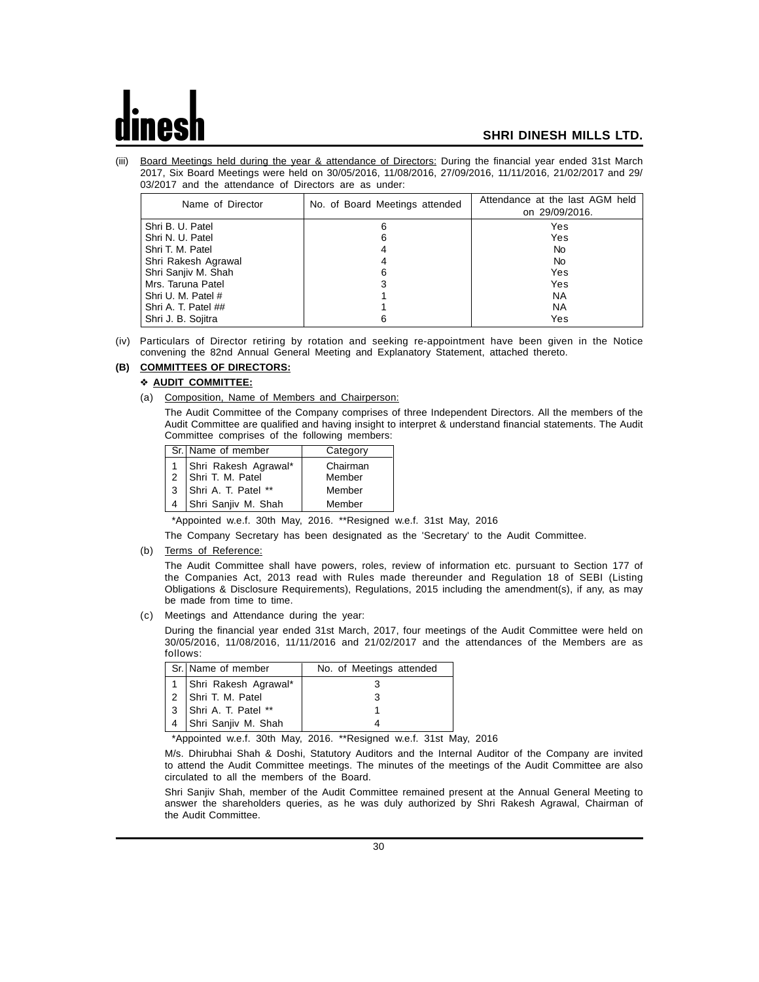(iii) Board Meetings held during the year & attendance of Directors: During the financial year ended 31st March 2017, Six Board Meetings were held on 30/05/2016, 11/08/2016, 27/09/2016, 11/11/2016, 21/02/2017 and 29/ 03/2017 and the attendance of Directors are as under:

| Name of Director    | No. of Board Meetings attended | Attendance at the last AGM held<br>on 29/09/2016. |
|---------------------|--------------------------------|---------------------------------------------------|
| Shri B. U. Patel    | 6                              | Yes                                               |
| Shri N. U. Patel    | 6                              | Yes                                               |
| Shri T. M. Patel    |                                | No.                                               |
| Shri Rakesh Agrawal |                                | No.                                               |
| Shri Sanjiv M. Shah | 6                              | Yes                                               |
| Mrs. Taruna Patel   |                                | Yes                                               |
| Shri U. M. Patel #  |                                | <b>NA</b>                                         |
| Shri A. T. Patel ## |                                | ΝA                                                |
| Shri J. B. Sojitra  | 6                              | Yes                                               |

(iv) Particulars of Director retiring by rotation and seeking re-appointment have been given in the Notice convening the 82nd Annual General Meeting and Explanatory Statement, attached thereto.

## **(B) COMMITTEES OF DIRECTORS:**

#### **AUDIT COMMITTEE:**

- (a) Composition, Name of Members and Chairperson:
	- The Audit Committee of the Company comprises of three Independent Directors. All the members of the Audit Committee are qualified and having insight to interpret & understand financial statements. The Audit Committee comprises of the following members:

| Sr. Name of member                           | Category |
|----------------------------------------------|----------|
| 1 Shri Rakesh Agrawal*<br>2 Shri T. M. Patel | Chairman |
|                                              | Member   |
| 3 Shri A. T. Patel **                        | Member   |
| Shri Sanjiv M. Shah                          | Member   |

\*Appointed w.e.f. 30th May, 2016. \*\*Resigned w.e.f. 31st May, 2016

The Company Secretary has been designated as the 'Secretary' to the Audit Committee.

(b) Terms of Reference:

The Audit Committee shall have powers, roles, review of information etc. pursuant to Section 177 of the Companies Act, 2013 read with Rules made thereunder and Regulation 18 of SEBI (Listing Obligations & Disclosure Requirements), Regulations, 2015 including the amendment(s), if any, as may be made from time to time.

(c) Meetings and Attendance during the year:

During the financial year ended 31st March, 2017, four meetings of the Audit Committee were held on 30/05/2016, 11/08/2016, 11/11/2016 and 21/02/2017 and the attendances of the Members are as follows:

|                | Sr. Name of member       | No. of Meetings attended |
|----------------|--------------------------|--------------------------|
|                | 1   Shri Rakesh Agrawal* |                          |
|                | 2 Shri T. M. Patel       |                          |
|                | 3 Shri A. T. Patel **    |                          |
| $\overline{4}$ | Shri Sanjiv M. Shah      |                          |

\*Appointed w.e.f. 30th May, 2016. \*\*Resigned w.e.f. 31st May, 2016

M/s. Dhirubhai Shah & Doshi, Statutory Auditors and the Internal Auditor of the Company are invited to attend the Audit Committee meetings. The minutes of the meetings of the Audit Committee are also circulated to all the members of the Board.

Shri Sanjiv Shah, member of the Audit Committee remained present at the Annual General Meeting to answer the shareholders queries, as he was duly authorized by Shri Rakesh Agrawal, Chairman of the Audit Committee.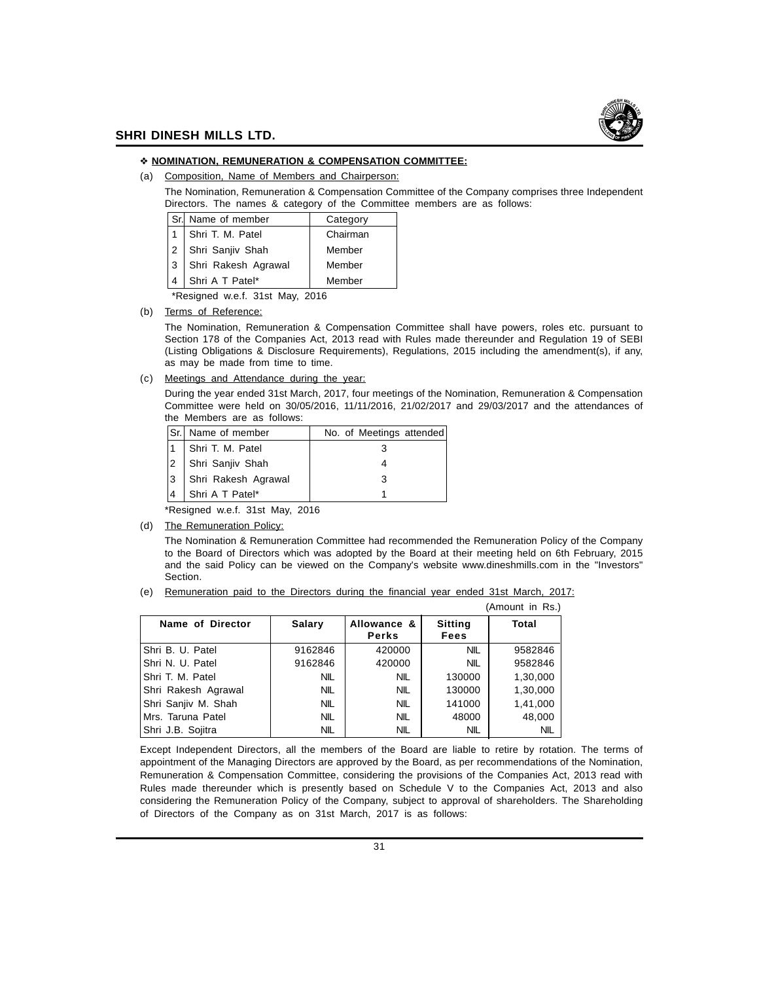

#### **NOMINATION, REMUNERATION & COMPENSATION COMMITTEE:**

(a) Composition, Name of Members and Chairperson:

The Nomination, Remuneration & Compensation Committee of the Company comprises three Independent Directors. The names & category of the Committee members are as follows:

| Sr.l | Name of member      | Category |
|------|---------------------|----------|
|      | Shri T. M. Patel    | Chairman |
|      | Shri Sanjiv Shah    | Member   |
| 3    | Shri Rakesh Agrawal | Member   |
|      | Shri A T Patel*     | Member   |
|      |                     |          |

\*Resigned w.e.f. 31st May, 2016

(b) Terms of Reference:

The Nomination, Remuneration & Compensation Committee shall have powers, roles etc. pursuant to Section 178 of the Companies Act, 2013 read with Rules made thereunder and Regulation 19 of SEBI (Listing Obligations & Disclosure Requirements), Regulations, 2015 including the amendment(s), if any, as may be made from time to time.

(c) Meetings and Attendance during the year:

During the year ended 31st March, 2017, four meetings of the Nomination, Remuneration & Compensation Committee were held on 30/05/2016, 11/11/2016, 21/02/2017 and 29/03/2017 and the attendances of the Members are as follows:

| ISr. | Name of member      | No. of Meetings attended |  |
|------|---------------------|--------------------------|--|
|      | Shri T. M. Patel    |                          |  |
|      | Shri Sanjiv Shah    |                          |  |
| 13   | Shri Rakesh Agrawal |                          |  |
|      | Shri A T Patel*     |                          |  |
|      |                     |                          |  |

Resigned w.e.f. 31st May, 2016

(d) The Remuneration Policy:

The Nomination & Remuneration Committee had recommended the Remuneration Policy of the Company to the Board of Directors which was adopted by the Board at their meeting held on 6th February, 2015 and the said Policy can be viewed on the Company's website www.dineshmills.com in the "Investors" Section.

(e) Remuneration paid to the Directors during the financial year ended 31st March, 2017:

|                     |               |                             |                        | (Amount in Rs.) |
|---------------------|---------------|-----------------------------|------------------------|-----------------|
| Name of Director    | <b>Salary</b> | Allowance &<br><b>Perks</b> | <b>Sitting</b><br>Fees | <b>Total</b>    |
| Shri B. U. Patel    | 9162846       | 420000                      | <b>NIL</b>             | 9582846         |
| Shri N. U. Patel    | 9162846       | 420000                      | <b>NIL</b>             | 9582846         |
| Shri T. M. Patel    | <b>NIL</b>    | <b>NIL</b>                  | 130000                 | 1,30,000        |
| Shri Rakesh Agrawal | <b>NIL</b>    | <b>NIL</b>                  | 130000                 | 1,30,000        |
| Shri Sanjiv M. Shah | <b>NIL</b>    | <b>NIL</b>                  | 141000                 | 1,41,000        |
| Mrs. Taruna Patel   | <b>NIL</b>    | <b>NIL</b>                  | 48000                  | 48,000          |
| Shri J.B. Sojitra   | <b>NIL</b>    | <b>NIL</b>                  | <b>NIL</b>             | NIL             |

Except Independent Directors, all the members of the Board are liable to retire by rotation. The terms of appointment of the Managing Directors are approved by the Board, as per recommendations of the Nomination, Remuneration & Compensation Committee, considering the provisions of the Companies Act, 2013 read with Rules made thereunder which is presently based on Schedule V to the Companies Act, 2013 and also considering the Remuneration Policy of the Company, subject to approval of shareholders. The Shareholding of Directors of the Company as on 31st March, 2017 is as follows: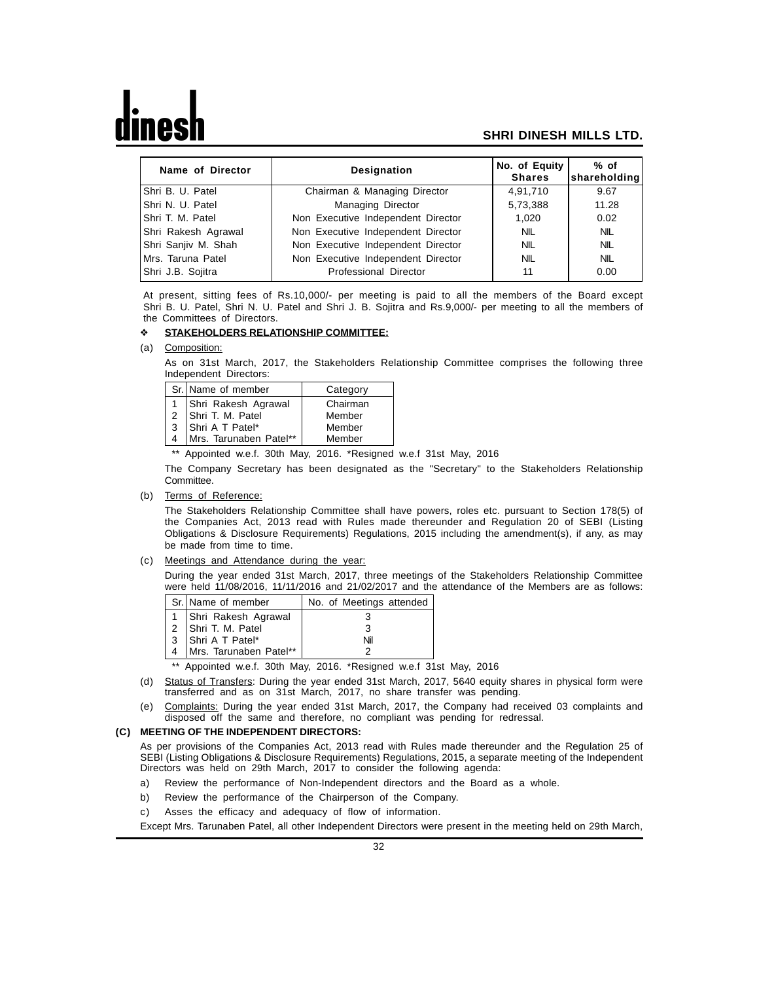| Name of Director    | <b>Designation</b>                 | No. of Equity<br><b>Shares</b> | $%$ of<br>shareholding |
|---------------------|------------------------------------|--------------------------------|------------------------|
| IShri B. U. Patel   | Chairman & Managing Director       | 4.91.710                       | 9.67                   |
| IShri N. U. Patel   | Managing Director                  | 5,73,388                       | 11.28                  |
| IShri T. M. Patel   | Non Executive Independent Director | 1.020                          | 0.02                   |
| Shri Rakesh Agrawal | Non Executive Independent Director | NIL                            | <b>NIL</b>             |
| Shri Sanjiv M. Shah | Non Executive Independent Director | <b>NIL</b>                     | <b>NIL</b>             |
| IMrs. Taruna Patel  | Non Executive Independent Director | <b>NIL</b>                     | <b>NIL</b>             |
| Shri J.B. Sojitra   | Professional Director              | 11                             | 0.00                   |

At present, sitting fees of Rs.10,000/- per meeting is paid to all the members of the Board except Shri B. U. Patel, Shri N. U. Patel and Shri J. B. Sojitra and Rs.9,000/- per meeting to all the members of the Committees of Directors.

#### **STAKEHOLDERS RELATIONSHIP COMMITTEE:**

(a) Composition:

As on 31st March, 2017, the Stakeholders Relationship Committee comprises the following three Independent Directors:

|              | Sr. Name of member     | Category |
|--------------|------------------------|----------|
|              | Shri Rakesh Agrawal    | Chairman |
|              | 2 Shri T. M. Patel     | Member   |
| $\mathbf{3}$ | Shri A T Patel*        | Member   |
|              | Mrs. Tarunaben Patel** | Member   |

\*\* Appointed w.e.f. 30th May, 2016. \*Resigned w.e.f 31st May, 2016

The Company Secretary has been designated as the "Secretary" to the Stakeholders Relationship Committee.

(b) Terms of Reference:

The Stakeholders Relationship Committee shall have powers, roles etc. pursuant to Section 178(5) of the Companies Act, 2013 read with Rules made thereunder and Regulation 20 of SEBI (Listing Obligations & Disclosure Requirements) Regulations, 2015 including the amendment(s), if any, as may be made from time to time.

(c) Meetings and Attendance during the year:

During the year ended 31st March, 2017, three meetings of the Stakeholders Relationship Committee were held 11/08/2016, 11/11/2016 and 21/02/2017 and the attendance of the Members are as follows:

| Sr. Name of member         | No. of Meetings attended |
|----------------------------|--------------------------|
| 1 Shri Rakesh Agrawal      |                          |
| 2 Shri T. M. Patel         | З                        |
| 3 Shri A T Patel*          | Nil                      |
| 4   Mrs. Tarunaben Patel** |                          |

\*\* Appointed w.e.f. 30th May, 2016. \*Resigned w.e.f 31st May, 2016

- (d) Status of Transfers: During the year ended 31st March, 2017, 5640 equity shares in physical form were transferred and as on 31st March, 2017, no share transfer was pending.
- (e) Complaints: During the year ended 31st March, 2017, the Company had received 03 complaints and disposed off the same and therefore, no compliant was pending for redressal.

#### **(C) MEETING OF THE INDEPENDENT DIRECTORS:**

As per provisions of the Companies Act, 2013 read with Rules made thereunder and the Regulation 25 of SEBI (Listing Obligations & Disclosure Requirements) Regulations, 2015, a separate meeting of the Independent Directors was held on 29th March, 2017 to consider the following agenda:

- a) Review the performance of Non-Independent directors and the Board as a whole.
- b) Review the performance of the Chairperson of the Company.
- c) Asses the efficacy and adequacy of flow of information.

Except Mrs. Tarunaben Patel, all other Independent Directors were present in the meeting held on 29th March,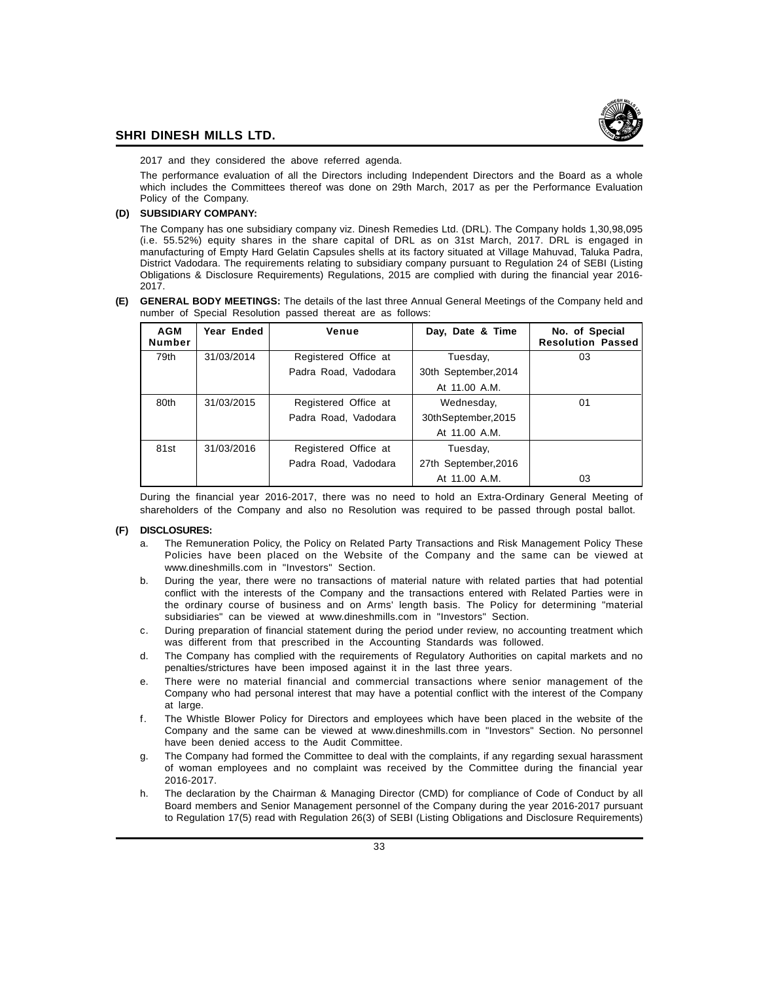

2017 and they considered the above referred agenda.

The performance evaluation of all the Directors including Independent Directors and the Board as a whole which includes the Committees thereof was done on 29th March, 2017 as per the Performance Evaluation Policy of the Company.

#### **(D) SUBSIDIARY COMPANY:**

The Company has one subsidiary company viz. Dinesh Remedies Ltd. (DRL). The Company holds 1,30,98,095 (i.e. 55.52%) equity shares in the share capital of DRL as on 31st March, 2017. DRL is engaged in manufacturing of Empty Hard Gelatin Capsules shells at its factory situated at Village Mahuvad, Taluka Padra, District Vadodara. The requirements relating to subsidiary company pursuant to Regulation 24 of SEBI (Listing Obligations & Disclosure Requirements) Regulations, 2015 are complied with during the financial year 2016- 2017.

**(E) GENERAL BODY MEETINGS:** The details of the last three Annual General Meetings of the Company held and number of Special Resolution passed thereat are as follows:

| <b>AGM</b><br><b>Number</b> | Year Ended | Venue                | Day, Date & Time     | No. of Special<br><b>Resolution Passed</b> |
|-----------------------------|------------|----------------------|----------------------|--------------------------------------------|
| 79th                        | 31/03/2014 | Registered Office at | Tuesday,             | 03                                         |
|                             |            | Padra Road, Vadodara | 30th September, 2014 |                                            |
|                             |            |                      | At 11.00 A.M.        |                                            |
| 80th                        | 31/03/2015 | Registered Office at | Wednesday,           | 01                                         |
|                             |            | Padra Road, Vadodara | 30thSeptember,2015   |                                            |
|                             |            |                      | At 11.00 A.M.        |                                            |
| 81st                        | 31/03/2016 | Registered Office at | Tuesday,             |                                            |
|                             |            | Padra Road, Vadodara | 27th September, 2016 |                                            |
|                             |            |                      | At 11.00 A.M.        | 03                                         |

During the financial year 2016-2017, there was no need to hold an Extra-Ordinary General Meeting of shareholders of the Company and also no Resolution was required to be passed through postal ballot.

#### **(F) DISCLOSURES:**

- a. The Remuneration Policy, the Policy on Related Party Transactions and Risk Management Policy These Policies have been placed on the Website of the Company and the same can be viewed at www.dineshmills.com in "Investors" Section.
- b. During the year, there were no transactions of material nature with related parties that had potential conflict with the interests of the Company and the transactions entered with Related Parties were in the ordinary course of business and on Arms' length basis. The Policy for determining "material subsidiaries" can be viewed at www.dineshmills.com in "Investors" Section.
- c. During preparation of financial statement during the period under review, no accounting treatment which was different from that prescribed in the Accounting Standards was followed.
- d. The Company has complied with the requirements of Regulatory Authorities on capital markets and no penalties/strictures have been imposed against it in the last three years.
- e. There were no material financial and commercial transactions where senior management of the Company who had personal interest that may have a potential conflict with the interest of the Company at large.
- f. The Whistle Blower Policy for Directors and employees which have been placed in the website of the Company and the same can be viewed at www.dineshmills.com in "Investors" Section. No personnel have been denied access to the Audit Committee.
- g. The Company had formed the Committee to deal with the complaints, if any regarding sexual harassment of woman employees and no complaint was received by the Committee during the financial year 2016-2017.
- h. The declaration by the Chairman & Managing Director (CMD) for compliance of Code of Conduct by all Board members and Senior Management personnel of the Company during the year 2016-2017 pursuant to Regulation 17(5) read with Regulation 26(3) of SEBI (Listing Obligations and Disclosure Requirements)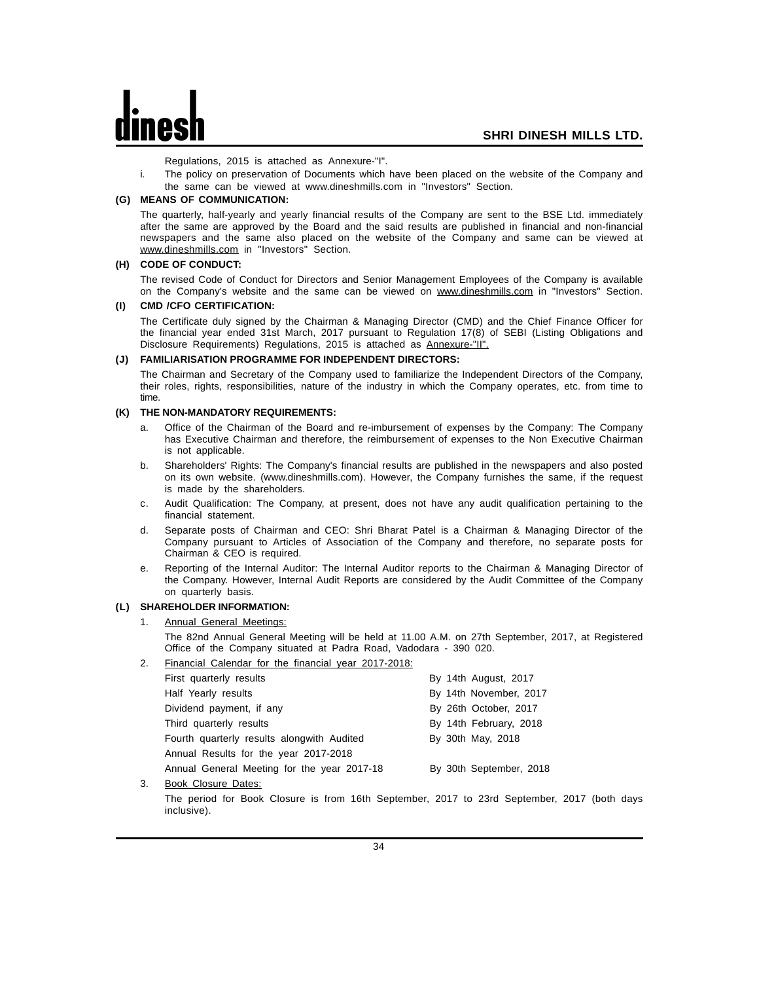Regulations, 2015 is attached as Annexure-"I".

i. The policy on preservation of Documents which have been placed on the website of the Company and the same can be viewed at www.dineshmills.com in "Investors" Section.

#### **(G) MEANS OF COMMUNICATION:**

The quarterly, half-yearly and yearly financial results of the Company are sent to the BSE Ltd. immediately after the same are approved by the Board and the said results are published in financial and non-financial newspapers and the same also placed on the website of the Company and same can be viewed at www.dineshmills.com in "Investors" Section.

#### **(H) CODE OF CONDUCT:**

The revised Code of Conduct for Directors and Senior Management Employees of the Company is available on the Company's website and the same can be viewed on www.dineshmills.com in "Investors" Section.

#### **(I) CMD /CFO CERTIFICATION:**

The Certificate duly signed by the Chairman & Managing Director (CMD) and the Chief Finance Officer for the financial year ended 31st March, 2017 pursuant to Regulation 17(8) of SEBI (Listing Obligations and Disclosure Requirements) Regulations, 2015 is attached as Annexure-"II".

#### **(J) FAMILIARISATION PROGRAMME FOR INDEPENDENT DIRECTORS:**

The Chairman and Secretary of the Company used to familiarize the Independent Directors of the Company, their roles, rights, responsibilities, nature of the industry in which the Company operates, etc. from time to time.

#### **(K) THE NON-MANDATORY REQUIREMENTS:**

- Office of the Chairman of the Board and re-imbursement of expenses by the Company: The Company has Executive Chairman and therefore, the reimbursement of expenses to the Non Executive Chairman is not applicable.
- b. Shareholders' Rights: The Company's financial results are published in the newspapers and also posted on its own website. (www.dineshmills.com). However, the Company furnishes the same, if the request is made by the shareholders.
- c. Audit Qualification: The Company, at present, does not have any audit qualification pertaining to the financial statement.
- d. Separate posts of Chairman and CEO: Shri Bharat Patel is a Chairman & Managing Director of the Company pursuant to Articles of Association of the Company and therefore, no separate posts for Chairman & CEO is required.
- e. Reporting of the Internal Auditor: The Internal Auditor reports to the Chairman & Managing Director of the Company. However, Internal Audit Reports are considered by the Audit Committee of the Company on quarterly basis.

#### **(L) SHAREHOLDER INFORMATION:**

Annual General Meetings:

The 82nd Annual General Meeting will be held at 11.00 A.M. on 27th September, 2017, at Registered Office of the Company situated at Padra Road, Vadodara - 390 020.

2. Financial Calendar for the financial year 2017-2018:

| First quarterly results                     | By 14th August, 2017    |
|---------------------------------------------|-------------------------|
| Half Yearly results                         | By 14th November, 2017  |
| Dividend payment, if any                    | By 26th October, 2017   |
| Third quarterly results                     | By 14th February, 2018  |
| Fourth quarterly results alongwith Audited  | By 30th May, 2018       |
| Annual Results for the year 2017-2018       |                         |
| Annual General Meeting for the year 2017-18 | By 30th September, 2018 |
|                                             |                         |

3. Book Closure Dates:

The period for Book Closure is from 16th September, 2017 to 23rd September, 2017 (both days inclusive).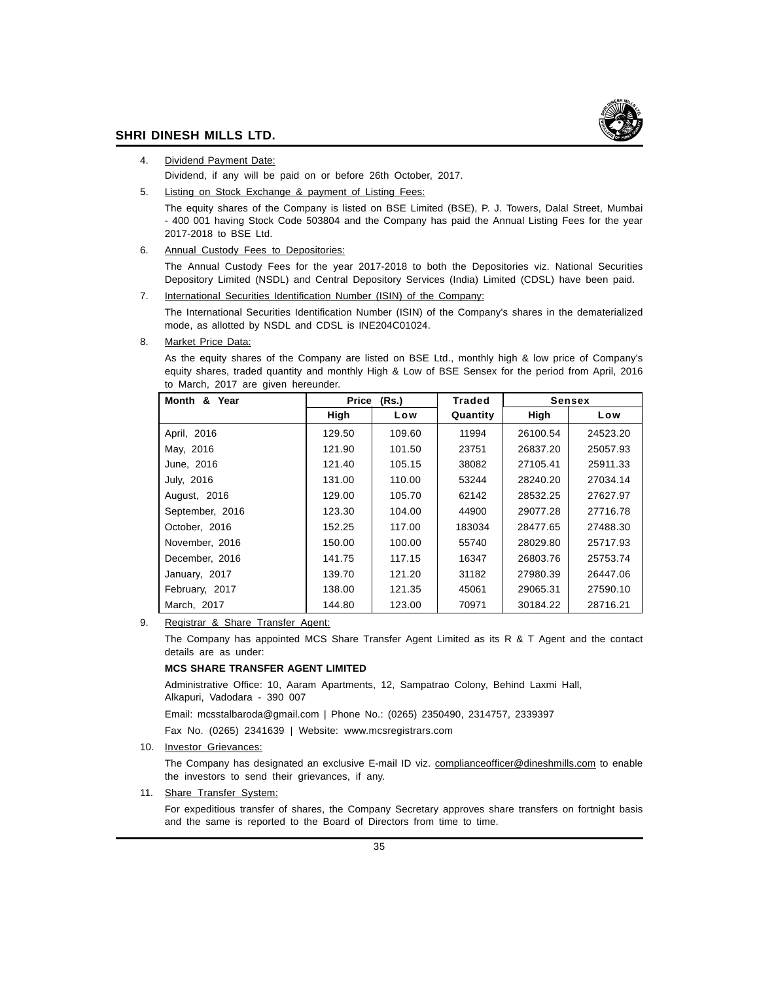

4. Dividend Payment Date:

Dividend, if any will be paid on or before 26th October, 2017.

5. Listing on Stock Exchange & payment of Listing Fees:

The equity shares of the Company is listed on BSE Limited (BSE), P. J. Towers, Dalal Street, Mumbai - 400 001 having Stock Code 503804 and the Company has paid the Annual Listing Fees for the year 2017-2018 to BSE Ltd.

6. Annual Custody Fees to Depositories:

The Annual Custody Fees for the year 2017-2018 to both the Depositories viz. National Securities Depository Limited (NSDL) and Central Depository Services (India) Limited (CDSL) have been paid.

7. International Securities Identification Number (ISIN) of the Company:

The International Securities Identification Number (ISIN) of the Company's shares in the dematerialized mode, as allotted by NSDL and CDSL is INE204C01024.

8. Market Price Data:

As the equity shares of the Company are listed on BSE Ltd., monthly high & low price of Company's equity shares, traded quantity and monthly High & Low of BSE Sensex for the period from April, 2016 to March, 2017 are given hereunder.

| Year<br>Month & | Price (Rs.) |        | <b>Traded</b> | <b>Sensex</b> |          |
|-----------------|-------------|--------|---------------|---------------|----------|
|                 | High        | Low    | Quantity      | High          | Low      |
| April, 2016     | 129.50      | 109.60 | 11994         | 26100.54      | 24523.20 |
| May, 2016       | 121.90      | 101.50 | 23751         | 26837.20      | 25057.93 |
| June, 2016      | 121.40      | 105.15 | 38082         | 27105.41      | 25911.33 |
| July, 2016      | 131.00      | 110.00 | 53244         | 28240.20      | 27034.14 |
| August, 2016    | 129.00      | 105.70 | 62142         | 28532.25      | 27627.97 |
| September, 2016 | 123.30      | 104.00 | 44900         | 29077.28      | 27716.78 |
| October, 2016   | 152.25      | 117.00 | 183034        | 28477.65      | 27488.30 |
| November, 2016  | 150.00      | 100.00 | 55740         | 28029.80      | 25717.93 |
| December, 2016  | 141.75      | 117.15 | 16347         | 26803.76      | 25753.74 |
| January, 2017   | 139.70      | 121.20 | 31182         | 27980.39      | 26447.06 |
| February, 2017  | 138.00      | 121.35 | 45061         | 29065.31      | 27590.10 |
| March, 2017     | 144.80      | 123.00 | 70971         | 30184.22      | 28716.21 |

9. Registrar & Share Transfer Agent:

The Company has appointed MCS Share Transfer Agent Limited as its R & T Agent and the contact details are as under:

#### **MCS SHARE TRANSFER AGENT LIMITED**

Administrative Office: 10, Aaram Apartments, 12, Sampatrao Colony, Behind Laxmi Hall, Alkapuri, Vadodara - 390 007

Email: mcsstalbaroda@gmail.com | Phone No.: (0265) 2350490, 2314757, 2339397

Fax No. (0265) 2341639 | Website: www.mcsregistrars.com

10. Investor Grievances:

The Company has designated an exclusive E-mail ID viz. complianceofficer@dineshmills.com to enable the investors to send their grievances, if any.

11. Share Transfer System:

For expeditious transfer of shares, the Company Secretary approves share transfers on fortnight basis and the same is reported to the Board of Directors from time to time.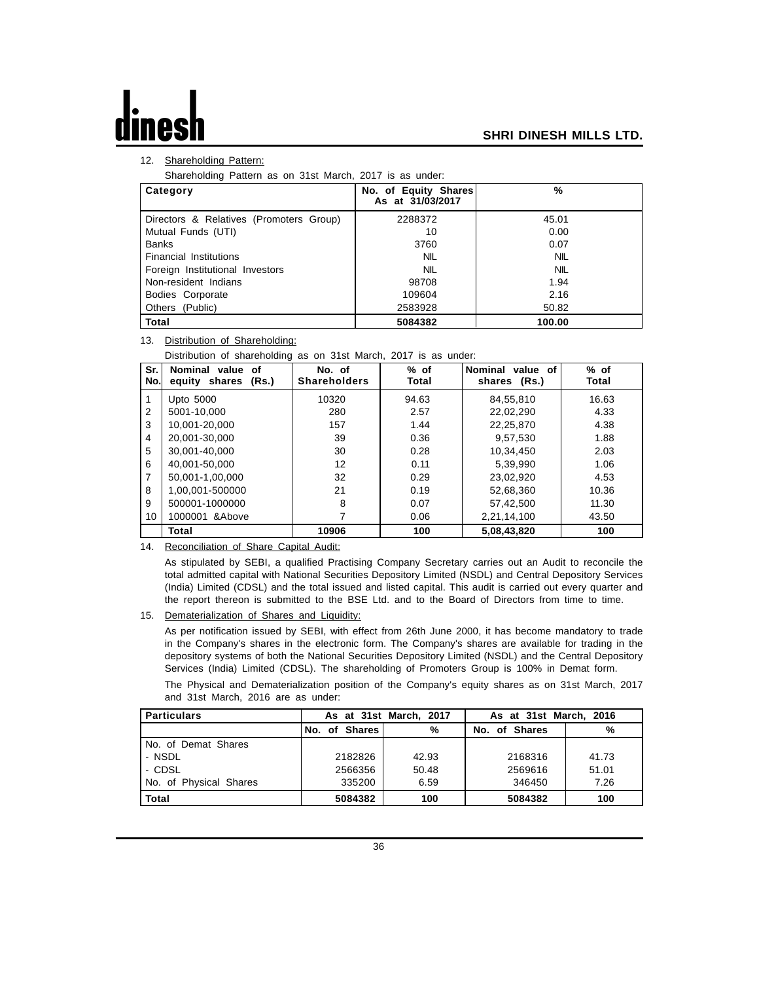## 12. Shareholding Pattern:

Shareholding Pattern as on 31st March, 2017 is as under:

| Category                                | No. of Equity Shares<br>As at 31/03/2017 | %          |
|-----------------------------------------|------------------------------------------|------------|
| Directors & Relatives (Promoters Group) | 2288372                                  | 45.01      |
| Mutual Funds (UTI)                      | 10                                       | 0.00       |
| <b>Banks</b>                            | 3760                                     | 0.07       |
| <b>Financial Institutions</b>           | <b>NIL</b>                               | <b>NIL</b> |
| Foreign Institutional Investors         | <b>NIL</b>                               | <b>NIL</b> |
| Non-resident Indians                    | 98708                                    | 1.94       |
| Bodies Corporate                        | 109604                                   | 2.16       |
| Others (Public)                         | 2583928                                  | 50.82      |
| <b>Total</b>                            | 5084382                                  | 100.00     |

## 13. Distribution of Shareholding:

Distribution of shareholding as on 31st March, 2017 is as under:

| Sr.<br>No.     | Nominal value<br>οf<br>equity shares<br>(Rs.) | No. of<br><b>Shareholders</b> | $%$ of<br>Total | Nominal value of<br>shares (Rs.) | $%$ of<br>Total |
|----------------|-----------------------------------------------|-------------------------------|-----------------|----------------------------------|-----------------|
|                | Upto 5000                                     | 10320                         | 94.63           | 84,55,810                        | 16.63           |
| 2              | 5001-10.000                                   | 280                           | 2.57            | 22,02,290                        | 4.33            |
| 3              | 10.001-20.000                                 | 157                           | 1.44            | 22,25,870                        | 4.38            |
| $\overline{4}$ | 20.001-30.000                                 | 39                            | 0.36            | 9,57,530                         | 1.88            |
| 5              | 30.001-40.000                                 | 30                            | 0.28            | 10,34,450                        | 2.03            |
| 6              | 40.001-50.000                                 | 12                            | 0.11            | 5.39.990                         | 1.06            |
| 7              | 50.001-1.00.000                               | 32                            | 0.29            | 23,02,920                        | 4.53            |
| 8              | 1,00,001-500000                               | 21                            | 0.19            | 52,68,360                        | 10.36           |
| 9              | 500001-1000000                                | 8                             | 0.07            | 57,42,500                        | 11.30           |
| 10             | 1000001 & Above                               | 7                             | 0.06            | 2,21,14,100                      | 43.50           |
|                | Total                                         | 10906                         | 100             | 5,08,43,820                      | 100             |

## 14. Reconciliation of Share Capital Audit:

As stipulated by SEBI, a qualified Practising Company Secretary carries out an Audit to reconcile the total admitted capital with National Securities Depository Limited (NSDL) and Central Depository Services (India) Limited (CDSL) and the total issued and listed capital. This audit is carried out every quarter and the report thereon is submitted to the BSE Ltd. and to the Board of Directors from time to time.

15. Dematerialization of Shares and Liquidity:

As per notification issued by SEBI, with effect from 26th June 2000, it has become mandatory to trade in the Company's shares in the electronic form. The Company's shares are available for trading in the depository systems of both the National Securities Depository Limited (NSDL) and the Central Depository Services (India) Limited (CDSL). The shareholding of Promoters Group is 100% in Demat form.

The Physical and Dematerialization position of the Company's equity shares as on 31st March, 2017 and 31st March, 2016 are as under:

| <b>Particulars</b>     | As at 31st March, 2017 |       | As at 31st March, 2016 |       |
|------------------------|------------------------|-------|------------------------|-------|
|                        | No. of Shares          | %     | No. of Shares          | %     |
| No. of Demat Shares    |                        |       |                        |       |
| - NSDL                 | 2182826                | 42.93 | 2168316                | 41.73 |
| - CDSL                 | 2566356                | 50.48 | 2569616                | 51.01 |
| No. of Physical Shares | 335200                 | 6.59  | 346450                 | 7.26  |
| Total                  | 5084382                | 100   | 5084382                | 100   |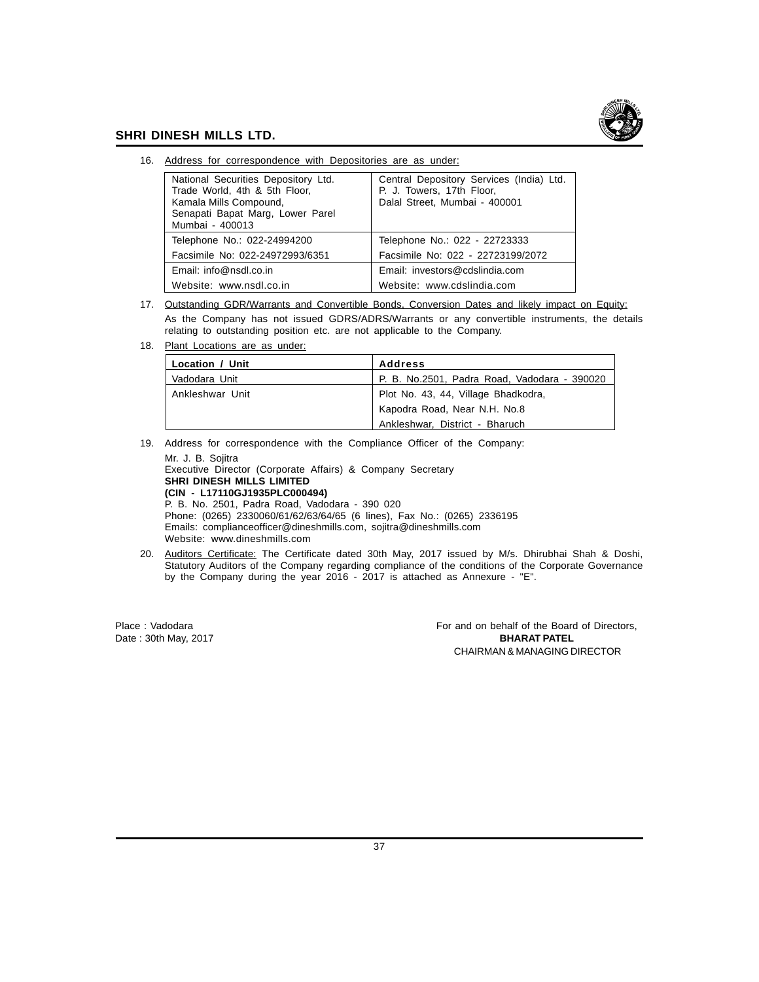

16. Address for correspondence with Depositories are as under:

| National Securities Depository Ltd.<br>Trade World, 4th & 5th Floor,<br>Kamala Mills Compound,<br>Senapati Bapat Marg, Lower Parel<br>Mumbai - 400013 | Central Depository Services (India) Ltd.<br>P. J. Towers, 17th Floor,<br>Dalal Street, Mumbai - 400001 |
|-------------------------------------------------------------------------------------------------------------------------------------------------------|--------------------------------------------------------------------------------------------------------|
| Telephone No.: 022-24994200                                                                                                                           | Telephone No.: 022 - 22723333                                                                          |
| Facsimile No: 022-24972993/6351                                                                                                                       | Facsimile No: 022 - 22723199/2072                                                                      |
| Email: info@nsdl.co.in                                                                                                                                | Email: investors@cdslindia.com                                                                         |
| Website: www.nsdl.co.in                                                                                                                               | Website: www.cdslindia.com                                                                             |

- 17. Outstanding GDR/Warrants and Convertible Bonds, Conversion Dates and likely impact on Equity: As the Company has not issued GDRS/ADRS/Warrants or any convertible instruments, the details relating to outstanding position etc. are not applicable to the Company.
- 18. Plant Locations are as under:

| Location / Unit | <b>Address</b>                               |
|-----------------|----------------------------------------------|
| Vadodara Unit   | P. B. No.2501, Padra Road, Vadodara - 390020 |
| Ankleshwar Unit | Plot No. 43, 44, Village Bhadkodra,          |
|                 | Kapodra Road, Near N.H. No.8                 |
|                 | Ankleshwar, District - Bharuch               |

19. Address for correspondence with the Compliance Officer of the Company:

Mr. J. B. Sojitra Executive Director (Corporate Affairs) & Company Secretary **SHRI DINESH MILLS LIMITED (CIN - L17110GJ1935PLC000494)** P. B. No. 2501, Padra Road, Vadodara - 390 020 Phone: (0265) 2330060/61/62/63/64/65 (6 lines), Fax No.: (0265) 2336195 Emails: complianceofficer@dineshmills.com, sojitra@dineshmills.com Website: www.dineshmills.com

20. Auditors Certificate: The Certificate dated 30th May, 2017 issued by M/s. Dhirubhai Shah & Doshi, Statutory Auditors of the Company regarding compliance of the conditions of the Corporate Governance by the Company during the year 2016 - 2017 is attached as Annexure - "E".

Place : Vadodara For and on behalf of the Board of Directors, Date : 30th May, 2017 **BHARAT PATEL** CHAIRMAN & MANAGING DIRECTOR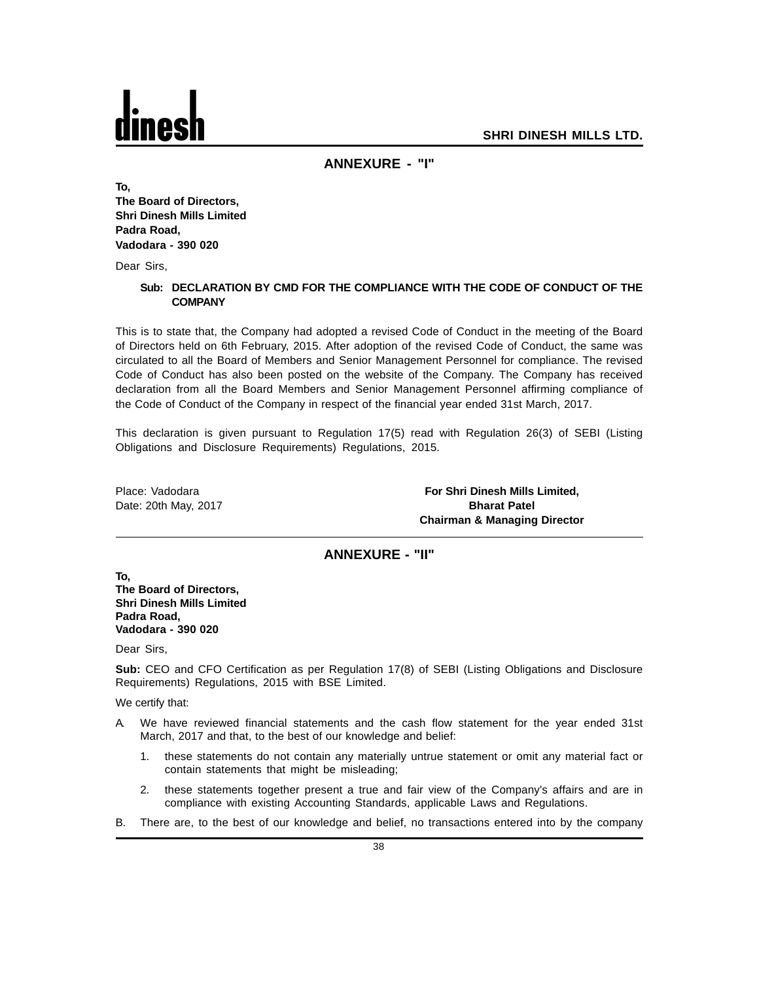## **ANNEXURE - "I"**

**To, The Board of Directors, Shri Dinesh Mills Limited Padra Road, Vadodara - 390 020**

Dear Sirs,

## **Sub: DECLARATION BY CMD FOR THE COMPLIANCE WITH THE CODE OF CONDUCT OF THE COMPANY**

This is to state that, the Company had adopted a revised Code of Conduct in the meeting of the Board of Directors held on 6th February, 2015. After adoption of the revised Code of Conduct, the same was circulated to all the Board of Members and Senior Management Personnel for compliance. The revised Code of Conduct has also been posted on the website of the Company. The Company has received declaration from all the Board Members and Senior Management Personnel affirming compliance of the Code of Conduct of the Company in respect of the financial year ended 31st March, 2017.

This declaration is given pursuant to Regulation 17(5) read with Regulation 26(3) of SEBI (Listing Obligations and Disclosure Requirements) Regulations, 2015.

Place: Vadodara **For Shri Dinesh Mills Limited,** Date: 20th May, 2017 **Bharat Patel Chairman & Managing Director**

## **ANNEXURE - "II"**

**To, The Board of Directors, Shri Dinesh Mills Limited Padra Road, Vadodara - 390 020**

Dear Sirs,

**Sub:** CEO and CFO Certification as per Regulation 17(8) of SEBI (Listing Obligations and Disclosure Requirements) Regulations, 2015 with BSE Limited.

We certify that:

- A. We have reviewed financial statements and the cash flow statement for the year ended 31st March, 2017 and that, to the best of our knowledge and belief:
	- 1. these statements do not contain any materially untrue statement or omit any material fact or contain statements that might be misleading;
	- 2. these statements together present a true and fair view of the Company's affairs and are in compliance with existing Accounting Standards, applicable Laws and Regulations.
- B. There are, to the best of our knowledge and belief, no transactions entered into by the company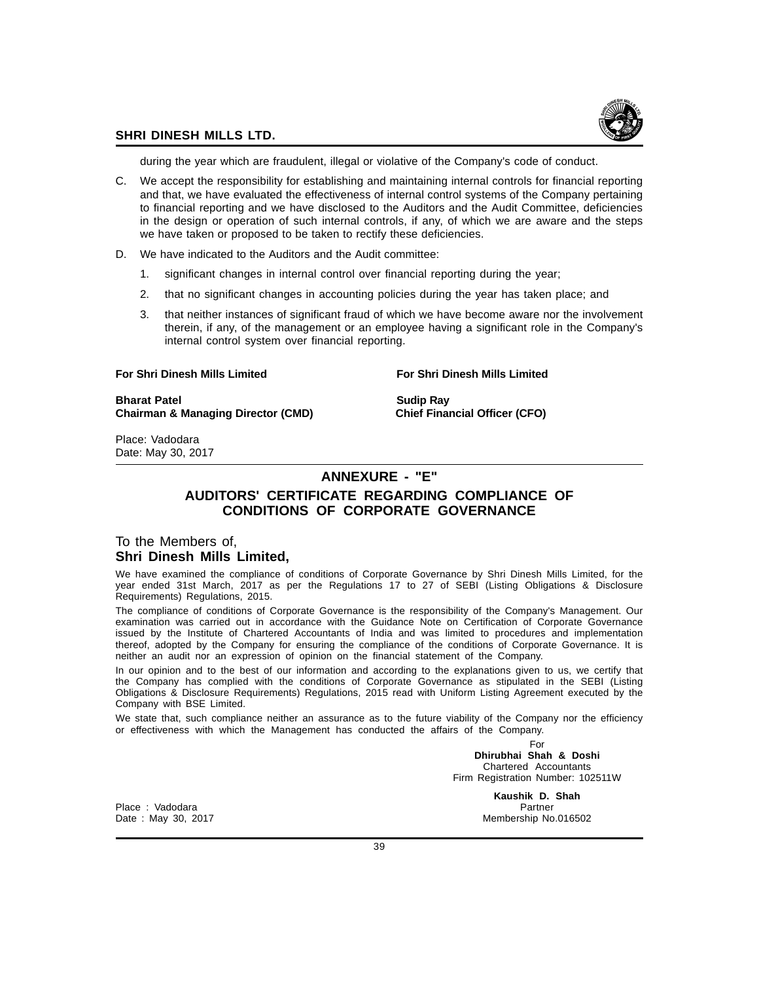

during the year which are fraudulent, illegal or violative of the Company's code of conduct.

- C. We accept the responsibility for establishing and maintaining internal controls for financial reporting and that, we have evaluated the effectiveness of internal control systems of the Company pertaining to financial reporting and we have disclosed to the Auditors and the Audit Committee, deficiencies in the design or operation of such internal controls, if any, of which we are aware and the steps we have taken or proposed to be taken to rectify these deficiencies.
- D. We have indicated to the Auditors and the Audit committee:
	- 1. significant changes in internal control over financial reporting during the year;
	- 2. that no significant changes in accounting policies during the year has taken place; and
	- 3. that neither instances of significant fraud of which we have become aware nor the involvement therein, if any, of the management or an employee having a significant role in the Company's internal control system over financial reporting.

## **For Shri Dinesh Mills Limited For Shri Dinesh Mills Limited**

**Bharat Patel Sudip Ray Chairman & Managing Director (CMD) Chief Financial Officer (CFO)**

Place: Vadodara Date: May 30, 2017

## **ANNEXURE - "E"**

## **AUDITORS' CERTIFICATE REGARDING COMPLIANCE OF CONDITIONS OF CORPORATE GOVERNANCE**

## To the Members of, **Shri Dinesh Mills Limited,**

We have examined the compliance of conditions of Corporate Governance by Shri Dinesh Mills Limited, for the year ended 31st March, 2017 as per the Regulations 17 to 27 of SEBI (Listing Obligations & Disclosure Requirements) Regulations, 2015.

The compliance of conditions of Corporate Governance is the responsibility of the Company's Management. Our examination was carried out in accordance with the Guidance Note on Certification of Corporate Governance issued by the Institute of Chartered Accountants of India and was limited to procedures and implementation thereof, adopted by the Company for ensuring the compliance of the conditions of Corporate Governance. It is neither an audit nor an expression of opinion on the financial statement of the Company.

In our opinion and to the best of our information and according to the explanations given to us, we certify that the Company has complied with the conditions of Corporate Governance as stipulated in the SEBI (Listing Obligations & Disclosure Requirements) Regulations, 2015 read with Uniform Listing Agreement executed by the Company with BSE Limited.

We state that, such compliance neither an assurance as to the future viability of the Company nor the efficiency or effectiveness with which the Management has conducted the affairs of the Company.

> For **Dhirubhai Shah & Doshi** Chartered Accountants Firm Registration Number: 102511W

Place : Vadodara Partner et al. 2009 and 2009 and 2009 and 2009 and 2009 and 2009 and 2009 and 2009 and 2009 and 2009 and 2009 and 2009 and 2009 and 2009 and 2009 and 2009 and 2009 and 2009 and 2009 and 2009 and 2009 and 2

**Kaushik D. Shah** Date : May 30, 2017 Membership No.016502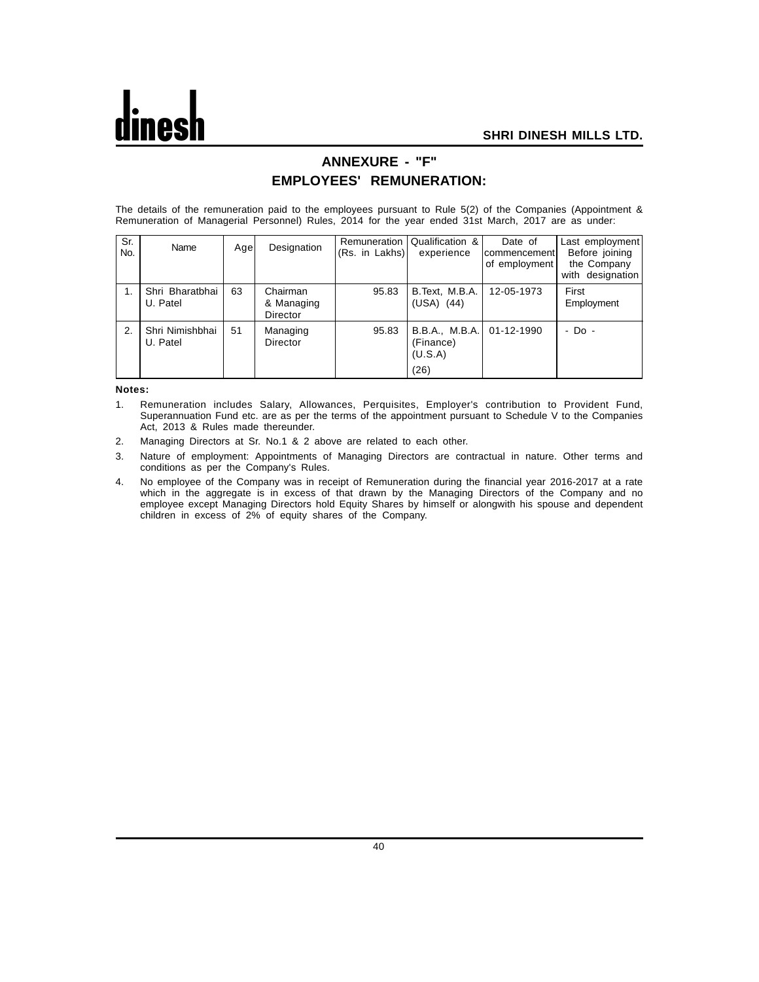## **ANNEXURE - "F" EMPLOYEES' REMUNERATION:**

The details of the remuneration paid to the employees pursuant to Rule 5(2) of the Companies (Appointment & Remuneration of Managerial Personnel) Rules, 2014 for the year ended 31st March, 2017 are as under:

| Sr.<br>No. | Name                        | Agel | Designation                        | (Rs. in Lakhs) | Remuneration   Qualification &<br>experience   | Date of<br>IcommencementI<br>of employment | Last employment<br>Before joining<br>the Company<br>with designation |
|------------|-----------------------------|------|------------------------------------|----------------|------------------------------------------------|--------------------------------------------|----------------------------------------------------------------------|
|            | Shri Bharatbhai<br>U. Patel | 63   | Chairman<br>& Managing<br>Director | 95.83          | B.Text, M.B.A.<br>$(USA)$ $(44)$               | 12-05-1973                                 | First<br>Employment                                                  |
| 2.         | Shri Nimishbhai<br>U. Patel | 51   | Managing<br>Director               | 95.83          | B.B.A., M.B.A.<br>(Finance)<br>(U.S.A)<br>(26) | 01-12-1990                                 | - Do -                                                               |

**Notes:**

- 1. Remuneration includes Salary, Allowances, Perquisites, Employer's contribution to Provident Fund, Superannuation Fund etc. are as per the terms of the appointment pursuant to Schedule V to the Companies Act, 2013 & Rules made thereunder.
- 2. Managing Directors at Sr. No.1 & 2 above are related to each other.
- 3. Nature of employment: Appointments of Managing Directors are contractual in nature. Other terms and conditions as per the Company's Rules.
- 4. No employee of the Company was in receipt of Remuneration during the financial year 2016-2017 at a rate which in the aggregate is in excess of that drawn by the Managing Directors of the Company and no employee except Managing Directors hold Equity Shares by himself or alongwith his spouse and dependent children in excess of 2% of equity shares of the Company.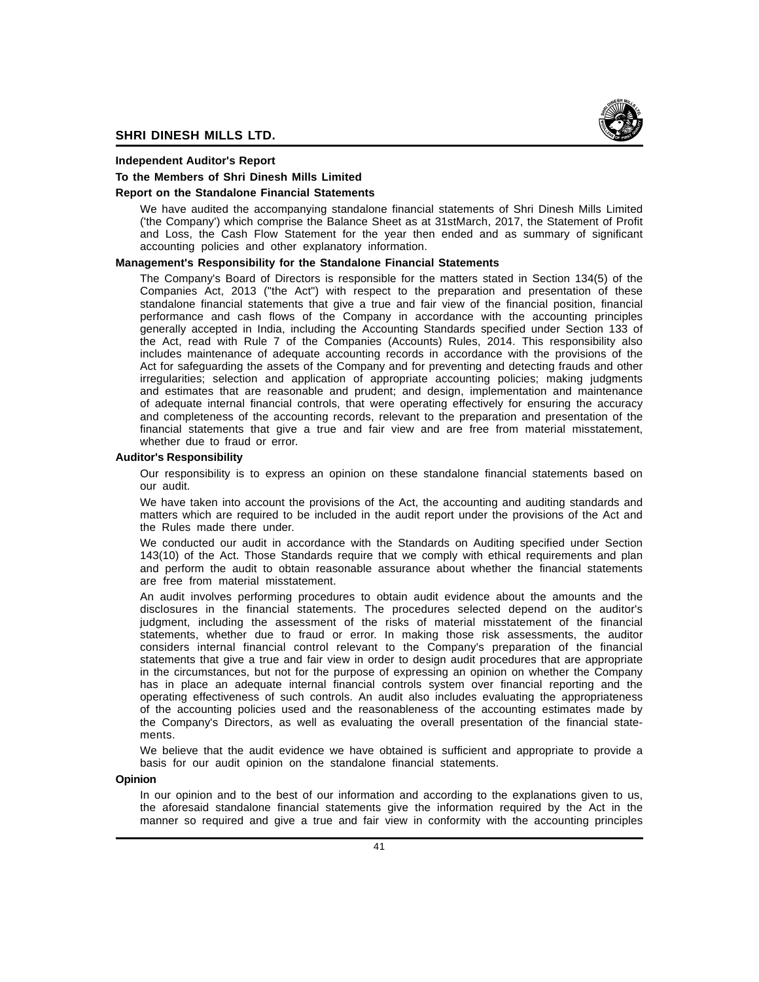

## **Independent Auditor's Report**

## **To the Members of Shri Dinesh Mills Limited**

## **Report on the Standalone Financial Statements**

We have audited the accompanying standalone financial statements of Shri Dinesh Mills Limited ('the Company') which comprise the Balance Sheet as at 31stMarch, 2017, the Statement of Profit and Loss, the Cash Flow Statement for the year then ended and as summary of significant accounting policies and other explanatory information.

## **Management's Responsibility for the Standalone Financial Statements**

The Company's Board of Directors is responsible for the matters stated in Section 134(5) of the Companies Act, 2013 ("the Act") with respect to the preparation and presentation of these standalone financial statements that give a true and fair view of the financial position, financial performance and cash flows of the Company in accordance with the accounting principles generally accepted in India, including the Accounting Standards specified under Section 133 of the Act, read with Rule 7 of the Companies (Accounts) Rules, 2014. This responsibility also includes maintenance of adequate accounting records in accordance with the provisions of the Act for safeguarding the assets of the Company and for preventing and detecting frauds and other irregularities; selection and application of appropriate accounting policies; making judgments and estimates that are reasonable and prudent; and design, implementation and maintenance of adequate internal financial controls, that were operating effectively for ensuring the accuracy and completeness of the accounting records, relevant to the preparation and presentation of the financial statements that give a true and fair view and are free from material misstatement, whether due to fraud or error.

## **Auditor's Responsibility**

Our responsibility is to express an opinion on these standalone financial statements based on our audit.

We have taken into account the provisions of the Act, the accounting and auditing standards and matters which are required to be included in the audit report under the provisions of the Act and the Rules made there under.

We conducted our audit in accordance with the Standards on Auditing specified under Section 143(10) of the Act. Those Standards require that we comply with ethical requirements and plan and perform the audit to obtain reasonable assurance about whether the financial statements are free from material misstatement.

An audit involves performing procedures to obtain audit evidence about the amounts and the disclosures in the financial statements. The procedures selected depend on the auditor's judgment, including the assessment of the risks of material misstatement of the financial statements, whether due to fraud or error. In making those risk assessments, the auditor considers internal financial control relevant to the Company's preparation of the financial statements that give a true and fair view in order to design audit procedures that are appropriate in the circumstances, but not for the purpose of expressing an opinion on whether the Company has in place an adequate internal financial controls system over financial reporting and the operating effectiveness of such controls. An audit also includes evaluating the appropriateness of the accounting policies used and the reasonableness of the accounting estimates made by the Company's Directors, as well as evaluating the overall presentation of the financial statements.

We believe that the audit evidence we have obtained is sufficient and appropriate to provide a basis for our audit opinion on the standalone financial statements.

## **Opinion**

In our opinion and to the best of our information and according to the explanations given to us, the aforesaid standalone financial statements give the information required by the Act in the manner so required and give a true and fair view in conformity with the accounting principles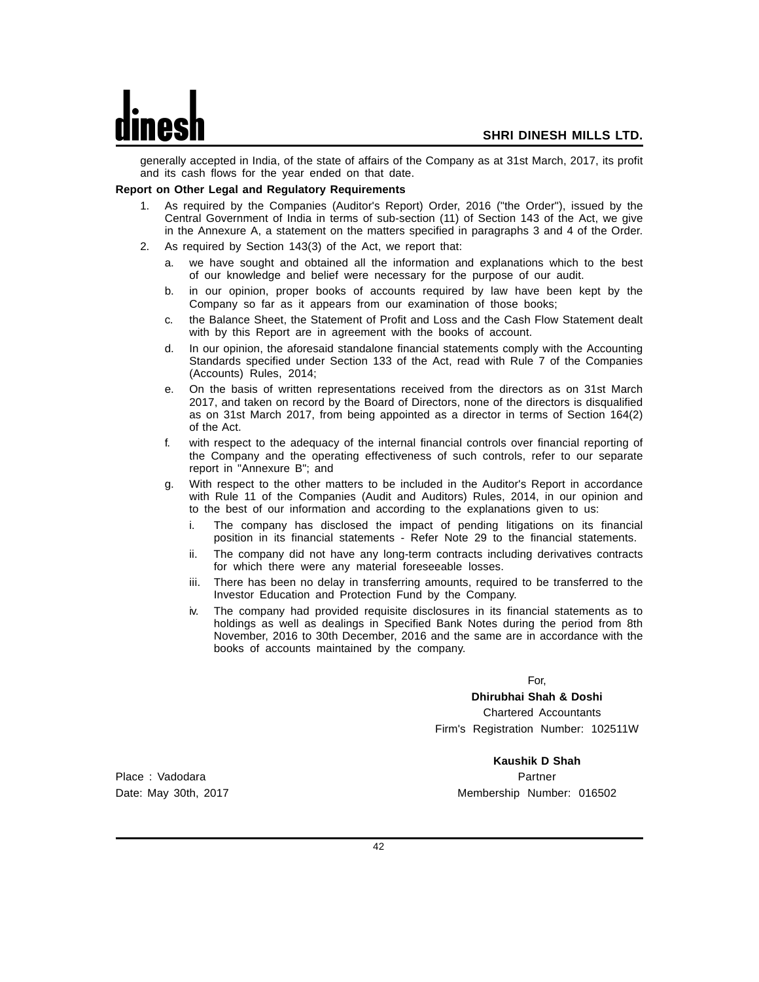generally accepted in India, of the state of affairs of the Company as at 31st March, 2017, its profit and its cash flows for the year ended on that date.

## **Report on Other Legal and Regulatory Requirements**

- 1. As required by the Companies (Auditor's Report) Order, 2016 ("the Order"), issued by the Central Government of India in terms of sub-section (11) of Section 143 of the Act, we give in the Annexure A, a statement on the matters specified in paragraphs 3 and 4 of the Order.
- 2. As required by Section 143(3) of the Act, we report that:
	- a. we have sought and obtained all the information and explanations which to the best of our knowledge and belief were necessary for the purpose of our audit.
	- b. in our opinion, proper books of accounts required by law have been kept by the Company so far as it appears from our examination of those books;
	- c. the Balance Sheet, the Statement of Profit and Loss and the Cash Flow Statement dealt with by this Report are in agreement with the books of account.
	- d. In our opinion, the aforesaid standalone financial statements comply with the Accounting Standards specified under Section 133 of the Act, read with Rule 7 of the Companies (Accounts) Rules, 2014;
	- e. On the basis of written representations received from the directors as on 31st March 2017, and taken on record by the Board of Directors, none of the directors is disqualified as on 31st March 2017, from being appointed as a director in terms of Section 164(2) of the Act.
	- f. with respect to the adequacy of the internal financial controls over financial reporting of the Company and the operating effectiveness of such controls, refer to our separate report in "Annexure B"; and
	- g. With respect to the other matters to be included in the Auditor's Report in accordance with Rule 11 of the Companies (Audit and Auditors) Rules, 2014, in our opinion and to the best of our information and according to the explanations given to us:
		- i. The company has disclosed the impact of pending litigations on its financial position in its financial statements - Refer Note 29 to the financial statements.
		- ii. The company did not have any long-term contracts including derivatives contracts for which there were any material foreseeable losses.
		- iii. There has been no delay in transferring amounts, required to be transferred to the Investor Education and Protection Fund by the Company.
		- iv. The company had provided requisite disclosures in its financial statements as to holdings as well as dealings in Specified Bank Notes during the period from 8th November, 2016 to 30th December, 2016 and the same are in accordance with the books of accounts maintained by the company.

For,

**Dhirubhai Shah & Doshi** Chartered Accountants Firm's Registration Number: 102511W

**Kaushik D Shah** Date: May 30th, 2017 Membership Number: 016502

Place : Vadodara Partner Partner Partner Partner Partner Partner Partner Partner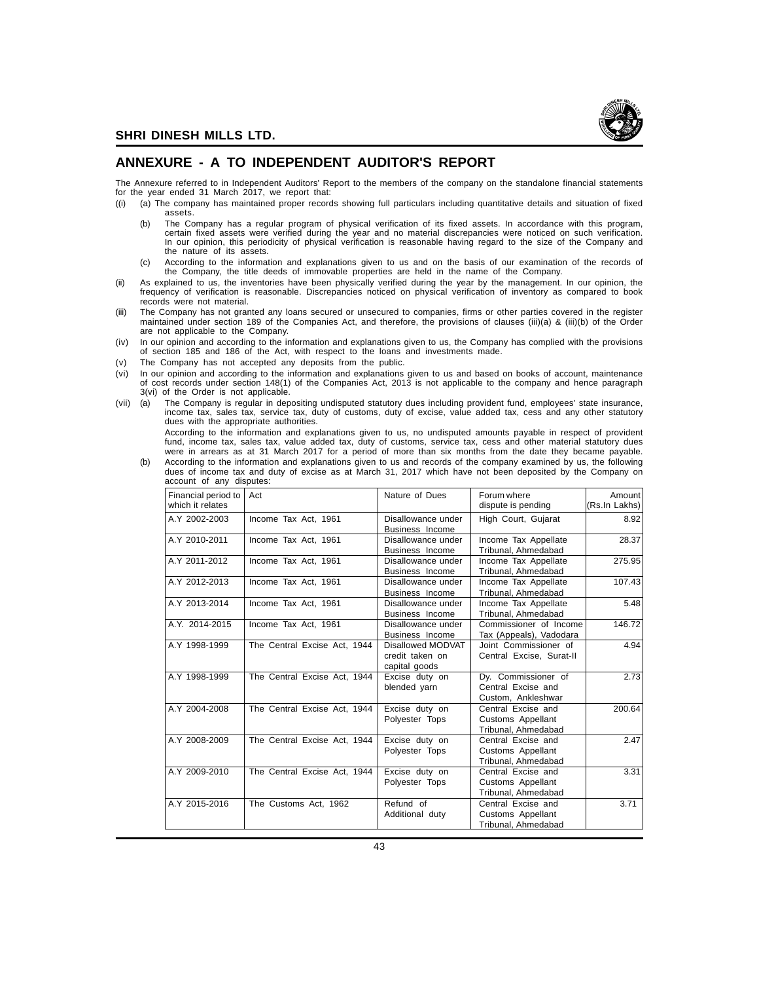## **ANNEXURE - A TO INDEPENDENT AUDITOR'S REPORT**

The Annexure referred to in Independent Auditors' Report to the members of the company on the standalone financial statements for the year ended 31 March 2017, we report that:

- ((i) (a) The company has maintained proper records showing full particulars including quantitative details and situation of fixed assets.
	- (b) The Company has a regular program of physical verification of its fixed assets. In accordance with this program,<br>certain fixed assets were verified during the year and no material discrepancies were noticed on such ver In our opinion, this periodicity of physical verification is reasonable having regard to the size of the Company and the nature of its assets.
	- (c) According to the information and explanations given to us and on the basis of our examination of the records of the Company, the title deeds of immovable properties are held in the name of the Company.
- (ii) As explained to us, the inventories have been physically verified during the year by the management. In our opinion, the frequency of verification is reasonable. Discrepancies noticed on physical verification of inventory as compared to book records were not material.
- (iii) The Company has not granted any loans secured or unsecured to companies, firms or other parties covered in the register maintained under section 189 of the Companies Act, and therefore, the provisions of clauses (iii)(a) & (iii)(b) of the Order are not applicable to the Company.
- (iv) In our opinion and according to the information and explanations given to us, the Company has complied with the provisions of section 185 and 186 of the Act, with respect to the loans and investments made.
- (v) The Company has not accepted any deposits from the public.
- (vi) In our opinion and according to the information and explanations given to us and based on books of account, maintenance<br>of cost records under section 148(1) of the Companies Act, 2013 is not applicable to the company 3(vi) of the Order is not applicable.
- (vii) (a) The Company is regular in depositing undisputed statutory dues including provident fund, employees' state insurance,<br>income tax, sales tax, service tax, duty of customs, duty of excise, value added tax, cess and dues with the appropriate authorities.

According to the information and explanations given to us, no undisputed amounts payable in respect of provident fund, income tax, sales tax, value added tax, duty of customs, service tax, cess and other material statutory dues were in arrears as at 31 March 2017 for a period of more than six months from the date they became payable. (b) According to the information and explanations given to us and records of the company examined by us, the following

dues of income tax and duty of excise as at March 31, 2017 which have not been deposited by the Company on account of any disputes:

| Financial period to<br>which it relates | Act                          | Nature of Dues                                        | Forum where<br>dispute is pending                               | Amount<br>(Rs.In Lakhs) |
|-----------------------------------------|------------------------------|-------------------------------------------------------|-----------------------------------------------------------------|-------------------------|
| A.Y 2002-2003                           | Income Tax Act, 1961         | Disallowance under<br>Business Income                 | High Court, Gujarat                                             | 8.92                    |
| A.Y 2010-2011                           | Income Tax Act. 1961         | Disallowance under<br>Business Income                 | Income Tax Appellate<br>Tribunal, Ahmedabad                     | 28.37                   |
| A.Y 2011-2012                           | Income Tax Act, 1961         | Disallowance under<br>Business Income                 | Income Tax Appellate<br>Tribunal, Ahmedabad                     | 275.95                  |
| A.Y 2012-2013                           | Income Tax Act, 1961         | Disallowance under<br>Business Income                 | Income Tax Appellate<br>Tribunal, Ahmedabad                     | 107.43                  |
| A.Y 2013-2014                           | Income Tax Act, 1961         | Disallowance under<br>Business Income                 | Income Tax Appellate<br>Tribunal, Ahmedabad                     | 5.48                    |
| A.Y. 2014-2015                          | Income Tax Act, 1961         | Disallowance under<br>Business Income                 | Commissioner of Income<br>Tax (Appeals), Vadodara               | 146.72                  |
| A.Y 1998-1999                           | The Central Excise Act, 1944 | Disallowed MODVAT<br>credit taken on<br>capital goods | Joint Commissioner of<br>Central Excise, Surat-II               | 4.94                    |
| A.Y 1998-1999                           | The Central Excise Act, 1944 | Excise duty on<br>blended yarn                        | Dy. Commissioner of<br>Central Excise and<br>Custom, Ankleshwar | 2.73                    |
| A.Y 2004-2008                           | The Central Excise Act, 1944 | Excise duty on<br>Polyester Tops                      | Central Excise and<br>Customs Appellant<br>Tribunal, Ahmedabad  | 200.64                  |
| A.Y 2008-2009                           | The Central Excise Act, 1944 | Excise duty on<br>Polyester Tops                      | Central Excise and<br>Customs Appellant<br>Tribunal, Ahmedabad  | 2.47                    |
| A.Y 2009-2010                           | The Central Excise Act, 1944 | Excise duty on<br>Polyester Tops                      | Central Excise and<br>Customs Appellant<br>Tribunal, Ahmedabad  | 3.31                    |
| A.Y 2015-2016                           | The Customs Act, 1962        | Refund of<br>Additional duty                          | Central Excise and<br>Customs Appellant<br>Tribunal, Ahmedabad  | 3.71                    |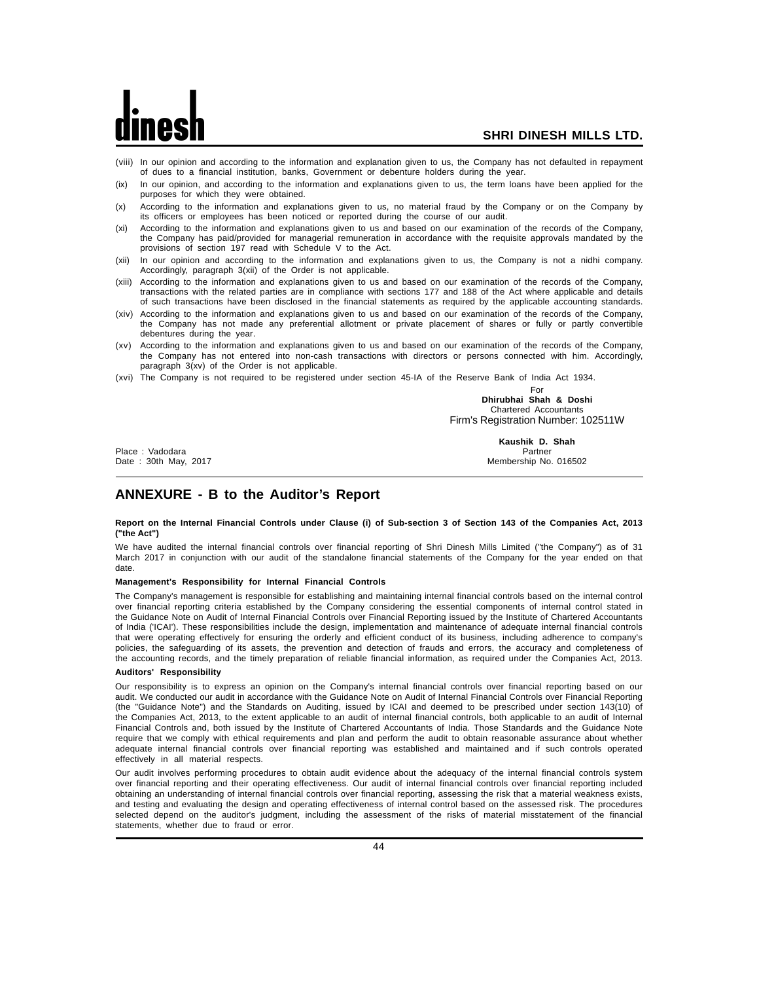- (viii) In our opinion and according to the information and explanation given to us, the Company has not defaulted in repayment of dues to a financial institution, banks, Government or debenture holders during the year.
- (ix) In our opinion, and according to the information and explanations given to us, the term loans have been applied for the purposes for which they were obtained.
- (x) According to the information and explanations given to us, no material fraud by the Company or on the Company by its officers or employees has been noticed or reported during the course of our audit.
- (xi) According to the information and explanations given to us and based on our examination of the records of the Company, the Company has paid/provided for managerial remuneration in accordance with the requisite approvals mandated by the provisions of section 197 read with Schedule V to the Act.
- (xii) In our opinion and according to the information and explanations given to us, the Company is not a nidhi company. Accordingly, paragraph 3(xii) of the Order is not applicable.
- (xiii) According to the information and explanations given to us and based on our examination of the records of the Company, transactions with the related parties are in compliance with sections 177 and 188 of the Act where applicable and details of such transactions have been disclosed in the financial statements as required by the applicable accounting standards.
- (xiv) According to the information and explanations given to us and based on our examination of the records of the Company, the Company has not made any preferential allotment or private placement of shares or fully or partly convertible debentures during the year.
- (xv) According to the information and explanations given to us and based on our examination of the records of the Company, the Company has not entered into non-cash transactions with directors or persons connected with him. Accordingly, paragraph 3(xv) of the Order is not applicable.
- (xvi) The Company is not required to be registered under section 45-IA of the Reserve Bank of India Act 1934.

For **Dhirubhai Shah & Doshi** Chartered Accountants Firm's Registration Number: 102511W

Place : Vadodara Partner

**Kaushik D. Shah** Membership No. 016502

## **ANNEXURE - B to the Auditor's Report**

## **Report on the Internal Financial Controls under Clause (i) of Sub-section 3 of Section 143 of the Companies Act, 2013 ("the Act")**

We have audited the internal financial controls over financial reporting of Shri Dinesh Mills Limited ("the Company") as of 31 March 2017 in conjunction with our audit of the standalone financial statements of the Company for the year ended on that date.

## **Management's Responsibility for Internal Financial Controls**

The Company's management is responsible for establishing and maintaining internal financial controls based on the internal control over financial reporting criteria established by the Company considering the essential components of internal control stated in the Guidance Note on Audit of Internal Financial Controls over Financial Reporting issued by the Institute of Chartered Accountants of India ('ICAI'). These responsibilities include the design, implementation and maintenance of adequate internal financial controls that were operating effectively for ensuring the orderly and efficient conduct of its business, including adherence to company's policies, the safeguarding of its assets, the prevention and detection of frauds and errors, the accuracy and completeness of the accounting records, and the timely preparation of reliable financial information, as required under the Companies Act, 2013.

## **Auditors' Responsibility**

Our responsibility is to express an opinion on the Company's internal financial controls over financial reporting based on our audit. We conducted our audit in accordance with the Guidance Note on Audit of Internal Financial Controls over Financial Reporting (the "Guidance Note") and the Standards on Auditing, issued by ICAI and deemed to be prescribed under section 143(10) of the Companies Act, 2013, to the extent applicable to an audit of internal financial controls, both applicable to an audit of Internal Financial Controls and, both issued by the Institute of Chartered Accountants of India. Those Standards and the Guidance Note require that we comply with ethical requirements and plan and perform the audit to obtain reasonable assurance about whether adequate internal financial controls over financial reporting was established and maintained and if such controls operated effectively in all material respects.

Our audit involves performing procedures to obtain audit evidence about the adequacy of the internal financial controls system over financial reporting and their operating effectiveness. Our audit of internal financial controls over financial reporting included obtaining an understanding of internal financial controls over financial reporting, assessing the risk that a material weakness exists, and testing and evaluating the design and operating effectiveness of internal control based on the assessed risk. The procedures selected depend on the auditor's judgment, including the assessment of the risks of material misstatement of the financial statements, whether due to fraud or error.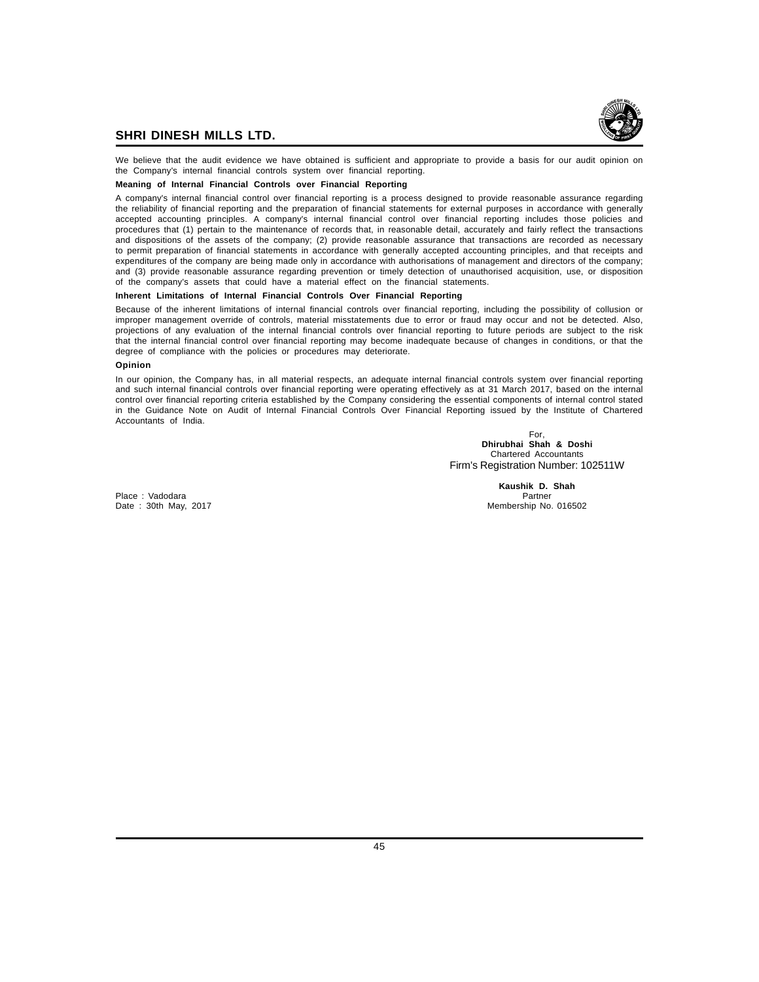

We believe that the audit evidence we have obtained is sufficient and appropriate to provide a basis for our audit opinion on the Company's internal financial controls system over financial reporting.

## **Meaning of Internal Financial Controls over Financial Reporting**

A company's internal financial control over financial reporting is a process designed to provide reasonable assurance regarding the reliability of financial reporting and the preparation of financial statements for external purposes in accordance with generally accepted accounting principles. A company's internal financial control over financial reporting includes those policies and procedures that (1) pertain to the maintenance of records that, in reasonable detail, accurately and fairly reflect the transactions and dispositions of the assets of the company; (2) provide reasonable assurance that transactions are recorded as necessary to permit preparation of financial statements in accordance with generally accepted accounting principles, and that receipts and expenditures of the company are being made only in accordance with authorisations of management and directors of the company; and (3) provide reasonable assurance regarding prevention or timely detection of unauthorised acquisition, use, or disposition of the company's assets that could have a material effect on the financial statements.

## **Inherent Limitations of Internal Financial Controls Over Financial Reporting**

Because of the inherent limitations of internal financial controls over financial reporting, including the possibility of collusion or improper management override of controls, material misstatements due to error or fraud may occur and not be detected. Also, projections of any evaluation of the internal financial controls over financial reporting to future periods are subject to the risk that the internal financial control over financial reporting may become inadequate because of changes in conditions, or that the degree of compliance with the policies or procedures may deteriorate.

## **Opinion**

In our opinion, the Company has, in all material respects, an adequate internal financial controls system over financial reporting and such internal financial controls over financial reporting were operating effectively as at 31 March 2017, based on the internal control over financial reporting criteria established by the Company considering the essential components of internal control stated in the Guidance Note on Audit of Internal Financial Controls Over Financial Reporting issued by the Institute of Chartered Accountants of India.

> For, **Dhirubhai Shah & Doshi** Chartered Accountants Firm's Registration Number: 102511W

Place : Vadodara Date : 30th May, 2017 **Membership No. 016502** 

**Kaushik D. Shah**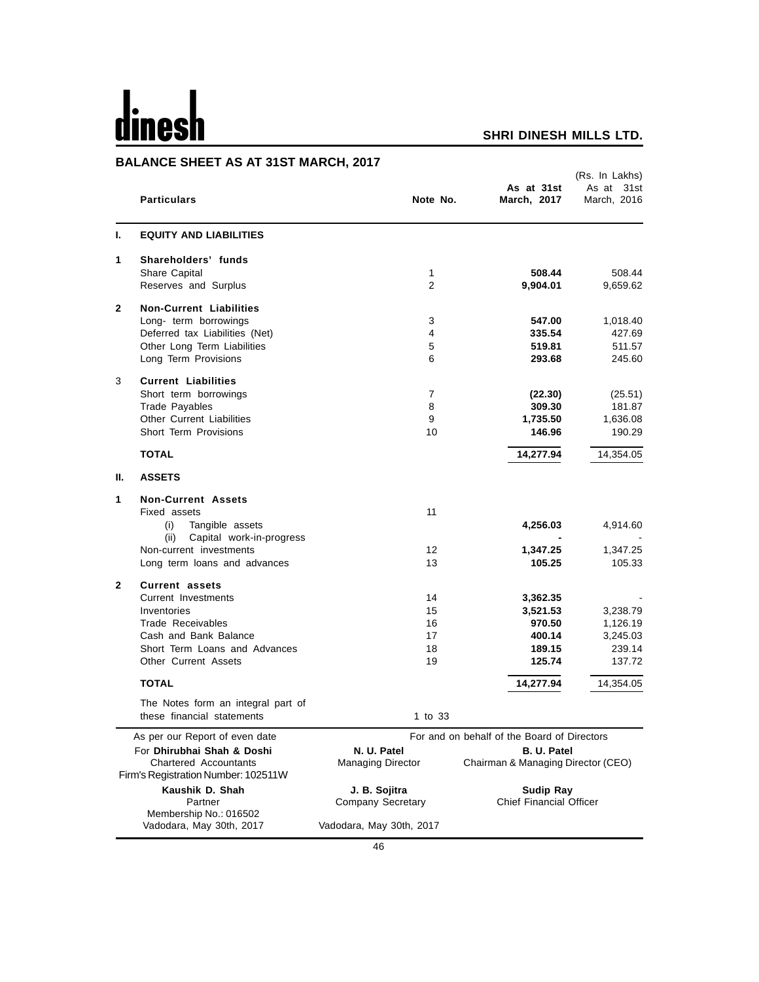# dinesh

## **SHRI DINESH MILLS LTD.**

## **BALANCE SHEET AS AT 31ST MARCH, 2017**

|              | L UILLI AU AI 9101 MARUI, 4<br><b>Particulars</b>                                                                                                                                | Note No.                                                 | As at 31st<br>March, 2017                                                                                            | (Rs. In Lakhs)<br>As at<br>31st<br>March. 2016       |
|--------------|----------------------------------------------------------------------------------------------------------------------------------------------------------------------------------|----------------------------------------------------------|----------------------------------------------------------------------------------------------------------------------|------------------------------------------------------|
| ı.           | <b>EQUITY AND LIABILITIES</b>                                                                                                                                                    |                                                          |                                                                                                                      |                                                      |
| 1            | Shareholders' funds<br>Share Capital<br>Reserves and Surplus                                                                                                                     | 1<br>$\overline{2}$                                      | 508.44<br>9,904.01                                                                                                   | 508.44<br>9,659.62                                   |
| 2            | <b>Non-Current Liabilities</b><br>Long- term borrowings<br>Deferred tax Liabilities (Net)<br>Other Long Term Liabilities<br>Long Term Provisions                                 | 3<br>4<br>5<br>6                                         | 547.00<br>335.54<br>519.81<br>293.68                                                                                 | 1,018.40<br>427.69<br>511.57<br>245.60               |
| 3            | <b>Current Liabilities</b><br>Short term borrowings<br><b>Trade Payables</b><br><b>Other Current Liabilities</b><br>Short Term Provisions                                        | $\overline{7}$<br>8<br>9<br>10                           | (22.30)<br>309.30<br>1,735.50<br>146.96                                                                              | (25.51)<br>181.87<br>1,636.08<br>190.29              |
|              | <b>TOTAL</b>                                                                                                                                                                     |                                                          | 14,277.94                                                                                                            | 14,354.05                                            |
| Ш.           | <b>ASSETS</b>                                                                                                                                                                    |                                                          |                                                                                                                      |                                                      |
| 1            | <b>Non-Current Assets</b><br>Fixed assets<br>(i)<br>Tangible assets<br>Capital work-in-progress<br>(ii)<br>Non-current investments<br>Long term loans and advances               | 11<br>$12 \overline{ }$<br>13                            | 4,256.03<br>1,347.25<br>105.25                                                                                       | 4,914.60<br>1,347.25<br>105.33                       |
| $\mathbf{2}$ | <b>Current assets</b><br><b>Current Investments</b><br>Inventories<br>Trade Receivables<br>Cash and Bank Balance<br>Short Term Loans and Advances<br><b>Other Current Assets</b> | 14<br>15<br>16<br>17<br>18<br>19                         | 3,362.35<br>3,521.53<br>970.50<br>400.14<br>189.15<br>125.74                                                         | 3,238.79<br>1,126.19<br>3,245.03<br>239.14<br>137.72 |
|              | <b>TOTAL</b>                                                                                                                                                                     |                                                          | 14,277.94                                                                                                            | 14,354.05                                            |
|              | The Notes form an integral part of<br>these financial statements                                                                                                                 | 1 to 33                                                  |                                                                                                                      |                                                      |
|              | As per our Report of even date<br>For Dhirubhai Shah & Doshi<br><b>Chartered Accountants</b><br>Firm's Registration Number: 102511W<br>Kaushik D. Shah                           | N. U. Patel<br><b>Managing Director</b><br>J. B. Sojitra | For and on behalf of the Board of Directors<br>B. U. Patel<br>Chairman & Managing Director (CEO)<br><b>Sudip Ray</b> |                                                      |
|              | Partner<br>Membership No.: 016502<br>Vadodara, May 30th, 2017                                                                                                                    | Company Secretary<br>Vadodara, May 30th, 2017            | <b>Chief Financial Officer</b>                                                                                       |                                                      |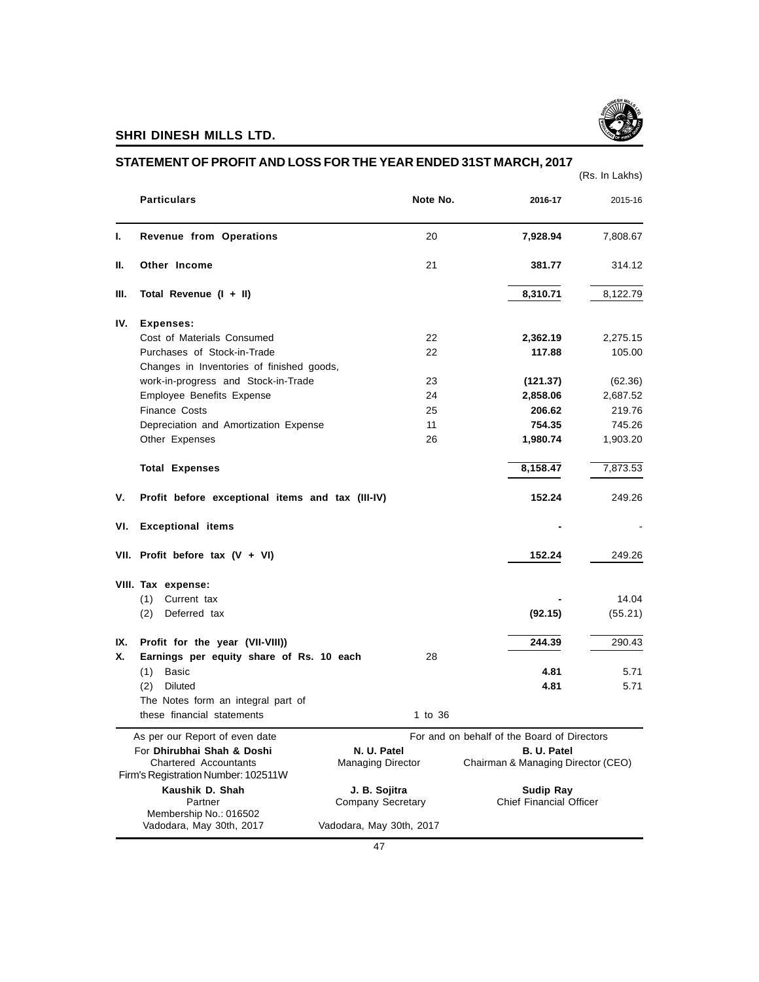

|                                                              |                          |                                             | (Rs. In Lakhs) |
|--------------------------------------------------------------|--------------------------|---------------------------------------------|----------------|
| <b>Particulars</b>                                           | Note No.                 | 2016-17                                     | 2015-16        |
| Revenue from Operations                                      | 20                       | 7,928.94                                    | 7,808.67       |
| Other Income<br>Н.                                           | 21                       | 381.77                                      | 314.12         |
| Total Revenue (I + II)<br>III.                               |                          | 8,310.71                                    | 8,122.79       |
| IV.<br><b>Expenses:</b>                                      |                          |                                             |                |
| Cost of Materials Consumed                                   | 22                       | 2,362.19                                    | 2,275.15       |
| Purchases of Stock-in-Trade                                  | 22                       | 117.88                                      | 105.00         |
| Changes in Inventories of finished goods,                    |                          |                                             |                |
| work-in-progress and Stock-in-Trade                          | 23                       | (121.37)                                    | (62.36)        |
| Employee Benefits Expense                                    | 24                       | 2,858.06                                    | 2,687.52       |
| Finance Costs                                                | 25                       | 206.62                                      | 219.76         |
| Depreciation and Amortization Expense                        | 11                       | 754.35                                      | 745.26         |
| Other Expenses                                               | 26                       | 1,980.74                                    | 1,903.20       |
| <b>Total Expenses</b>                                        |                          | 8,158.47                                    | 7,873.53       |
| Profit before exceptional items and tax (III-IV)<br>۷.       |                          | 152.24                                      | 249.26         |
| <b>Exceptional items</b><br>VI.                              |                          |                                             |                |
| VII. Profit before tax $(V + VI)$                            |                          | 152.24                                      | 249.26         |
| VIII. Tax expense:                                           |                          |                                             |                |
| (1)<br>Current tax                                           |                          |                                             | 14.04          |
| Deferred tax<br>(2)                                          |                          | (92.15)                                     | (55.21)        |
| Profit for the year (VII-VIII))<br>IX.                       |                          | 244.39                                      | 290.43         |
| Х.<br>Earnings per equity share of Rs. 10 each               | 28                       |                                             |                |
| <b>Basic</b><br>(1)                                          |                          | 4.81                                        | 5.71           |
| Diluted<br>(2)                                               |                          | 4.81                                        | 5.71           |
| The Notes form an integral part of                           |                          |                                             |                |
| these financial statements                                   | 1 to 36                  |                                             |                |
| As per our Report of even date                               |                          | For and on behalf of the Board of Directors |                |
| For Dhirubhai Shah & Doshi                                   | N. U. Patel              | <b>B. U. Patel</b>                          |                |
| Chartered Accountants<br>Firm's Registration Number: 102511W | <b>Managing Director</b> | Chairman & Managing Director (CEO)          |                |
| Kaushik D. Shah                                              | J. B. Sojitra            | <b>Sudip Ray</b>                            |                |
| Partner                                                      | Company Secretary        | <b>Chief Financial Officer</b>              |                |
| Membership No.: 016502                                       |                          |                                             |                |
| Vadodara, May 30th, 2017                                     | Vadodara, May 30th, 2017 |                                             |                |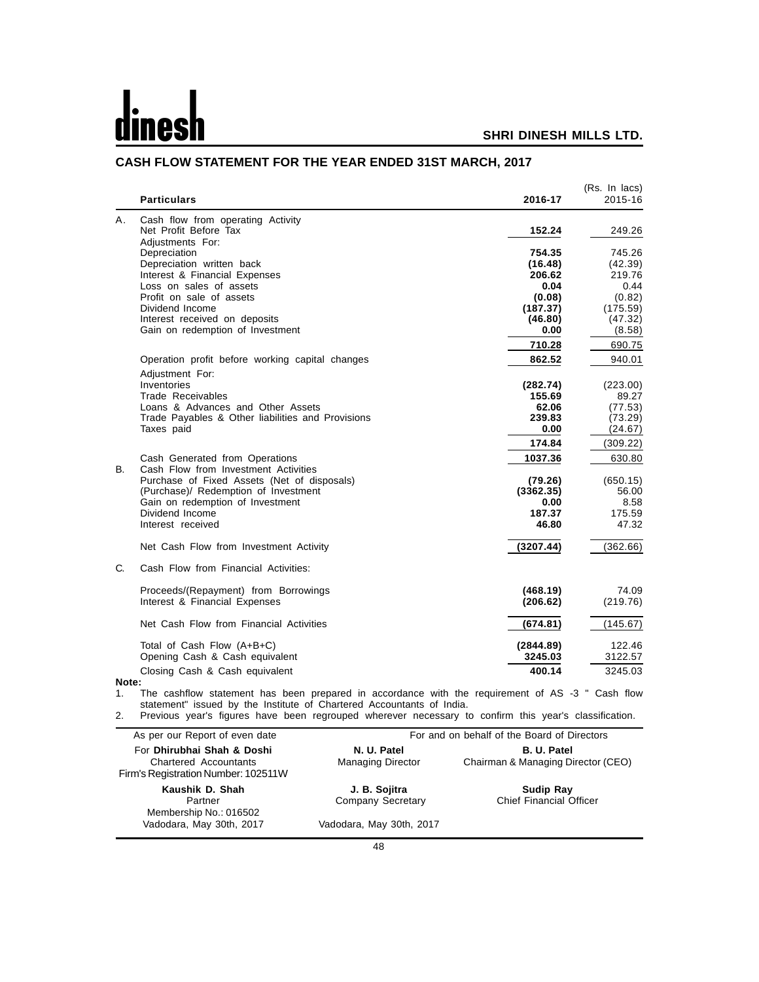# d nes

## **SHRI DINESH MILLS LTD.**

|    | <b>Particulars</b>                                | 2016-17   | (Rs. In lacs)<br>2015-16 |
|----|---------------------------------------------------|-----------|--------------------------|
| А. | Cash flow from operating Activity                 |           |                          |
|    | Net Profit Before Tax                             | 152.24    | 249.26                   |
|    | Adjustments For:                                  | 754.35    | 745.26                   |
|    | Depreciation<br>Depreciation written back         | (16.48)   | (42.39)                  |
|    | Interest & Financial Expenses                     | 206.62    | 219.76                   |
|    | Loss on sales of assets                           | 0.04      | 0.44                     |
|    | Profit on sale of assets                          | (0.08)    | (0.82)                   |
|    | Dividend Income                                   | (187.37)  | (175.59)                 |
|    | Interest received on deposits                     | (46.80)   | (47.32)                  |
|    | Gain on redemption of Investment                  | 0.00      | (8.58)                   |
|    |                                                   | 710.28    | 690.75                   |
|    | Operation profit before working capital changes   | 862.52    | 940.01                   |
|    | Adjustment For:                                   |           |                          |
|    | Inventories                                       | (282.74)  | (223.00)                 |
|    | Trade Receivables                                 | 155.69    | 89.27                    |
|    | Loans & Advances and Other Assets                 | 62.06     | (77.53)                  |
|    | Trade Payables & Other liabilities and Provisions | 239.83    | (73.29)                  |
|    | Taxes paid                                        | 0.00      | (24.67)                  |
|    |                                                   | 174.84    | (309.22)                 |
|    | Cash Generated from Operations                    | 1037.36   | 630.80                   |
| В. | Cash Flow from Investment Activities              |           |                          |
|    | Purchase of Fixed Assets (Net of disposals)       | (79.26)   | (650.15)                 |
|    | (Purchase)/ Redemption of Investment              | (3362.35) | 56.00                    |
|    | Gain on redemption of Investment                  | 0.00      | 8.58                     |
|    | Dividend Income                                   | 187.37    | 175.59                   |
|    | Interest received                                 | 46.80     | 47.32                    |
|    | Net Cash Flow from Investment Activity            | (3207.44) | (362.66)                 |
| C. | Cash Flow from Financial Activities:              |           |                          |
|    | Proceeds/(Repayment) from Borrowings              | (468.19)  | 74.09                    |
|    | Interest & Financial Expenses                     | (206.62)  | (219.76)                 |
|    | Net Cash Flow from Financial Activities           | (674.81)  | (145.67)                 |
|    | Total of Cash Flow (A+B+C)                        | (2844.89) | 122.46                   |
|    | Opening Cash & Cash equivalent                    | 3245.03   | 3122.57                  |
|    | Closing Cash & Cash equivalent                    | 400.14    | 3245.03                  |

## **CASH FLOW STATEMENT FOR THE YEAR ENDED 31ST MARCH, 2017**

1. The cashflow statement has been prepared in accordance with the requirement of AS -3 " Cash flow statement" issued by the Institute of Chartered Accountants of India.

2. Previous year's figures have been regrouped wherever necessary to confirm this year's classification.

| As per our Report of even date                                                             | For and on behalf of the Board of Directors |                                                          |  |
|--------------------------------------------------------------------------------------------|---------------------------------------------|----------------------------------------------------------|--|
| For Dhirubhai Shah & Doshi<br>Chartered Accountants<br>Firm's Registration Number: 102511W | N. U. Patel<br><b>Managing Director</b>     | <b>B. U. Patel</b><br>Chairman & Managing Director (CEO) |  |
| Kaushik D. Shah<br>Partner<br>Membership No.: 016502                                       | J. B. Sojitra<br>Company Secretary          | <b>Sudip Ray</b><br><b>Chief Financial Officer</b>       |  |
| Vadodara, May 30th, 2017                                                                   | Vadodara, May 30th, 2017                    |                                                          |  |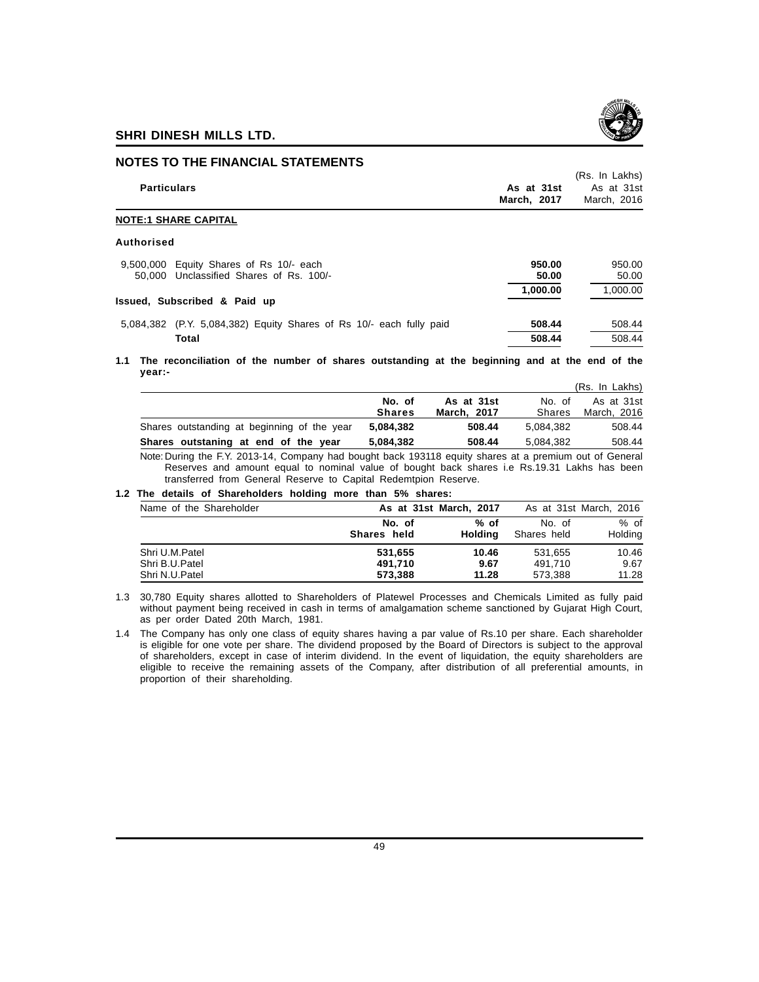

## **NOTES TO THE FINANCIAL STATEMENTS**

| <b>Particulars</b>                                                                 | As at 31st<br>March, 2017 | (Rs. In Lakhs)<br>As at 31st<br>March, 2016 |
|------------------------------------------------------------------------------------|---------------------------|---------------------------------------------|
| <b>NOTE:1 SHARE CAPITAL</b>                                                        |                           |                                             |
| Authorised                                                                         |                           |                                             |
| 9,500,000 Equity Shares of Rs 10/- each<br>50,000 Unclassified Shares of Rs. 100/- | 950.00<br>50.00           | 950.00<br>50.00                             |
| Issued, Subscribed & Paid up                                                       | 1,000.00                  | 1,000.00                                    |
| 5,084,382 (P.Y. 5,084,382) Equity Shares of Rs 10/- each fully paid                | 508.44                    | 508.44                                      |
| Total                                                                              | 508.44                    | 508.44                                      |

**1.1 The reconciliation of the number of shares outstanding at the beginning and at the end of the year:-**

|                                             |                         |                           |                         | (Rs. In Lakhs)            |
|---------------------------------------------|-------------------------|---------------------------|-------------------------|---------------------------|
|                                             | No. of<br><b>Shares</b> | As at 31st<br>March. 2017 | No. of<br><b>Shares</b> | As at 31st<br>March, 2016 |
| Shares outstanding at beginning of the year | 5.084.382               | 508.44                    | 5.084.382               | 508.44                    |
| Shares outstaning at end of the year        | 5.084.382               | 508.44                    | 5.084.382               | 508.44                    |

Note: During the F.Y. 2013-14, Company had bought back 193118 equity shares at a premium out of General Reserves and amount equal to nominal value of bought back shares i.e Rs.19.31 Lakhs has been transferred from General Reserve to Capital Redemtpion Reserve.

## **1.2 The details of Shareholders holding more than 5% shares:**

| Name of the Shareholder | As at 31st March, 2017 |         | As at 31st March, 2016 |         |
|-------------------------|------------------------|---------|------------------------|---------|
|                         | No. of                 | % of    | No. of                 | $%$ of  |
|                         | Shares held            | Holdina | Shares held            | Holding |
| Shri U.M.Patel          | 531.655                | 10.46   | 531.655                | 10.46   |
| Shri B.U.Patel          | 491.710                | 9.67    | 491.710                | 9.67    |
| Shri N.U.Patel          | 573.388                | 11.28   | 573.388                | 11.28   |

1.3 30,780 Equity shares allotted to Shareholders of Platewel Processes and Chemicals Limited as fully paid without payment being received in cash in terms of amalgamation scheme sanctioned by Gujarat High Court, as per order Dated 20th March, 1981.

1.4 The Company has only one class of equity shares having a par value of Rs.10 per share. Each shareholder is eligible for one vote per share. The dividend proposed by the Board of Directors is subject to the approval of shareholders, except in case of interim dividend. In the event of liquidation, the equity shareholders are eligible to receive the remaining assets of the Company, after distribution of all preferential amounts, in proportion of their shareholding.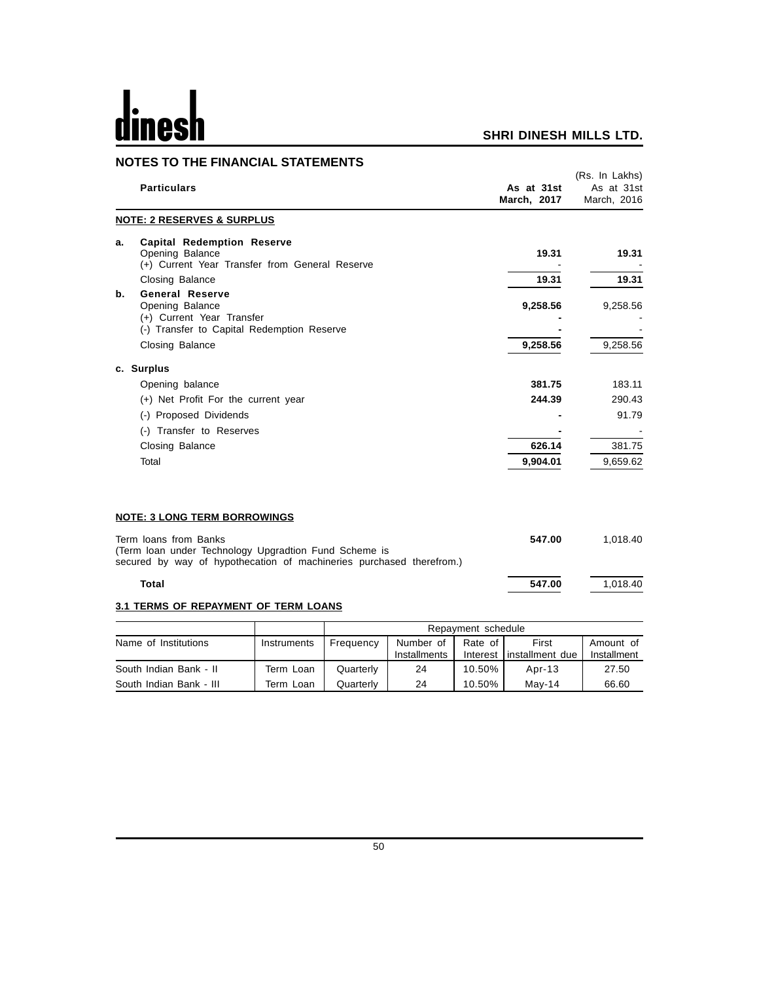# $\mathbf{h}$ dines

|    | <b>NOTES TO THE FINANCIAL STATEMENTS</b>                                                                                                               |                                        |                                                 |
|----|--------------------------------------------------------------------------------------------------------------------------------------------------------|----------------------------------------|-------------------------------------------------|
|    | <b>Particulars</b>                                                                                                                                     | As at 31st<br>March, 2017              | (Rs. In Lakhs)<br>As at 31st<br>March, 2016     |
|    | <b>NOTE: 2 RESERVES &amp; SURPLUS</b>                                                                                                                  |                                        |                                                 |
| a. | <b>Capital Redemption Reserve</b><br>Opening Balance<br>(+) Current Year Transfer from General Reserve                                                 | 19.31                                  | 19.31                                           |
|    | <b>Closing Balance</b>                                                                                                                                 | 19.31                                  | 19.31                                           |
| b. | <b>General Reserve</b><br>Opening Balance<br>(+) Current Year Transfer<br>(-) Transfer to Capital Redemption Reserve                                   | 9,258.56                               | 9,258.56                                        |
|    | Closing Balance                                                                                                                                        | 9,258.56                               | 9,258.56                                        |
|    | c. Surplus<br>Opening balance<br>(+) Net Profit For the current year<br>(-) Proposed Dividends<br>(-) Transfer to Reserves<br>Closing Balance<br>Total | 381.75<br>244.39<br>626.14<br>9,904.01 | 183.11<br>290.43<br>91.79<br>381.75<br>9,659.62 |
|    | <b>NOTE: 3 LONG TERM BORROWINGS</b>                                                                                                                    |                                        |                                                 |
|    | Term loans from Banks<br>(Term loan under Technology Upgradtion Fund Scheme is<br>secured by way of hypothecation of machineries purchased therefrom.) | 547.00                                 | 1,018.40                                        |
|    | <b>Total</b>                                                                                                                                           | 547.00                                 | 1,018.40                                        |
|    | <b>3.1 TERMS OF REPAYMENT OF TERM LOANS</b>                                                                                                            |                                        |                                                 |

|                         |             | Repayment schedule |                           |                     |                            |                          |  |
|-------------------------|-------------|--------------------|---------------------------|---------------------|----------------------------|--------------------------|--|
| Name of Institutions    | Instruments | Frequency          | Number of<br>Installments | Rate of<br>Interest | First<br>l installment due | Amount of<br>Installment |  |
| South Indian Bank - II  | Term Loan   | Quarterly          | 24                        | 10.50%              | Apr-13                     | 27.50                    |  |
| South Indian Bank - III | Term Loan   | Quarterlv          | 24                        | 10.50%              | Mav-14                     | 66.60                    |  |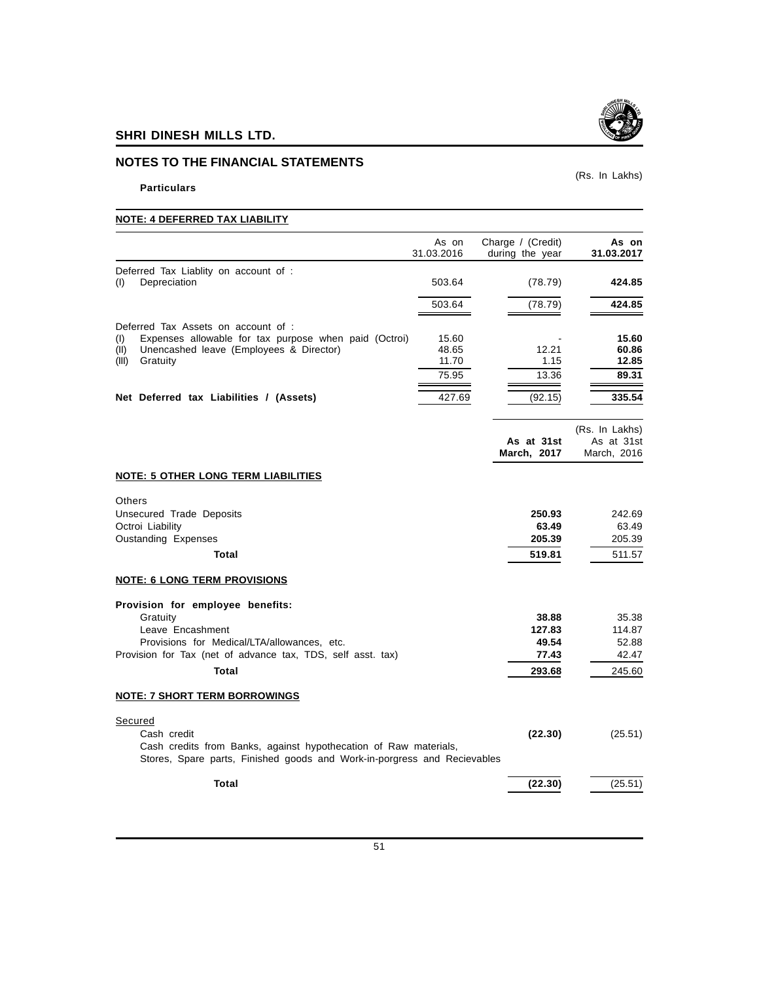## **NOTES TO THE FINANCIAL STATEMENTS**

## **Particulars**

(Rs. In Lakhs)

## **NOTE: 4 DEFERRED TAX LIABILITY**

|                                                                                                                                              | As on<br>31.03.2016 | Charge / (Credit)<br>during the year | As on<br>31.03.2017 |
|----------------------------------------------------------------------------------------------------------------------------------------------|---------------------|--------------------------------------|---------------------|
| Deferred Tax Liablity on account of :                                                                                                        |                     |                                      |                     |
| Depreciation<br>(1)                                                                                                                          | 503.64              | (78.79)                              | 424.85              |
|                                                                                                                                              | 503.64              | (78.79)                              | 424.85              |
| Deferred Tax Assets on account of :                                                                                                          |                     |                                      |                     |
| Expenses allowable for tax purpose when paid (Octroi)<br>(1)                                                                                 | 15.60               |                                      | 15.60               |
| Unencashed leave (Employees & Director)<br>(II)<br>Gratuity<br>(III)                                                                         | 48.65<br>11.70      | 12.21<br>1.15                        | 60.86<br>12.85      |
|                                                                                                                                              | 75.95               | 13.36                                | 89.31               |
|                                                                                                                                              |                     |                                      |                     |
| Net Deferred tax Liabilities / (Assets)                                                                                                      | 427.69              | (92.15)                              | 335.54              |
|                                                                                                                                              |                     |                                      | (Rs. In Lakhs)      |
|                                                                                                                                              |                     | As at 31st                           | As at 31st          |
|                                                                                                                                              |                     | March, 2017                          | March, 2016         |
| <b>NOTE: 5 OTHER LONG TERM LIABILITIES</b>                                                                                                   |                     |                                      |                     |
| Others                                                                                                                                       |                     |                                      |                     |
| Unsecured Trade Deposits                                                                                                                     |                     | 250.93                               | 242.69              |
| Octroi Liability                                                                                                                             |                     | 63.49                                | 63.49               |
| Oustanding Expenses                                                                                                                          |                     | 205.39                               | 205.39              |
| Total                                                                                                                                        |                     | 519.81                               | 511.57              |
| <b>NOTE: 6 LONG TERM PROVISIONS</b>                                                                                                          |                     |                                      |                     |
| Provision for employee benefits:                                                                                                             |                     |                                      |                     |
| Gratuity                                                                                                                                     |                     | 38.88                                | 35.38               |
| Leave Encashment                                                                                                                             |                     | 127.83                               | 114.87              |
| Provisions for Medical/LTA/allowances, etc.                                                                                                  |                     | 49.54                                | 52.88               |
| Provision for Tax (net of advance tax, TDS, self asst. tax)                                                                                  |                     | 77.43                                | 42.47               |
| <b>Total</b>                                                                                                                                 |                     | 293.68                               | 245.60              |
| <b>NOTE: 7 SHORT TERM BORROWINGS</b>                                                                                                         |                     |                                      |                     |
| Secured                                                                                                                                      |                     |                                      |                     |
| Cash credit                                                                                                                                  |                     | (22.30)                              | (25.51)             |
| Cash credits from Banks, against hypothecation of Raw materials,<br>Stores, Spare parts, Finished goods and Work-in-porgress and Recievables |                     |                                      |                     |
| <b>Total</b>                                                                                                                                 |                     | (22.30)                              | (25.51)             |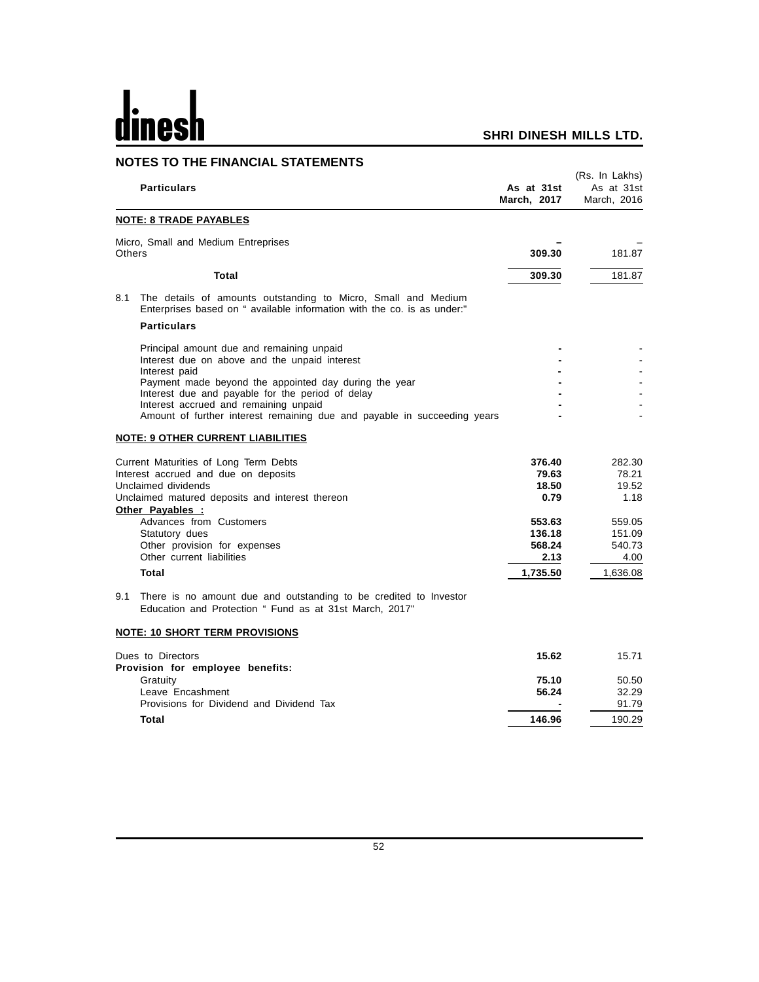# dines  $\mathbf h$

## **SHRI DINESH MILLS LTD.**

## **NOTES TO THE FINANCIAL STATEMENTS**

|        | <b>Particulars</b>                                                                                                                                                                                                                                                                    | As at 31st<br>March, 2017                                              | (Rs. In Lakhs)<br>As at 31st<br>March, 2016                            |
|--------|---------------------------------------------------------------------------------------------------------------------------------------------------------------------------------------------------------------------------------------------------------------------------------------|------------------------------------------------------------------------|------------------------------------------------------------------------|
|        | <u>NOTE: 8 TRADE PAYABLES</u>                                                                                                                                                                                                                                                         |                                                                        |                                                                        |
| Others | Micro, Small and Medium Entreprises                                                                                                                                                                                                                                                   | 309.30                                                                 | 181.87                                                                 |
|        | Total                                                                                                                                                                                                                                                                                 | 309.30                                                                 | 181.87                                                                 |
| 8.1    | The details of amounts outstanding to Micro, Small and Medium<br>Enterprises based on " available information with the co. is as under:"                                                                                                                                              |                                                                        |                                                                        |
|        | <b>Particulars</b>                                                                                                                                                                                                                                                                    |                                                                        |                                                                        |
|        | Principal amount due and remaining unpaid<br>Interest due on above and the unpaid interest<br>Interest paid                                                                                                                                                                           |                                                                        |                                                                        |
|        | Payment made beyond the appointed day during the year<br>Interest due and payable for the period of delay<br>Interest accrued and remaining unpaid                                                                                                                                    |                                                                        |                                                                        |
|        | Amount of further interest remaining due and payable in succeeding years<br><b>NOTE: 9 OTHER CURRENT LIABILITIES</b>                                                                                                                                                                  |                                                                        |                                                                        |
|        | Current Maturities of Long Term Debts<br>Interest accrued and due on deposits<br>Unclaimed dividends<br>Unclaimed matured deposits and interest thereon<br>Other Payables :<br>Advances from Customers<br>Statutory dues<br>Other provision for expenses<br>Other current liabilities | 376.40<br>79.63<br>18.50<br>0.79<br>553.63<br>136.18<br>568.24<br>2.13 | 282.30<br>78.21<br>19.52<br>1.18<br>559.05<br>151.09<br>540.73<br>4.00 |
|        | <b>Total</b>                                                                                                                                                                                                                                                                          | 1,735.50                                                               | 1,636.08                                                               |
| 9.1    | There is no amount due and outstanding to be credited to Investor<br>Education and Protection " Fund as at 31st March, 2017"                                                                                                                                                          |                                                                        |                                                                        |
|        | <b>NOTE: 10 SHORT TERM PROVISIONS</b>                                                                                                                                                                                                                                                 |                                                                        |                                                                        |
|        | Dues to Directors<br>Provision for employee benefits:                                                                                                                                                                                                                                 | 15.62                                                                  | 15.71                                                                  |
|        | Gratuity                                                                                                                                                                                                                                                                              | 75.10                                                                  | 50.50                                                                  |
|        | Leave Encashment<br>Provisions for Dividend and Dividend Tax                                                                                                                                                                                                                          | 56.24                                                                  | 32.29<br>91.79                                                         |
|        | Total                                                                                                                                                                                                                                                                                 | 146.96                                                                 | 190.29                                                                 |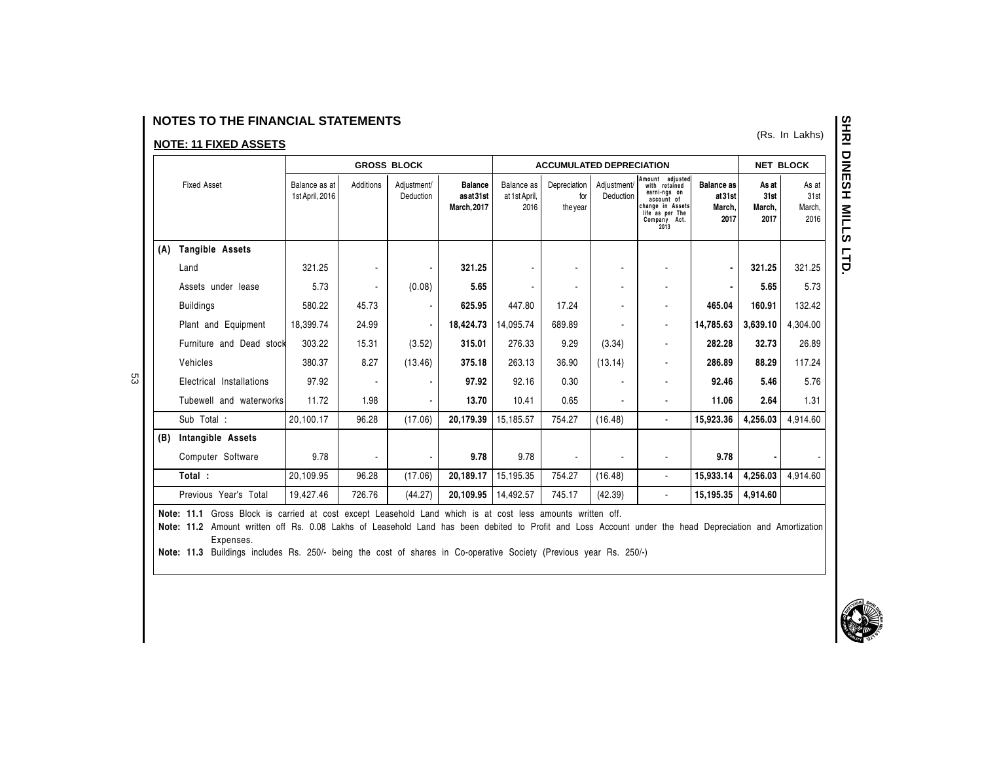## **NOTES TO THE FINANCIAL STATEMENTS**

## **NOTE: 11 FIXED ASSETS**

53

|     |                          |                                  |                | <b>GROSS BLOCK</b>       |                                                 | <b>ACCUMULATED DEPRECIATION</b>     |                                 |                          | <b>NET BLOCK</b>                                                                                                              |                                               |                                 |                                 |
|-----|--------------------------|----------------------------------|----------------|--------------------------|-------------------------------------------------|-------------------------------------|---------------------------------|--------------------------|-------------------------------------------------------------------------------------------------------------------------------|-----------------------------------------------|---------------------------------|---------------------------------|
|     | <b>Fixed Asset</b>       | Balance as at<br>1st April, 2016 | Additions      | Adjustment/<br>Deduction | <b>Balance</b><br>asat31st<br><b>March.2017</b> | Balance as<br>at 1st April,<br>2016 | Depreciation<br>for<br>the year | Adjustment/<br>Deduction | Amount adiusted<br>with retained<br>earni-ngs on<br>account of<br>change in Assets<br>life as per The<br>Company Act.<br>2013 | <b>Balance as</b><br>at31st<br>March.<br>2017 | As at<br>31st<br>March,<br>2017 | As at<br>31st<br>March.<br>2016 |
| (A) | Tangible Assets          |                                  |                |                          |                                                 |                                     |                                 |                          |                                                                                                                               |                                               |                                 |                                 |
|     | Land                     | 321.25                           |                |                          | 321.25                                          |                                     |                                 | $\blacksquare$           |                                                                                                                               | $\blacksquare$                                | 321.25                          | 321.25                          |
|     | Assets under lease       | 5.73                             |                | (0.08)                   | 5.65                                            |                                     |                                 | $\blacksquare$           |                                                                                                                               |                                               | 5.65                            | 5.73                            |
|     | <b>Buildings</b>         | 580.22                           | 45.73          |                          | 625.95                                          | 447.80                              | 17.24                           | $\overline{a}$           | ۰                                                                                                                             | 465.04                                        | 160.91                          | 132.42                          |
|     | Plant and Equipment      | 18.399.74                        | 24.99          |                          | 18,424.73                                       | 14.095.74                           | 689.89                          | $\blacksquare$           | $\blacksquare$                                                                                                                | 14,785.63                                     | 3,639.10                        | 4,304.00                        |
|     | Furniture and Dead stock | 303.22                           | 15.31          | (3.52)                   | 315.01                                          | 276.33                              | 9.29                            | (3.34)                   | ۰                                                                                                                             | 282.28                                        | 32.73                           | 26.89                           |
|     | Vehicles                 | 380.37                           | 8.27           | (13.46)                  | 375.18                                          | 263.13                              | 36.90                           | (13.14)                  | ٠                                                                                                                             | 286.89                                        | 88.29                           | 117.24                          |
|     | Electrical Installations | 97.92                            |                |                          | 97.92                                           | 92.16                               | 0.30                            |                          | ۰                                                                                                                             | 92.46                                         | 5.46                            | 5.76                            |
|     | Tubewell and waterworks  | 11.72                            | 1.98           |                          | 13.70                                           | 10.41                               | 0.65                            | $\overline{\phantom{a}}$ | ٠                                                                                                                             | 11.06                                         | 2.64                            | 1.31                            |
|     | Sub Total :              | 20,100.17                        | 96.28          | (17.06)                  | 20,179.39                                       | 15,185.57                           | 754.27                          | (16.48)                  | $\blacksquare$                                                                                                                | 15,923.36                                     | 4,256.03                        | 4,914.60                        |
| (B) | Intangible Assets        |                                  |                |                          |                                                 |                                     |                                 |                          |                                                                                                                               |                                               |                                 |                                 |
|     | Computer Software        | 9.78                             | $\blacksquare$ |                          | 9.78                                            | 9.78                                | $\blacksquare$                  | $\blacksquare$           | $\blacksquare$                                                                                                                | 9.78                                          | $\blacksquare$                  |                                 |
|     | Total:                   | 20,109.95                        | 96.28          | (17.06)                  | 20,189.17                                       | 15,195.35                           | 754.27                          | (16.48)                  | $\blacksquare$                                                                                                                | 15,933.14                                     | 4,256.03                        | 4.914.60                        |
|     | Previous Year's Total    | 19,427.46                        | 726.76         | (44.27)                  | 20.109.95                                       | 14.492.57                           | 745.17                          | (42.39)                  | $\blacksquare$                                                                                                                | 15,195.35                                     | 4,914.60                        |                                 |

Note: 11.1 Gross Block is carried at cost except Leasehold Land which is at cost less amounts written off.

Note: 11.2 Amount written off Rs. 0.08 Lakhs of Leasehold Land has been debited to Profit and Loss Account under the head Depreciation and Amortization Expenses.

Note: 11.3 Buildings includes Rs. 250/- being the cost of shares in Co-operative Society (Previous year Rs. 250/-)

(Rs. In Lakhs)

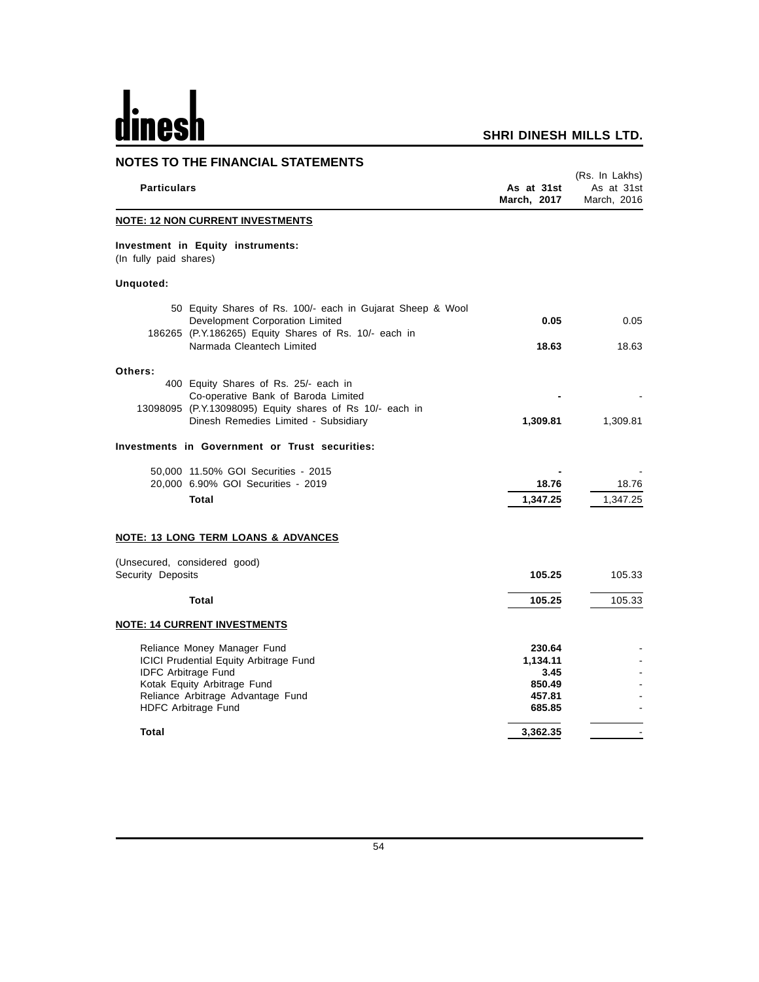# <u>dinesh</u>

| <b>NOTES TO THE FINANCIAL STATEMENTS</b>                                                                                                                                                              |                                                          |                                             |
|-------------------------------------------------------------------------------------------------------------------------------------------------------------------------------------------------------|----------------------------------------------------------|---------------------------------------------|
| <b>Particulars</b>                                                                                                                                                                                    | As at 31st<br>March, 2017                                | (Rs. In Lakhs)<br>As at 31st<br>March, 2016 |
| <b>NOTE: 12 NON CURRENT INVESTMENTS</b>                                                                                                                                                               |                                                          |                                             |
| Investment in Equity instruments:<br>(In fully paid shares)                                                                                                                                           |                                                          |                                             |
| Unquoted:                                                                                                                                                                                             |                                                          |                                             |
| 50 Equity Shares of Rs. 100/- each in Gujarat Sheep & Wool<br>Development Corporation Limited<br>186265 (P.Y.186265) Equity Shares of Rs. 10/- each in                                                | 0.05                                                     | 0.05                                        |
| Narmada Cleantech Limited                                                                                                                                                                             | 18.63                                                    | 18.63                                       |
| Others:<br>400 Equity Shares of Rs. 25/- each in<br>Co-operative Bank of Baroda Limited<br>13098095 (P.Y.13098095) Equity shares of Rs 10/- each in                                                   |                                                          |                                             |
| Dinesh Remedies Limited - Subsidiary                                                                                                                                                                  | 1,309.81                                                 | 1,309.81                                    |
| Investments in Government or Trust securities:                                                                                                                                                        |                                                          |                                             |
| 50,000 11.50% GOI Securities - 2015                                                                                                                                                                   |                                                          |                                             |
| 20,000 6.90% GOI Securities - 2019<br><b>Total</b>                                                                                                                                                    | 18.76<br>1,347.25                                        | 18.76<br>1,347.25                           |
| <u>NOTE: 13 LONG TERM LOANS &amp; ADVANCES</u>                                                                                                                                                        |                                                          |                                             |
| (Unsecured, considered good)<br>Security Deposits                                                                                                                                                     | 105.25                                                   | 105.33                                      |
| <b>Total</b>                                                                                                                                                                                          | 105.25                                                   | 105.33                                      |
| <b>NOTE: 14 CURRENT INVESTMENTS</b>                                                                                                                                                                   |                                                          |                                             |
| Reliance Money Manager Fund<br><b>ICICI Prudential Equity Arbitrage Fund</b><br><b>IDFC Arbitrage Fund</b><br>Kotak Equity Arbitrage Fund<br>Reliance Arbitrage Advantage Fund<br>HDFC Arbitrage Fund | 230.64<br>1,134.11<br>3.45<br>850.49<br>457.81<br>685.85 |                                             |
| Total                                                                                                                                                                                                 | 3,362.35                                                 |                                             |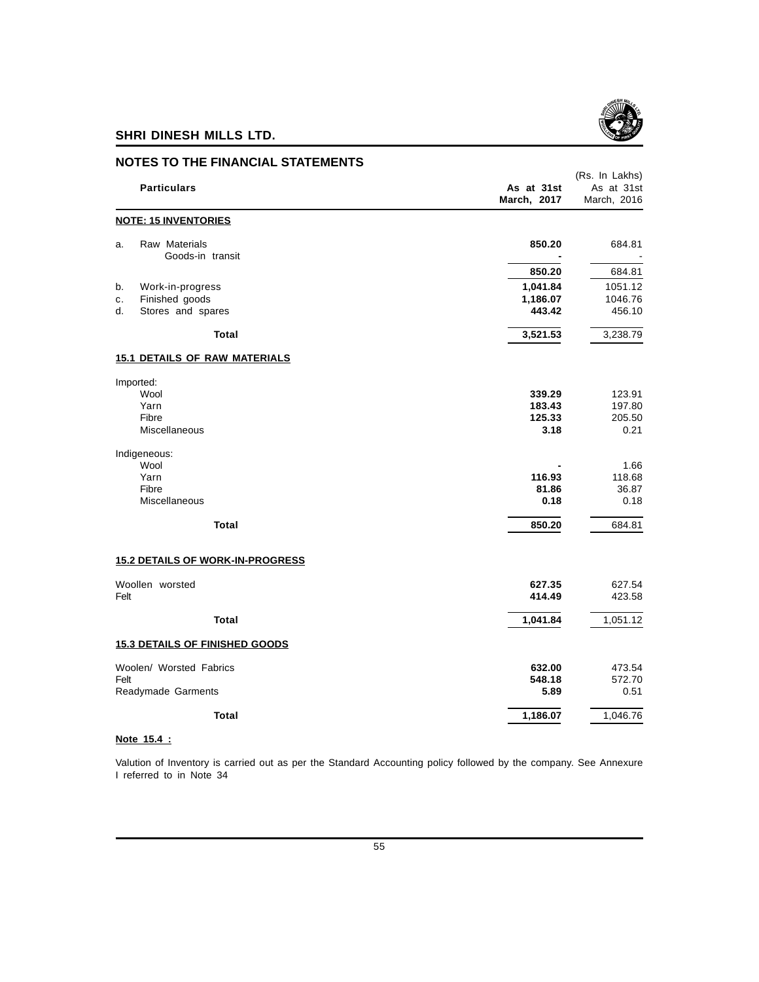

**NOTES TO THE FINANCIAL STATEMENTS**

## (Rs. In Lakhs) **Particulars As at 31st** As at 31st As at 31st **March, 2017** March, 2016 **NOTE: 15 INVENTORIES** a. Raw Materials **850.20** 684.81 Goods-in transit **-** - **850.20** 684.81 b. Work-in-progress **1,041.84** 1051.12 c. Finished goods d. Stores and spares **443.42** 456.10 **Total 3,521.53** 3,238.79 **15.1 DETAILS OF RAW MATERIALS** Imported: Wool **339.29** 123.91 Yarn **183.43** 197.80 Fibre **125.33** 205.50 Miscellaneous **3.18** 0.21 Indigeneous: Wool **-** 1.66 Yarn **116.93** 118.68 Fibre **81.86** 36.87 Miscellaneous **0.18** 0.18 **Total 850.20** 684.81 **15.2 DETAILS OF WORK-IN-PROGRESS** Woollen worsted **627.35** 627.54 Felt **414.49** 423.58 **Total 1,041.84** 1,051.12 **15.3 DETAILS OF FINISHED GOODS** Woolen/ Worsted Fabrics **632.00** 473.54 Felt **548.18** 572.70 Readymade Garments **5.89** 0.51 **Total 1,186.07** 1,046.76

## **Note 15.4 :**

Valution of Inventory is carried out as per the Standard Accounting policy followed by the company. See Annexure I referred to in Note 34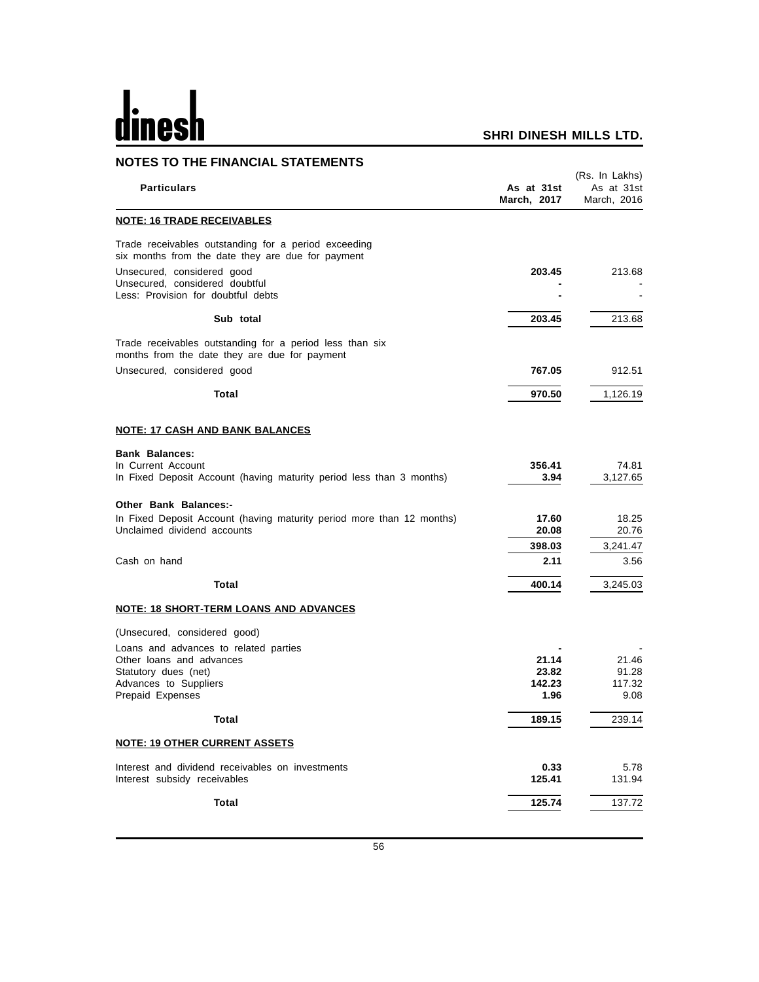# dinesh

| <b>NOTES TO THE FINANCIAL STATEMENTS</b>                                                                  |                           |                                             |
|-----------------------------------------------------------------------------------------------------------|---------------------------|---------------------------------------------|
| <b>Particulars</b>                                                                                        | As at 31st<br>March, 2017 | (Rs. In Lakhs)<br>As at 31st<br>March, 2016 |
| <b>NOTE: 16 TRADE RECEIVABLES</b>                                                                         |                           |                                             |
| Trade receivables outstanding for a period exceeding<br>six months from the date they are due for payment |                           |                                             |
| Unsecured, considered good<br>Unsecured, considered doubtful<br>Less: Provision for doubtful debts        | 203.45                    | 213.68                                      |
| Sub total                                                                                                 | 203.45                    | 213.68                                      |
| Trade receivables outstanding for a period less than six<br>months from the date they are due for payment |                           |                                             |
| Unsecured, considered good                                                                                | 767.05                    | 912.51                                      |
| Total                                                                                                     | 970.50                    | 1,126.19                                    |
| <b>NOTE: 17 CASH AND BANK BALANCES</b>                                                                    |                           |                                             |
| <b>Bank Balances:</b><br>In Current Account                                                               | 356.41                    | 74.81                                       |
| In Fixed Deposit Account (having maturity period less than 3 months)                                      | 3.94                      | 3,127.65                                    |
| <b>Other Bank Balances:-</b>                                                                              |                           |                                             |
| In Fixed Deposit Account (having maturity period more than 12 months)<br>Unclaimed dividend accounts      | 17.60<br>20.08            | 18.25<br>20.76                              |
|                                                                                                           | 398.03                    | 3,241.47                                    |
| Cash on hand                                                                                              | 2.11                      | 3.56                                        |
| Total                                                                                                     | 400.14                    | 3,245.03                                    |
| <b>NOTE: 18 SHORT-TERM LOANS AND ADVANCES</b>                                                             |                           |                                             |
| (Unsecured, considered good)                                                                              |                           |                                             |
| Loans and advances to related parties                                                                     |                           |                                             |
| Other loans and advances                                                                                  | 21.14                     | 21.46                                       |
| Statutory dues (net)<br>Advances to Suppliers                                                             | 23.82<br>142.23           | 91.28<br>117.32                             |
| Prepaid Expenses                                                                                          | 1.96                      | 9.08                                        |
| <b>Total</b>                                                                                              | 189.15                    | 239.14                                      |
| <b>NOTE: 19 OTHER CURRENT ASSETS</b>                                                                      |                           |                                             |
| Interest and dividend receivables on investments<br>Interest subsidy receivables                          | 0.33<br>125.41            | 5.78<br>131.94                              |
| <b>Total</b>                                                                                              | 125.74                    | 137.72                                      |
|                                                                                                           |                           |                                             |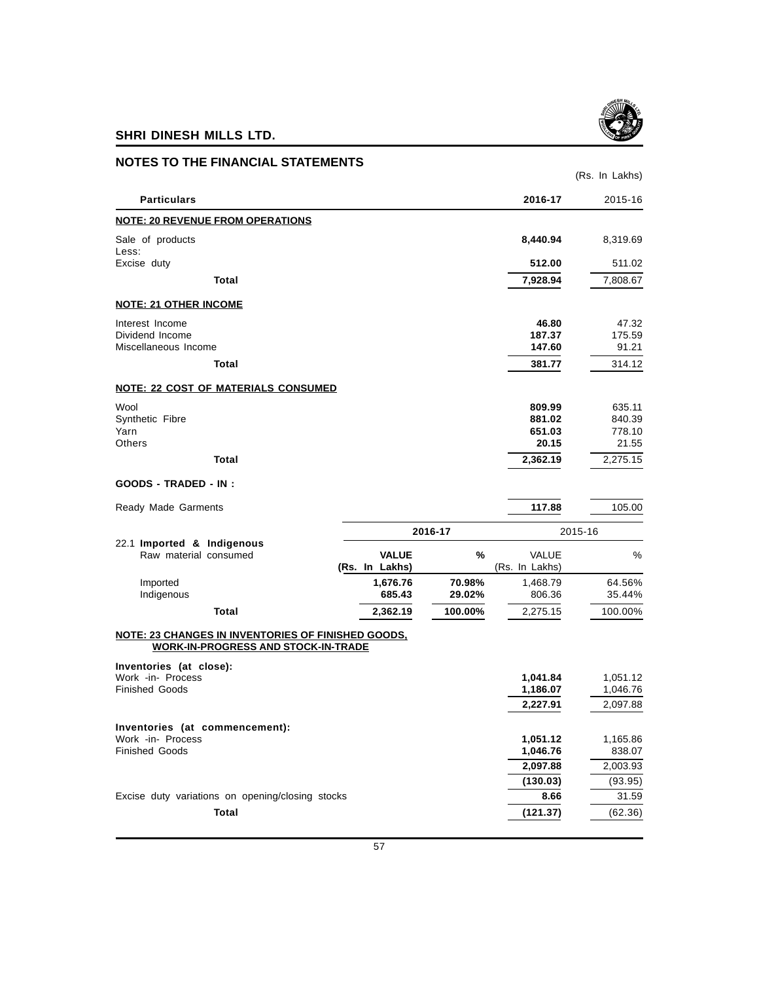

| <b>NOTES TO THE FINANCIAL STATEMENTS</b>                                                                |                                |                  |                                     | (Rs. In Lakhs)                      |
|---------------------------------------------------------------------------------------------------------|--------------------------------|------------------|-------------------------------------|-------------------------------------|
| <b>Particulars</b>                                                                                      |                                |                  | 2016-17                             | 2015-16                             |
| <b>NOTE: 20 REVENUE FROM OPERATIONS</b>                                                                 |                                |                  |                                     |                                     |
| Sale of products<br>Less:                                                                               |                                |                  | 8,440.94                            | 8,319.69                            |
| Excise duty                                                                                             |                                |                  | 512.00                              | 511.02                              |
| Total                                                                                                   |                                |                  | 7,928.94                            | 7,808.67                            |
| <b>NOTE: 21 OTHER INCOME</b>                                                                            |                                |                  |                                     |                                     |
| Interest Income<br>Dividend Income<br>Miscellaneous Income                                              |                                |                  | 46.80<br>187.37<br>147.60           | 47.32<br>175.59<br>91.21            |
| Total                                                                                                   |                                |                  | 381.77                              | 314.12                              |
| NOTE: 22 COST OF MATERIALS CONSUMED                                                                     |                                |                  |                                     |                                     |
| Wool<br>Synthetic Fibre<br>Yarn<br><b>Others</b>                                                        |                                |                  | 809.99<br>881.02<br>651.03<br>20.15 | 635.11<br>840.39<br>778.10<br>21.55 |
| Total                                                                                                   |                                |                  | 2,362.19                            | 2,275.15                            |
| <b>GOODS - TRADED - IN :</b>                                                                            |                                |                  |                                     |                                     |
| Ready Made Garments                                                                                     |                                |                  | 117.88                              | 105.00                              |
|                                                                                                         |                                | 2016-17          |                                     | 2015-16                             |
| 22.1 Imported & Indigenous<br>Raw material consumed                                                     | <b>VALUE</b><br>(Rs. In Lakhs) | %                | VALUE<br>(Rs. In Lakhs)             | %                                   |
| Imported<br>Indigenous                                                                                  | 1,676.76<br>685.43             | 70.98%<br>29.02% | 1,468.79<br>806.36                  | 64.56%<br>35.44%                    |
| Total                                                                                                   | 2,362.19                       | 100.00%          | 2,275.15                            | 100.00%                             |
| <b>NOTE: 23 CHANGES IN INVENTORIES OF FINISHED GOODS,</b><br><b>WORK-IN-PROGRESS AND STOCK-IN-TRADE</b> |                                |                  |                                     |                                     |
| Inventories (at close):<br>Work -in- Process<br><b>Finished Goods</b>                                   |                                |                  | 1,041.84<br>1,186.07                | 1,051.12<br>1,046.76                |
|                                                                                                         |                                |                  | 2,227.91                            | 2,097.88                            |
| Inventories (at commencement):<br>Work -in- Process<br><b>Finished Goods</b>                            |                                |                  | 1,051.12<br>1,046.76                | 1,165.86<br>838.07                  |
|                                                                                                         |                                |                  | 2,097.88                            | 2,003.93                            |
|                                                                                                         |                                |                  | (130.03)                            | (93.95)                             |
| Excise duty variations on opening/closing stocks                                                        |                                |                  | 8.66                                | 31.59                               |
| <b>Total</b>                                                                                            |                                |                  | (121.37)                            | (62.36)                             |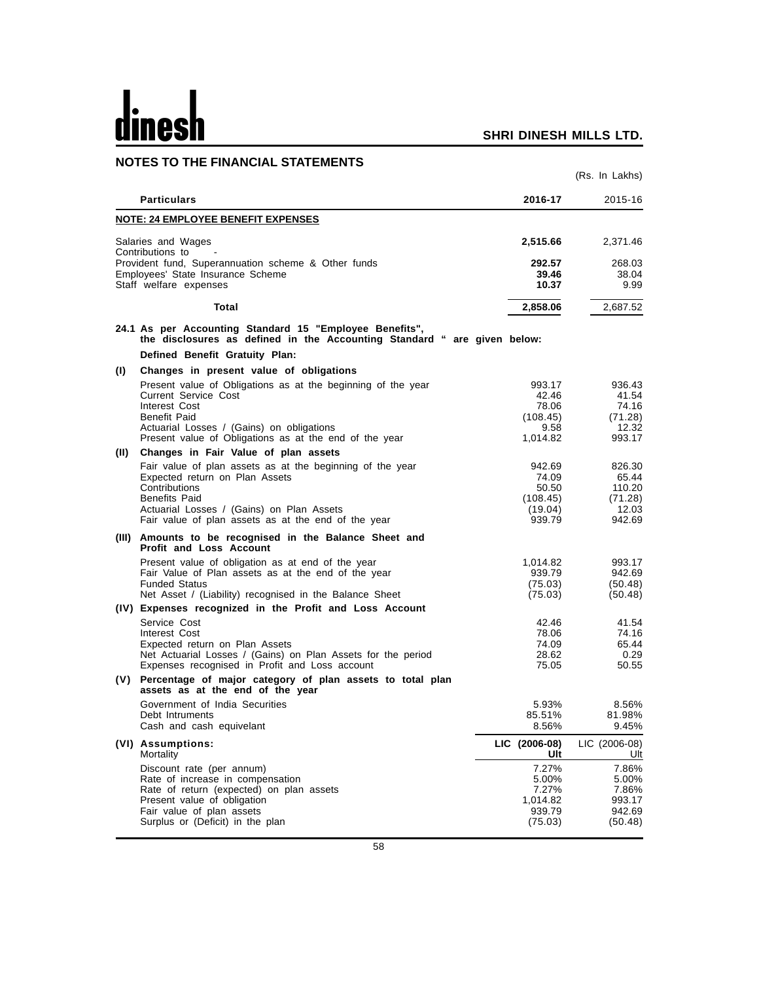# dines

|      | <b>NOTES TO THE FINANCIAL STATEMENTS</b>                                                                                                                                                                                                               |                                                           |                                                         |
|------|--------------------------------------------------------------------------------------------------------------------------------------------------------------------------------------------------------------------------------------------------------|-----------------------------------------------------------|---------------------------------------------------------|
|      |                                                                                                                                                                                                                                                        |                                                           | (Rs. In Lakhs)                                          |
|      | <b>Particulars</b>                                                                                                                                                                                                                                     | 2016-17                                                   | 2015-16                                                 |
|      | <b>NOTE: 24 EMPLOYEE BENEFIT EXPENSES</b>                                                                                                                                                                                                              |                                                           |                                                         |
|      | Salaries and Wages                                                                                                                                                                                                                                     | 2,515.66                                                  | 2,371.46                                                |
|      | Contributions to<br>Provident fund, Superannuation scheme & Other funds<br>Employees' State Insurance Scheme<br>Staff welfare expenses                                                                                                                 | 292.57<br>39.46<br>10.37                                  | 268.03<br>38.04<br>9.99                                 |
|      | Total                                                                                                                                                                                                                                                  | 2,858.06                                                  | 2,687.52                                                |
|      | 24.1 As per Accounting Standard 15 "Employee Benefits",<br>the disclosures as defined in the Accounting Standard " are given below:<br>Defined Benefit Gratuity Plan:                                                                                  |                                                           |                                                         |
| (1)  | Changes in present value of obligations                                                                                                                                                                                                                |                                                           |                                                         |
|      | Present value of Obligations as at the beginning of the year<br><b>Current Service Cost</b><br>Interest Cost<br>Benefit Paid                                                                                                                           | 993.17<br>42.46<br>78.06<br>(108.45)                      | 936.43<br>41.54<br>74.16<br>(71.28)                     |
|      | Actuarial Losses / (Gains) on obligations<br>Present value of Obligations as at the end of the year                                                                                                                                                    | 9.58<br>1,014.82                                          | 12.32<br>993.17                                         |
| (II) | Changes in Fair Value of plan assets                                                                                                                                                                                                                   |                                                           |                                                         |
|      | Fair value of plan assets as at the beginning of the year<br>Expected return on Plan Assets<br>Contributions<br><b>Benefits Paid</b><br>Actuarial Losses / (Gains) on Plan Assets<br>Fair value of plan assets as at the end of the year               | 942.69<br>74.09<br>50.50<br>(108.45)<br>(19.04)<br>939.79 | 826.30<br>65.44<br>110.20<br>(71.28)<br>12.03<br>942.69 |
|      | (III) Amounts to be recognised in the Balance Sheet and<br><b>Profit and Loss Account</b>                                                                                                                                                              |                                                           |                                                         |
|      | Present value of obligation as at end of the year<br>Fair Value of Plan assets as at the end of the year<br><b>Funded Status</b><br>Net Asset / (Liability) recognised in the Balance Sheet<br>(IV) Expenses recognized in the Profit and Loss Account | 1,014.82<br>939.79<br>(75.03)<br>(75.03)                  | 993.17<br>942.69<br>(50.48)<br>(50.48)                  |
|      | Service Cost<br>Interest Cost<br>Expected return on Plan Assets<br>Net Actuarial Losses / (Gains) on Plan Assets for the period<br>Expenses recognised in Profit and Loss account                                                                      | 42.46<br>78.06<br>74.09<br>28.62<br>75.05                 | 41.54<br>74.16<br>65.44<br>0.29<br>50.55                |
|      | (V) Percentage of major category of plan assets to total plan<br>assets as at the end of the year                                                                                                                                                      |                                                           |                                                         |
|      | Government of India Securities<br>Debt Intruments<br>Cash and cash equivelant                                                                                                                                                                          | 5.93%<br>85.51%<br>8.56%                                  | 8.56%<br>81.98%<br>9.45%                                |
|      | (VI) Assumptions:<br>Mortality                                                                                                                                                                                                                         | LIC (2006-08)<br>Ult                                      | LIC (2006-08)<br>Ult                                    |
|      | Discount rate (per annum)<br>Rate of increase in compensation<br>Rate of return (expected) on plan assets<br>Present value of obligation<br>Fair value of plan assets<br>Surplus or (Deficit) in the plan                                              | 7.27%<br>5.00%<br>7.27%<br>1,014.82<br>939.79<br>(75.03)  | 7.86%<br>5.00%<br>7.86%<br>993.17<br>942.69<br>(50.48)  |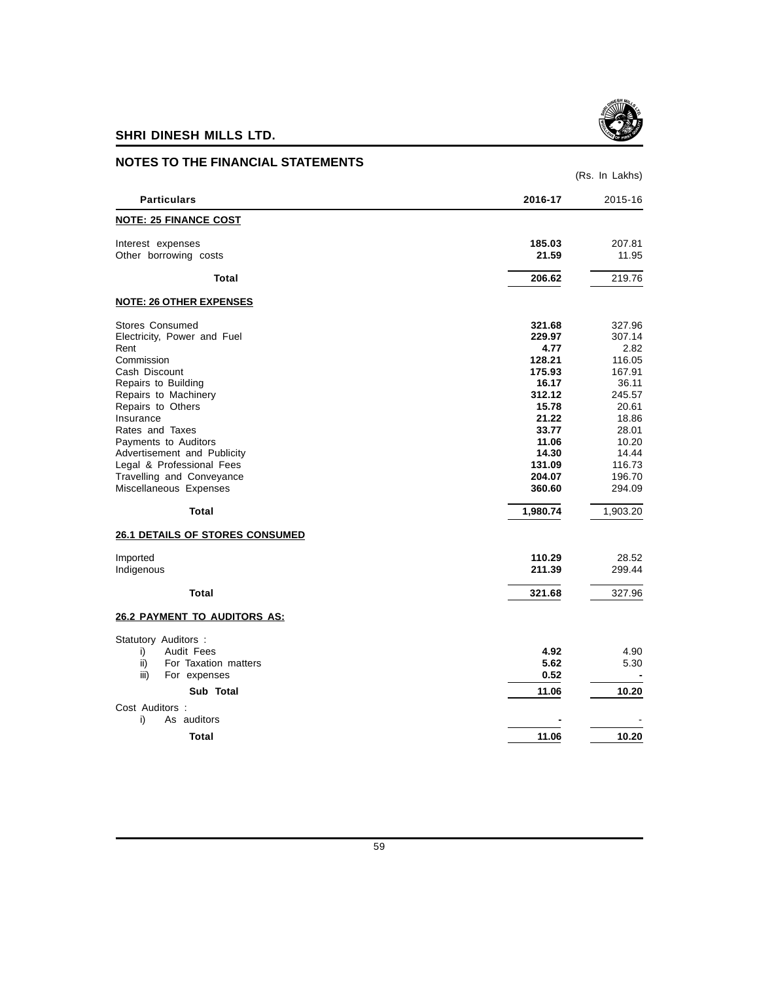

| <b>NOTES TO THE FINANCIAL STATEMENTS</b> |          |                |
|------------------------------------------|----------|----------------|
|                                          |          | (Rs. In Lakhs) |
| <b>Particulars</b>                       | 2016-17  | 2015-16        |
| <b>NOTE: 25 FINANCE COST</b>             |          |                |
| Interest expenses                        | 185.03   | 207.81         |
| Other borrowing costs                    | 21.59    | 11.95          |
| Total                                    | 206.62   | 219.76         |
| <b>NOTE: 26 OTHER EXPENSES</b>           |          |                |
| <b>Stores Consumed</b>                   | 321.68   | 327.96         |
| Electricity, Power and Fuel              | 229.97   | 307.14         |
| Rent                                     | 4.77     | 2.82           |
| Commission                               | 128.21   | 116.05         |
| Cash Discount                            | 175.93   | 167.91         |
| Repairs to Building                      | 16.17    | 36.11          |
| Repairs to Machinery                     | 312.12   | 245.57         |
| Repairs to Others                        | 15.78    | 20.61          |
| Insurance                                | 21.22    | 18.86          |
| Rates and Taxes                          | 33.77    | 28.01          |
| Payments to Auditors                     | 11.06    | 10.20          |
| Advertisement and Publicity              | 14.30    | 14.44          |
| Legal & Professional Fees                | 131.09   | 116.73         |
| Travelling and Conveyance                | 204.07   | 196.70         |
| Miscellaneous Expenses                   | 360.60   | 294.09         |
| Total                                    | 1,980.74 | 1,903.20       |
| <b>26.1 DETAILS OF STORES CONSUMED</b>   |          |                |
| Imported                                 | 110.29   | 28.52          |
| Indigenous                               | 211.39   | 299.44         |
| Total                                    | 321.68   | 327.96         |
| <b>26.2 PAYMENT TO AUDITORS AS:</b>      |          |                |
| Statutory Auditors :                     |          |                |
| Audit Fees<br>i)                         | 4.92     | 4.90           |
| ii)<br>For Taxation matters              | 5.62     | 5.30           |
| iii)<br>For expenses                     | 0.52     |                |
| Sub Total                                | 11.06    | 10.20          |
| Cost Auditors :                          |          |                |
| As auditors<br>i)                        |          |                |
|                                          |          |                |
| <b>Total</b>                             | 11.06    | 10.20          |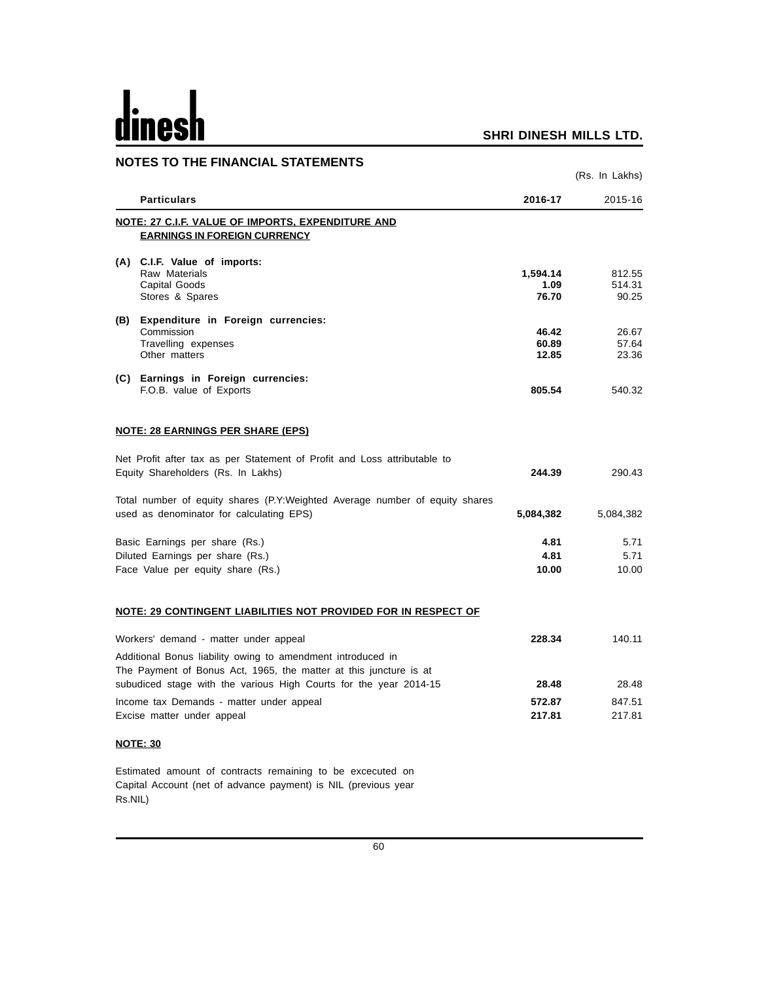# dinesh

## **SHRI DINESH MILLS LTD.**

|     | <b>NOTES TO THE FINANCIAL STATEMENTS</b>                                    |                |                 |
|-----|-----------------------------------------------------------------------------|----------------|-----------------|
|     |                                                                             |                | (Rs. In Lakhs)  |
|     | <b>Particulars</b>                                                          | 2016-17        | 2015-16         |
|     | NOTE: 27 C.I.F. VALUE OF IMPORTS, EXPENDITURE AND                           |                |                 |
|     | <b>EARNINGS IN FOREIGN CURRENCY</b>                                         |                |                 |
|     | (A) C.I.F. Value of imports:                                                |                |                 |
|     | Raw Materials                                                               | 1,594.14       | 812.55          |
|     | Capital Goods<br>Stores & Spares                                            | 1.09<br>76.70  | 514.31<br>90.25 |
|     |                                                                             |                |                 |
| (B) | Expenditure in Foreign currencies:                                          |                |                 |
|     | Commission                                                                  | 46.42<br>60.89 | 26.67           |
|     | Travelling expenses<br>Other matters                                        | 12.85          | 57.64<br>23.36  |
|     |                                                                             |                |                 |
|     | (C) Earnings in Foreign currencies:                                         |                |                 |
|     | F.O.B. value of Exports                                                     | 805.54         | 540.32          |
|     | <b>NOTE: 28 EARNINGS PER SHARE (EPS)</b>                                    |                |                 |
|     | Net Profit after tax as per Statement of Profit and Loss attributable to    |                |                 |
|     | Equity Shareholders (Rs. In Lakhs)                                          | 244.39         | 290.43          |
|     | Total number of equity shares (P.Y:Weighted Average number of equity shares |                |                 |
|     | used as denominator for calculating EPS)                                    | 5,084,382      | 5,084,382       |
|     | Basic Earnings per share (Rs.)                                              | 4.81           | 5.71            |
|     | Diluted Earnings per share (Rs.)                                            | 4.81           | 5.71            |
|     | Face Value per equity share (Rs.)                                           | 10.00          | 10.00           |
|     | NOTE: 29 CONTINGENT LIABILITIES NOT PROVIDED FOR IN RESPECT OF              |                |                 |
|     | Workers' demand - matter under appeal                                       | 228.34         | 140.11          |
|     | Additional Bonus liability owing to amendment introduced in                 |                |                 |
|     | The Payment of Bonus Act, 1965, the matter at this juncture is at           |                |                 |
|     | subudiced stage with the various High Courts for the year 2014-15           | 28.48          | 28.48           |
|     | Income tax Demands - matter under appeal                                    | 572.87         | 847.51          |

Excise matter under appeal **217.81** 217.81

## **NOTE: 30**

Estimated amount of contracts remaining to be excecuted on Capital Account (net of advance payment) is NIL (previous year Rs.NIL)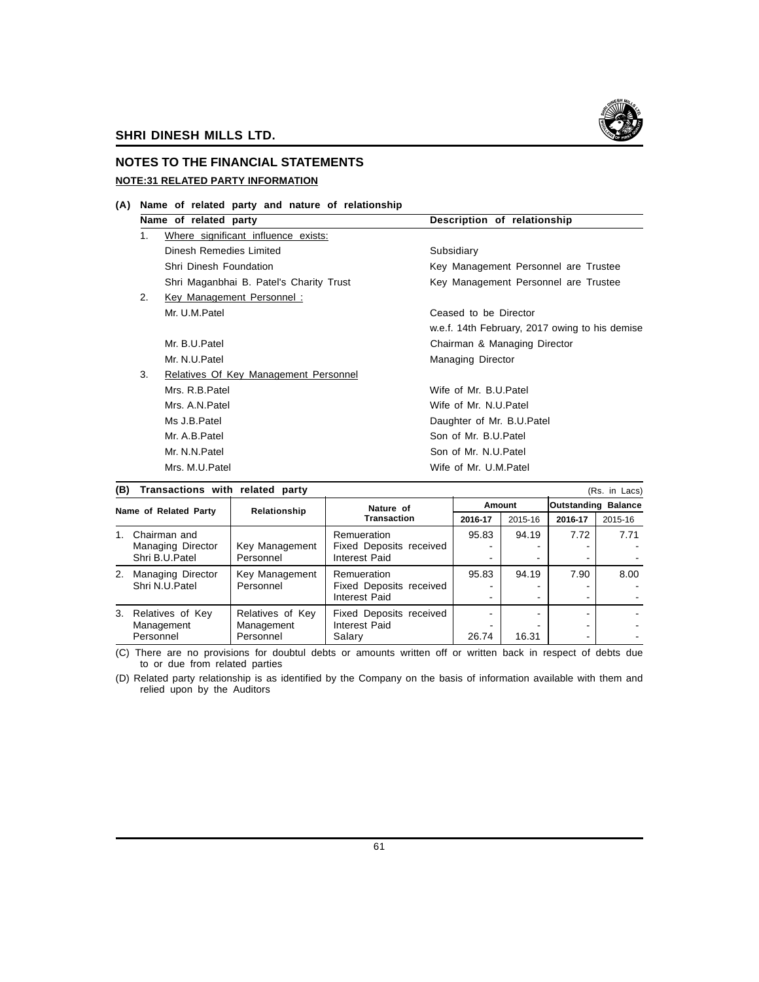

## **NOTES TO THE FINANCIAL STATEMENTS NOTE:31 RELATED PARTY INFORMATION**

**(A) Name of related party and nature of relationship**

|    | Name of related party                   | Description of relationship                    |  |  |
|----|-----------------------------------------|------------------------------------------------|--|--|
| 1. | Where significant influence exists:     |                                                |  |  |
|    | Dinesh Remedies Limited                 | Subsidiary                                     |  |  |
|    | Shri Dinesh Foundation                  | Key Management Personnel are Trustee           |  |  |
|    | Shri Maganbhai B. Patel's Charity Trust | Key Management Personnel are Trustee           |  |  |
| 2. | Key Management Personnel:               |                                                |  |  |
|    | Mr. U.M.Patel                           | Ceased to be Director                          |  |  |
|    |                                         | w.e.f. 14th February, 2017 owing to his demise |  |  |
|    | Mr. B.U.Patel                           | Chairman & Managing Director                   |  |  |
|    | Mr. N.U.Patel                           | Managing Director                              |  |  |
| 3. | Relatives Of Key Management Personnel   |                                                |  |  |
|    | Mrs. R.B.Patel                          | Wife of Mr. B.U.Patel                          |  |  |
|    | Mrs. A.N. Patel                         | Wife of Mr. N.U. Patel                         |  |  |
|    | Ms J.B.Patel                            | Daughter of Mr. B.U. Patel                     |  |  |
|    | Mr. A.B.Patel                           | Son of Mr. B.U.Patel                           |  |  |
|    | Mr. N.N.Patel                           | Son of Mr. N.U.Patel                           |  |  |
|    | Mrs. M.U.Patel                          | Wife of Mr. U.M.Patel                          |  |  |
|    |                                         |                                                |  |  |

|                       | (B)<br>Transactions with related party<br>(Rs. in Lacs) |                  |                         |         |         |                            |         |
|-----------------------|---------------------------------------------------------|------------------|-------------------------|---------|---------|----------------------------|---------|
|                       |                                                         |                  | Nature of               | Amount  |         | <b>Outstanding Balance</b> |         |
| Name of Related Party |                                                         | Relationship     | <b>Transaction</b>      | 2016-17 | 2015-16 | 2016-17                    | 2015-16 |
| $1_{-}$               | Chairman and                                            |                  | Remueration             | 95.83   | 94.19   | 7.72                       | 7.71    |
|                       | Managing Director                                       | Key Management   | Fixed Deposits received |         |         |                            |         |
|                       | Shri B.U.Patel                                          | Personnel        | Interest Paid           |         |         |                            |         |
| 2.                    | <b>Managing Director</b>                                | Key Management   | Remueration             | 95.83   | 94.19   | 7.90                       | 8.00    |
|                       | Shri N.U.Patel                                          | Personnel        | Fixed Deposits received |         |         |                            |         |
|                       |                                                         |                  | Interest Paid           |         | -       |                            |         |
|                       | 3. Relatives of Key                                     | Relatives of Key | Fixed Deposits received |         |         |                            |         |
|                       | Management<br>Management                                | Interest Paid    |                         |         |         |                            |         |
|                       | Personnel                                               | Personnel        | Salary                  | 26.74   | 16.31   |                            |         |

(C) There are no provisions for doubtul debts or amounts written off or written back in respect of debts due to or due from related parties

(D) Related party relationship is as identified by the Company on the basis of information available with them and relied upon by the Auditors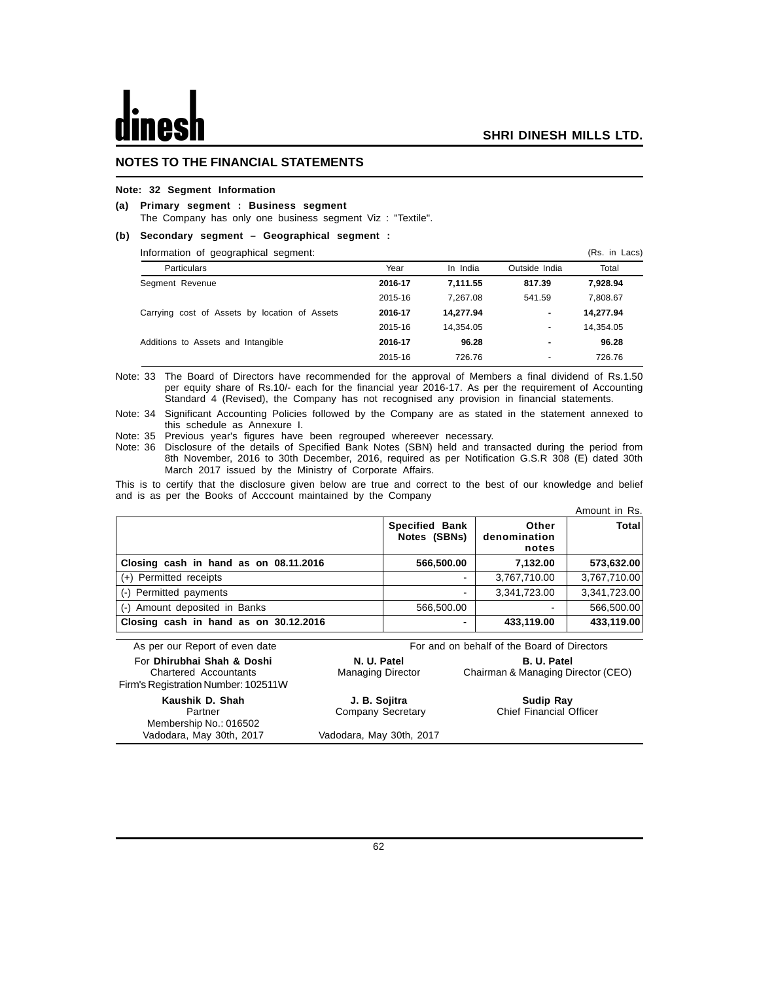## **NOTES TO THE FINANCIAL STATEMENTS**

## **Note: 32 Segment Information**

## **(a) Primary segment : Business segment**

The Company has only one business segment Viz : "Textile".

## **(b) Secondary segment – Geographical segment :**

| Information of geographical segment:          |         |           |                          | (Rs. in Lacs) |
|-----------------------------------------------|---------|-----------|--------------------------|---------------|
| <b>Particulars</b>                            | Year    | In India  | Outside India            | Total         |
| Segment Revenue                               | 2016-17 | 7.111.55  | 817.39                   | 7,928.94      |
|                                               | 2015-16 | 7.267.08  | 541.59                   | 7.808.67      |
| Carrying cost of Assets by location of Assets | 2016-17 | 14,277.94 | ٠                        | 14,277.94     |
|                                               | 2015-16 | 14.354.05 | ۰                        | 14,354.05     |
| Additions to Assets and Intangible            | 2016-17 | 96.28     | -                        | 96.28         |
|                                               | 2015-16 | 726.76    | $\overline{\phantom{a}}$ | 726.76        |

Note: 33 The Board of Directors have recommended for the approval of Members a final dividend of Rs.1.50 per equity share of Rs.10/- each for the financial year 2016-17. As per the requirement of Accounting Standard 4 (Revised), the Company has not recognised any provision in financial statements.

Note: 34 Significant Accounting Policies followed by the Company are as stated in the statement annexed to this schedule as Annexure I.

Note: 35 Previous year's figures have been regrouped whereever necessary.

Note: 36 Disclosure of the details of Specified Bank Notes (SBN) held and transacted during the period from 8th November, 2016 to 30th December, 2016, required as per Notification G.S.R 308 (E) dated 30th March 2017 issued by the Ministry of Corporate Affairs.

This is to certify that the disclosure given below are true and correct to the best of our knowledge and belief and is as per the Books of Acccount maintained by the Company

|                                       |                                       |                                | Amount in Rs. |
|---------------------------------------|---------------------------------------|--------------------------------|---------------|
|                                       | <b>Specified Bank</b><br>Notes (SBNs) | Other<br>denomination<br>notes | Total         |
| Closing cash in hand as on 08.11.2016 | 566,500.00                            | 7,132.00                       | 573,632.00    |
| (+) Permitted receipts                |                                       | 3,767,710.00                   | 3,767,710.00  |
| (-) Permitted payments                | -                                     | 3,341,723.00                   | 3,341,723.00  |
| (-) Amount deposited in Banks         | 566,500.00                            |                                | 566,500.00    |
| Closing cash in hand as on 30.12.2016 | -                                     | 433,119.00                     | 433,119.00    |

| As per our Report of even date                                                                    | For and on behalf of the Board of Directors                                                         |                                |  |
|---------------------------------------------------------------------------------------------------|-----------------------------------------------------------------------------------------------------|--------------------------------|--|
| For Dhirubhai Shah & Doshi<br><b>Chartered Accountants</b><br>Firm's Registration Number: 102511W | N. U. Patel<br><b>B. U. Patel</b><br>Chairman & Managing Director (CEO)<br><b>Managing Director</b> |                                |  |
| Kaushik D. Shah                                                                                   | J. B. Sojitra                                                                                       | Sudip Ray                      |  |
| Partner                                                                                           | Company Secretary                                                                                   | <b>Chief Financial Officer</b> |  |
| Membership No.: 016502                                                                            |                                                                                                     |                                |  |
| Vadodara, May 30th, 2017                                                                          | Vadodara, May 30th, 2017                                                                            |                                |  |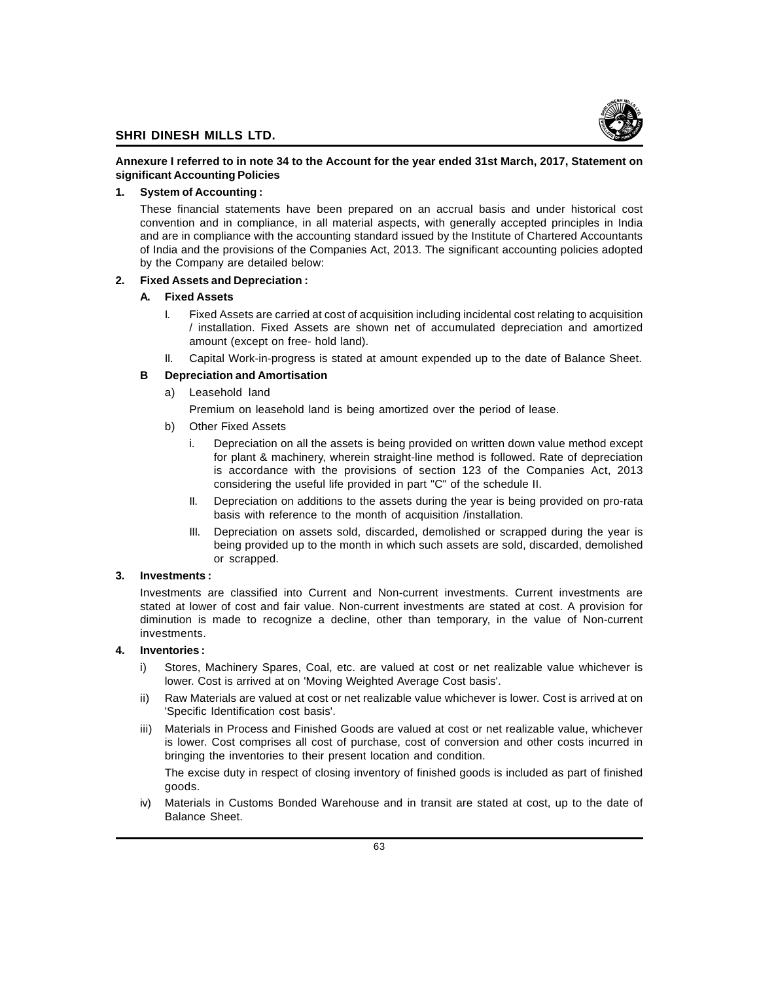

## **Annexure I referred to in note 34 to the Account for the year ended 31st March, 2017, Statement on significant Accounting Policies**

## **1. System of Accounting :**

These financial statements have been prepared on an accrual basis and under historical cost convention and in compliance, in all material aspects, with generally accepted principles in India and are in compliance with the accounting standard issued by the Institute of Chartered Accountants of India and the provisions of the Companies Act, 2013. The significant accounting policies adopted by the Company are detailed below:

## **2. Fixed Assets and Depreciation :**

## **A. Fixed Assets**

- I. Fixed Assets are carried at cost of acquisition including incidental cost relating to acquisition / installation. Fixed Assets are shown net of accumulated depreciation and amortized amount (except on free- hold land).
- II. Capital Work-in-progress is stated at amount expended up to the date of Balance Sheet.

## **B Depreciation and Amortisation**

a) Leasehold land

Premium on leasehold land is being amortized over the period of lease.

- b) Other Fixed Assets
	- i. Depreciation on all the assets is being provided on written down value method except for plant & machinery, wherein straight-line method is followed. Rate of depreciation is accordance with the provisions of section 123 of the Companies Act, 2013 considering the useful life provided in part "C" of the schedule II.
	- II. Depreciation on additions to the assets during the year is being provided on pro-rata basis with reference to the month of acquisition /installation.
	- III. Depreciation on assets sold, discarded, demolished or scrapped during the year is being provided up to the month in which such assets are sold, discarded, demolished or scrapped.

## **3. Investments :**

Investments are classified into Current and Non-current investments. Current investments are stated at lower of cost and fair value. Non-current investments are stated at cost. A provision for diminution is made to recognize a decline, other than temporary, in the value of Non-current investments.

## **4. Inventories :**

- Stores, Machinery Spares, Coal, etc. are valued at cost or net realizable value whichever is lower. Cost is arrived at on 'Moving Weighted Average Cost basis'.
- ii) Raw Materials are valued at cost or net realizable value whichever is lower. Cost is arrived at on 'Specific Identification cost basis'.
- iii) Materials in Process and Finished Goods are valued at cost or net realizable value, whichever is lower. Cost comprises all cost of purchase, cost of conversion and other costs incurred in bringing the inventories to their present location and condition.

The excise duty in respect of closing inventory of finished goods is included as part of finished goods.

iv) Materials in Customs Bonded Warehouse and in transit are stated at cost, up to the date of Balance Sheet.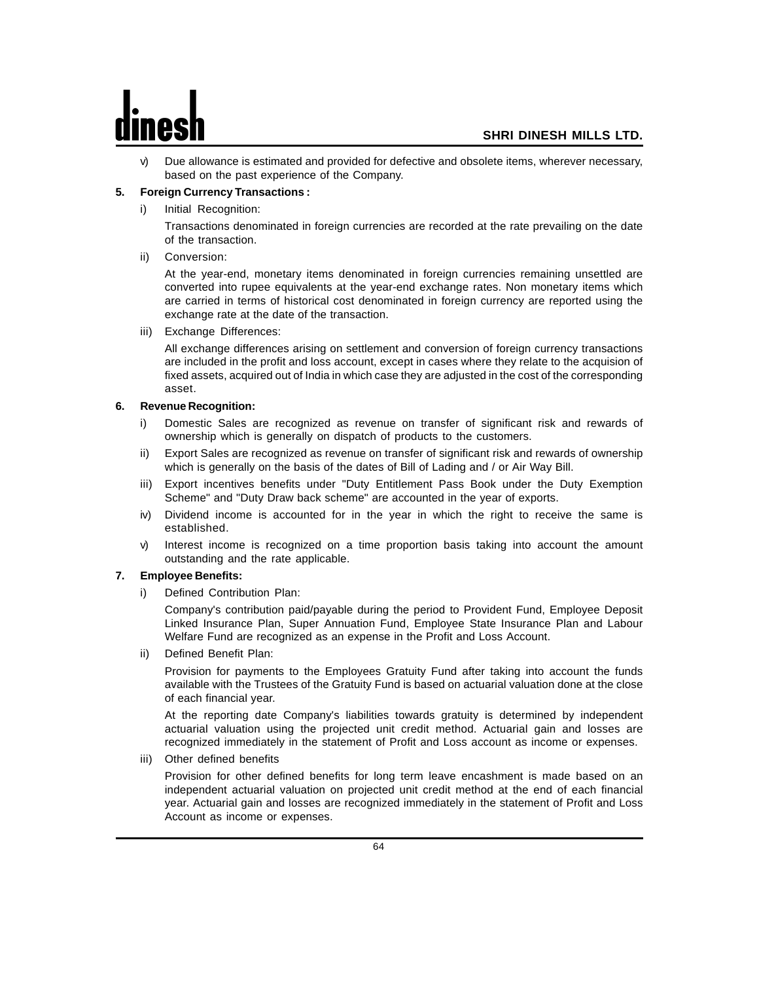v) Due allowance is estimated and provided for defective and obsolete items, wherever necessary, based on the past experience of the Company.

## **5. Foreign Currency Transactions :**

Initial Recognition:

Transactions denominated in foreign currencies are recorded at the rate prevailing on the date of the transaction.

ii) Conversion:

At the year-end, monetary items denominated in foreign currencies remaining unsettled are converted into rupee equivalents at the year-end exchange rates. Non monetary items which are carried in terms of historical cost denominated in foreign currency are reported using the exchange rate at the date of the transaction.

iii) Exchange Differences:

All exchange differences arising on settlement and conversion of foreign currency transactions are included in the profit and loss account, except in cases where they relate to the acquision of fixed assets, acquired out of India in which case they are adjusted in the cost of the corresponding asset.

## **6. Revenue Recognition:**

- i) Domestic Sales are recognized as revenue on transfer of significant risk and rewards of ownership which is generally on dispatch of products to the customers.
- ii) Export Sales are recognized as revenue on transfer of significant risk and rewards of ownership which is generally on the basis of the dates of Bill of Lading and / or Air Way Bill.
- iii) Export incentives benefits under "Duty Entitlement Pass Book under the Duty Exemption Scheme" and "Duty Draw back scheme" are accounted in the year of exports.
- iv) Dividend income is accounted for in the year in which the right to receive the same is established.
- v) Interest income is recognized on a time proportion basis taking into account the amount outstanding and the rate applicable.

## **7. Employee Benefits:**

i) Defined Contribution Plan:

Company's contribution paid/payable during the period to Provident Fund, Employee Deposit Linked Insurance Plan, Super Annuation Fund, Employee State Insurance Plan and Labour Welfare Fund are recognized as an expense in the Profit and Loss Account.

ii) Defined Benefit Plan:

Provision for payments to the Employees Gratuity Fund after taking into account the funds available with the Trustees of the Gratuity Fund is based on actuarial valuation done at the close of each financial year.

At the reporting date Company's liabilities towards gratuity is determined by independent actuarial valuation using the projected unit credit method. Actuarial gain and losses are recognized immediately in the statement of Profit and Loss account as income or expenses.

iii) Other defined benefits

Provision for other defined benefits for long term leave encashment is made based on an independent actuarial valuation on projected unit credit method at the end of each financial year. Actuarial gain and losses are recognized immediately in the statement of Profit and Loss Account as income or expenses.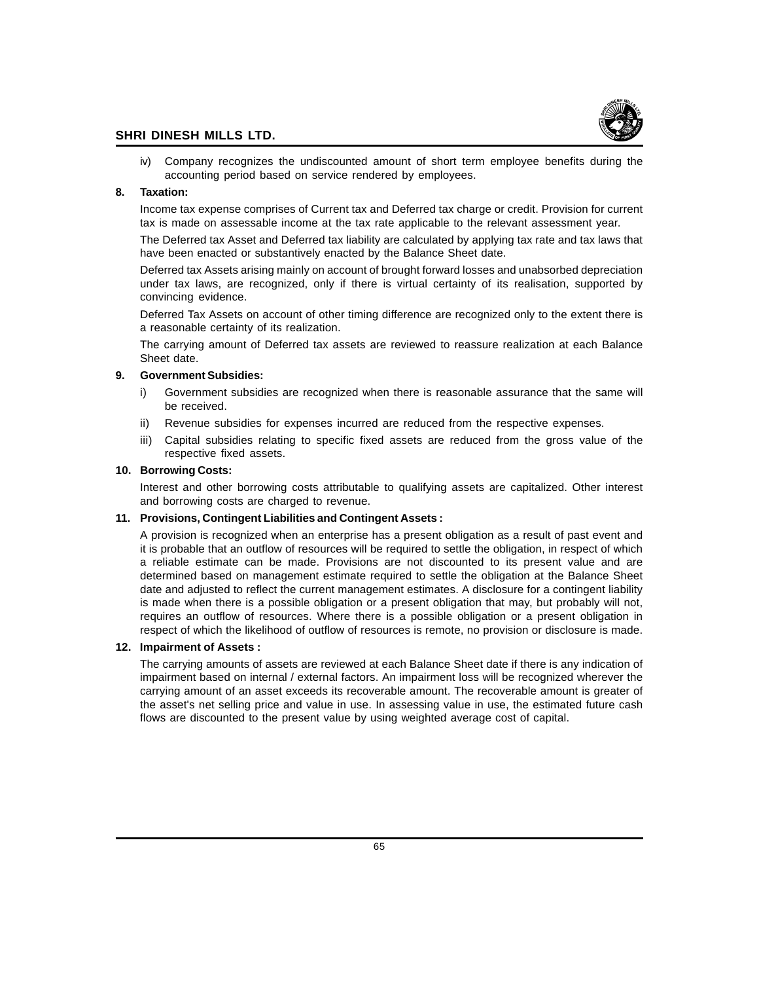

iv) Company recognizes the undiscounted amount of short term employee benefits during the accounting period based on service rendered by employees.

## **8. Taxation:**

Income tax expense comprises of Current tax and Deferred tax charge or credit. Provision for current tax is made on assessable income at the tax rate applicable to the relevant assessment year.

The Deferred tax Asset and Deferred tax liability are calculated by applying tax rate and tax laws that have been enacted or substantively enacted by the Balance Sheet date.

Deferred tax Assets arising mainly on account of brought forward losses and unabsorbed depreciation under tax laws, are recognized, only if there is virtual certainty of its realisation, supported by convincing evidence.

Deferred Tax Assets on account of other timing difference are recognized only to the extent there is a reasonable certainty of its realization.

The carrying amount of Deferred tax assets are reviewed to reassure realization at each Balance Sheet date.

## **9. Government Subsidies:**

- i) Government subsidies are recognized when there is reasonable assurance that the same will be received.
- ii) Revenue subsidies for expenses incurred are reduced from the respective expenses.
- iii) Capital subsidies relating to specific fixed assets are reduced from the gross value of the respective fixed assets.

## **10. Borrowing Costs:**

Interest and other borrowing costs attributable to qualifying assets are capitalized. Other interest and borrowing costs are charged to revenue.

## **11. Provisions, Contingent Liabilities and Contingent Assets :**

A provision is recognized when an enterprise has a present obligation as a result of past event and it is probable that an outflow of resources will be required to settle the obligation, in respect of which a reliable estimate can be made. Provisions are not discounted to its present value and are determined based on management estimate required to settle the obligation at the Balance Sheet date and adjusted to reflect the current management estimates. A disclosure for a contingent liability is made when there is a possible obligation or a present obligation that may, but probably will not, requires an outflow of resources. Where there is a possible obligation or a present obligation in respect of which the likelihood of outflow of resources is remote, no provision or disclosure is made.

## **12. Impairment of Assets :**

The carrying amounts of assets are reviewed at each Balance Sheet date if there is any indication of impairment based on internal / external factors. An impairment loss will be recognized wherever the carrying amount of an asset exceeds its recoverable amount. The recoverable amount is greater of the asset's net selling price and value in use. In assessing value in use, the estimated future cash flows are discounted to the present value by using weighted average cost of capital.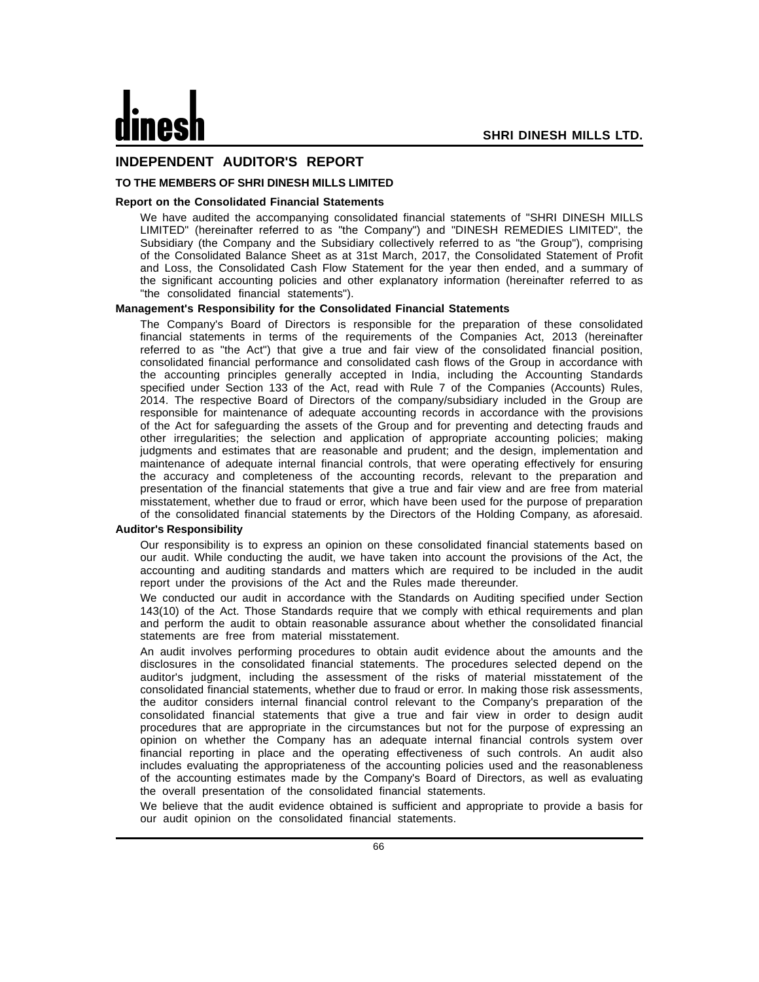## **INDEPENDENT AUDITOR'S REPORT**

## **TO THE MEMBERS OF SHRI DINESH MILLS LIMITED**

## **Report on the Consolidated Financial Statements**

We have audited the accompanying consolidated financial statements of "SHRI DINESH MILLS LIMITED" (hereinafter referred to as "the Company") and "DINESH REMEDIES LIMITED", the Subsidiary (the Company and the Subsidiary collectively referred to as "the Group"), comprising of the Consolidated Balance Sheet as at 31st March, 2017, the Consolidated Statement of Profit and Loss, the Consolidated Cash Flow Statement for the year then ended, and a summary of the significant accounting policies and other explanatory information (hereinafter referred to as "the consolidated financial statements").

## **Management's Responsibility for the Consolidated Financial Statements**

The Company's Board of Directors is responsible for the preparation of these consolidated financial statements in terms of the requirements of the Companies Act, 2013 (hereinafter referred to as "the Act") that give a true and fair view of the consolidated financial position, consolidated financial performance and consolidated cash flows of the Group in accordance with the accounting principles generally accepted in India, including the Accounting Standards specified under Section 133 of the Act, read with Rule 7 of the Companies (Accounts) Rules, 2014. The respective Board of Directors of the company/subsidiary included in the Group are responsible for maintenance of adequate accounting records in accordance with the provisions of the Act for safeguarding the assets of the Group and for preventing and detecting frauds and other irregularities; the selection and application of appropriate accounting policies; making judgments and estimates that are reasonable and prudent; and the design, implementation and maintenance of adequate internal financial controls, that were operating effectively for ensuring the accuracy and completeness of the accounting records, relevant to the preparation and presentation of the financial statements that give a true and fair view and are free from material misstatement, whether due to fraud or error, which have been used for the purpose of preparation of the consolidated financial statements by the Directors of the Holding Company, as aforesaid.

## **Auditor's Responsibility**

Our responsibility is to express an opinion on these consolidated financial statements based on our audit. While conducting the audit, we have taken into account the provisions of the Act, the accounting and auditing standards and matters which are required to be included in the audit report under the provisions of the Act and the Rules made thereunder.

We conducted our audit in accordance with the Standards on Auditing specified under Section 143(10) of the Act. Those Standards require that we comply with ethical requirements and plan and perform the audit to obtain reasonable assurance about whether the consolidated financial statements are free from material misstatement.

An audit involves performing procedures to obtain audit evidence about the amounts and the disclosures in the consolidated financial statements. The procedures selected depend on the auditor's judgment, including the assessment of the risks of material misstatement of the consolidated financial statements, whether due to fraud or error. In making those risk assessments, the auditor considers internal financial control relevant to the Company's preparation of the consolidated financial statements that give a true and fair view in order to design audit procedures that are appropriate in the circumstances but not for the purpose of expressing an opinion on whether the Company has an adequate internal financial controls system over financial reporting in place and the operating effectiveness of such controls. An audit also includes evaluating the appropriateness of the accounting policies used and the reasonableness of the accounting estimates made by the Company's Board of Directors, as well as evaluating the overall presentation of the consolidated financial statements.

We believe that the audit evidence obtained is sufficient and appropriate to provide a basis for our audit opinion on the consolidated financial statements.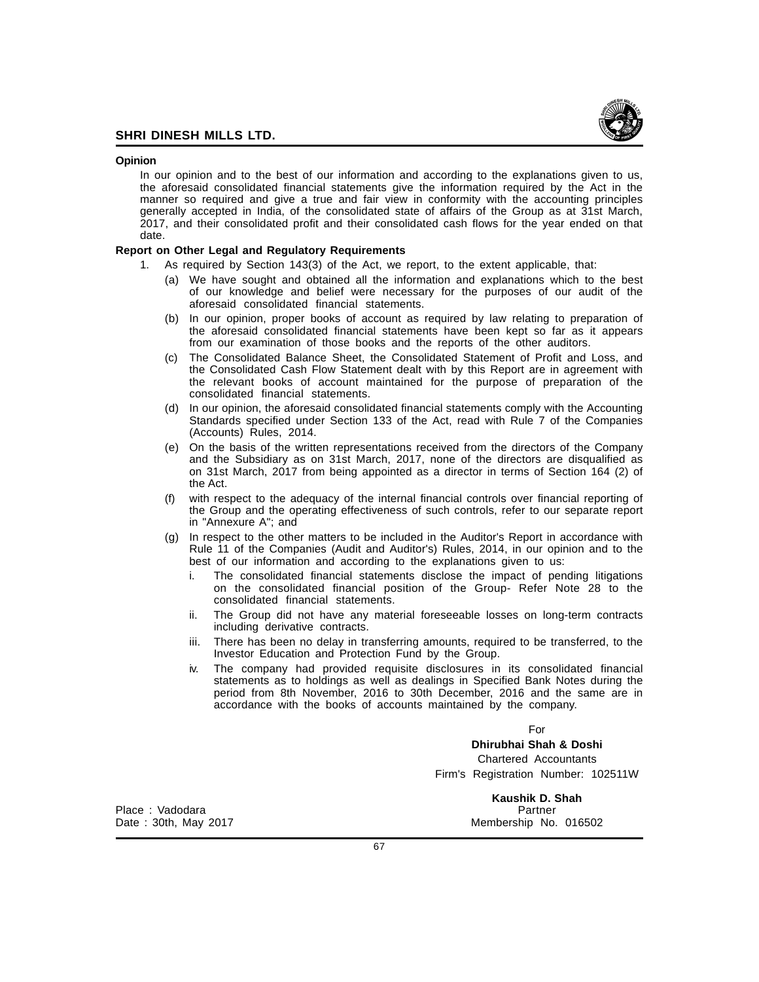

## **Opinion**

In our opinion and to the best of our information and according to the explanations given to us, the aforesaid consolidated financial statements give the information required by the Act in the manner so required and give a true and fair view in conformity with the accounting principles generally accepted in India, of the consolidated state of affairs of the Group as at 31st March, 2017, and their consolidated profit and their consolidated cash flows for the year ended on that date.

## **Report on Other Legal and Regulatory Requirements**

- 1. As required by Section 143(3) of the Act, we report, to the extent applicable, that:
	- (a) We have sought and obtained all the information and explanations which to the best of our knowledge and belief were necessary for the purposes of our audit of the aforesaid consolidated financial statements.
	- (b) In our opinion, proper books of account as required by law relating to preparation of the aforesaid consolidated financial statements have been kept so far as it appears from our examination of those books and the reports of the other auditors.
	- (c) The Consolidated Balance Sheet, the Consolidated Statement of Profit and Loss, and the Consolidated Cash Flow Statement dealt with by this Report are in agreement with the relevant books of account maintained for the purpose of preparation of the consolidated financial statements.
	- (d) In our opinion, the aforesaid consolidated financial statements comply with the Accounting Standards specified under Section 133 of the Act, read with Rule 7 of the Companies (Accounts) Rules, 2014.
	- (e) On the basis of the written representations received from the directors of the Company and the Subsidiary as on 31st March, 2017, none of the directors are disqualified as on 31st March, 2017 from being appointed as a director in terms of Section 164 (2) of the Act.
	- (f) with respect to the adequacy of the internal financial controls over financial reporting of the Group and the operating effectiveness of such controls, refer to our separate report in "Annexure A"; and
	- (g) In respect to the other matters to be included in the Auditor's Report in accordance with Rule 11 of the Companies (Audit and Auditor's) Rules, 2014, in our opinion and to the best of our information and according to the explanations given to us:
		- i. The consolidated financial statements disclose the impact of pending litigations on the consolidated financial position of the Group- Refer Note 28 to the consolidated financial statements.
		- ii. The Group did not have any material foreseeable losses on long-term contracts including derivative contracts.
		- iii. There has been no delay in transferring amounts, required to be transferred, to the Investor Education and Protection Fund by the Group.
		- iv. The company had provided requisite disclosures in its consolidated financial statements as to holdings as well as dealings in Specified Bank Notes during the period from 8th November, 2016 to 30th December, 2016 and the same are in accordance with the books of accounts maintained by the company.

For

**Dhirubhai Shah & Doshi** Chartered Accountants

Firm's Registration Number: 102511W

Place : Vadodara Partner

**Kaushik D. Shah** Membership No. 016502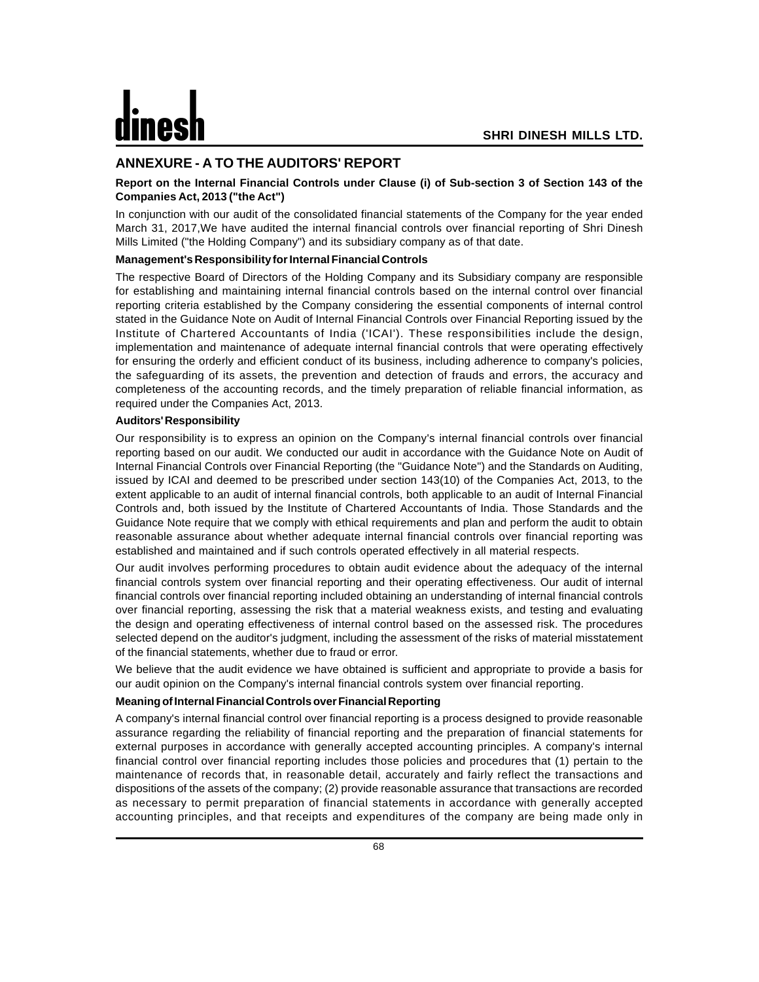## **ANNEXURE - A TO THE AUDITORS' REPORT**

## **Report on the Internal Financial Controls under Clause (i) of Sub-section 3 of Section 143 of the Companies Act, 2013 ("the Act")**

In conjunction with our audit of the consolidated financial statements of the Company for the year ended March 31, 2017,We have audited the internal financial controls over financial reporting of Shri Dinesh Mills Limited ("the Holding Company") and its subsidiary company as of that date.

## **Management's Responsibility for Internal Financial Controls**

The respective Board of Directors of the Holding Company and its Subsidiary company are responsible for establishing and maintaining internal financial controls based on the internal control over financial reporting criteria established by the Company considering the essential components of internal control stated in the Guidance Note on Audit of Internal Financial Controls over Financial Reporting issued by the Institute of Chartered Accountants of India ('ICAI'). These responsibilities include the design, implementation and maintenance of adequate internal financial controls that were operating effectively for ensuring the orderly and efficient conduct of its business, including adherence to company's policies, the safeguarding of its assets, the prevention and detection of frauds and errors, the accuracy and completeness of the accounting records, and the timely preparation of reliable financial information, as required under the Companies Act, 2013.

## **Auditors' Responsibility**

Our responsibility is to express an opinion on the Company's internal financial controls over financial reporting based on our audit. We conducted our audit in accordance with the Guidance Note on Audit of Internal Financial Controls over Financial Reporting (the "Guidance Note") and the Standards on Auditing, issued by ICAI and deemed to be prescribed under section 143(10) of the Companies Act, 2013, to the extent applicable to an audit of internal financial controls, both applicable to an audit of Internal Financial Controls and, both issued by the Institute of Chartered Accountants of India. Those Standards and the Guidance Note require that we comply with ethical requirements and plan and perform the audit to obtain reasonable assurance about whether adequate internal financial controls over financial reporting was established and maintained and if such controls operated effectively in all material respects.

Our audit involves performing procedures to obtain audit evidence about the adequacy of the internal financial controls system over financial reporting and their operating effectiveness. Our audit of internal financial controls over financial reporting included obtaining an understanding of internal financial controls over financial reporting, assessing the risk that a material weakness exists, and testing and evaluating the design and operating effectiveness of internal control based on the assessed risk. The procedures selected depend on the auditor's judgment, including the assessment of the risks of material misstatement of the financial statements, whether due to fraud or error.

We believe that the audit evidence we have obtained is sufficient and appropriate to provide a basis for our audit opinion on the Company's internal financial controls system over financial reporting.

## **Meaning of Internal Financial Controls over Financial Reporting**

A company's internal financial control over financial reporting is a process designed to provide reasonable assurance regarding the reliability of financial reporting and the preparation of financial statements for external purposes in accordance with generally accepted accounting principles. A company's internal financial control over financial reporting includes those policies and procedures that (1) pertain to the maintenance of records that, in reasonable detail, accurately and fairly reflect the transactions and dispositions of the assets of the company; (2) provide reasonable assurance that transactions are recorded as necessary to permit preparation of financial statements in accordance with generally accepted accounting principles, and that receipts and expenditures of the company are being made only in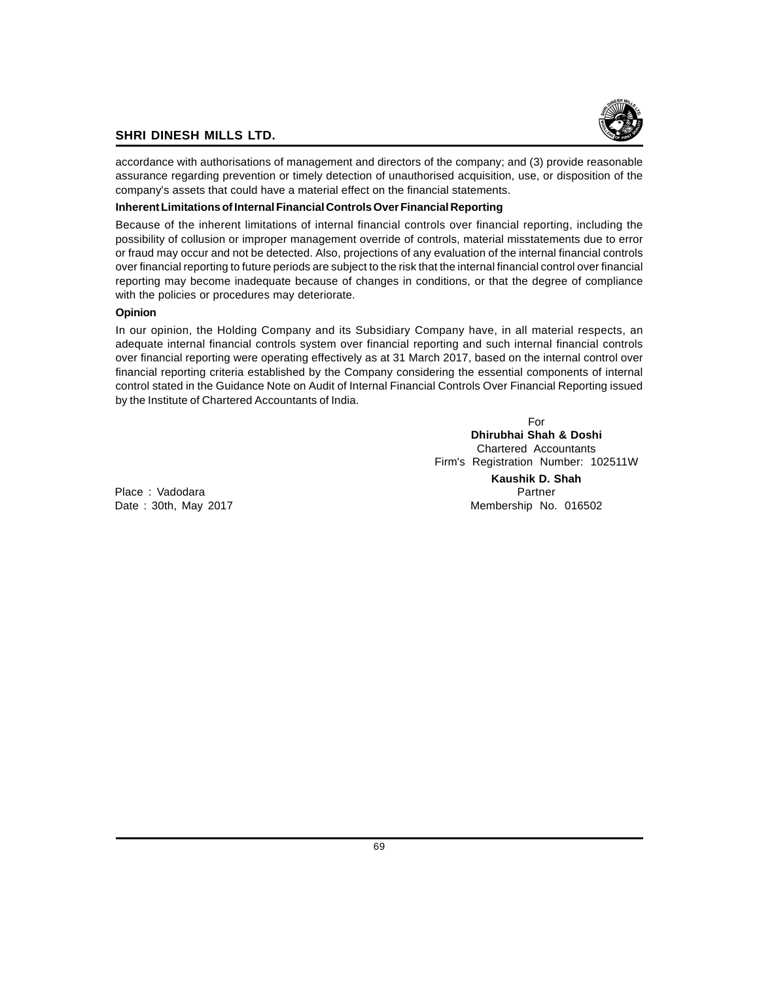

accordance with authorisations of management and directors of the company; and (3) provide reasonable assurance regarding prevention or timely detection of unauthorised acquisition, use, or disposition of the company's assets that could have a material effect on the financial statements.

## **Inherent Limitations of Internal Financial Controls Over Financial Reporting**

Because of the inherent limitations of internal financial controls over financial reporting, including the possibility of collusion or improper management override of controls, material misstatements due to error or fraud may occur and not be detected. Also, projections of any evaluation of the internal financial controls over financial reporting to future periods are subject to the risk that the internal financial control over financial reporting may become inadequate because of changes in conditions, or that the degree of compliance with the policies or procedures may deteriorate.

## **Opinion**

In our opinion, the Holding Company and its Subsidiary Company have, in all material respects, an adequate internal financial controls system over financial reporting and such internal financial controls over financial reporting were operating effectively as at 31 March 2017, based on the internal control over financial reporting criteria established by the Company considering the essential components of internal control stated in the Guidance Note on Audit of Internal Financial Controls Over Financial Reporting issued by the Institute of Chartered Accountants of India.

> For **Dhirubhai Shah & Doshi** Chartered Accountants Firm's Registration Number: 102511W **Kaushik D. Shah**

Place : Vadodara **Partner** Partner Partner Partner Partner Partner Date : 30th, May 2017 Membership No. 016502

69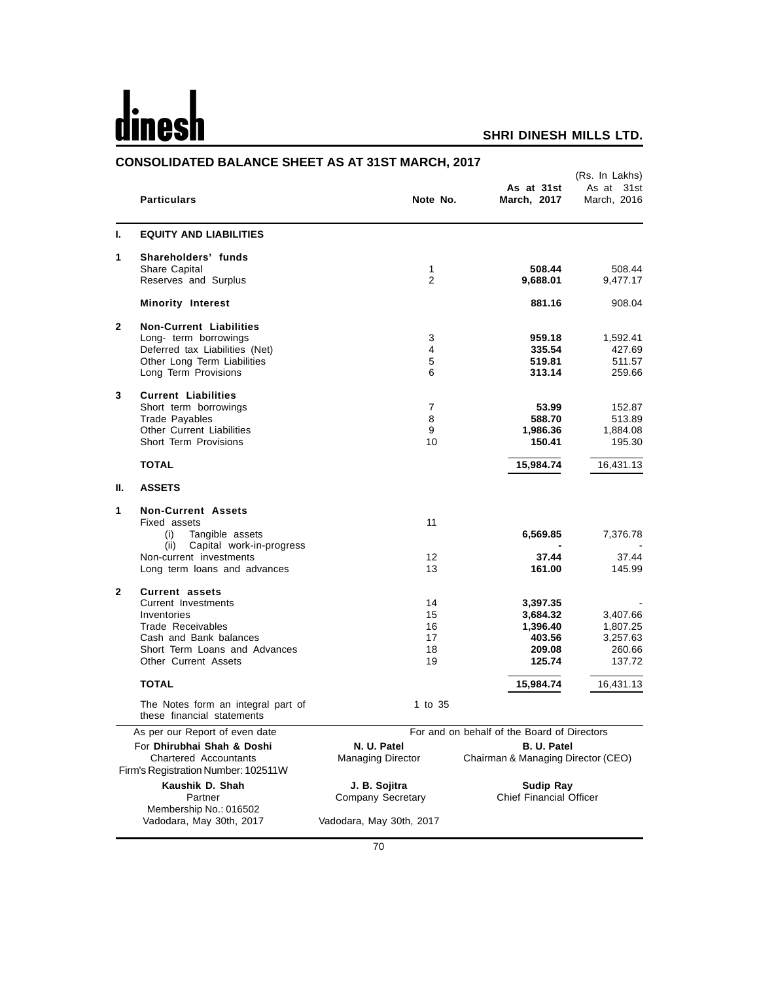# dines

|                            | <b>CONSOLIDATED BALANCE SHEET AS AT 31ST MARCH, 2017</b>            |                          |                                             |                                             |
|----------------------------|---------------------------------------------------------------------|--------------------------|---------------------------------------------|---------------------------------------------|
|                            | <b>Particulars</b>                                                  | Note No.                 | As at 31st<br>March, 2017                   | (Rs. In Lakhs)<br>As at 31st<br>March, 2016 |
| L.                         | <b>EQUITY AND LIABILITIES</b>                                       |                          |                                             |                                             |
| 1                          | Shareholders' funds                                                 |                          |                                             |                                             |
|                            | Share Capital<br>Reserves and Surplus                               | 1<br>$\overline{2}$      | 508.44<br>9,688.01                          | 508.44<br>9,477.17                          |
|                            |                                                                     |                          |                                             |                                             |
|                            | <b>Minority Interest</b>                                            |                          | 881.16                                      | 908.04                                      |
| $\mathbf{2}$               | <b>Non-Current Liabilities</b><br>Long- term borrowings             | 3                        | 959.18                                      | 1,592.41                                    |
|                            | Deferred tax Liabilities (Net)                                      | 4                        | 335.54                                      | 427.69                                      |
|                            | Other Long Term Liabilities                                         | 5                        | 519.81                                      | 511.57                                      |
|                            | Long Term Provisions                                                | 6                        | 313.14                                      | 259.66                                      |
| 3                          | <b>Current Liabilities</b>                                          |                          |                                             |                                             |
|                            | Short term borrowings                                               | $\overline{7}$<br>8      | 53.99<br>588.70                             | 152.87                                      |
|                            | <b>Trade Payables</b><br><b>Other Current Liabilities</b>           | 9                        | 1,986.36                                    | 513.89<br>1,884.08                          |
|                            | Short Term Provisions                                               | 10                       | 150.41                                      | 195.30                                      |
|                            | <b>TOTAL</b>                                                        |                          | 15,984.74                                   | 16,431.13                                   |
| Ш.                         | <b>ASSETS</b>                                                       |                          |                                             |                                             |
| 1                          | <b>Non-Current Assets</b>                                           |                          |                                             |                                             |
|                            | Fixed assets                                                        | 11                       |                                             |                                             |
|                            | Tangible assets<br>(i)<br>Capital work-in-progress<br>(ii)          |                          | 6,569.85                                    | 7,376.78                                    |
|                            | Non-current investments                                             | $12 \overline{ }$        | 37.44                                       | 37.44                                       |
|                            | Long term loans and advances                                        | 13                       | 161.00                                      | 145.99                                      |
| $\mathbf{2}$               | <b>Current assets</b>                                               |                          |                                             |                                             |
|                            | Current Investments                                                 | 14                       | 3,397.35                                    |                                             |
|                            | Inventories<br>Trade Receivables                                    | 15                       | 3,684.32                                    | 3,407.66                                    |
|                            | Cash and Bank balances                                              | 16<br>17                 | 1,396.40<br>403.56                          | 1,807.25<br>3,257.63                        |
|                            | Short Term Loans and Advances                                       | 18                       | 209.08                                      | 260.66                                      |
|                            | <b>Other Current Assets</b>                                         | 19                       | 125.74                                      | 137.72                                      |
|                            | <b>TOTAL</b>                                                        |                          | 15,984.74                                   | 16,431.13                                   |
|                            | The Notes form an integral part of<br>these financial statements    | 1 to 35                  |                                             |                                             |
|                            | As per our Report of even date                                      |                          | For and on behalf of the Board of Directors |                                             |
| For Dhirubhai Shah & Doshi |                                                                     | N. U. Patel              | <b>B. U. Patel</b>                          |                                             |
|                            | <b>Chartered Accountants</b><br>Firm's Registration Number: 102511W | <b>Managing Director</b> | Chairman & Managing Director (CEO)          |                                             |
| Kaushik D. Shah            |                                                                     | J. B. Sojitra            | <b>Sudip Ray</b>                            |                                             |
|                            | Partner                                                             | Company Secretary        | <b>Chief Financial Officer</b>              |                                             |
|                            | Membership No.: 016502<br>Vadodara, May 30th, 2017                  | Vadodara, May 30th, 2017 |                                             |                                             |
|                            |                                                                     |                          |                                             |                                             |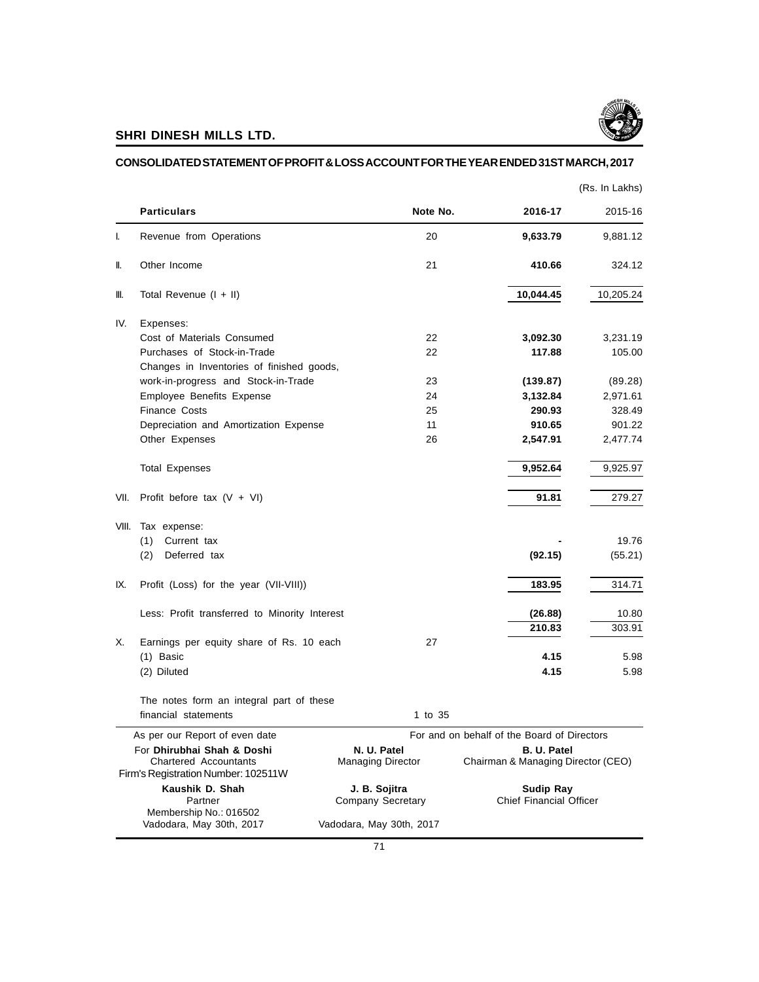

## **CONSOLIDATED STATEMENT OF PROFIT & LOSS ACCOUNT FOR THE YEAR ENDED 31ST MARCH, 2017**

|       |                                                                                                   |                                         |                                                   | (Rs. In Lakhs) |
|-------|---------------------------------------------------------------------------------------------------|-----------------------------------------|---------------------------------------------------|----------------|
|       | <b>Particulars</b>                                                                                | Note No.                                | 2016-17                                           | 2015-16        |
| I.    | Revenue from Operations                                                                           | 20                                      | 9,633.79                                          | 9,881.12       |
| II.   | Other Income                                                                                      | 21                                      | 410.66                                            | 324.12         |
| III.  | Total Revenue $(I + II)$                                                                          |                                         | 10,044.45                                         | 10,205.24      |
| IV.   | Expenses:                                                                                         |                                         |                                                   |                |
|       | Cost of Materials Consumed                                                                        | 22                                      | 3,092.30                                          | 3,231.19       |
|       | Purchases of Stock-in-Trade                                                                       | 22                                      | 117.88                                            | 105.00         |
|       | Changes in Inventories of finished goods,                                                         |                                         |                                                   |                |
|       | work-in-progress and Stock-in-Trade                                                               | 23                                      | (139.87)                                          | (89.28)        |
|       | Employee Benefits Expense                                                                         | 24                                      | 3,132.84                                          | 2,971.61       |
|       | <b>Finance Costs</b>                                                                              | 25                                      | 290.93                                            | 328.49         |
|       | Depreciation and Amortization Expense                                                             | 11                                      | 910.65                                            | 901.22         |
|       | Other Expenses                                                                                    | 26                                      | 2,547.91                                          | 2,477.74       |
|       | <b>Total Expenses</b>                                                                             |                                         | 9,952.64                                          | 9,925.97       |
| VII.  | Profit before tax $(V + VI)$                                                                      |                                         | 91.81                                             | 279.27         |
| VIII. | Tax expense:                                                                                      |                                         |                                                   |                |
|       | Current tax<br>(1)                                                                                |                                         |                                                   | 19.76          |
|       | Deferred tax<br>(2)                                                                               |                                         | (92.15)                                           | (55.21)        |
| IX.   | Profit (Loss) for the year (VII-VIII))                                                            |                                         | 183.95                                            | 314.71         |
|       | Less: Profit transferred to Minority Interest                                                     |                                         | (26.88)                                           | 10.80          |
|       |                                                                                                   |                                         | 210.83                                            | 303.91         |
| Х.    | Earnings per equity share of Rs. 10 each                                                          | 27                                      |                                                   |                |
|       | $(1)$ Basic                                                                                       |                                         | 4.15                                              | 5.98           |
|       | (2) Diluted                                                                                       |                                         | 4.15                                              | 5.98           |
|       | The notes form an integral part of these                                                          |                                         |                                                   |                |
|       | financial statements                                                                              | 1 to 35                                 |                                                   |                |
|       | As per our Report of even date                                                                    |                                         | For and on behalf of the Board of Directors       |                |
|       | For Dhirubhai Shah & Doshi<br><b>Chartered Accountants</b><br>Firm's Registration Number: 102511W | N. U. Patel<br><b>Managing Director</b> | B. U. Patel<br>Chairman & Managing Director (CEO) |                |
|       | Kaushik D. Shah                                                                                   | J. B. Sojitra                           | <b>Sudip Ray</b>                                  |                |
|       | Partner<br>Membership No.: 016502                                                                 | Company Secretary                       | <b>Chief Financial Officer</b>                    |                |
|       | Vadodara, May 30th, 2017                                                                          | Vadodara, May 30th, 2017                |                                                   |                |
|       |                                                                                                   |                                         |                                                   |                |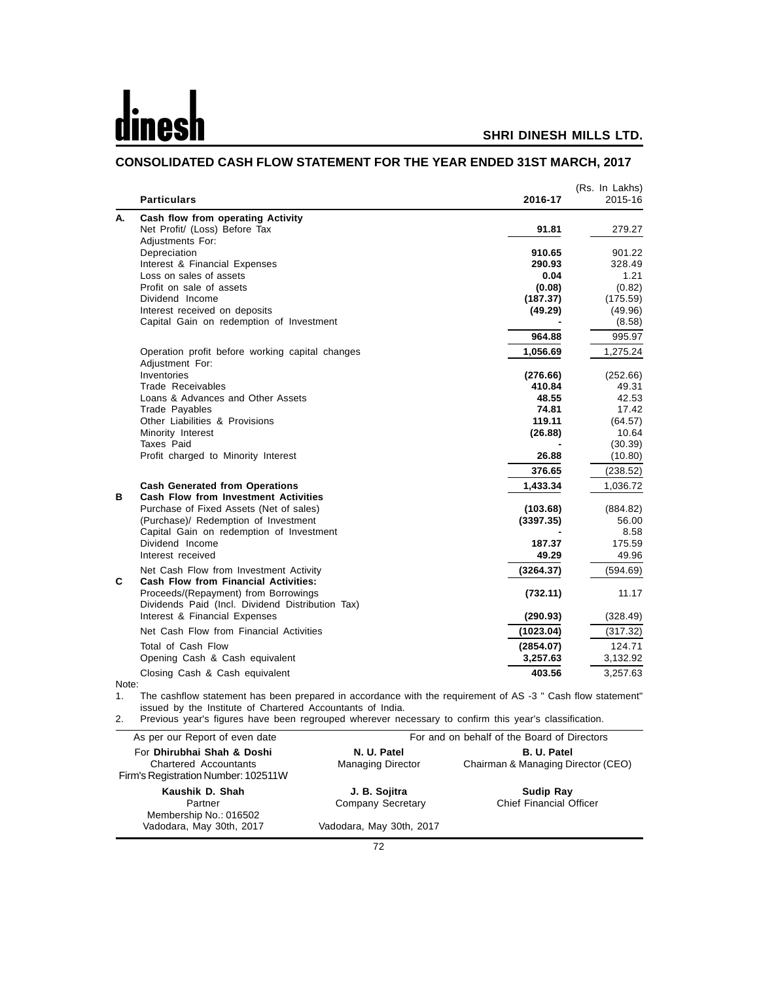|          | <b>Particulars</b>                               | 2016-17   | (Rs. In Lakhs)<br>2015-16 |
|----------|--------------------------------------------------|-----------|---------------------------|
| А.       | Cash flow from operating Activity                |           |                           |
|          | Net Profit/ (Loss) Before Tax                    | 91.81     | 279.27                    |
|          | Adjustments For:                                 |           |                           |
|          | Depreciation                                     | 910.65    | 901.22                    |
|          | Interest & Financial Expenses                    | 290.93    | 328.49                    |
|          | Loss on sales of assets                          | 0.04      | 1.21                      |
|          | Profit on sale of assets                         | (0.08)    | (0.82)                    |
|          | Dividend Income                                  | (187.37)  | (175.59)                  |
|          | Interest received on deposits                    | (49.29)   | (49.96)                   |
|          | Capital Gain on redemption of Investment         |           | (8.58)                    |
|          |                                                  | 964.88    | 995.97                    |
|          | Operation profit before working capital changes  | 1,056.69  | 1,275.24                  |
|          | Adjustment For:                                  |           |                           |
|          | Inventories                                      | (276.66)  | (252.66)                  |
|          | Trade Receivables                                | 410.84    | 49.31                     |
|          | Loans & Advances and Other Assets                | 48.55     | 42.53                     |
|          | Trade Payables                                   | 74.81     | 17.42                     |
|          | Other Liabilities & Provisions                   | 119.11    | (64.57)                   |
|          | Minority Interest                                | (26.88)   | 10.64                     |
|          | Taxes Paid                                       |           | (30.39)                   |
|          | Profit charged to Minority Interest              | 26.88     | (10.80)                   |
|          |                                                  | 376.65    | (238.52)                  |
|          | <b>Cash Generated from Operations</b>            | 1,433.34  | 1,036.72                  |
| в        | <b>Cash Flow from Investment Activities</b>      |           |                           |
|          | Purchase of Fixed Assets (Net of sales)          | (103.68)  | (884.82)                  |
|          | (Purchase)/ Redemption of Investment             | (3397.35) | 56.00                     |
|          | Capital Gain on redemption of Investment         |           | 8.58                      |
|          | Dividend Income                                  | 187.37    | 175.59                    |
|          | Interest received                                | 49.29     | 49.96                     |
|          | Net Cash Flow from Investment Activity           | (3264.37) | (594.69)                  |
| C        | Cash Flow from Financial Activities:             |           |                           |
|          | Proceeds/(Repayment) from Borrowings             | (732.11)  | 11.17                     |
|          | Dividends Paid (Incl. Dividend Distribution Tax) |           |                           |
|          | Interest & Financial Expenses                    | (290.93)  | (328.49)                  |
|          | Net Cash Flow from Financial Activities          | (1023.04) | (317.32)                  |
|          | Total of Cash Flow                               | (2854.07) | 124.71                    |
|          | Opening Cash & Cash equivalent                   | 3,257.63  | 3,132.92                  |
|          |                                                  | 403.56    |                           |
| $N$ nto: | Closing Cash & Cash equivalent                   |           | 3,257.63                  |

# **CONSOLIDATED CASH FLOW STATEMENT FOR THE YEAR ENDED 31ST MARCH, 2017**

Note<br>1.

1. The cashflow statement has been prepared in accordance with the requirement of AS -3 " Cash flow statement" issued by the Institute of Chartered Accountants of India.

2. Previous year's figures have been regrouped wherever necessary to confirm this year's classification.

| As per our Report of even date                                                             | For and on behalf of the Board of Directors |                                                          |  |  |  |
|--------------------------------------------------------------------------------------------|---------------------------------------------|----------------------------------------------------------|--|--|--|
| For Dhirubhai Shah & Doshi<br>Chartered Accountants<br>Firm's Registration Number: 102511W | N. U. Patel<br><b>Managing Director</b>     | <b>B. U. Patel</b><br>Chairman & Managing Director (CEO) |  |  |  |
| Kaushik D. Shah<br>Partner<br>Membership No.: 016502                                       | J. B. Sojitra<br>Company Secretary          | <b>Sudip Ray</b><br><b>Chief Financial Officer</b>       |  |  |  |
| Vadodara, May 30th, 2017                                                                   | Vadodara, May 30th, 2017                    |                                                          |  |  |  |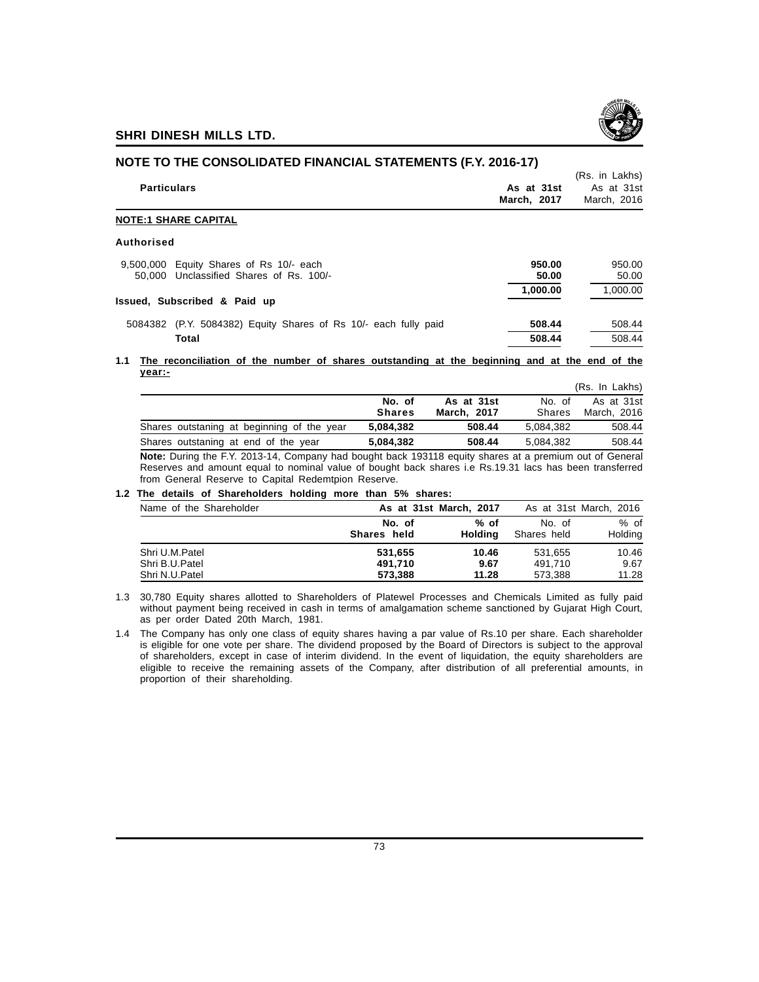

| <u>NUTE TO THE CONSOLIDATED FINANCIAL STATEMENTS (F.T. ZUTO-T7)</u>                |                           |                                             |  |  |  |  |
|------------------------------------------------------------------------------------|---------------------------|---------------------------------------------|--|--|--|--|
| <b>Particulars</b>                                                                 | As at 31st<br>March, 2017 | (Rs. in Lakhs)<br>As at 31st<br>March. 2016 |  |  |  |  |
| <b>NOTE:1 SHARE CAPITAL</b>                                                        |                           |                                             |  |  |  |  |
| Authorised                                                                         |                           |                                             |  |  |  |  |
| 9,500,000 Equity Shares of Rs 10/- each<br>50,000 Unclassified Shares of Rs. 100/- | 950.00<br>50.00           | 950.00<br>50.00                             |  |  |  |  |
| Issued, Subscribed & Paid up                                                       | 1,000.00                  | 1.000.00                                    |  |  |  |  |
| (P.Y. 5084382) Equity Shares of Rs 10/- each fully paid<br>5084382                 | 508.44                    | 508.44                                      |  |  |  |  |
| Total                                                                              | 508.44                    | 508.44                                      |  |  |  |  |
|                                                                                    |                           |                                             |  |  |  |  |

**NOTE TO THE CONSOLIDATED FINANCIAL STATEMENTS (F.Y. 2016-17)**

#### **1.1 The reconciliation of the number of shares outstanding at the beginning and at the end of the year:-**

|                                            |               |             |               | (Rs. In Lakhs) |
|--------------------------------------------|---------------|-------------|---------------|----------------|
|                                            | No. of        | As at 31st  | No. of        | As at 31st     |
|                                            | <b>Shares</b> | March, 2017 | <b>Shares</b> | March, 2016    |
| Shares outstaning at beginning of the year | 5.084.382     | 508.44      | 5.084.382     | 508.44         |
| Shares outstaning at end of the year       | 5.084.382     | 508.44      | 5.084.382     | 508.44         |

**Note:** During the F.Y. 2013-14, Company had bought back 193118 equity shares at a premium out of General Reserves and amount equal to nominal value of bought back shares i.e Rs.19.31 lacs has been transferred from General Reserve to Capital Redemtpion Reserve.

#### **1.2 The details of Shareholders holding more than 5% shares:**

| Name of the Shareholder |                       | As at 31st March, 2017 |                       | As at 31st March, 2016 |
|-------------------------|-----------------------|------------------------|-----------------------|------------------------|
|                         | No. of<br>Shares held | % of<br>Holdina        | No. of<br>Shares held | $%$ of<br>Holding      |
| Shri U.M.Patel          | 531,655               | 10.46                  | 531.655               | 10.46                  |
| Shri B.U.Patel          | 491.710               | 9.67                   | 491.710               | 9.67                   |
| Shri N.U.Patel          | 573.388               | 11.28                  | 573,388               | 11.28                  |

1.3 30,780 Equity shares allotted to Shareholders of Platewel Processes and Chemicals Limited as fully paid without payment being received in cash in terms of amalgamation scheme sanctioned by Gujarat High Court, as per order Dated 20th March, 1981.

1.4 The Company has only one class of equity shares having a par value of Rs.10 per share. Each shareholder is eligible for one vote per share. The dividend proposed by the Board of Directors is subject to the approval of shareholders, except in case of interim dividend. In the event of liquidation, the equity shareholders are eligible to receive the remaining assets of the Company, after distribution of all preferential amounts, in proportion of their shareholding.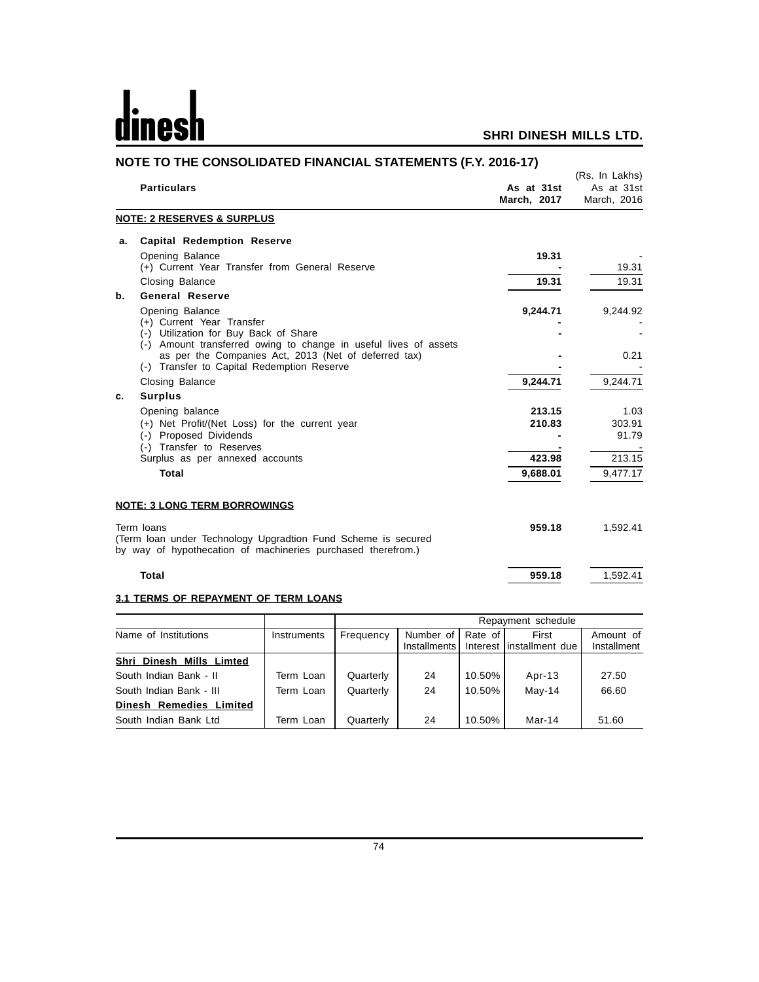# dinesh

# **SHRI DINESH MILLS LTD.**

|    | NOTE TO THE CONSOLIDATED FINANCIAL STATEMENTS (F.Y. 2016-17)                                                                                              |                           |                                             |
|----|-----------------------------------------------------------------------------------------------------------------------------------------------------------|---------------------------|---------------------------------------------|
|    | <b>Particulars</b>                                                                                                                                        | As at 31st<br>March, 2017 | (Rs. In Lakhs)<br>As at 31st<br>March, 2016 |
|    | <b>NOTE: 2 RESERVES &amp; SURPLUS</b>                                                                                                                     |                           |                                             |
| a. | <b>Capital Redemption Reserve</b>                                                                                                                         |                           |                                             |
|    | Opening Balance<br>(+) Current Year Transfer from General Reserve                                                                                         | 19.31                     | 19.31                                       |
|    | <b>Closing Balance</b>                                                                                                                                    | 19.31                     | 19.31                                       |
| b. | <b>General Reserve</b>                                                                                                                                    |                           |                                             |
|    | Opening Balance<br>(+) Current Year Transfer<br>(-) Utilization for Buy Back of Share<br>(-) Amount transferred owing to change in useful lives of assets | 9,244.71                  | 9,244.92                                    |
|    | as per the Companies Act, 2013 (Net of deferred tax)<br>(-) Transfer to Capital Redemption Reserve                                                        |                           | 0.21                                        |
|    | <b>Closing Balance</b>                                                                                                                                    | 9,244.71                  | 9,244.71                                    |
| c. | <b>Surplus</b>                                                                                                                                            |                           |                                             |
|    | Opening balance                                                                                                                                           | 213.15                    | 1.03                                        |
|    | (+) Net Profit/(Net Loss) for the current year<br>(-) Proposed Dividends<br>(-) Transfer to Reserves                                                      | 210.83                    | 303.91<br>91.79                             |
|    | Surplus as per annexed accounts                                                                                                                           | 423.98                    | 213.15                                      |
|    | <b>Total</b>                                                                                                                                              | 9,688.01                  | 9,477.17                                    |
|    | <b>NOTE: 3 LONG TERM BORROWINGS</b>                                                                                                                       |                           |                                             |
|    | Term loans<br>(Term loan under Technology Upgradtion Fund Scheme is secured<br>by way of hypothecation of machineries purchased therefrom.)               | 959.18                    | 1,592.41                                    |
|    | <b>Total</b>                                                                                                                                              | 959.18                    | 1,592.41                                    |

# **3.1 TERMS OF REPAYMENT OF TERM LOANS**

|                          |             | Repayment schedule                                                                        |    |        |          |       |  |
|--------------------------|-------------|-------------------------------------------------------------------------------------------|----|--------|----------|-------|--|
| Name of Institutions     | Instruments | Number of<br>Rate of<br>First<br>Frequency<br>Interest linstallment due<br>Installments I |    |        |          |       |  |
| Shri Dinesh Mills Limted |             |                                                                                           |    |        |          |       |  |
| South Indian Bank - II   | Term Loan   | Quarterly                                                                                 | 24 | 10.50% | Apr-13   | 27.50 |  |
| South Indian Bank - III  | Term Loan   | Quarterly                                                                                 | 24 | 10.50% | $May-14$ | 66.60 |  |
| Dinesh Remedies Limited  |             |                                                                                           |    |        |          |       |  |
| South Indian Bank Ltd    | Term Loan   | Quarterly                                                                                 | 24 | 10.50% | Mar-14   | 51.60 |  |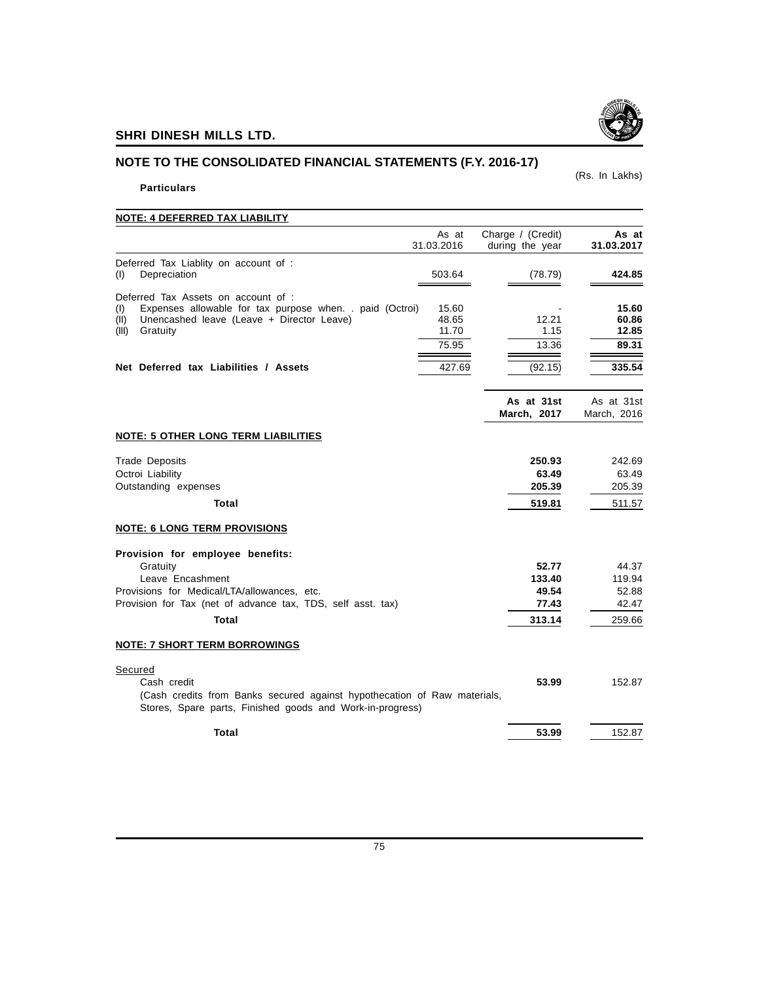# **NOTE TO THE CONSOLIDATED FINANCIAL STATEMENTS (F.Y. 2016-17)**

# **Particulars**

| <b>NOTE: 4 DEFERRED TAX LIABILITY</b>                                                                                                                                                                                                                                   |                                             |                                             |
|-------------------------------------------------------------------------------------------------------------------------------------------------------------------------------------------------------------------------------------------------------------------------|---------------------------------------------|---------------------------------------------|
| As at<br>31.03.2016                                                                                                                                                                                                                                                     | Charge / (Credit)<br>during the year        | As at<br>31.03.2017                         |
| Deferred Tax Liablity on account of :<br>Depreciation<br>503.64<br>(1)                                                                                                                                                                                                  | (78.79)                                     | 424.85                                      |
| Deferred Tax Assets on account of :<br>Expenses allowable for tax purpose when. . paid (Octroi)<br>(1)<br>15.60<br>Unencashed leave (Leave + Director Leave)<br>48.65<br>(II)<br>Gratuity<br>11.70<br>(III)<br>75.95<br>427.69<br>Net Deferred tax Liabilities / Assets | 12.21<br>1.15<br>13.36<br>(92.15)           | 15.60<br>60.86<br>12.85<br>89.31<br>335.54  |
|                                                                                                                                                                                                                                                                         | As at 31st<br>March. 2017                   | As at 31st<br>March, 2016                   |
| <b>NOTE: 5 OTHER LONG TERM LIABILITIES</b>                                                                                                                                                                                                                              |                                             |                                             |
| <b>Trade Deposits</b><br>Octroi Liability<br>Outstanding expenses<br>Total                                                                                                                                                                                              | 250.93<br>63.49<br>205.39<br>519.81         | 242.69<br>63.49<br>205.39<br>511.57         |
| <b>NOTE: 6 LONG TERM PROVISIONS</b>                                                                                                                                                                                                                                     |                                             |                                             |
| Provision for employee benefits:<br>Gratuity<br>Leave Encashment<br>Provisions for Medical/LTA/allowances, etc.<br>Provision for Tax (net of advance tax, TDS, self asst. tax)<br>Total                                                                                 | 52.77<br>133.40<br>49.54<br>77.43<br>313.14 | 44.37<br>119.94<br>52.88<br>42.47<br>259.66 |
| <b>NOTE: 7 SHORT TERM BORROWINGS</b>                                                                                                                                                                                                                                    |                                             |                                             |
| Secured<br>Cash credit<br>(Cash credits from Banks secured against hypothecation of Raw materials,<br>Stores, Spare parts, Finished goods and Work-in-progress)                                                                                                         | 53.99                                       | 152.87                                      |
| <b>Total</b>                                                                                                                                                                                                                                                            | 53.99                                       | 152.87                                      |



(Rs. In Lakhs)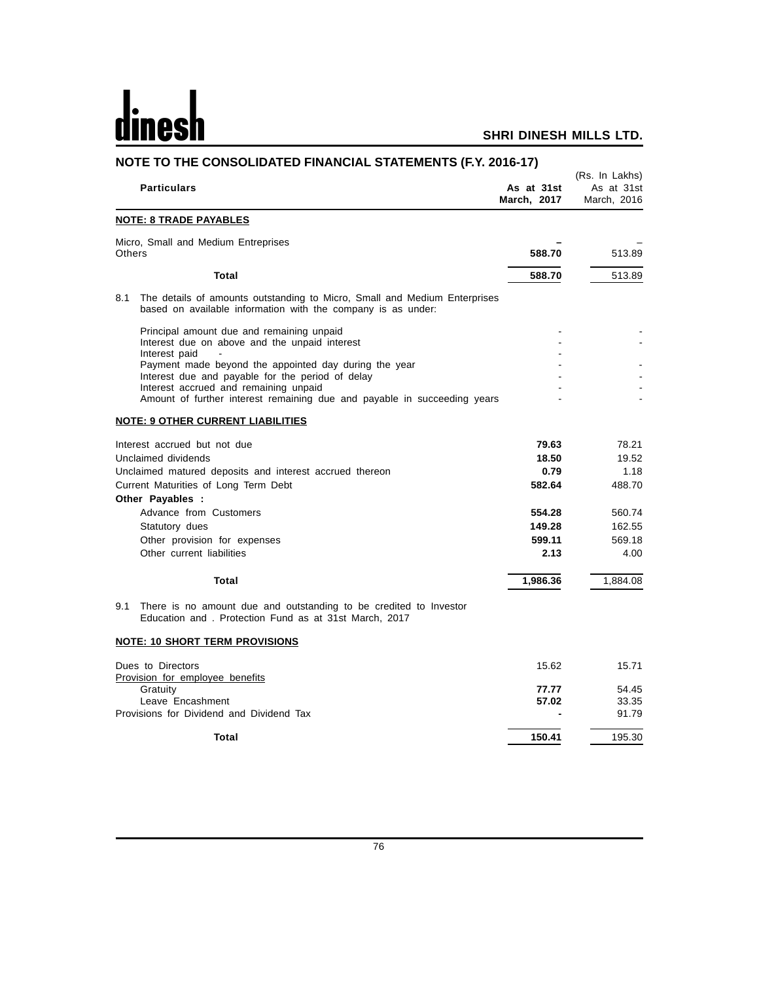# <u>dinesh</u>

| NOTE TO THE CONSOLIDATED FINANCIAL STATEMENTS (F.Y. 2016-17)                                                                                       |                           |                                             |  |  |  |
|----------------------------------------------------------------------------------------------------------------------------------------------------|---------------------------|---------------------------------------------|--|--|--|
| <b>Particulars</b>                                                                                                                                 | As at 31st<br>March, 2017 | (Rs. In Lakhs)<br>As at 31st<br>March, 2016 |  |  |  |
| <b>NOTE: 8 TRADE PAYABLES</b>                                                                                                                      |                           |                                             |  |  |  |
| Micro, Small and Medium Entreprises<br>Others                                                                                                      | 588.70                    | 513.89                                      |  |  |  |
| Total                                                                                                                                              | 588.70                    | 513.89                                      |  |  |  |
| 8.1<br>The details of amounts outstanding to Micro, Small and Medium Enterprises<br>based on available information with the company is as under:   |                           |                                             |  |  |  |
| Principal amount due and remaining unpaid<br>Interest due on above and the unpaid interest<br>Interest paid                                        |                           |                                             |  |  |  |
| Payment made beyond the appointed day during the year<br>Interest due and payable for the period of delay<br>Interest accrued and remaining unpaid |                           |                                             |  |  |  |
| Amount of further interest remaining due and payable in succeeding years                                                                           |                           |                                             |  |  |  |
| <b>NOTE: 9 OTHER CURRENT LIABILITIES</b>                                                                                                           |                           |                                             |  |  |  |
| Interest accrued but not due                                                                                                                       | 79.63                     | 78.21                                       |  |  |  |
| Unclaimed dividends                                                                                                                                | 18.50                     | 19.52                                       |  |  |  |
| Unclaimed matured deposits and interest accrued thereon                                                                                            | 0.79                      | 1.18                                        |  |  |  |
| Current Maturities of Long Term Debt<br>Other Payables :                                                                                           | 582.64                    | 488.70                                      |  |  |  |
| Advance from Customers                                                                                                                             | 554.28                    | 560.74                                      |  |  |  |
| Statutory dues                                                                                                                                     | 149.28                    | 162.55                                      |  |  |  |
| Other provision for expenses                                                                                                                       | 599.11                    | 569.18                                      |  |  |  |
| Other current liabilities                                                                                                                          | 2.13                      | 4.00                                        |  |  |  |
| Total                                                                                                                                              | 1,986.36                  | 1,884.08                                    |  |  |  |
| There is no amount due and outstanding to be credited to Investor<br>9.1<br>Education and, Protection Fund as at 31st March, 2017                  |                           |                                             |  |  |  |
| <b>NOTE: 10 SHORT TERM PROVISIONS</b>                                                                                                              |                           |                                             |  |  |  |
| Dues to Directors<br><b>Provision for employee benefits</b><br>Gratuity                                                                            | 15.62<br>77.77            | 15.71<br>54.45                              |  |  |  |
| Leave Encashment<br>Provisions for Dividend and Dividend Tax                                                                                       | 57.02                     | 33.35<br>91.79                              |  |  |  |
| Total                                                                                                                                              | 150.41                    | 195.30                                      |  |  |  |
|                                                                                                                                                    |                           |                                             |  |  |  |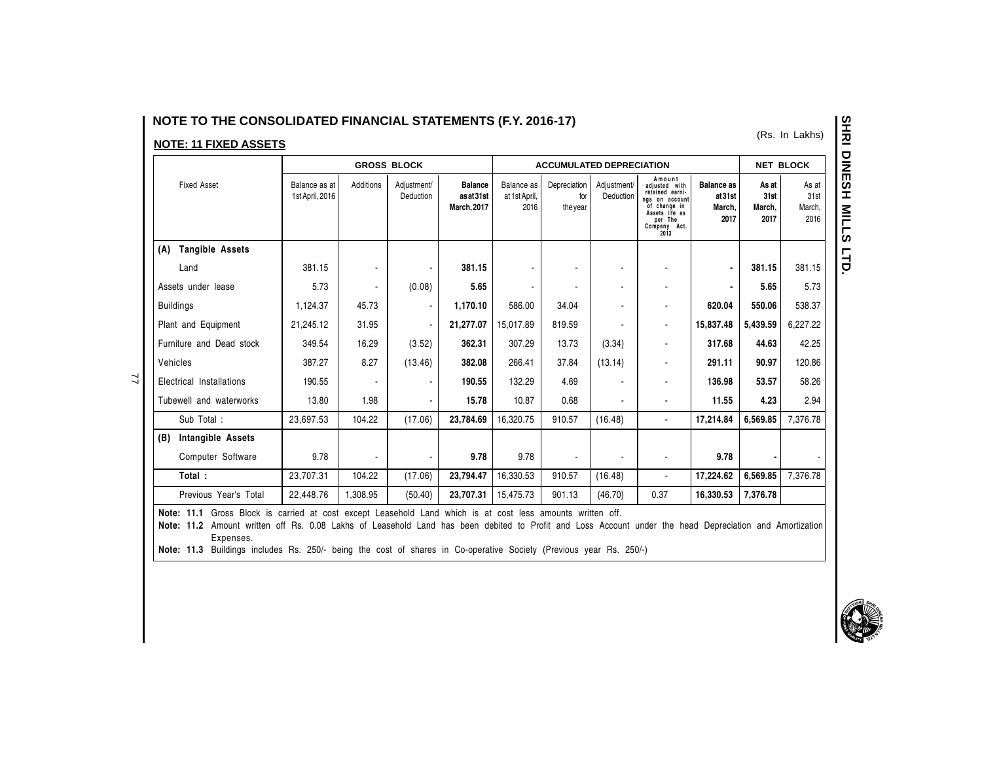# NOTE TO THE CONSOLIDATED FINANCIAL STATEMENTS (F.Y. 2016-17)

# **NOTE: 11 FIXED ASSETS**

77

|                               | <b>GROSS BLOCK</b>               |           |                          |                                           |                                     |                                 | <b>ACCUMULATED DEPRECIATION</b> |                                                                                                                                   |                                               |                                 | <b>NET BLOCK</b>                |  |
|-------------------------------|----------------------------------|-----------|--------------------------|-------------------------------------------|-------------------------------------|---------------------------------|---------------------------------|-----------------------------------------------------------------------------------------------------------------------------------|-----------------------------------------------|---------------------------------|---------------------------------|--|
| <b>Fixed Asset</b>            | Balance as at<br>1st April, 2016 | Additions | Adjustment/<br>Deduction | <b>Balance</b><br>asat31st<br>March, 2017 | Balance as<br>at 1st April,<br>2016 | Depreciation<br>for<br>the year | Adjustment/<br>Deduction        | Amount<br>adjusted with<br>retained earni-<br>ngs on account<br>of change in<br>Assets life as<br>per The<br>Company Act.<br>2013 | <b>Balance as</b><br>at31st<br>March,<br>2017 | As at<br>31st<br>March,<br>2017 | As at<br>31st<br>March,<br>2016 |  |
| <b>Tangible Assets</b><br>(A) |                                  |           |                          |                                           |                                     |                                 |                                 |                                                                                                                                   |                                               |                                 |                                 |  |
| Land                          | 381.15                           |           |                          | 381.15                                    |                                     |                                 |                                 |                                                                                                                                   |                                               | 381.15                          | 381.15                          |  |
| Assets under lease            | 5.73                             |           | (0.08)                   | 5.65                                      |                                     |                                 |                                 |                                                                                                                                   |                                               | 5.65                            | 5.73                            |  |
| <b>Buildings</b>              | 1,124.37                         | 45.73     |                          | 1,170.10                                  | 586.00                              | 34.04                           |                                 |                                                                                                                                   | 620.04                                        | 550.06                          | 538.37                          |  |
| Plant and Equipment           | 21,245.12                        | 31.95     |                          | 21,277.07                                 | 15,017.89                           | 819.59                          |                                 |                                                                                                                                   | 15,837.48                                     | 5,439.59                        | 6,227.22                        |  |
| Furniture and Dead stock      | 349.54                           | 16.29     | (3.52)                   | 362.31                                    | 307.29                              | 13.73                           | (3.34)                          |                                                                                                                                   | 317.68                                        | 44.63                           | 42.25                           |  |
| Vehicles                      | 387.27                           | 8.27      | (13.46)                  | 382.08                                    | 266.41                              | 37.84                           | (13.14)                         |                                                                                                                                   | 291.11                                        | 90.97                           | 120.86                          |  |
| Electrical Installations      | 190.55                           |           |                          | 190.55                                    | 132.29                              | 4.69                            |                                 |                                                                                                                                   | 136.98                                        | 53.57                           | 58.26                           |  |
| Tubewell and waterworks       | 13.80                            | 1.98      |                          | 15.78                                     | 10.87                               | 0.68                            |                                 |                                                                                                                                   | 11.55                                         | 4.23                            | 2.94                            |  |
| Sub Total:                    | 23.697.53                        | 104.22    | (17.06)                  | 23,784.69                                 | 16,320.75                           | 910.57                          | (16.48)                         |                                                                                                                                   | 17,214.84                                     | 6,569.85                        | 7,376.78                        |  |
| Intangible Assets<br>(B)      |                                  |           |                          |                                           |                                     |                                 |                                 |                                                                                                                                   |                                               |                                 |                                 |  |
| Computer Software             | 9.78                             |           |                          | 9.78                                      | 9.78                                |                                 |                                 |                                                                                                                                   | 9.78                                          |                                 |                                 |  |
| Total:                        | 23,707.31                        | 104.22    | (17.06)                  | 23,794.47                                 | 16,330.53                           | 910.57                          | (16.48)                         |                                                                                                                                   | 17,224.62                                     | 6,569.85                        | 7,376.78                        |  |
| Previous Year's Total         | 22,448.76                        | 1,308.95  | (50.40)                  | 23,707.31                                 | 15,475.73                           | 901.13                          | (46.70)                         | 0.37                                                                                                                              | 16,330.53                                     | 7,376.78                        |                                 |  |

Note: 11.1 Gross Block is carried at cost except Leasehold Land which is at cost less amounts written off.

Note: 11.2 Amount written off Rs. 0.08 Lakhs of Leasehold Land has been debited to Profit and Loss Account under the head Depreciation and Amortization Expenses.

Note: 11.3 Buildings includes Rs. 250/- being the cost of shares in Co-operative Society (Previous year Rs. 250/-)

(Rs. In Lakhs)

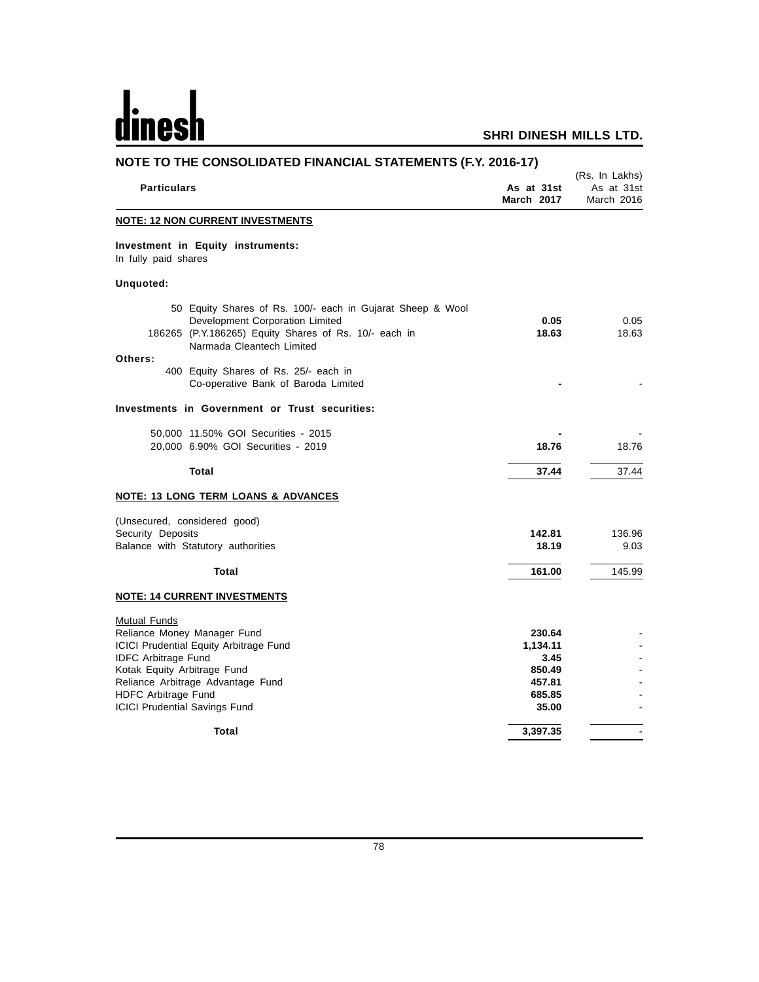# dinesh

| NOTE TO THE CONSOLIDATED FINANCIAL STATEMENTS (F.Y. 2016-17)                                                                                                                        |                                    |                                            |  |  |  |  |
|-------------------------------------------------------------------------------------------------------------------------------------------------------------------------------------|------------------------------------|--------------------------------------------|--|--|--|--|
| <b>Particulars</b>                                                                                                                                                                  | As at 31st<br>March 2017           | (Rs. In Lakhs)<br>As at 31st<br>March 2016 |  |  |  |  |
| <b>NOTE: 12 NON CURRENT INVESTMENTS</b>                                                                                                                                             |                                    |                                            |  |  |  |  |
| Investment in Equity instruments:<br>In fully paid shares                                                                                                                           |                                    |                                            |  |  |  |  |
| Unquoted:                                                                                                                                                                           |                                    |                                            |  |  |  |  |
| 50 Equity Shares of Rs. 100/- each in Gujarat Sheep & Wool<br>Development Corporation Limited<br>186265 (P.Y.186265) Equity Shares of Rs. 10/- each in<br>Narmada Cleantech Limited | 0.05<br>18.63                      | 0.05<br>18.63                              |  |  |  |  |
| Others:<br>400 Equity Shares of Rs. 25/- each in<br>Co-operative Bank of Baroda Limited                                                                                             |                                    |                                            |  |  |  |  |
| Investments in Government or Trust securities:                                                                                                                                      |                                    |                                            |  |  |  |  |
| 50,000 11.50% GOI Securities - 2015<br>20,000 6.90% GOI Securities - 2019                                                                                                           | 18.76                              | 18.76                                      |  |  |  |  |
| <b>Total</b>                                                                                                                                                                        | 37.44                              | 37.44                                      |  |  |  |  |
| NOTE: 13 LONG TERM LOANS & ADVANCES                                                                                                                                                 |                                    |                                            |  |  |  |  |
| (Unsecured, considered good)<br>Security Deposits<br>Balance with Statutory authorities                                                                                             | 142.81<br>18.19                    | 136.96<br>9.03                             |  |  |  |  |
| Total                                                                                                                                                                               | 161.00                             | 145.99                                     |  |  |  |  |
| <b>NOTE: 14 CURRENT INVESTMENTS</b>                                                                                                                                                 |                                    |                                            |  |  |  |  |
| <b>Mutual Funds</b><br>Reliance Money Manager Fund<br>ICICI Prudential Equity Arbitrage Fund                                                                                        | 230.64<br>1,134.11                 |                                            |  |  |  |  |
| <b>IDFC Arbitrage Fund</b><br>Kotak Equity Arbitrage Fund<br>Reliance Arbitrage Advantage Fund<br><b>HDFC Arbitrage Fund</b>                                                        | 3.45<br>850.49<br>457.81<br>685.85 |                                            |  |  |  |  |
| <b>ICICI Prudential Savings Fund</b><br>Total                                                                                                                                       | 35.00<br>3,397.35                  |                                            |  |  |  |  |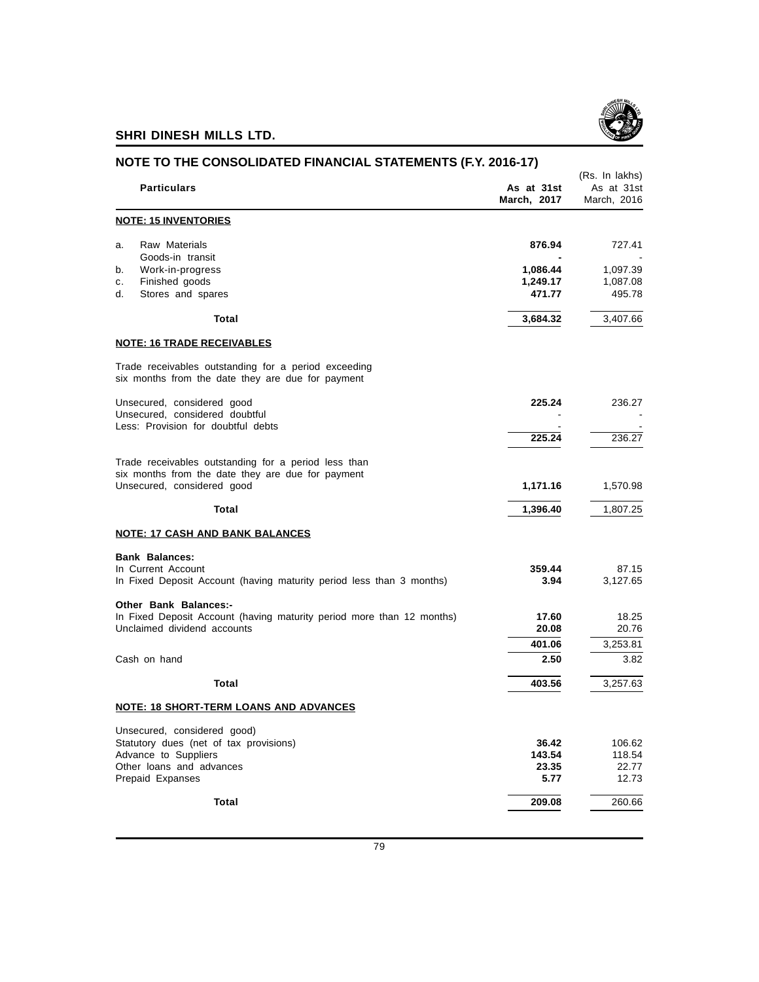

| NOTE TO THE CONSOLIDATED FINANCIAL STATEMENTS (F.Y. 2016-17)                                              |                           |                                             |
|-----------------------------------------------------------------------------------------------------------|---------------------------|---------------------------------------------|
| <b>Particulars</b>                                                                                        | As at 31st<br>March, 2017 | (Rs. In lakhs)<br>As at 31st<br>March, 2016 |
| <b>NOTE: 15 INVENTORIES</b>                                                                               |                           |                                             |
| Raw Materials<br>a.<br>Goods-in transit                                                                   | 876.94                    | 727.41                                      |
| Work-in-progress<br>b.                                                                                    | 1,086.44                  | 1,097.39                                    |
| Finished goods<br>c.                                                                                      | 1,249.17                  | 1,087.08                                    |
| d.<br>Stores and spares                                                                                   | 471.77                    | 495.78                                      |
| Total                                                                                                     | 3,684.32                  | 3,407.66                                    |
| <b>NOTE: 16 TRADE RECEIVABLES</b>                                                                         |                           |                                             |
| Trade receivables outstanding for a period exceeding<br>six months from the date they are due for payment |                           |                                             |
| Unsecured, considered good                                                                                | 225.24                    | 236.27                                      |
| Unsecured, considered doubtful                                                                            |                           |                                             |
| Less: Provision for doubtful debts                                                                        |                           |                                             |
|                                                                                                           | 225.24                    | 236.27                                      |
| Trade receivables outstanding for a period less than                                                      |                           |                                             |
| six months from the date they are due for payment                                                         |                           |                                             |
| Unsecured, considered good                                                                                | 1,171.16                  | 1,570.98                                    |
| Total                                                                                                     | 1,396.40                  | 1,807.25                                    |
| <b>NOTE: 17 CASH AND BANK BALANCES</b>                                                                    |                           |                                             |
| <b>Bank Balances:</b>                                                                                     |                           |                                             |
| In Current Account                                                                                        | 359.44                    | 87.15                                       |
| In Fixed Deposit Account (having maturity period less than 3 months)                                      | 3.94                      | 3,127.65                                    |
| Other Bank Balances:-                                                                                     | 17.60                     | 18.25                                       |
| In Fixed Deposit Account (having maturity period more than 12 months)<br>Unclaimed dividend accounts      | 20.08                     | 20.76                                       |
|                                                                                                           | 401.06                    | 3,253.81                                    |
| Cash on hand                                                                                              | 2.50                      | 3.82                                        |
| Total                                                                                                     | 403.56                    | 3,257.63                                    |
| <b>NOTE: 18 SHORT-TERM LOANS AND ADVANCES</b>                                                             |                           |                                             |
| Unsecured, considered good)                                                                               |                           |                                             |
| Statutory dues (net of tax provisions)                                                                    | 36.42                     | 106.62                                      |
| Advance to Suppliers                                                                                      | 143.54                    | 118.54                                      |
| Other loans and advances                                                                                  | 23.35                     | 22.77                                       |
| Prepaid Expanses                                                                                          | 5.77                      | 12.73                                       |
| Total                                                                                                     | 209.08                    | 260.66                                      |
|                                                                                                           |                           |                                             |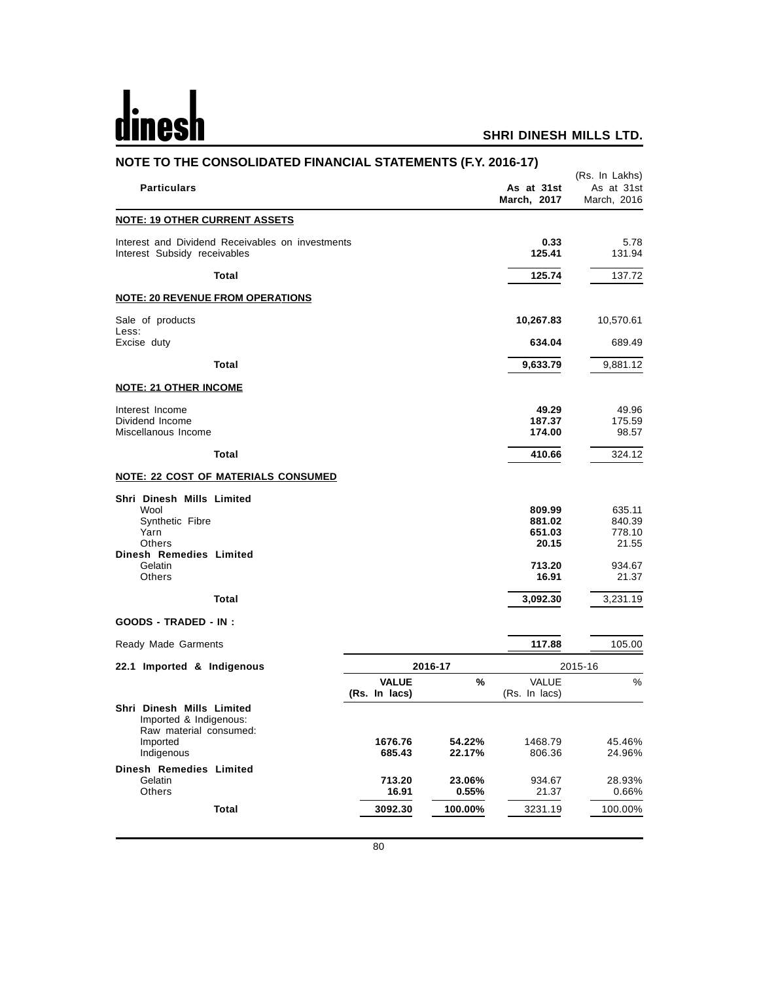# <u>dinesh</u>

|                                                  | NOTE TO THE CONSOLIDATED FINANCIAL STATEMENTS (F.Y. 2016-17) |                                     |                                             |  |
|--------------------------------------------------|--------------------------------------------------------------|-------------------------------------|---------------------------------------------|--|
|                                                  |                                                              | As at 31st<br>March, 2017           | (Rs. In Lakhs)<br>As at 31st<br>March, 2016 |  |
|                                                  |                                                              |                                     |                                             |  |
| Interest and Dividend Receivables on investments |                                                              | 0.33<br>125.41                      | 5.78<br>131.94                              |  |
|                                                  |                                                              | 125.74                              | 137.72                                      |  |
|                                                  |                                                              |                                     |                                             |  |
|                                                  |                                                              | 10,267.83                           | 10,570.61                                   |  |
|                                                  |                                                              |                                     | 689.49                                      |  |
|                                                  |                                                              | 9,633.79                            | 9,881.12                                    |  |
|                                                  |                                                              |                                     |                                             |  |
|                                                  |                                                              | 49.29<br>187.37<br>174.00           | 49.96<br>175.59<br>98.57                    |  |
|                                                  |                                                              | 410.66                              | 324.12                                      |  |
|                                                  |                                                              |                                     |                                             |  |
|                                                  |                                                              | 809.99<br>881.02<br>651.03<br>20.15 | 635.11<br>840.39<br>778.10<br>21.55         |  |
|                                                  |                                                              | 16.91                               | 934.67<br>21.37                             |  |
|                                                  |                                                              | 3,092.30                            | 3,231.19                                    |  |
|                                                  |                                                              |                                     |                                             |  |
|                                                  |                                                              | 117.88                              | 105.00                                      |  |
| 2016-17                                          |                                                              |                                     | 2015-16                                     |  |
| <b>VALUE</b><br>(Rs. In lacs)                    | %                                                            | VALUE<br>(Rs. In lacs)              | $\%$                                        |  |
|                                                  |                                                              |                                     |                                             |  |
| 1676.76                                          | 54.22%                                                       | 1468.79                             | 45.46%<br>24.96%                            |  |
| 713.20                                           | 23.06%                                                       | 934.67                              | 28.93%<br>0.66%                             |  |
| 3092.30                                          | 100.00%                                                      | 3231.19                             | 100.00%                                     |  |
|                                                  | 685.43<br>16.91                                              | 22.17%<br>0.55%                     | 634.04<br>713.20<br>806.36<br>21.37         |  |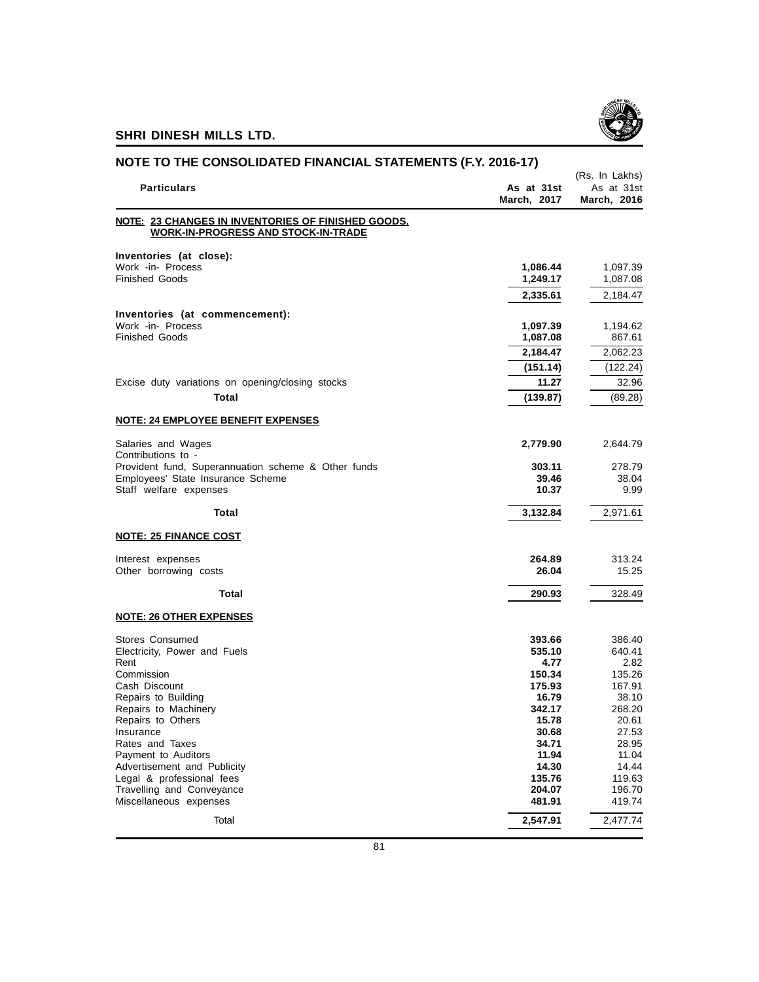

| NOTE TO THE CONSOLIDATED FINANCIAL STATEMENTS (F.Y. 2016-17)                                     |                           | (Rs. In Lakhs)            |  |
|--------------------------------------------------------------------------------------------------|---------------------------|---------------------------|--|
| <b>Particulars</b>                                                                               | As at 31st<br>March, 2017 | As at 31st<br>March, 2016 |  |
| NOTE: 23 CHANGES IN INVENTORIES OF FINISHED GOODS,<br><b>WORK-IN-PROGRESS AND STOCK-IN-TRADE</b> |                           |                           |  |
| Inventories (at close):                                                                          |                           |                           |  |
| Work -in- Process                                                                                | 1,086.44                  | 1,097.39                  |  |
| <b>Finished Goods</b>                                                                            | 1,249.17                  | 1,087.08                  |  |
|                                                                                                  | 2,335.61                  | 2,184.47                  |  |
| Inventories (at commencement):                                                                   |                           |                           |  |
| Work -in- Process<br><b>Finished Goods</b>                                                       | 1,097.39<br>1,087.08      | 1,194.62<br>867.61        |  |
|                                                                                                  | 2,184.47                  | 2,062.23                  |  |
|                                                                                                  | (151.14)                  | (122.24)                  |  |
| Excise duty variations on opening/closing stocks                                                 | 11.27                     | 32.96                     |  |
| Total                                                                                            | (139.87)                  | (89.28)                   |  |
| <b>NOTE: 24 EMPLOYEE BENEFIT EXPENSES</b>                                                        |                           |                           |  |
|                                                                                                  | 2,779.90                  |                           |  |
| Salaries and Wages<br>Contributions to -                                                         |                           | 2,644.79                  |  |
| Provident fund, Superannuation scheme & Other funds                                              | 303.11                    | 278.79                    |  |
| Employees' State Insurance Scheme<br>Staff welfare expenses                                      | 39.46<br>10.37            | 38.04<br>9.99             |  |
|                                                                                                  |                           |                           |  |
| Total                                                                                            | 3,132.84                  | 2,971.61                  |  |
| <b>NOTE: 25 FINANCE COST</b>                                                                     |                           |                           |  |
| Interest expenses                                                                                | 264.89                    | 313.24                    |  |
| Other borrowing costs                                                                            | 26.04                     | 15.25                     |  |
| Total                                                                                            | 290.93                    | 328.49                    |  |
| <b>NOTE: 26 OTHER EXPENSES</b>                                                                   |                           |                           |  |
| <b>Stores Consumed</b>                                                                           | 393.66                    | 386.40                    |  |
| Electricity, Power and Fuels                                                                     | 535.10                    | 640.41                    |  |
| Rent<br>Commission                                                                               | 4.77<br>150.34            | 2.82<br>135.26            |  |
| Cash Discount                                                                                    | 175.93                    | 167.91                    |  |
| Repairs to Building                                                                              | 16.79                     | 38.10                     |  |
| Repairs to Machinery                                                                             | 342.17<br>15.78           | 268.20<br>20.61           |  |
| Repairs to Others<br>Insurance                                                                   | 30.68                     | 27.53                     |  |
| Rates and Taxes                                                                                  | 34.71                     | 28.95                     |  |
| Payment to Auditors                                                                              | 11.94                     | 11.04                     |  |
| Advertisement and Publicity                                                                      | 14.30                     | 14.44                     |  |
| Legal & professional fees                                                                        | 135.76                    | 119.63                    |  |
| Travelling and Conveyance<br>Miscellaneous expenses                                              | 204.07<br>481.91          | 196.70<br>419.74          |  |
|                                                                                                  |                           |                           |  |
| Total                                                                                            | 2,547.91                  | 2,477.74                  |  |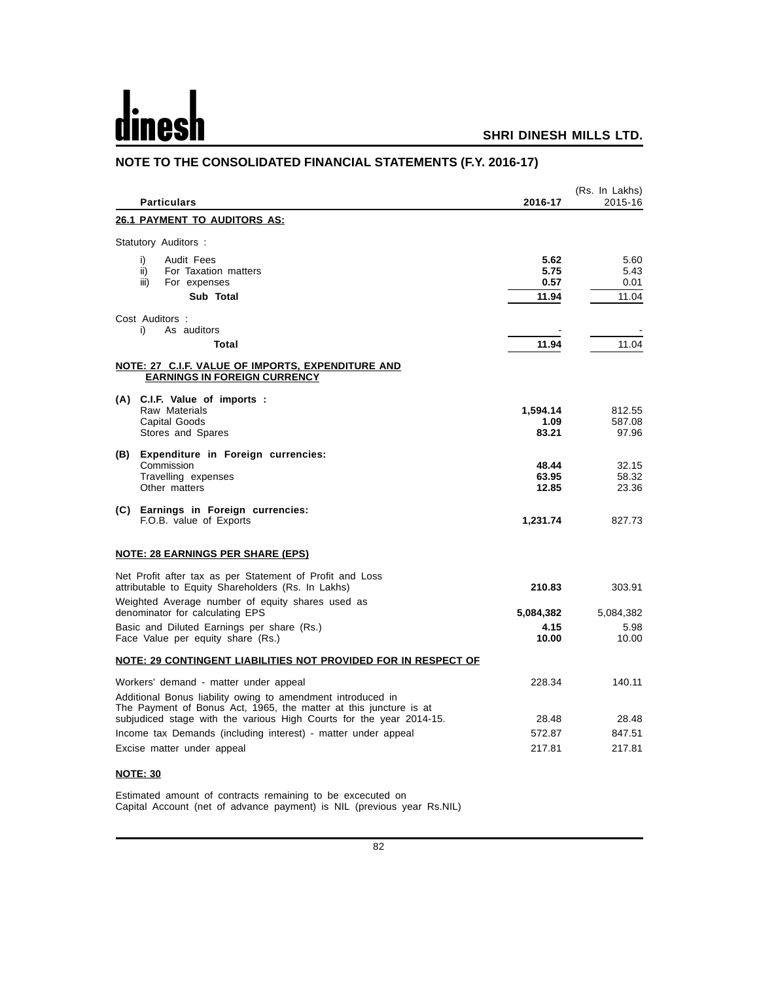# d

# **SHRI DINESH MILLS LTD.**

| <b>Particulars</b>                                                                                                                       | 2016-17                       | (Rs. In Lakhs)<br>2015-16     |
|------------------------------------------------------------------------------------------------------------------------------------------|-------------------------------|-------------------------------|
| <b>26.1 PAYMENT TO AUDITORS AS:</b>                                                                                                      |                               |                               |
| Statutory Auditors :                                                                                                                     |                               |                               |
| Audit Fees<br>i)<br>ii)<br>For Taxation matters<br>iii)<br>For expenses<br>Sub Total                                                     | 5.62<br>5.75<br>0.57<br>11.94 | 5.60<br>5.43<br>0.01<br>11.04 |
| Cost Auditors:                                                                                                                           |                               |                               |
| As auditors<br>i)<br>Total                                                                                                               | 11.94                         | 11.04                         |
| NOTE: 27 C.I.F. VALUE OF IMPORTS, EXPENDITURE AND<br><b>EARNINGS IN FOREIGN CURRENCY</b>                                                 |                               |                               |
| (A) C.I.F. Value of imports :<br>Raw Materials<br><b>Capital Goods</b><br>Stores and Spares                                              | 1,594.14<br>1.09<br>83.21     | 812.55<br>587.08<br>97.96     |
| (B) Expenditure in Foreign currencies:<br>Commission<br>Travelling expenses<br>Other matters                                             | 48.44<br>63.95<br>12.85       | 32.15<br>58.32<br>23.36       |
| (C) Earnings in Foreign currencies:<br>F.O.B. value of Exports                                                                           | 1,231.74                      | 827.73                        |
| <u>NOTE: 28 EARNINGS PER SHARE (EPS)</u>                                                                                                 |                               |                               |
| Net Profit after tax as per Statement of Profit and Loss<br>attributable to Equity Shareholders (Rs. In Lakhs)                           | 210.83                        | 303.91                        |
| Weighted Average number of equity shares used as<br>denominator for calculating EPS                                                      | 5,084,382                     | 5,084,382                     |
| Basic and Diluted Earnings per share (Rs.)<br>Face Value per equity share (Rs.)                                                          | 4.15<br>10.00                 | 5.98<br>10.00                 |
| NOTE: 29 CONTINGENT LIABILITIES NOT PROVIDED FOR IN RESPECT OF                                                                           |                               |                               |
| Workers' demand - matter under appeal<br>Additional Bonus liability owing to amendment introduced in                                     | 228.34                        | 140.11                        |
| The Payment of Bonus Act, 1965, the matter at this juncture is at<br>subjudiced stage with the various High Courts for the year 2014-15. | 28.48                         | 28.48                         |
| Income tax Demands (including interest) - matter under appeal                                                                            | 572.87                        | 847.51                        |
| Excise matter under appeal                                                                                                               | 217.81                        | 217.81                        |

# **NOTE TO THE CONSOLIDATED FINANCIAL STATEMENTS (F.Y. 2016-17)**

**NOTE: 30**

Estimated amount of contracts remaining to be excecuted on Capital Account (net of advance payment) is NIL (previous year Rs.NIL)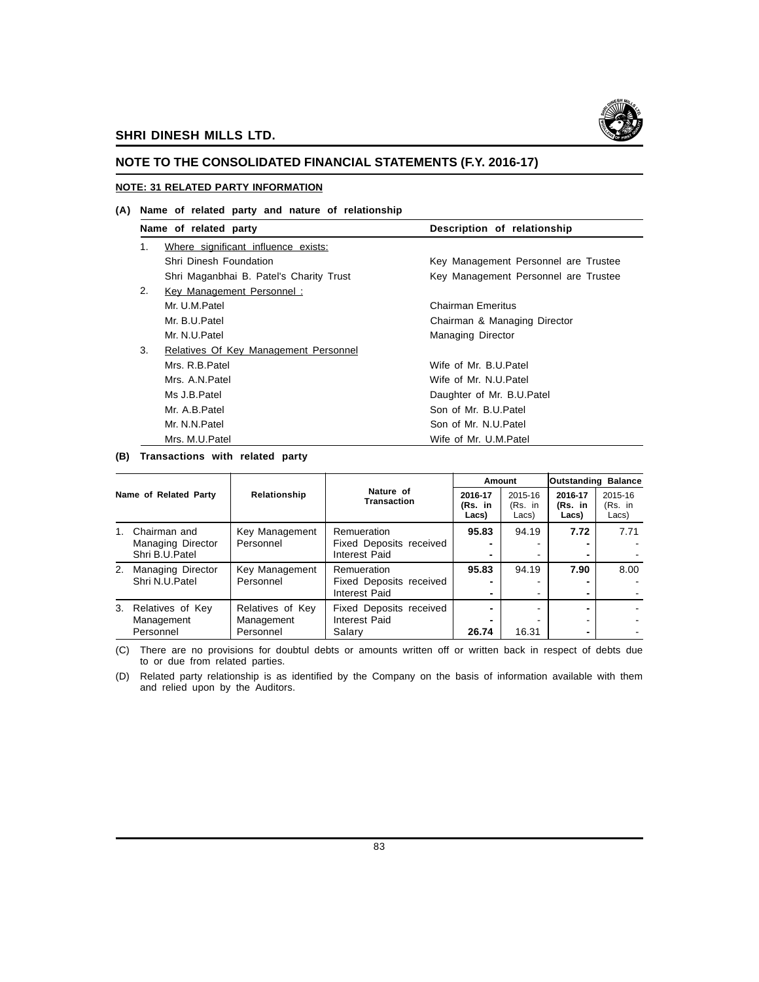

# **NOTE TO THE CONSOLIDATED FINANCIAL STATEMENTS (F.Y. 2016-17)**

#### **NOTE: 31 RELATED PARTY INFORMATION**

#### **(A) Name of related party and nature of relationship**

|    | Name of related party                   | Description of relationship          |
|----|-----------------------------------------|--------------------------------------|
| 1. | Where significant influence exists:     |                                      |
|    | Shri Dinesh Foundation                  | Key Management Personnel are Trustee |
|    | Shri Maganbhai B. Patel's Charity Trust | Key Management Personnel are Trustee |
| 2. | Key Management Personnel:               |                                      |
|    | Mr. U.M.Patel                           | Chairman Emeritus                    |
|    | Mr. B.U.Patel                           | Chairman & Managing Director         |
|    | Mr. N.U.Patel                           | <b>Managing Director</b>             |
| 3. | Relatives Of Key Management Personnel   |                                      |
|    | Mrs. R.B.Patel                          | Wife of Mr. B.U. Patel               |
|    | Mrs. A.N.Patel                          | Wife of Mr. N.U.Patel                |
|    | Ms J.B.Patel                            | Daughter of Mr. B.U.Patel            |
|    | Mr. A.B.Patel                           | Son of Mr. B.U.Patel                 |
|    | Mr. N.N.Patel                           | Son of Mr. N.U.Patel                 |
|    | Mrs. M.U.Patel                          | Wife of Mr. U.M.Patel                |

# **(B) Transactions with related party**

| Name of Related Party |                                                     |                                             |                                                         | Amount                      |                             | <b>Outstanding Balance</b>  |                             |
|-----------------------|-----------------------------------------------------|---------------------------------------------|---------------------------------------------------------|-----------------------------|-----------------------------|-----------------------------|-----------------------------|
|                       |                                                     | Relationship                                | Nature of<br><b>Transaction</b>                         | 2016-17<br>(Rs. in<br>Lacs) | 2015-16<br>(Rs. in<br>Lacs) | 2016-17<br>(Rs. in<br>Lacs) | 2015-16<br>(Rs. in<br>Lacs) |
| 1.                    | Chairman and<br>Managing Director<br>Shri B.U.Patel | Key Management<br>Personnel                 | Remueration<br>Fixed Deposits received<br>Interest Paid | 95.83<br>-                  | 94.19                       | 7.72                        | 7.71                        |
| 2.                    | Managing Director<br>Shri N.U.Patel                 | Key Management<br>Personnel                 | Remueration<br>Fixed Deposits received<br>Interest Paid | 95.83                       | 94.19                       | 7.90                        | 8.00                        |
| 3.                    | Relatives of Key<br>Management<br>Personnel         | Relatives of Key<br>Management<br>Personnel | Fixed Deposits received<br>Interest Paid<br>Salary      | 26.74                       | 16.31                       |                             |                             |

(C) There are no provisions for doubtul debts or amounts written off or written back in respect of debts due to or due from related parties.

(D) Related party relationship is as identified by the Company on the basis of information available with them and relied upon by the Auditors.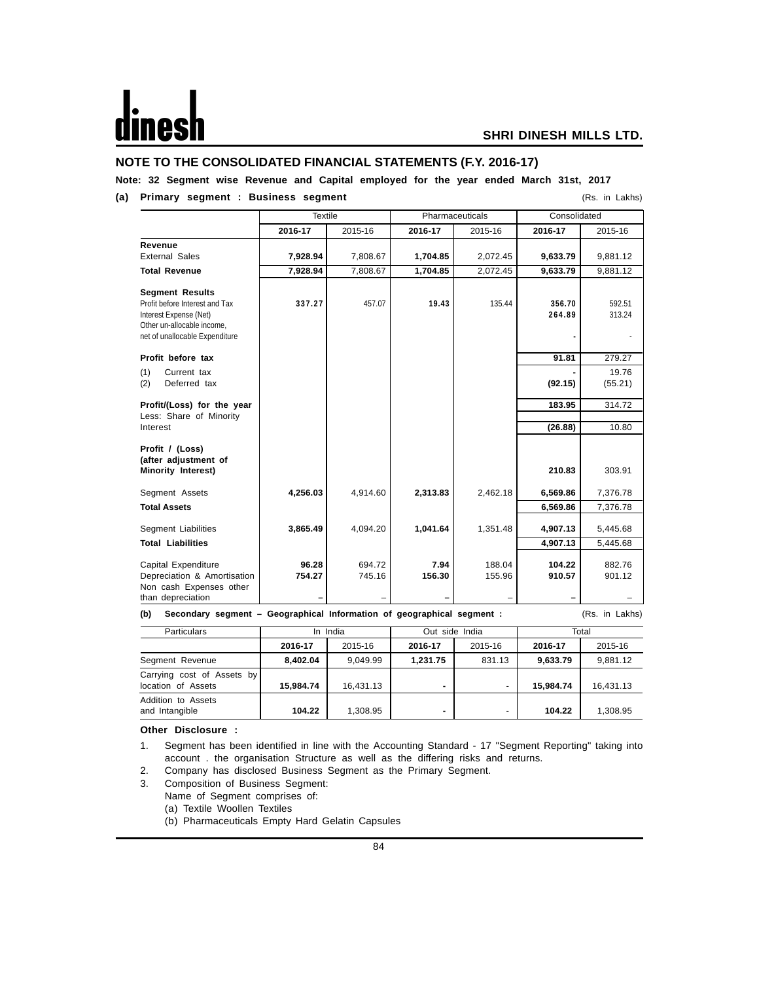# **NOTE TO THE CONSOLIDATED FINANCIAL STATEMENTS (F.Y. 2016-17)**

# **Note: 32 Segment wise Revenue and Capital employed for the year ended March 31st, 2017**

# **(a) Primary segment : Business segment** (Rs. in Lakhs)

|                                                                               | <b>Textile</b> |          |          | Pharmaceuticals | Consolidated |                |
|-------------------------------------------------------------------------------|----------------|----------|----------|-----------------|--------------|----------------|
|                                                                               | 2016-17        | 2015-16  | 2016-17  | 2015-16         | 2016-17      | 2015-16        |
| Revenue                                                                       |                |          |          |                 |              |                |
| <b>External Sales</b>                                                         | 7,928.94       | 7,808.67 | 1,704.85 | 2,072.45        | 9,633.79     | 9,881.12       |
| <b>Total Revenue</b>                                                          | 7,928.94       | 7,808.67 | 1,704.85 | 2,072.45        | 9,633.79     | 9,881.12       |
| <b>Segment Results</b>                                                        |                |          |          |                 |              |                |
| Profit before Interest and Tax                                                | 337.27         | 457.07   | 19.43    | 135.44          | 356.70       | 592.51         |
| Interest Expense (Net)                                                        |                |          |          |                 | 264.89       | 313.24         |
| Other un-allocable income,                                                    |                |          |          |                 |              |                |
| net of unallocable Expenditure                                                |                |          |          |                 |              |                |
| Profit before tax                                                             |                |          |          |                 | 91.81        | 279.27         |
| Current tax                                                                   |                |          |          |                 |              | 19.76          |
| (1)<br>Deferred tax<br>(2)                                                    |                |          |          |                 | (92.15)      | (55.21)        |
|                                                                               |                |          |          |                 |              |                |
| Profit/(Loss) for the year                                                    |                |          |          |                 | 183.95       | 314.72         |
| Less: Share of Minority                                                       |                |          |          |                 |              |                |
| Interest                                                                      |                |          |          |                 | (26.88)      | 10.80          |
| Profit / (Loss)                                                               |                |          |          |                 |              |                |
| (after adjustment of                                                          |                |          |          |                 |              |                |
| Minority Interest)                                                            |                |          |          |                 | 210.83       | 303.91         |
| Segment Assets                                                                | 4,256.03       | 4,914.60 | 2,313.83 | 2,462.18        | 6,569.86     | 7,376.78       |
|                                                                               |                |          |          |                 |              |                |
| <b>Total Assets</b>                                                           |                |          |          |                 | 6,569.86     | 7,376.78       |
| <b>Segment Liabilities</b>                                                    | 3,865.49       | 4,094.20 | 1,041.64 | 1,351.48        | 4,907.13     | 5,445.68       |
| <b>Total Liabilities</b>                                                      |                |          |          |                 | 4,907.13     | 5,445.68       |
|                                                                               |                |          |          |                 |              |                |
| Capital Expenditure                                                           | 96.28          | 694.72   | 7.94     | 188.04          | 104.22       | 882.76         |
| Depreciation & Amortisation                                                   | 754.27         | 745.16   | 156.30   | 155.96          | 910.57       | 901.12         |
| Non cash Expenses other                                                       |                |          |          |                 |              |                |
| than depreciation                                                             |                |          |          |                 |              |                |
| Secondary segment - Geographical Information of geographical segment :<br>(b) |                |          |          |                 |              | (Rs. in Lakhs) |

| <b>Particulars</b>                               | In India  |           | Out side India |         | Total     |           |
|--------------------------------------------------|-----------|-----------|----------------|---------|-----------|-----------|
|                                                  | 2016-17   | 2015-16   | 2016-17        | 2015-16 | 2016-17   | 2015-16   |
| Segment Revenue                                  | 8.402.04  | 9.049.99  | 1,231.75       | 831.13  | 9,633.79  | 9.881.12  |
| Carrying cost of Assets by<br>location of Assets | 15.984.74 | 16.431.13 | -              | -       | 15.984.74 | 16.431.13 |
| Addition to Assets<br>and Intangible             | 104.22    | 1,308.95  |                |         | 104.22    | 1,308.95  |

#### **Other Disclosure :**

1. Segment has been identified in line with the Accounting Standard - 17 "Segment Reporting" taking into account . the organisation Structure as well as the differing risks and returns.

2. Company has disclosed Business Segment as the Primary Segment.

- 3. Composition of Business Segment:
	- Name of Segment comprises of:

(a) Textile Woollen Textiles

(b) Pharmaceuticals Empty Hard Gelatin Capsules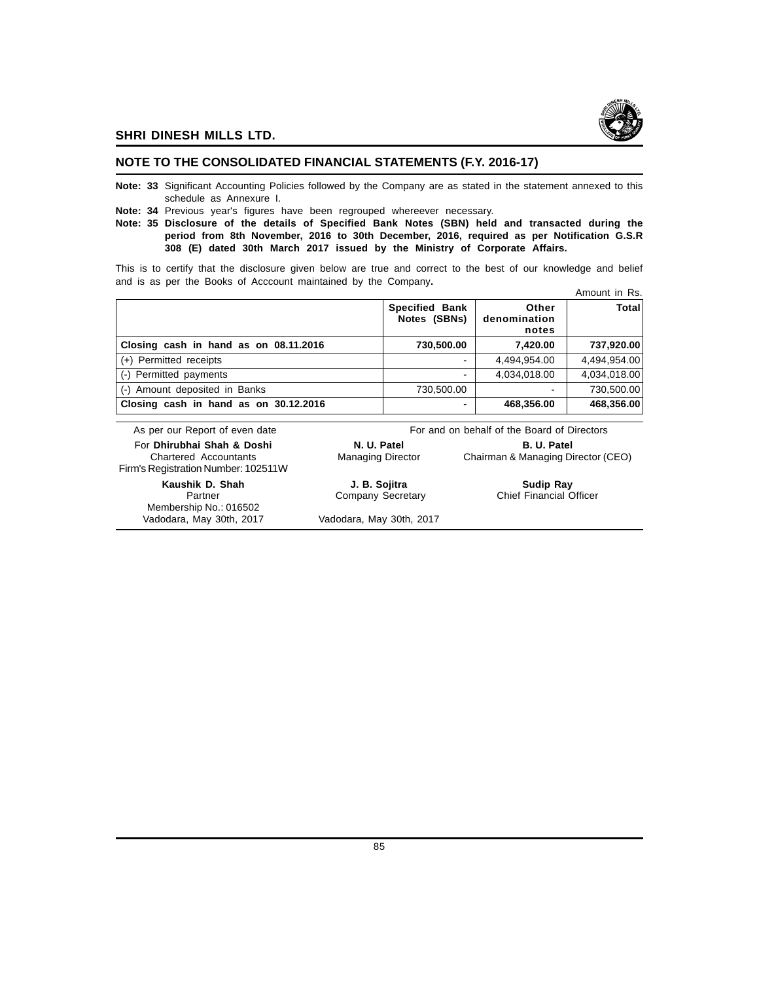

# **NOTE TO THE CONSOLIDATED FINANCIAL STATEMENTS (F.Y. 2016-17)**

- **Note: 33** Significant Accounting Policies followed by the Company are as stated in the statement annexed to this schedule as Annexure I.
- **Note: 34** Previous year's figures have been regrouped whereever necessary.
- **Note: 35 Disclosure of the details of Specified Bank Notes (SBN) held and transacted during the period from 8th November, 2016 to 30th December, 2016, required as per Notification G.S.R 308 (E) dated 30th March 2017 issued by the Ministry of Corporate Affairs.**

This is to certify that the disclosure given below are true and correct to the best of our knowledge and belief and is as per the Books of Acccount maintained by the Company**.**

|                                       |                                       |                                | Amount in Rs. |
|---------------------------------------|---------------------------------------|--------------------------------|---------------|
|                                       | <b>Specified Bank</b><br>Notes (SBNs) | Other<br>denomination<br>notes | Total         |
| Closing cash in hand as on 08.11.2016 | 730,500.00                            | 7,420.00                       | 737,920.00    |
| $(+)$ Permitted receipts              |                                       | 4,494,954.00                   | 4,494,954.00  |
| (-) Permitted payments                |                                       | 4,034,018.00                   | 4,034,018.00  |
| (-) Amount deposited in Banks         | 730,500.00                            |                                | 730,500.00    |
| Closing cash in hand as on 30.12.2016 | -                                     | 468,356.00                     | 468,356.00    |

| As per our Report of even date                                                                    | For and on behalf of the Board of Directors |                                                          |  |  |
|---------------------------------------------------------------------------------------------------|---------------------------------------------|----------------------------------------------------------|--|--|
| For Dhirubhai Shah & Doshi<br><b>Chartered Accountants</b><br>Firm's Registration Number: 102511W | N. U. Patel<br><b>Managing Director</b>     | <b>B. U. Patel</b><br>Chairman & Managing Director (CEO) |  |  |
| Kaushik D. Shah<br>Partner                                                                        | J. B. Sojitra<br>Company Secretary          | <b>Sudip Ray</b><br><b>Chief Financial Officer</b>       |  |  |
| Membership No.: 016502<br>Vadodara, May 30th, 2017                                                | Vadodara, May 30th, 2017                    |                                                          |  |  |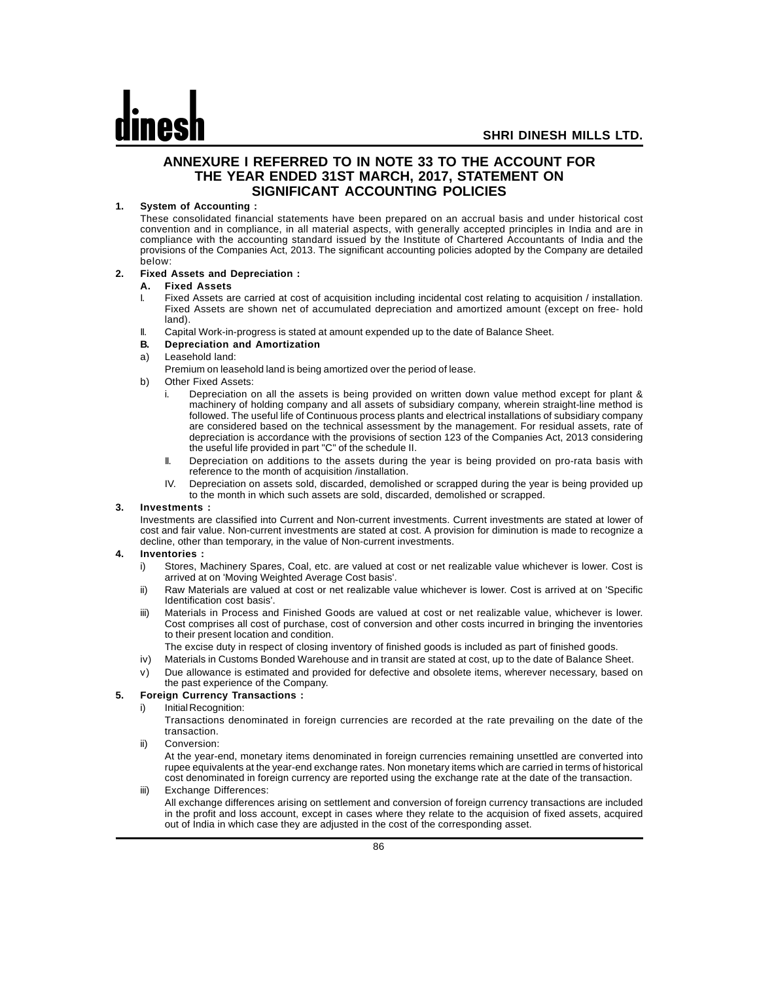# **ANNEXURE I REFERRED TO IN NOTE 33 TO THE ACCOUNT FOR THE YEAR ENDED 31ST MARCH, 2017, STATEMENT ON SIGNIFICANT ACCOUNTING POLICIES**

## **1. System of Accounting :**

These consolidated financial statements have been prepared on an accrual basis and under historical cost convention and in compliance, in all material aspects, with generally accepted principles in India and are in compliance with the accounting standard issued by the Institute of Chartered Accountants of India and the provisions of the Companies Act, 2013. The significant accounting policies adopted by the Company are detailed below:

## **2. Fixed Assets and Depreciation :**

### **A. Fixed Assets**

- Fixed Assets are carried at cost of acquisition including incidental cost relating to acquisition / installation. Fixed Assets are shown net of accumulated depreciation and amortized amount (except on free- hold land).
- II. Capital Work-in-progress is stated at amount expended up to the date of Balance Sheet.
- **B. Depreciation and Amortization**
- a) Leasehold land:

Premium on leasehold land is being amortized over the period of lease.

- b) Other Fixed Assets:
	- i. Depreciation on all the assets is being provided on written down value method except for plant & machinery of holding company and all assets of subsidiary company, wherein straight-line method is followed. The useful life of Continuous process plants and electrical installations of subsidiary company are considered based on the technical assessment by the management. For residual assets, rate of depreciation is accordance with the provisions of section 123 of the Companies Act, 2013 considering the useful life provided in part "C" of the schedule II.
	- II. Depreciation on additions to the assets during the year is being provided on pro-rata basis with reference to the month of acquisition /installation.
	- IV. Depreciation on assets sold, discarded, demolished or scrapped during the year is being provided up to the month in which such assets are sold, discarded, demolished or scrapped.

## **3. Investments :**

Investments are classified into Current and Non-current investments. Current investments are stated at lower of cost and fair value. Non-current investments are stated at cost. A provision for diminution is made to recognize a decline, other than temporary, in the value of Non-current investments.

## **4. Inventories :**

- i) Stores, Machinery Spares, Coal, etc. are valued at cost or net realizable value whichever is lower. Cost is arrived at on 'Moving Weighted Average Cost basis'.
- ii) Raw Materials are valued at cost or net realizable value whichever is lower. Cost is arrived at on 'Specific Identification cost basis'.
- iii) Materials in Process and Finished Goods are valued at cost or net realizable value, whichever is lower. Cost comprises all cost of purchase, cost of conversion and other costs incurred in bringing the inventories to their present location and condition.
	- The excise duty in respect of closing inventory of finished goods is included as part of finished goods.
- iv) Materials in Customs Bonded Warehouse and in transit are stated at cost, up to the date of Balance Sheet.
- v) Due allowance is estimated and provided for defective and obsolete items, wherever necessary, based on the past experience of the Company.

## **5. Foreign Currency Transactions :**

i) Initial Recognition:

Transactions denominated in foreign currencies are recorded at the rate prevailing on the date of the transaction.

ii) Conversion:

At the year-end, monetary items denominated in foreign currencies remaining unsettled are converted into rupee equivalents at the year-end exchange rates. Non monetary items which are carried in terms of historical cost denominated in foreign currency are reported using the exchange rate at the date of the transaction.

iii) Exchange Differences:

All exchange differences arising on settlement and conversion of foreign currency transactions are included in the profit and loss account, except in cases where they relate to the acquision of fixed assets, acquired out of India in which case they are adjusted in the cost of the corresponding asset.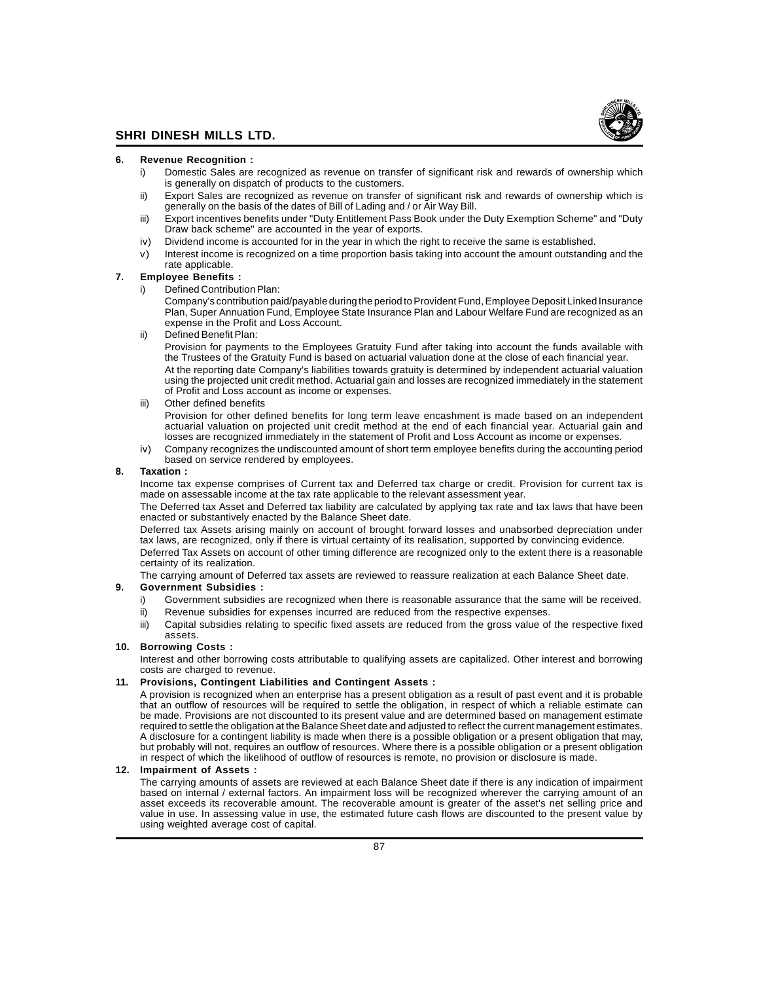

#### **6. Revenue Recognition :**

- i) Domestic Sales are recognized as revenue on transfer of significant risk and rewards of ownership which is generally on dispatch of products to the customers.
- ii) Export Sales are recognized as revenue on transfer of significant risk and rewards of ownership which is generally on the basis of the dates of Bill of Lading and / or Air Way Bill.
- iii) Export incentives benefits under "Duty Entitlement Pass Book under the Duty Exemption Scheme" and "Duty Draw back scheme" are accounted in the year of exports.
- iv) Dividend income is accounted for in the year in which the right to receive the same is established.
- v) Interest income is recognized on a time proportion basis taking into account the amount outstanding and the rate applicable.

#### **7. Employee Benefits :**

- i) Defined Contribution Plan:
	- Company's contribution paid/payable during the period to Provident Fund, Employee Deposit Linked Insurance Plan, Super Annuation Fund, Employee State Insurance Plan and Labour Welfare Fund are recognized as an expense in the Profit and Loss Account.
- Defined Benefit Plan:

Provision for payments to the Employees Gratuity Fund after taking into account the funds available with the Trustees of the Gratuity Fund is based on actuarial valuation done at the close of each financial year.

At the reporting date Company's liabilities towards gratuity is determined by independent actuarial valuation using the projected unit credit method. Actuarial gain and losses are recognized immediately in the statement of Profit and Loss account as income or expenses.

iii) Other defined benefits

Provision for other defined benefits for long term leave encashment is made based on an independent actuarial valuation on projected unit credit method at the end of each financial year. Actuarial gain and losses are recognized immediately in the statement of Profit and Loss Account as income or expenses.

iv) Company recognizes the undiscounted amount of short term employee benefits during the accounting period based on service rendered by employees.

#### **8. Taxation :**

Income tax expense comprises of Current tax and Deferred tax charge or credit. Provision for current tax is made on assessable income at the tax rate applicable to the relevant assessment year.

The Deferred tax Asset and Deferred tax liability are calculated by applying tax rate and tax laws that have been enacted or substantively enacted by the Balance Sheet date.

Deferred tax Assets arising mainly on account of brought forward losses and unabsorbed depreciation under tax laws, are recognized, only if there is virtual certainty of its realisation, supported by convincing evidence.

Deferred Tax Assets on account of other timing difference are recognized only to the extent there is a reasonable certainty of its realization.

The carrying amount of Deferred tax assets are reviewed to reassure realization at each Balance Sheet date.

# **9. Government Subsidies :**

- Government subsidies are recognized when there is reasonable assurance that the same will be received.
- ii) Revenue subsidies for expenses incurred are reduced from the respective expenses.
- iii) Capital subsidies relating to specific fixed assets are reduced from the gross value of the respective fixed assets.

#### **10. Borrowing Costs :**

Interest and other borrowing costs attributable to qualifying assets are capitalized. Other interest and borrowing costs are charged to revenue.

#### **11. Provisions, Contingent Liabilities and Contingent Assets :**

A provision is recognized when an enterprise has a present obligation as a result of past event and it is probable that an outflow of resources will be required to settle the obligation, in respect of which a reliable estimate can be made. Provisions are not discounted to its present value and are determined based on management estimate required to settle the obligation at the Balance Sheet date and adjusted to reflect the current management estimates. A disclosure for a contingent liability is made when there is a possible obligation or a present obligation that may, but probably will not, requires an outflow of resources. Where there is a possible obligation or a present obligation in respect of which the likelihood of outflow of resources is remote, no provision or disclosure is made.

## **12. Impairment of Assets :**

The carrying amounts of assets are reviewed at each Balance Sheet date if there is any indication of impairment based on internal / external factors. An impairment loss will be recognized wherever the carrying amount of an asset exceeds its recoverable amount. The recoverable amount is greater of the asset's net selling price and value in use. In assessing value in use, the estimated future cash flows are discounted to the present value by using weighted average cost of capital.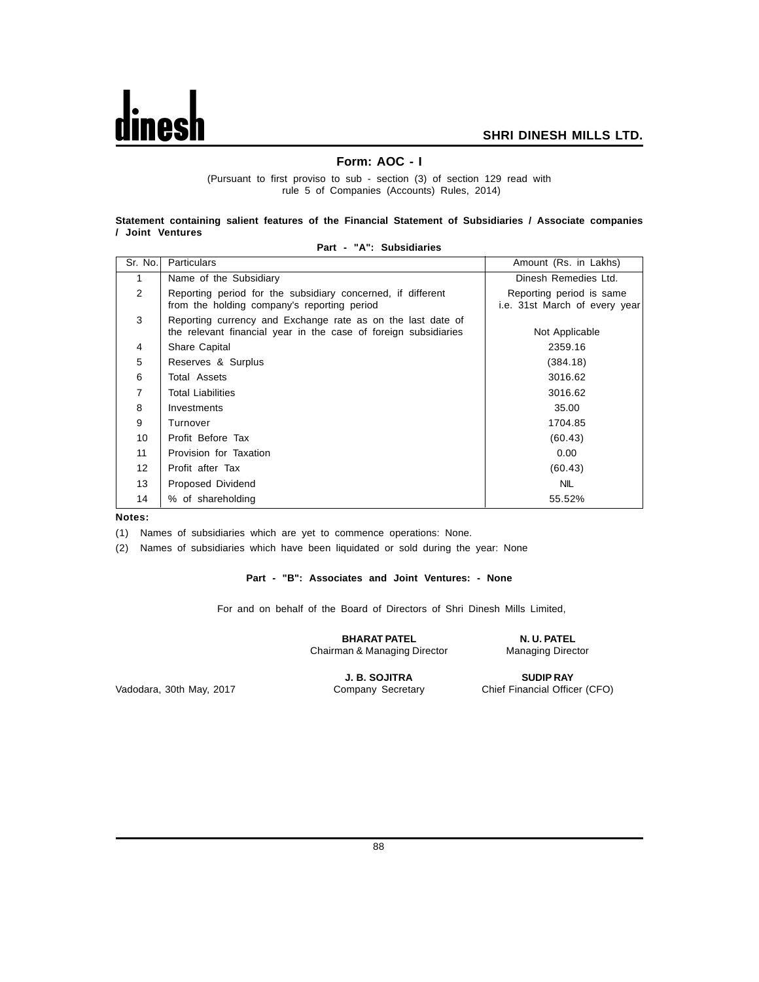

# **Form: AOC - I**

(Pursuant to first proviso to sub - section (3) of section 129 read with rule 5 of Companies (Accounts) Rules, 2014)

#### **Statement containing salient features of the Financial Statement of Subsidiaries / Associate companies / Joint Ventures**

| Sr. No.           | <b>Particulars</b>                                                                                                             | Amount (Rs. in Lakhs)                                     |
|-------------------|--------------------------------------------------------------------------------------------------------------------------------|-----------------------------------------------------------|
| 1                 | Name of the Subsidiary                                                                                                         | Dinesh Remedies Ltd.                                      |
| 2                 | Reporting period for the subsidiary concerned, if different<br>from the holding company's reporting period                     | Reporting period is same<br>i.e. 31st March of every year |
| 3                 | Reporting currency and Exchange rate as on the last date of<br>the relevant financial year in the case of foreign subsidiaries | Not Applicable                                            |
| 4                 | Share Capital                                                                                                                  | 2359.16                                                   |
| 5                 | Reserves & Surplus                                                                                                             | (384.18)                                                  |
| 6                 | <b>Total Assets</b>                                                                                                            | 3016.62                                                   |
| $\overline{7}$    | <b>Total Liabilities</b>                                                                                                       | 3016.62                                                   |
| 8                 | Investments                                                                                                                    | 35.00                                                     |
| 9                 | Turnover                                                                                                                       | 1704.85                                                   |
| 10                | Profit Before Tax                                                                                                              | (60.43)                                                   |
| 11                | Provision for Taxation                                                                                                         | 0.00                                                      |
| $12 \overline{ }$ | Profit after Tax                                                                                                               | (60.43)                                                   |
| 13                | Proposed Dividend                                                                                                              | <b>NIL</b>                                                |
| 14                | % of shareholding                                                                                                              | 55.52%                                                    |

#### **Part - "A": Subsidiaries**

**Notes:**

(1) Names of subsidiaries which are yet to commence operations: None.

(2) Names of subsidiaries which have been liquidated or sold during the year: None

# **Part - "B": Associates and Joint Ventures: - None**

For and on behalf of the Board of Directors of Shri Dinesh Mills Limited,

**BHARAT PATEL N. U. PATEL** Chairman & Managing Director Managing Director

**J. B. SOJITRA SUDIP RAY Company Secretary Chief Financial Office** 

Vadodara, 30th May, 2017 Company Secretary Chief Financial Officer (CFO)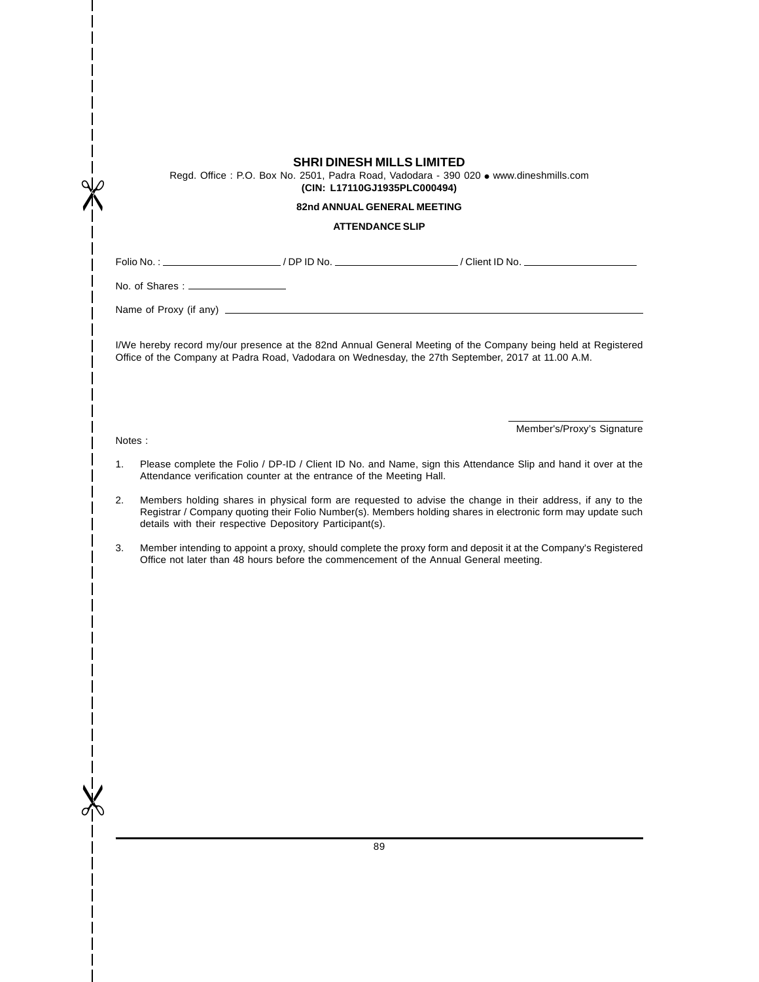|    |                                      | <b>SHRI DINESH MILLS LIMITED</b><br>(CIN: L17110GJ1935PLC000494)     | Regd. Office: P.O. Box No. 2501, Padra Road, Vadodara - 390 020 · www.dineshmills.com                                                                                                                                      |
|----|--------------------------------------|----------------------------------------------------------------------|----------------------------------------------------------------------------------------------------------------------------------------------------------------------------------------------------------------------------|
|    |                                      | 82nd ANNUAL GENERAL MEETING<br><b>ATTENDANCE SLIP</b>                |                                                                                                                                                                                                                            |
|    |                                      |                                                                      |                                                                                                                                                                                                                            |
|    |                                      |                                                                      | Folio No. : ____________________________/ DP ID No. _________________________/ Client ID No. _________________                                                                                                             |
|    | No. of Shares : ____________________ |                                                                      |                                                                                                                                                                                                                            |
|    |                                      |                                                                      |                                                                                                                                                                                                                            |
|    |                                      |                                                                      | I/We hereby record my/our presence at the 82nd Annual General Meeting of the Company being held at Registered<br>Office of the Company at Padra Road, Vadodara on Wednesday, the 27th September, 2017 at 11.00 A.M.        |
|    | Notes:                               |                                                                      | Member's/Proxy's Signature                                                                                                                                                                                                 |
| 1. |                                      | Attendance verification counter at the entrance of the Meeting Hall. | Please complete the Folio / DP-ID / Client ID No. and Name, sign this Attendance Slip and hand it over at the                                                                                                              |
| 2. |                                      | details with their respective Depository Participant(s).             | Members holding shares in physical form are requested to advise the change in their address, if any to the<br>Registrar / Company quoting their Folio Number(s). Members holding shares in electronic form may update such |
| 3. |                                      |                                                                      | Member intending to appoint a proxy, should complete the proxy form and deposit it at the Company's Registered<br>Office not later than 48 hours before the commencement of the Annual General meeting.                    |
|    |                                      |                                                                      |                                                                                                                                                                                                                            |
|    |                                      |                                                                      |                                                                                                                                                                                                                            |
|    |                                      |                                                                      |                                                                                                                                                                                                                            |
|    |                                      |                                                                      |                                                                                                                                                                                                                            |
|    |                                      |                                                                      |                                                                                                                                                                                                                            |
|    |                                      |                                                                      |                                                                                                                                                                                                                            |
|    |                                      |                                                                      |                                                                                                                                                                                                                            |
|    |                                      |                                                                      |                                                                                                                                                                                                                            |

 $\mathbf{I}$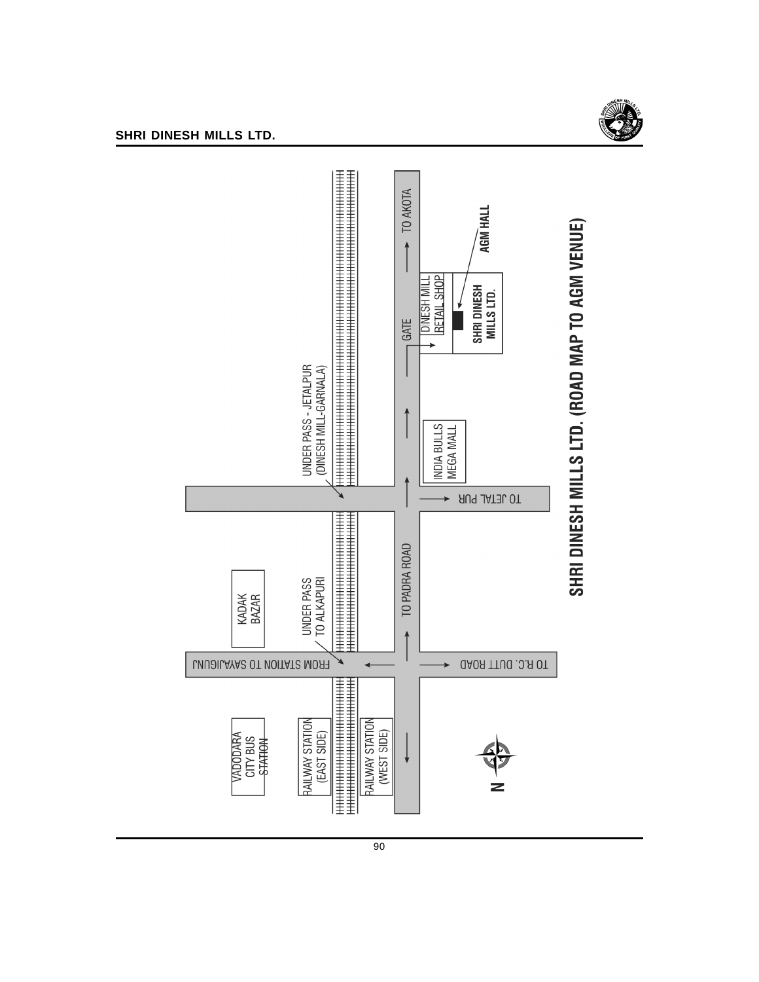



90